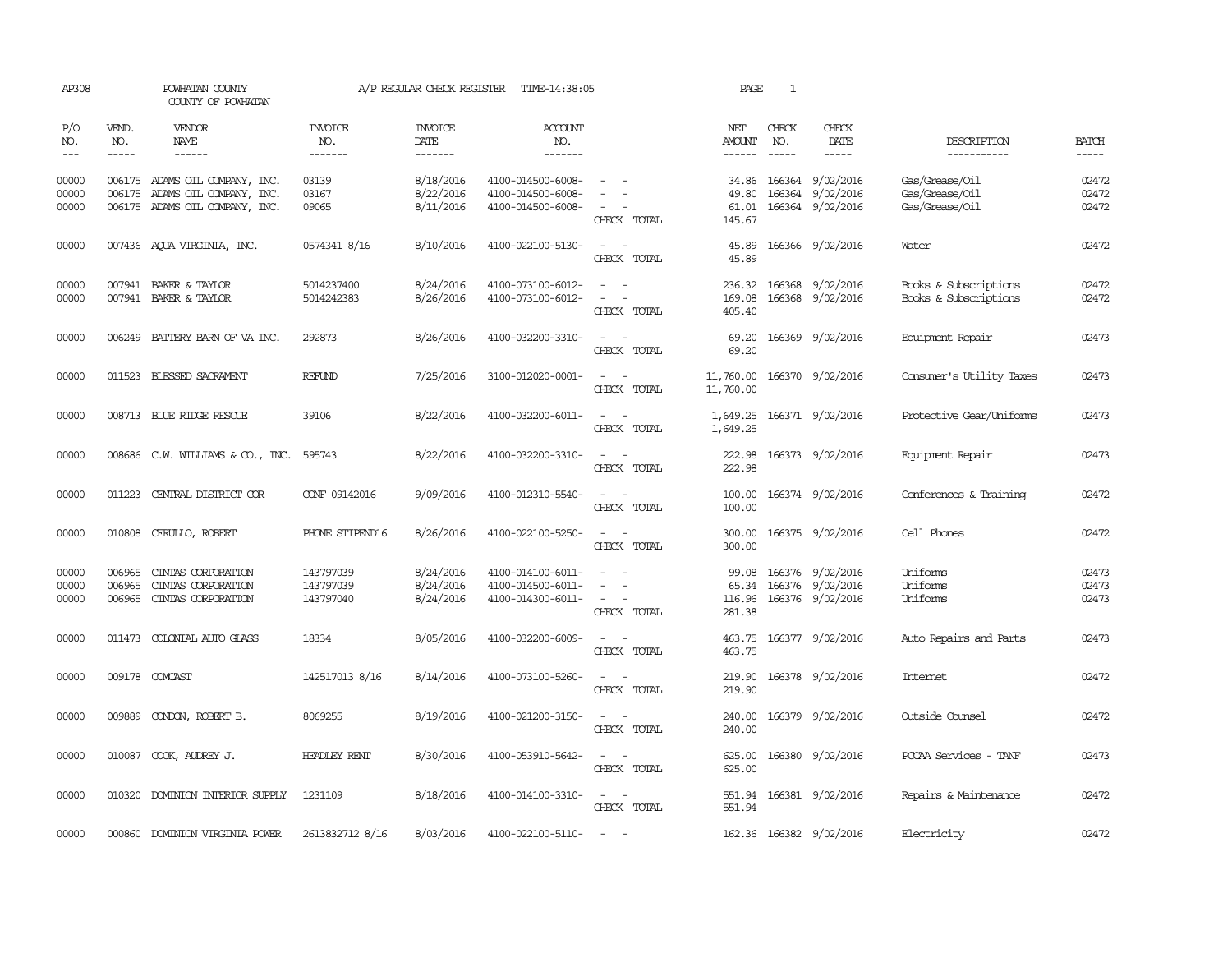| AP308                   |                               | POWHATAN COUNTY<br>COUNTY OF POWHATAN                                                                                                                                                                                                                                                                                                                                                                                                                                                               |                                     | A/P REGULAR CHECK REGISTER          | TIME-14:38:05                                               |                                                                                                                             | PAGE                                  | <sup>1</sup>                  |                                                          |                                                    |                             |
|-------------------------|-------------------------------|-----------------------------------------------------------------------------------------------------------------------------------------------------------------------------------------------------------------------------------------------------------------------------------------------------------------------------------------------------------------------------------------------------------------------------------------------------------------------------------------------------|-------------------------------------|-------------------------------------|-------------------------------------------------------------|-----------------------------------------------------------------------------------------------------------------------------|---------------------------------------|-------------------------------|----------------------------------------------------------|----------------------------------------------------|-----------------------------|
| P/O<br>NO.<br>$---$     | VEND.<br>NO.<br>$\frac{1}{2}$ | <b>VENDOR</b><br>NAME<br>$\frac{1}{2} \left( \frac{1}{2} \right) \left( \frac{1}{2} \right) \left( \frac{1}{2} \right) \left( \frac{1}{2} \right) \left( \frac{1}{2} \right) \left( \frac{1}{2} \right) \left( \frac{1}{2} \right) \left( \frac{1}{2} \right) \left( \frac{1}{2} \right) \left( \frac{1}{2} \right) \left( \frac{1}{2} \right) \left( \frac{1}{2} \right) \left( \frac{1}{2} \right) \left( \frac{1}{2} \right) \left( \frac{1}{2} \right) \left( \frac{1}{2} \right) \left( \frac$ | <b>INVOICE</b><br>NO.<br>--------   | <b>INVOICE</b><br>DATE<br>-------   | <b>ACCOUNT</b><br>NO.<br>$- - - - - - -$                    |                                                                                                                             | NET<br><b>AMOUNT</b><br>$- - - - - -$ | CHECK<br>NO.<br>$\frac{1}{2}$ | CHECK<br>DATE<br>$- - - - -$                             | DESCRIPTION<br>-----------                         | <b>BATCH</b><br>$- - - - -$ |
| 00000<br>00000<br>00000 |                               | 006175 ADAMS OIL COMPANY, INC.<br>006175 ADAMS OIL COMPANY, INC.<br>006175 ADAMS OIL COMPANY, INC.                                                                                                                                                                                                                                                                                                                                                                                                  | 03139<br>03167<br>09065             | 8/18/2016<br>8/22/2016<br>8/11/2016 | 4100-014500-6008-<br>4100-014500-6008-<br>4100-014500-6008- | CHECK TOTAL                                                                                                                 | 34.86<br>49.80<br>61.01<br>145.67     |                               | 166364 9/02/2016<br>166364 9/02/2016<br>166364 9/02/2016 | Gas/Grease/0il<br>Gas/Grease/Oil<br>Gas/Grease/Oil | 02472<br>02472<br>02472     |
| 00000                   |                               | 007436 AQUA VIRGINIA, INC.                                                                                                                                                                                                                                                                                                                                                                                                                                                                          | 0574341 8/16                        | 8/10/2016                           | 4100-022100-5130-                                           | $\sim$ $ \sim$<br>CHECK TOTAL                                                                                               | 45.89<br>45.89                        |                               | 166366 9/02/2016                                         | Water                                              | 02472                       |
| 00000<br>00000          |                               | 007941 BAKER & TAYLOR<br>007941 BAKER & TAYLOR                                                                                                                                                                                                                                                                                                                                                                                                                                                      | 5014237400<br>5014242383            | 8/24/2016<br>8/26/2016              | 4100-073100-6012-<br>4100-073100-6012-                      | $\sim$<br>$\sim$ 100 $\sim$<br>CHECK TOTAL                                                                                  | 236.32<br>169.08<br>405.40            |                               | 166368 9/02/2016<br>166368 9/02/2016                     | Books & Subscriptions<br>Books & Subscriptions     | 02472<br>02472              |
| 00000                   |                               | 006249 BATTERY BARN OF VA INC.                                                                                                                                                                                                                                                                                                                                                                                                                                                                      | 292873                              | 8/26/2016                           | 4100-032200-3310-                                           | $\sim$<br>$\sim$<br>CHECK TOTAL                                                                                             | 69.20<br>69.20                        |                               | 166369 9/02/2016                                         | Equipment Repair                                   | 02473                       |
| 00000                   |                               | 011523 BLESSED SACRAMENT                                                                                                                                                                                                                                                                                                                                                                                                                                                                            | REFUND                              | 7/25/2016                           | 3100-012020-0001-                                           | $\sim$ $ -$<br>CHECK TOTAL                                                                                                  | 11,760.00<br>11,760.00                |                               | 166370 9/02/2016                                         | Consumer's Utility Taxes                           | 02473                       |
| 00000                   |                               | 008713 BLUE RIDGE RESCUE                                                                                                                                                                                                                                                                                                                                                                                                                                                                            | 39106                               | 8/22/2016                           | 4100-032200-6011-                                           | $\overline{\phantom{a}}$<br>CHECK TOTAL                                                                                     | 1,649.25<br>1,649.25                  |                               | 166371 9/02/2016                                         | Protective Gear/Uniforms                           | 02473                       |
| 00000                   |                               | 008686 C.W. WILLIAMS & CO., INC.                                                                                                                                                                                                                                                                                                                                                                                                                                                                    | 595743                              | 8/22/2016                           | 4100-032200-3310-                                           | $\sim$ $ -$<br>CHECK TOTAL                                                                                                  | 222.98<br>222.98                      |                               | 166373 9/02/2016                                         | Equipment Repair                                   | 02473                       |
| 00000                   | 011223                        | CENTRAL DISTRICT COR                                                                                                                                                                                                                                                                                                                                                                                                                                                                                | CONF 09142016                       | 9/09/2016                           | 4100-012310-5540-                                           | $\sim$ $ \sim$<br>CHECK TOTAL                                                                                               | 100.00<br>100.00                      |                               | 166374 9/02/2016                                         | Conferences & Training                             | 02472                       |
| 00000                   |                               | 010808 CERULLO, ROBERT                                                                                                                                                                                                                                                                                                                                                                                                                                                                              | PHONE STIPEND16                     | 8/26/2016                           | 4100-022100-5250-                                           | $\frac{1}{2} \left( \frac{1}{2} \right) \left( \frac{1}{2} \right) = \frac{1}{2} \left( \frac{1}{2} \right)$<br>CHECK TOTAL | 300.00<br>300.00                      |                               | 166375 9/02/2016                                         | Cell Phones                                        | 02472                       |
| 00000<br>00000<br>00000 | 006965<br>006965              | CINIAS CORPORATION<br>CINIAS CORPORATION<br>006965 CINIAS CORPORATION                                                                                                                                                                                                                                                                                                                                                                                                                               | 143797039<br>143797039<br>143797040 | 8/24/2016<br>8/24/2016<br>8/24/2016 | 4100-014100-6011-<br>4100-014500-6011-<br>4100-014300-6011- | $\sim$<br>$\equiv$<br>$\sim$<br>$\sim$ $  -$<br>CHECK TOTAL                                                                 | 99.08<br>65.34<br>116.96<br>281.38    |                               | 166376 9/02/2016<br>166376 9/02/2016<br>166376 9/02/2016 | Uniforms<br>Uniforms<br>Uniforms                   | 02473<br>02473<br>02473     |
| 00000                   |                               | 011473 COLONIAL AUTO GLASS                                                                                                                                                                                                                                                                                                                                                                                                                                                                          | 18334                               | 8/05/2016                           | 4100-032200-6009-                                           | $\sim$<br>$\overline{\phantom{a}}$<br>CHECK TOTAL                                                                           | 463.75<br>463.75                      |                               | 166377 9/02/2016                                         | Auto Repairs and Parts                             | 02473                       |
| 00000                   |                               | 009178 COMCAST                                                                                                                                                                                                                                                                                                                                                                                                                                                                                      | 142517013 8/16                      | 8/14/2016                           | 4100-073100-5260-                                           | $\sim$<br>$\sim$<br>CHECK TOTAL                                                                                             | 219.90<br>219.90                      |                               | 166378 9/02/2016                                         | <b>Internet</b>                                    | 02472                       |
| 00000                   |                               | 009889 CONDON, ROBERT B.                                                                                                                                                                                                                                                                                                                                                                                                                                                                            | 8069255                             | 8/19/2016                           | 4100-021200-3150-                                           | $\sim$ $ \sim$<br>CHECK TOTAL                                                                                               | 240.00<br>240.00                      |                               | 166379 9/02/2016                                         | Outside Counsel                                    | 02472                       |
| 00000                   |                               | 010087 COOK, AUDREY J.                                                                                                                                                                                                                                                                                                                                                                                                                                                                              | <b>HEADLEY RENT</b>                 | 8/30/2016                           | 4100-053910-5642-                                           | $\frac{1}{2} \left( \frac{1}{2} \right) \left( \frac{1}{2} \right) = \frac{1}{2} \left( \frac{1}{2} \right)$<br>CHECK TOTAL | 625.00<br>625.00                      |                               | 166380 9/02/2016                                         | PCCAA Services - TANF                              | 02473                       |
| 00000                   |                               | 010320 DOMINION INTERIOR SUPPLY                                                                                                                                                                                                                                                                                                                                                                                                                                                                     | 1231109                             | 8/18/2016                           | 4100-014100-3310-                                           | $\sim$ $ \sim$<br>CHECK TOTAL                                                                                               | 551.94<br>551.94                      |                               | 166381 9/02/2016                                         | Repairs & Maintenance                              | 02472                       |
| 00000                   |                               | 000860 DOMINION VIRGINIA POWER                                                                                                                                                                                                                                                                                                                                                                                                                                                                      | 2613832712 8/16                     | 8/03/2016                           | 4100-022100-5110-                                           | $\sim$ $\sim$                                                                                                               |                                       |                               | 162.36 166382 9/02/2016                                  | Electricity                                        | 02472                       |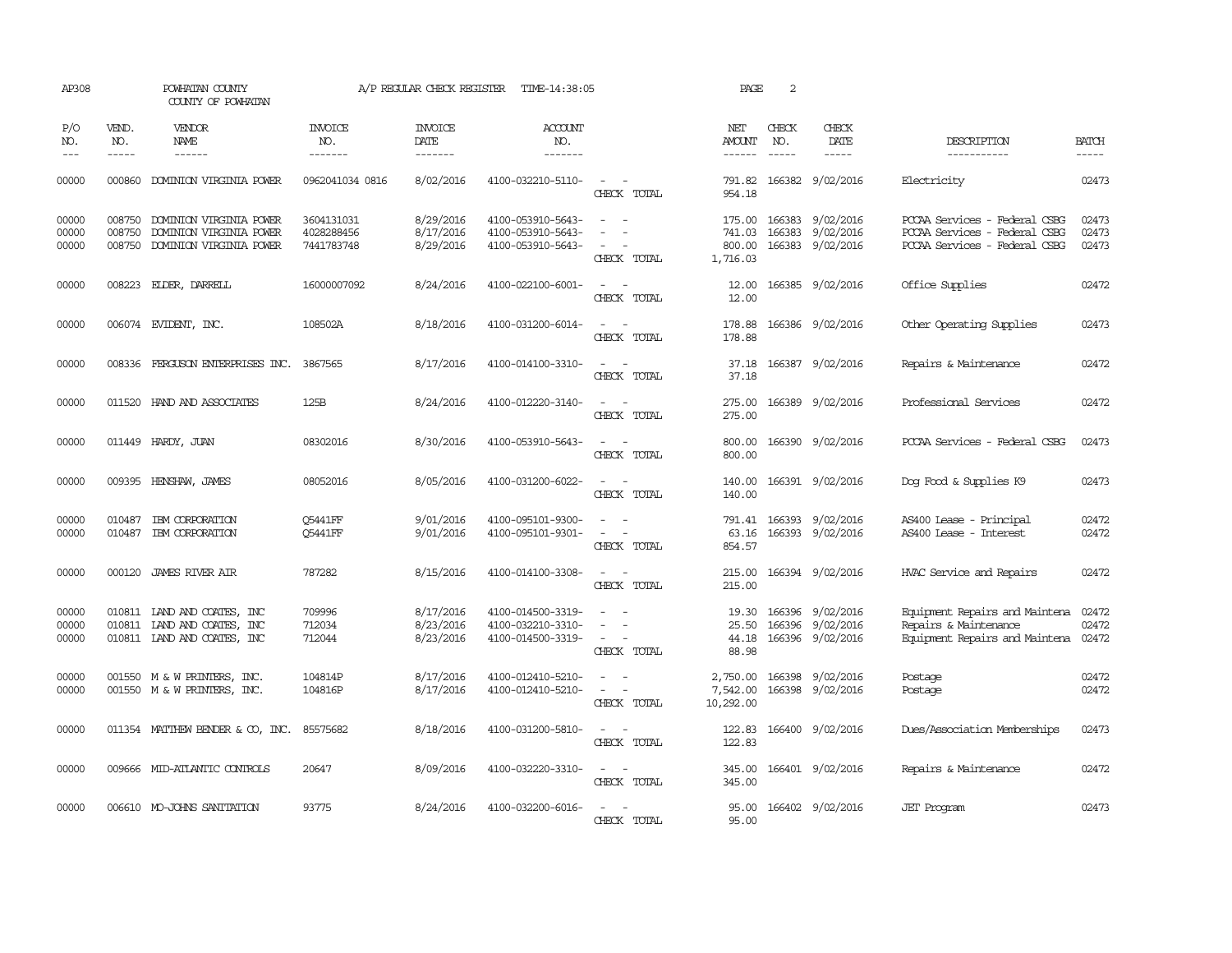| AP308                   | POWHATAN COUNTY<br>COUNTY OF POWHATAN |                                                                                           | A/P REGULAR CHECK REGISTER<br>TIME-14:38:05 |                                     |                                                             |                                                                                                                                                  | PAGE                                   | 2                           |                                                                |                                                                                                 |                             |
|-------------------------|---------------------------------------|-------------------------------------------------------------------------------------------|---------------------------------------------|-------------------------------------|-------------------------------------------------------------|--------------------------------------------------------------------------------------------------------------------------------------------------|----------------------------------------|-----------------------------|----------------------------------------------------------------|-------------------------------------------------------------------------------------------------|-----------------------------|
| P/O<br>NO.<br>$---$     | VEND.<br>NO.<br>$- - - - -$           | <b>VENDOR</b><br>NAME<br>------                                                           | <b>INVOICE</b><br>NO.<br>-------            | <b>INVOICE</b><br>DATE<br>-------   | <b>ACCOUNT</b><br>NO.<br>-------                            |                                                                                                                                                  | NET<br>AMOUNT<br>$- - - - - -$         | CHECK<br>NO.<br>$- - - - -$ | CHECK<br>DATE<br>$- - - - -$                                   | DESCRIPTION<br>-----------                                                                      | <b>BATCH</b><br>$- - - - -$ |
| 00000                   | 000860                                | DOMINION VIRGINIA POWER                                                                   | 0962041034 0816                             | 8/02/2016                           | 4100-032210-5110-                                           | $\omega_{\rm{max}}$ and $\omega_{\rm{max}}$<br>CHECK TOTAL                                                                                       | 791.82<br>954.18                       |                             | 166382 9/02/2016                                               | Electricity                                                                                     | 02473                       |
| 00000<br>00000<br>00000 | 008750<br>008750<br>008750            | DOMINION VIRGINIA POWER<br>DOMINION VIRGINIA POWER<br>DOMINION VIRGINIA POWER             | 3604131031<br>4028288456<br>7441783748      | 8/29/2016<br>8/17/2016<br>8/29/2016 | 4100-053910-5643-<br>4100-053910-5643-<br>4100-053910-5643- | $\sim$<br>CHECK TOTAL                                                                                                                            | 175.00<br>741.03<br>800.00<br>1,716.03 | 166383                      | 166383 9/02/2016<br>9/02/2016<br>166383 9/02/2016              | PCCAA Services - Federal CSBG<br>PCCAA Services - Federal CSBG<br>PCCAA Services - Federal CSBG | 02473<br>02473<br>02473     |
| 00000                   |                                       | 008223 ELDER, DARRELL                                                                     | 16000007092                                 | 8/24/2016                           | 4100-022100-6001-                                           | $\frac{1}{2} \left( \frac{1}{2} \right) \left( \frac{1}{2} \right) = \frac{1}{2} \left( \frac{1}{2} \right)$<br>CHECK TOTAL                      | 12.00<br>12.00                         |                             | 166385 9/02/2016                                               | Office Supplies                                                                                 | 02472                       |
| 00000                   |                                       | 006074 EVIDENT, INC.                                                                      | 108502A                                     | 8/18/2016                           | 4100-031200-6014-                                           | $ -$<br>CHECK TOTAL                                                                                                                              | 178.88<br>178.88                       |                             | 166386 9/02/2016                                               | Other Operating Supplies                                                                        | 02473                       |
| 00000                   |                                       | 008336 FERGUSON ENTERPRISES INC. 3867565                                                  |                                             | 8/17/2016                           | 4100-014100-3310-                                           | $ -$<br>CHECK TOTAL                                                                                                                              | 37.18                                  |                             | 37.18 166387 9/02/2016                                         | Repairs & Maintenance                                                                           | 02472                       |
| 00000                   |                                       | 011520 HAND AND ASSOCIATES                                                                | 125B                                        | 8/24/2016                           | 4100-012220-3140-                                           | CHECK TOTAL                                                                                                                                      | 275.00<br>275.00                       |                             | 166389 9/02/2016                                               | Professional Services                                                                           | 02472                       |
| 00000                   |                                       | 011449 HARDY, JUAN                                                                        | 08302016                                    | 8/30/2016                           | 4100-053910-5643-                                           | CHECK TOTAL                                                                                                                                      | 800.00<br>800.00                       |                             | 166390 9/02/2016                                               | PCCAA Services - Federal CSBG                                                                   | 02473                       |
| 00000                   |                                       | 009395 HENSHAW, JAMES                                                                     | 08052016                                    | 8/05/2016                           | 4100-031200-6022-                                           | CHECK TOTAL                                                                                                                                      | 140.00<br>140.00                       |                             | 166391 9/02/2016                                               | Dog Food & Supplies K9                                                                          | 02473                       |
| 00000<br>00000          | 010487                                | IBM CORPORATION<br>010487 IBM CORPORATION                                                 | Q5441FF<br><b>05441FF</b>                   | 9/01/2016<br>9/01/2016              | 4100-095101-9300-<br>4100-095101-9301-                      | $\sim$ 100 $\sim$<br>$\frac{1}{2} \left( \frac{1}{2} \right) \left( \frac{1}{2} \right) = \frac{1}{2} \left( \frac{1}{2} \right)$<br>CHECK TOTAL | 791.41<br>63.16<br>854.57              |                             | 166393 9/02/2016<br>166393 9/02/2016                           | AS400 Lease - Principal<br>AS400 Lease - Interest                                               | 02472<br>02472              |
| 00000                   |                                       | 000120 JAMES RIVER AIR                                                                    | 787282                                      | 8/15/2016                           | 4100-014100-3308-                                           | $\sim$ $ -$<br>CHECK TOTAL                                                                                                                       | 215.00<br>215.00                       |                             | 166394 9/02/2016                                               | HVAC Service and Repairs                                                                        | 02472                       |
| 00000<br>00000<br>00000 |                                       | 010811 LAND AND COATES, INC<br>010811 LAND AND COATES, INC<br>010811 LAND AND COATES, INC | 709996<br>712034<br>712044                  | 8/17/2016<br>8/23/2016<br>8/23/2016 | 4100-014500-3319-<br>4100-032210-3310-<br>4100-014500-3319- | $\sim$<br>CHECK TOTAL                                                                                                                            | 19.30<br>25.50<br>88.98                |                             | 166396 9/02/2016<br>166396 9/02/2016<br>44.18 166396 9/02/2016 | Equipment Repairs and Maintena<br>Repairs & Maintenance<br>Equipment Repairs and Maintena 02472 | 02472<br>02472              |
| 00000<br>00000          |                                       | 001550 M & W PRINTERS, INC.<br>001550 M & W PRINTERS, INC.                                | 104814P<br>104816P                          | 8/17/2016<br>8/17/2016              | 4100-012410-5210-<br>4100-012410-5210-                      | $\sim$<br>$\sim$<br>$\sim$<br>$\sim$<br>CHECK TOTAL                                                                                              | 2,750.00<br>7,542.00<br>10,292.00      |                             | 166398 9/02/2016<br>166398 9/02/2016                           | Postage<br>Postage                                                                              | 02472<br>02472              |
| 00000                   |                                       | 011354 MATTHEW BENDER & CO, INC.                                                          | 85575682                                    | 8/18/2016                           | 4100-031200-5810-                                           | $\frac{1}{2} \left( \frac{1}{2} \right) \left( \frac{1}{2} \right) = \frac{1}{2} \left( \frac{1}{2} \right)$<br>CHECK TOTAL                      | 122.83<br>122.83                       |                             | 166400 9/02/2016                                               | Dues/Association Memberships                                                                    | 02473                       |
| 00000                   |                                       | 009666 MID-ATLANTIC CONTROLS                                                              | 20647                                       | 8/09/2016                           | 4100-032220-3310-                                           | $\sim$ $ \sim$<br>CHECK TOTAL                                                                                                                    | 345.00<br>345.00                       |                             | 166401 9/02/2016                                               | Repairs & Maintenance                                                                           | 02472                       |
| 00000                   |                                       | 006610 MO-JOHNS SANITATION                                                                | 93775                                       | 8/24/2016                           | 4100-032200-6016-                                           | $\frac{1}{2} \left( \frac{1}{2} \right) \left( \frac{1}{2} \right) = \frac{1}{2} \left( \frac{1}{2} \right)$<br>CHECK TOTAL                      | 95.00                                  |                             | 95.00 166402 9/02/2016                                         | <b>JET</b> Program                                                                              | 02473                       |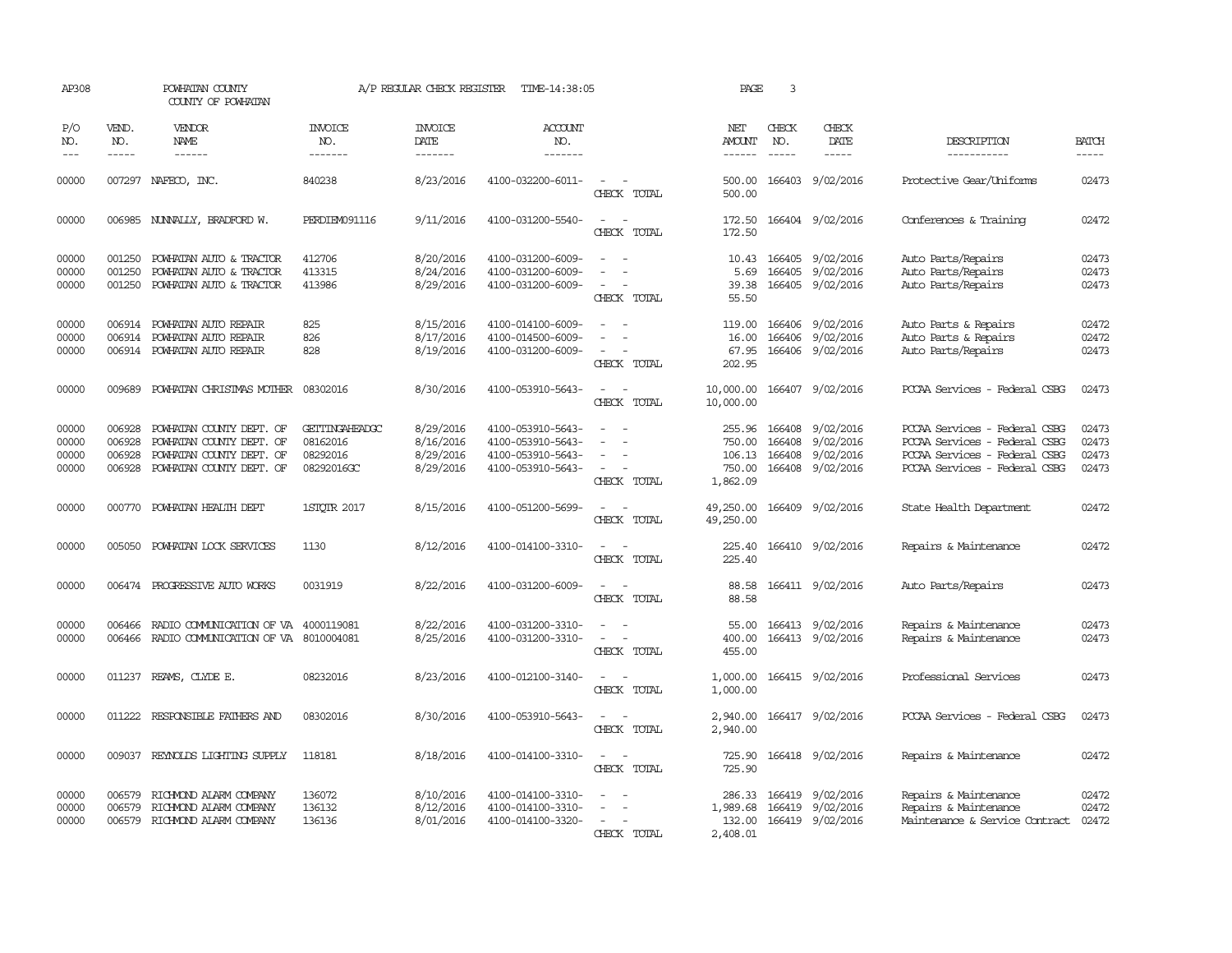| AP308                            |                                      | POWHATAN COUNTY<br>COUNTY OF POWHATAN                                                                        |                                                             | A/P REGULAR CHECK REGISTER                       | TIME-14:38:05                                                                    |                                         | PAGE                                                    | 3                             |                                                          |                                                                                                                                  |                                  |
|----------------------------------|--------------------------------------|--------------------------------------------------------------------------------------------------------------|-------------------------------------------------------------|--------------------------------------------------|----------------------------------------------------------------------------------|-----------------------------------------|---------------------------------------------------------|-------------------------------|----------------------------------------------------------|----------------------------------------------------------------------------------------------------------------------------------|----------------------------------|
| P/O<br>NO.<br>$---$              | VEND.<br>NO.<br>$- - - - -$          | VENDOR<br>NAME<br>$- - - - - -$                                                                              | <b>INVOICE</b><br>NO.<br>-------                            | <b>INVOICE</b><br>DATE<br>-------                | <b>ACCOUNT</b><br>NO.<br>-------                                                 |                                         | NET<br><b>AMOUNT</b><br>------                          | CHECK<br>NO.<br>$\frac{1}{2}$ | CHECK<br>DATE<br>$- - - - -$                             | DESCRIPTION<br>-----------                                                                                                       | <b>BATCH</b><br>-----            |
| 00000                            |                                      | 007297 NAFECO, INC.                                                                                          | 840238                                                      | 8/23/2016                                        | 4100-032200-6011-                                                                | $\equiv$<br>CHECK TOTAL                 | 500.00<br>500.00                                        |                               | 166403 9/02/2016                                         | Protective Gear/Uniforms                                                                                                         | 02473                            |
| 00000                            |                                      | 006985 NUNNALLY, BRADFORD W.                                                                                 | PERDIEM091116                                               | 9/11/2016                                        | 4100-031200-5540-                                                                | $\equiv$<br>÷.<br>CHECK TOTAL           | 172.50<br>172.50                                        |                               | 166404 9/02/2016                                         | Conferences & Training                                                                                                           | 02472                            |
| 00000<br>00000<br>00000          | 001250<br>001250<br>001250           | POWHATAN AUTO & TRACTOR<br>POWHATAN AUTO & TRACTOR<br>POWHATAN AUTO & TRACTOR                                | 412706<br>413315<br>413986                                  | 8/20/2016<br>8/24/2016<br>8/29/2016              | 4100-031200-6009-<br>4100-031200-6009-<br>4100-031200-6009-                      | CHECK TOTAL                             | 10.43<br>5.69<br>39.38<br>55.50                         |                               | 166405 9/02/2016<br>166405 9/02/2016<br>166405 9/02/2016 | Auto Parts/Repairs<br>Auto Parts/Repairs<br>Auto Parts/Repairs                                                                   | 02473<br>02473<br>02473          |
| 00000<br>00000<br>00000          | 006914<br>006914                     | POWHATAN AUTO REPAIR<br>POWHATAN AUTO REPAIR<br>006914 POWHATAN AUTO REPAIR                                  | 825<br>826<br>828                                           | 8/15/2016<br>8/17/2016<br>8/19/2016              | 4100-014100-6009-<br>4100-014500-6009-<br>4100-031200-6009-                      | CHECK TOTAL                             | 119.00<br>16.00<br>67.95<br>202.95                      |                               | 166406 9/02/2016<br>166406 9/02/2016<br>166406 9/02/2016 | Auto Parts & Repairs<br>Auto Parts & Repairs<br>Auto Parts/Repairs                                                               | 02472<br>02472<br>02473          |
| 00000                            | 009689                               | POWHATAN CHRISTMAS MOTHER                                                                                    | 08302016                                                    | 8/30/2016                                        | 4100-053910-5643-                                                                | CHECK TOTAL                             | 10,000.00<br>10,000.00                                  |                               | 166407 9/02/2016                                         | PCCAA Services - Federal CSBG                                                                                                    | 02473                            |
| 00000<br>00000<br>00000<br>00000 | 006928<br>006928<br>006928<br>006928 | POWHATAN COUNTY DEPT. OF<br>POWHATAN COUNTY DEPT. OF<br>POWHATAN COUNTY DEPT. OF<br>POWHATAN COUNTY DEPT. OF | <b>GETTINGAHEADGC</b><br>08162016<br>08292016<br>08292016GC | 8/29/2016<br>8/16/2016<br>8/29/2016<br>8/29/2016 | 4100-053910-5643-<br>4100-053910-5643-<br>4100-053910-5643-<br>4100-053910-5643- | $\equiv$<br>$\sim$<br>CHECK TOTAL       | 255.96<br>750.00<br>106.13 166408<br>750.00<br>1,862.09 | 166408<br>166408<br>166408    | 9/02/2016<br>9/02/2016<br>9/02/2016<br>9/02/2016         | PCCAA Services - Federal CSBG<br>PCCAA Services - Federal CSBG<br>PCCAA Services - Federal CSBG<br>PCCAA Services - Federal CSBG | 02473<br>02473<br>02473<br>02473 |
| 00000                            | 000770                               | POWHATAN HEALTH DEPT                                                                                         | 1STOTR 2017                                                 | 8/15/2016                                        | 4100-051200-5699-                                                                | $\overline{\phantom{a}}$<br>CHECK TOTAL | 49,250.00<br>49,250.00                                  |                               | 166409 9/02/2016                                         | State Health Department                                                                                                          | 02472                            |
| 00000                            | 005050                               | POWHATAN LOCK SERVICES                                                                                       | 1130                                                        | 8/12/2016                                        | 4100-014100-3310-                                                                | CHECK TOTAL                             | 225.40<br>225.40                                        |                               | 166410 9/02/2016                                         | Repairs & Maintenance                                                                                                            | 02472                            |
| 00000                            |                                      | 006474 PROGRESSIVE AUTO WORKS                                                                                | 0031919                                                     | 8/22/2016                                        | 4100-031200-6009-                                                                | $\sim$ $\sim$<br>CHECK TOTAL            | 88.58<br>88.58                                          |                               | 166411 9/02/2016                                         | Auto Parts/Repairs                                                                                                               | 02473                            |
| 00000<br>00000                   | 006466<br>006466                     | RADIO COMMUNICATION OF VA<br>RADIO COMUNICATION OF VA                                                        | 4000119081<br>8010004081                                    | 8/22/2016<br>8/25/2016                           | 4100-031200-3310-<br>4100-031200-3310-                                           | $\sim$<br>CHECK TOTAL                   | 55.00<br>400.00<br>455.00                               |                               | 166413 9/02/2016<br>166413 9/02/2016                     | Repairs & Maintenance<br>Repairs & Maintenance                                                                                   | 02473<br>02473                   |
| 00000                            |                                      | 011237 REAMS, CLYDE E.                                                                                       | 08232016                                                    | 8/23/2016                                        | 4100-012100-3140-                                                                | CHECK TOTAL                             | 1,000.00<br>1,000.00                                    |                               | 166415 9/02/2016                                         | Professional Services                                                                                                            | 02473                            |
| 00000                            | 011222                               | RESPONSIBLE FAIHERS AND                                                                                      | 08302016                                                    | 8/30/2016                                        | 4100-053910-5643-                                                                | CHECK TOTAL                             | 2,940.00<br>2,940.00                                    |                               | 166417 9/02/2016                                         | PCCAA Services - Federal CSBG                                                                                                    | 02473                            |
| 00000                            | 009037                               | REYNOLDS LIGHTING SUPPLY                                                                                     | 118181                                                      | 8/18/2016                                        | 4100-014100-3310-                                                                | CHECK TOTAL                             | 725.90<br>725.90                                        |                               | 166418 9/02/2016                                         | Repairs & Maintenance                                                                                                            | 02472                            |
| 00000<br>00000<br>00000          | 006579<br>006579<br>006579           | RICHMOND ALARM COMPANY<br>RICHMOND ALARM COMPANY<br>RICHMOND ALARM COMPANY                                   | 136072<br>136132<br>136136                                  | 8/10/2016<br>8/12/2016<br>8/01/2016              | 4100-014100-3310-<br>4100-014100-3310-<br>4100-014100-3320-                      | CHECK TOTAL                             | 286.33<br>1,989.68<br>132.00<br>2,408.01                | 166419<br>166419              | 9/02/2016<br>9/02/2016<br>166419 9/02/2016               | Repairs & Maintenance<br>Repairs & Maintenance<br>Maintenance & Service Contract                                                 | 02472<br>02472<br>02472          |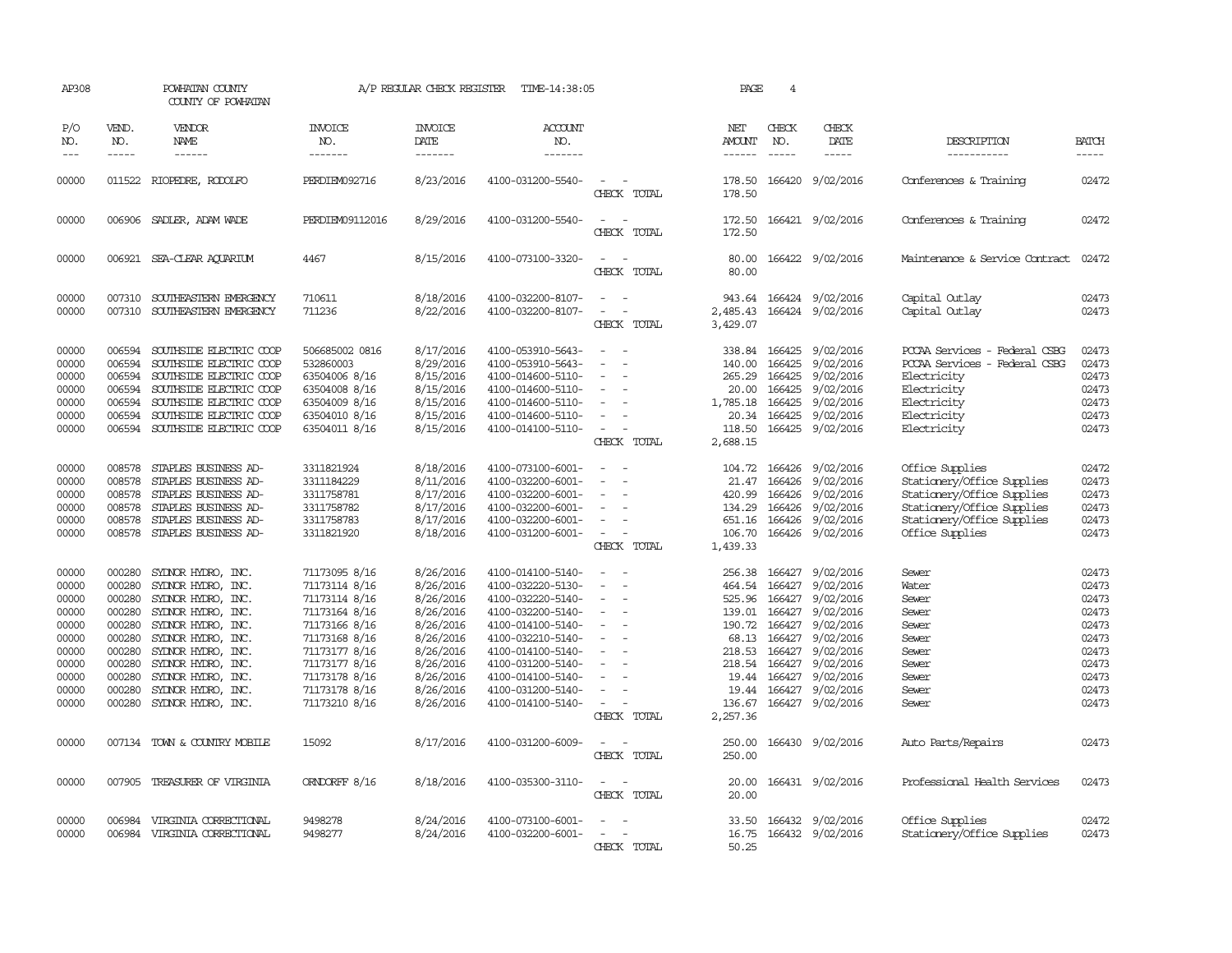| AP308                                                                                           |                                                                    | POWHATAN COUNTY<br>COUNTY OF POWHATAN                                                                                                                                                                                                                                      |                                                                                                                                                                                         | A/P REGULAR CHECK REGISTER                                                                                                                  | TIME-14:38:05                                                                                                                                                                                                                       |                                                                                                       | PAGE                                                                                                                     | 4                                                                                  |                                                                                                                                                    |                                                                                                                                                            |                                                                                                 |
|-------------------------------------------------------------------------------------------------|--------------------------------------------------------------------|----------------------------------------------------------------------------------------------------------------------------------------------------------------------------------------------------------------------------------------------------------------------------|-----------------------------------------------------------------------------------------------------------------------------------------------------------------------------------------|---------------------------------------------------------------------------------------------------------------------------------------------|-------------------------------------------------------------------------------------------------------------------------------------------------------------------------------------------------------------------------------------|-------------------------------------------------------------------------------------------------------|--------------------------------------------------------------------------------------------------------------------------|------------------------------------------------------------------------------------|----------------------------------------------------------------------------------------------------------------------------------------------------|------------------------------------------------------------------------------------------------------------------------------------------------------------|-------------------------------------------------------------------------------------------------|
| P/O<br>NO.                                                                                      | VEND.<br>NO.                                                       | VENDOR<br><b>NAME</b>                                                                                                                                                                                                                                                      | <b>INVOICE</b><br>NO.                                                                                                                                                                   | <b>INVOICE</b><br>DATE                                                                                                                      | <b>ACCOUNT</b><br>NO.                                                                                                                                                                                                               |                                                                                                       | NET<br>AMOUNT                                                                                                            | CHECK<br>NO.                                                                       | CHECK<br>DATE                                                                                                                                      | DESCRIPTION                                                                                                                                                | <b>BATCH</b>                                                                                    |
| $\qquad \qquad - -$                                                                             | $\frac{1}{2}$                                                      |                                                                                                                                                                                                                                                                            | -------                                                                                                                                                                                 | -------                                                                                                                                     | -------                                                                                                                                                                                                                             |                                                                                                       | ------                                                                                                                   | $\frac{1}{2}$                                                                      | $- - - - -$                                                                                                                                        | -----------                                                                                                                                                | -----                                                                                           |
| 00000                                                                                           |                                                                    | 011522 RIOPEDRE, RODOLFO                                                                                                                                                                                                                                                   | PERDIEM092716                                                                                                                                                                           | 8/23/2016                                                                                                                                   | 4100-031200-5540-                                                                                                                                                                                                                   | CHECK TOTAL                                                                                           | 178.50<br>178.50                                                                                                         |                                                                                    | 166420 9/02/2016                                                                                                                                   | Conferences & Training                                                                                                                                     | 02472                                                                                           |
| 00000                                                                                           |                                                                    | 006906 SADLER, ADAM WADE                                                                                                                                                                                                                                                   | PERDIEM09112016                                                                                                                                                                         | 8/29/2016                                                                                                                                   | 4100-031200-5540-                                                                                                                                                                                                                   | $\sim$<br>$\sim$<br>CHECK TOTAL                                                                       | 172.50<br>172.50                                                                                                         |                                                                                    | 166421 9/02/2016                                                                                                                                   | Conferences & Training                                                                                                                                     | 02472                                                                                           |
| 00000                                                                                           |                                                                    | 006921 SEA-CLEAR AOUARIUM                                                                                                                                                                                                                                                  | 4467                                                                                                                                                                                    | 8/15/2016                                                                                                                                   | 4100-073100-3320-                                                                                                                                                                                                                   | CHECK TOTAL                                                                                           | 80.00<br>80.00                                                                                                           |                                                                                    | 166422 9/02/2016                                                                                                                                   | Maintenance & Service Contract                                                                                                                             | 02472                                                                                           |
| 00000<br>00000                                                                                  | 007310<br>007310                                                   | SOUTHEASTERN EMERGENCY<br>SOUTHEASTERN EMERGENCY                                                                                                                                                                                                                           | 710611<br>711236                                                                                                                                                                        | 8/18/2016<br>8/22/2016                                                                                                                      | 4100-032200-8107-<br>4100-032200-8107-                                                                                                                                                                                              | CHECK TOTAL                                                                                           | 943.64<br>2,485.43<br>3,429.07                                                                                           |                                                                                    | 166424 9/02/2016<br>166424 9/02/2016                                                                                                               | Capital Outlay<br>Capital Outlay                                                                                                                           | 02473<br>02473                                                                                  |
| 00000<br>00000<br>00000<br>00000<br>00000<br>00000<br>00000                                     | 006594<br>006594<br>006594<br>006594<br>006594<br>006594           | SOUTHSIDE ELECTRIC COOP<br>SOUTHSIDE ELECTRIC COOP<br>SOUTHSIDE ELECTRIC COOP<br>SOUTHSIDE ELECTRIC COOP<br>SOUTHSIDE ELECTRIC COOP<br>SOUTHSIDE ELECTRIC COOP<br>006594 SOUTHSIDE ELECTRIC COOP                                                                           | 506685002 0816<br>532860003<br>63504006 8/16<br>63504008 8/16<br>63504009 8/16<br>63504010 8/16<br>63504011 8/16                                                                        | 8/17/2016<br>8/29/2016<br>8/15/2016<br>8/15/2016<br>8/15/2016<br>8/15/2016<br>8/15/2016                                                     | 4100-053910-5643-<br>4100-053910-5643-<br>4100-014600-5110-<br>4100-014600-5110-<br>4100-014600-5110-<br>4100-014600-5110-<br>4100-014100-5110-                                                                                     | $\equiv$<br>$\equiv$<br>$\overline{\phantom{a}}$<br>CHECK TOTAL                                       | 140.00<br>265.29<br>20.00<br>1,785.18<br>20.34<br>118.50<br>2,688.15                                                     | 338.84 166425<br>166425<br>166425<br>166425<br>166425<br>166425                    | 9/02/2016<br>9/02/2016<br>9/02/2016<br>9/02/2016<br>9/02/2016<br>9/02/2016<br>166425 9/02/2016                                                     | PCCAA Services - Federal CSBG<br>PCCAA Services - Federal CSBG<br>Electricity<br>Electricity<br>Electricity<br>Electricity<br>Electricity                  | 02473<br>02473<br>02473<br>02473<br>02473<br>02473<br>02473                                     |
| 00000<br>00000<br>00000<br>00000<br>00000<br>00000                                              | 008578<br>008578<br>008578<br>008578                               | 008578 STAPLES BUSINESS AD-<br>STAPLES BUSINESS AD-<br>008578 STAPLES BUSINESS AD-<br>STAPLES BUSINESS AD-<br>STAPLES BUSINESS AD-<br>STAPLES BUSINESS AD-                                                                                                                 | 3311821924<br>3311184229<br>3311758781<br>3311758782<br>3311758783<br>3311821920                                                                                                        | 8/18/2016<br>8/11/2016<br>8/17/2016<br>8/17/2016<br>8/17/2016<br>8/18/2016                                                                  | 4100-073100-6001-<br>4100-032200-6001-<br>4100-032200-6001-<br>4100-032200-6001-<br>4100-032200-6001-<br>4100-031200-6001-                                                                                                          | $\equiv$<br>$\sim$<br>$\sim$<br>CHECK TOTAL                                                           | 104.72 166426<br>21.47<br>420.99<br>134.29<br>651.16 166426<br>106.70<br>1,439.33                                        | 166426<br>166426<br>166426<br>166426                                               | 9/02/2016<br>9/02/2016<br>9/02/2016<br>9/02/2016<br>9/02/2016<br>9/02/2016                                                                         | Office Supplies<br>Stationery/Office Supplies<br>Stationery/Office Supplies<br>Stationery/Office Supplies<br>Stationery/Office Supplies<br>Office Supplies | 02472<br>02473<br>02473<br>02473<br>02473<br>02473                                              |
| 00000<br>00000<br>00000<br>00000<br>00000<br>00000<br>00000<br>00000<br>00000<br>00000<br>00000 | 000280<br>000280<br>000280<br>000280<br>000280<br>000280<br>000280 | SYDNOR HYDRO, INC.<br>SYLNOR HYDRO, INC.<br>SYLNOR HYDRO, INC.<br>SYLNOR HYDRO, INC.<br>000280 SYDNOR HYDRO, INC.<br>SYDNOR HYDRO, INC.<br>000280 SYDNOR HYDRO, INC.<br>000280 SYDNOR HYDRO, INC.<br>SYDNOR HYDRO, INC.<br>SYDNOR HYDRO, INC.<br>000280 SYDNOR HYDRO, INC. | 71173095 8/16<br>71173114 8/16<br>71173114 8/16<br>71173164 8/16<br>71173166 8/16<br>71173168 8/16<br>71173177 8/16<br>71173177 8/16<br>71173178 8/16<br>71173178 8/16<br>71173210 8/16 | 8/26/2016<br>8/26/2016<br>8/26/2016<br>8/26/2016<br>8/26/2016<br>8/26/2016<br>8/26/2016<br>8/26/2016<br>8/26/2016<br>8/26/2016<br>8/26/2016 | 4100-014100-5140-<br>4100-032220-5130-<br>4100-032220-5140-<br>4100-032200-5140-<br>4100-014100-5140-<br>4100-032210-5140-<br>4100-014100-5140-<br>4100-031200-5140-<br>4100-014100-5140-<br>4100-031200-5140-<br>4100-014100-5140- | $\equiv$<br>$\sim$<br>$\overline{\phantom{a}}$<br>$\overline{\phantom{a}}$<br>$\equiv$<br>CHECK TOTAL | 256.38<br>464.54<br>525.96<br>139.01 166427<br>190.72<br>68.13<br>218.53<br>218.54 166427<br>19.44<br>136.67<br>2,257.36 | 166427<br>166427<br>166427<br>166427<br>166427<br>166427<br>166427<br>19.44 166427 | 9/02/2016<br>9/02/2016<br>9/02/2016<br>9/02/2016<br>9/02/2016<br>9/02/2016<br>9/02/2016<br>9/02/2016<br>9/02/2016<br>9/02/2016<br>166427 9/02/2016 | Sewer<br>Water<br>Sewer<br>Sewer<br>Sewer<br>Sewer<br>Sewer<br>Sewer<br>Sewer<br>Sewer<br>Sewer                                                            | 02473<br>02473<br>02473<br>02473<br>02473<br>02473<br>02473<br>02473<br>02473<br>02473<br>02473 |
| 00000                                                                                           | 007134                                                             | TOWN & COUNTRY MOBILE                                                                                                                                                                                                                                                      | 15092                                                                                                                                                                                   | 8/17/2016                                                                                                                                   | 4100-031200-6009-                                                                                                                                                                                                                   | CHECK TOTAL                                                                                           | 250.00<br>250.00                                                                                                         |                                                                                    | 166430 9/02/2016                                                                                                                                   | Auto Parts/Repairs                                                                                                                                         | 02473                                                                                           |
| 00000                                                                                           | 007905                                                             | TREASURER OF VIRGINIA                                                                                                                                                                                                                                                      | ORNDORFF 8/16                                                                                                                                                                           | 8/18/2016                                                                                                                                   | 4100-035300-3110-                                                                                                                                                                                                                   | CHECK TOTAL                                                                                           | 20.00<br>20.00                                                                                                           |                                                                                    | 166431 9/02/2016                                                                                                                                   | Professional Health Services                                                                                                                               | 02473                                                                                           |
| 00000<br>00000                                                                                  | 006984                                                             | VIRGINIA CORRECTIONAL<br>006984 VIRGINIA CORRECTIONAL                                                                                                                                                                                                                      | 9498278<br>9498277                                                                                                                                                                      | 8/24/2016<br>8/24/2016                                                                                                                      | 4100-073100-6001-<br>4100-032200-6001-                                                                                                                                                                                              | CHECK TOTAL                                                                                           | 33.50<br>16.75<br>50.25                                                                                                  |                                                                                    | 166432 9/02/2016<br>166432 9/02/2016                                                                                                               | Office Supplies<br>Stationery/Office Supplies                                                                                                              | 02472<br>02473                                                                                  |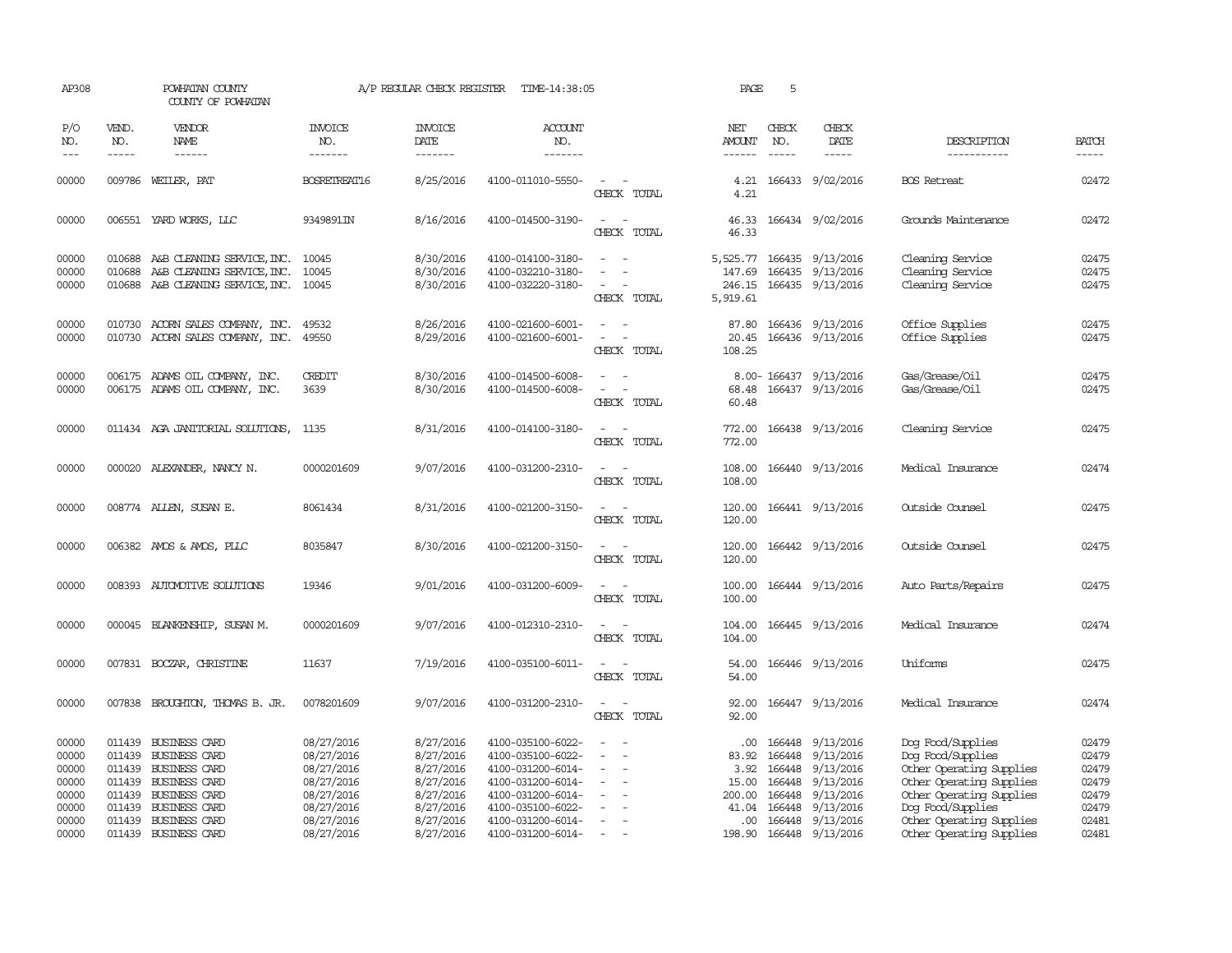| AP308                                              |                             | POWHATAN COUNTY<br>COUNTY OF POWHATAN                                                                                                        |                                                                                  | A/P REGULAR CHECK REGISTER                                                 | TIME-14:38:05                                                                                                              |                                                   | PAGE                                              | 5                                              |                                                                                   |                                                                                                                                                 |                                                    |
|----------------------------------------------------|-----------------------------|----------------------------------------------------------------------------------------------------------------------------------------------|----------------------------------------------------------------------------------|----------------------------------------------------------------------------|----------------------------------------------------------------------------------------------------------------------------|---------------------------------------------------|---------------------------------------------------|------------------------------------------------|-----------------------------------------------------------------------------------|-------------------------------------------------------------------------------------------------------------------------------------------------|----------------------------------------------------|
| P/O<br>NO.<br>$---$                                | VEND.<br>NO.<br>$- - - - -$ | <b>VENDOR</b><br>NAME<br>------                                                                                                              | <b>INVOICE</b><br>NO.<br>-------                                                 | <b>INVOICE</b><br><b>DATE</b><br>-------                                   | <b>ACCOUNT</b><br>NO.<br>-------                                                                                           |                                                   | NET<br>AMOUNT<br>------                           | CHECK<br>NO.<br>$\frac{1}{2}$                  | CHECK<br>DATE<br>$- - - - -$                                                      | DESCRIPTION<br>-----------                                                                                                                      | <b>BATCH</b><br>-----                              |
| 00000                                              |                             | 009786 WEILER, PAT                                                                                                                           | BOSRETREAT16                                                                     | 8/25/2016                                                                  | 4100-011010-5550-                                                                                                          | $\sim$<br>CHECK TOTAL                             | 4.21<br>4.21                                      |                                                | 166433 9/02/2016                                                                  | <b>BOS</b> Retreat                                                                                                                              | 02472                                              |
| 00000                                              |                             | 006551 YARD WORKS, LLC                                                                                                                       | 9349891IN                                                                        | 8/16/2016                                                                  | 4100-014500-3190-                                                                                                          | $\overline{\phantom{a}}$<br>$\sim$<br>CHECK TOTAL | 46.33<br>46.33                                    |                                                | 166434 9/02/2016                                                                  | Grounds Maintenance                                                                                                                             | 02472                                              |
| 00000<br>00000<br>00000                            |                             | 010688 A&B CLEANING SERVICE, INC. 10045<br>010688 A&B CLEANING SERVICE, INC. 10045<br>010688 A&B CLEANING SERVICE, INC. 10045                |                                                                                  | 8/30/2016<br>8/30/2016<br>8/30/2016                                        | 4100-014100-3180-<br>4100-032210-3180-<br>4100-032220-3180-                                                                | $\overline{\phantom{a}}$<br>CHECK TOTAL           | 147.69<br>5,919.61                                |                                                | 5,525.77 166435 9/13/2016<br>166435 9/13/2016<br>246.15 166435 9/13/2016          | Cleaning Service<br>Cleaning Service<br>Cleaning Service                                                                                        | 02475<br>02475<br>02475                            |
| 00000<br>00000                                     |                             | 010730 ACORN SALES COMPANY, INC.<br>010730 ACORN SALES COMPANY, INC. 49550                                                                   | 49532                                                                            | 8/26/2016<br>8/29/2016                                                     | 4100-021600-6001-<br>4100-021600-6001-                                                                                     | $\sim$ 100 $\mu$<br>CHECK TOTAL                   | 87.80<br>108.25                                   |                                                | 166436 9/13/2016<br>20.45 166436 9/13/2016                                        | Office Supplies<br>Office Supplies                                                                                                              | 02475<br>02475                                     |
| 00000<br>00000                                     |                             | 006175 ADAMS OIL COMPANY, INC.<br>006175 ADAMS OIL COMPANY, INC.                                                                             | CREDIT<br>3639                                                                   | 8/30/2016<br>8/30/2016                                                     | 4100-014500-6008-<br>4100-014500-6008-                                                                                     | CHECK TOTAL                                       | 68.48<br>60.48                                    |                                                | 8.00-166437 9/13/2016<br>166437 9/13/2016                                         | Gas/Grease/Oil<br>Gas/Grease/Oil                                                                                                                | 02475<br>02475                                     |
| 00000                                              |                             | 011434 AGA JANITORIAL SOLUTIONS,                                                                                                             | 1135                                                                             | 8/31/2016                                                                  | 4100-014100-3180-                                                                                                          | CHECK TOTAL                                       | 772.00<br>772.00                                  |                                                | 166438 9/13/2016                                                                  | Cleaning Service                                                                                                                                | 02475                                              |
| 00000                                              |                             | 000020 ALEXANDER, NANCY N.                                                                                                                   | 0000201609                                                                       | 9/07/2016                                                                  | 4100-031200-2310-                                                                                                          | CHECK TOTAL                                       | 108.00<br>108.00                                  |                                                | 166440 9/13/2016                                                                  | Medical Insurance                                                                                                                               | 02474                                              |
| 00000                                              |                             | 008774 ALLEN, SUSAN E.                                                                                                                       | 8061434                                                                          | 8/31/2016                                                                  | 4100-021200-3150-                                                                                                          | CHECK TOTAL                                       | 120.00<br>120.00                                  |                                                | 166441 9/13/2016                                                                  | Outside Counsel                                                                                                                                 | 02475                                              |
| 00000                                              |                             | 006382 AMOS & AMOS, PLLC                                                                                                                     | 8035847                                                                          | 8/30/2016                                                                  | 4100-021200-3150-                                                                                                          | CHECK TOTAL                                       | 120.00<br>120.00                                  |                                                | 166442 9/13/2016                                                                  | Outside Counsel                                                                                                                                 | 02475                                              |
| 00000                                              |                             | 008393 AUTOMOTTVE SOLUTIONS                                                                                                                  | 19346                                                                            | 9/01/2016                                                                  | 4100-031200-6009-                                                                                                          | $\equiv$<br>CHECK TOTAL                           | 100.00<br>100.00                                  |                                                | 166444 9/13/2016                                                                  | Auto Parts/Repairs                                                                                                                              | 02475                                              |
| 00000                                              |                             | 000045 BLANKENSHIP, SUSAN M.                                                                                                                 | 0000201609                                                                       | 9/07/2016                                                                  | 4100-012310-2310-                                                                                                          | $\sim$ 10 $\,$<br>CHECK TOTAL                     | 104.00<br>104.00                                  |                                                | 166445 9/13/2016                                                                  | Medical Insurance                                                                                                                               | 02474                                              |
| 00000                                              |                             | 007831 BOCZAR, CHRISTINE                                                                                                                     | 11637                                                                            | 7/19/2016                                                                  | 4100-035100-6011-                                                                                                          | $\sim$<br>CHECK TOTAL                             | 54.00<br>54.00                                    |                                                | 166446 9/13/2016                                                                  | Uniforms                                                                                                                                        | 02475                                              |
| 00000                                              |                             | 007838 BROUGHTON, THOMAS B. JR.                                                                                                              | 0078201609                                                                       | 9/07/2016                                                                  | 4100-031200-2310-                                                                                                          | $\sim$ $\sim$<br>CHECK TOTAL                      | 92.00<br>92.00                                    |                                                | 166447 9/13/2016                                                                  | Medical Insurance                                                                                                                               | 02474                                              |
| 00000<br>00000<br>00000<br>00000<br>00000<br>00000 |                             | 011439 BUSINESS CARD<br>011439 BUSINESS CARD<br>011439 BUSINESS CARD<br>011439 BUSINESS CARD<br>011439 BUSINESS CARD<br>011439 BUSINESS CARD | 08/27/2016<br>08/27/2016<br>08/27/2016<br>08/27/2016<br>08/27/2016<br>08/27/2016 | 8/27/2016<br>8/27/2016<br>8/27/2016<br>8/27/2016<br>8/27/2016<br>8/27/2016 | 4100-035100-6022-<br>4100-035100-6022-<br>4100-031200-6014-<br>4100-031200-6014-<br>4100-031200-6014-<br>4100-035100-6022- |                                                   | .00.<br>83.92<br>3.92<br>15.00<br>200.00<br>41.04 | 166448<br>166448<br>166448<br>166448<br>166448 | 166448 9/13/2016<br>9/13/2016<br>9/13/2016<br>9/13/2016<br>9/13/2016<br>9/13/2016 | Dog Food/Supplies<br>Dog Food/Supplies<br>Other Operating Supplies<br>Other Operating Supplies<br>Other Operating Supplies<br>Dog Food/Supplies | 02479<br>02479<br>02479<br>02479<br>02479<br>02479 |
| 00000<br>00000                                     |                             | 011439 BUSINESS CARD<br>011439 BUSINESS CARD                                                                                                 | 08/27/2016<br>08/27/2016                                                         | 8/27/2016<br>8/27/2016                                                     | 4100-031200-6014-<br>4100-031200-6014-                                                                                     | $\overline{\phantom{a}}$<br>$\sim$                | $.00 \cdot$                                       |                                                | 166448 9/13/2016<br>198.90 166448 9/13/2016                                       | Other Operating Supplies<br>Other Operating Supplies                                                                                            | 02481<br>02481                                     |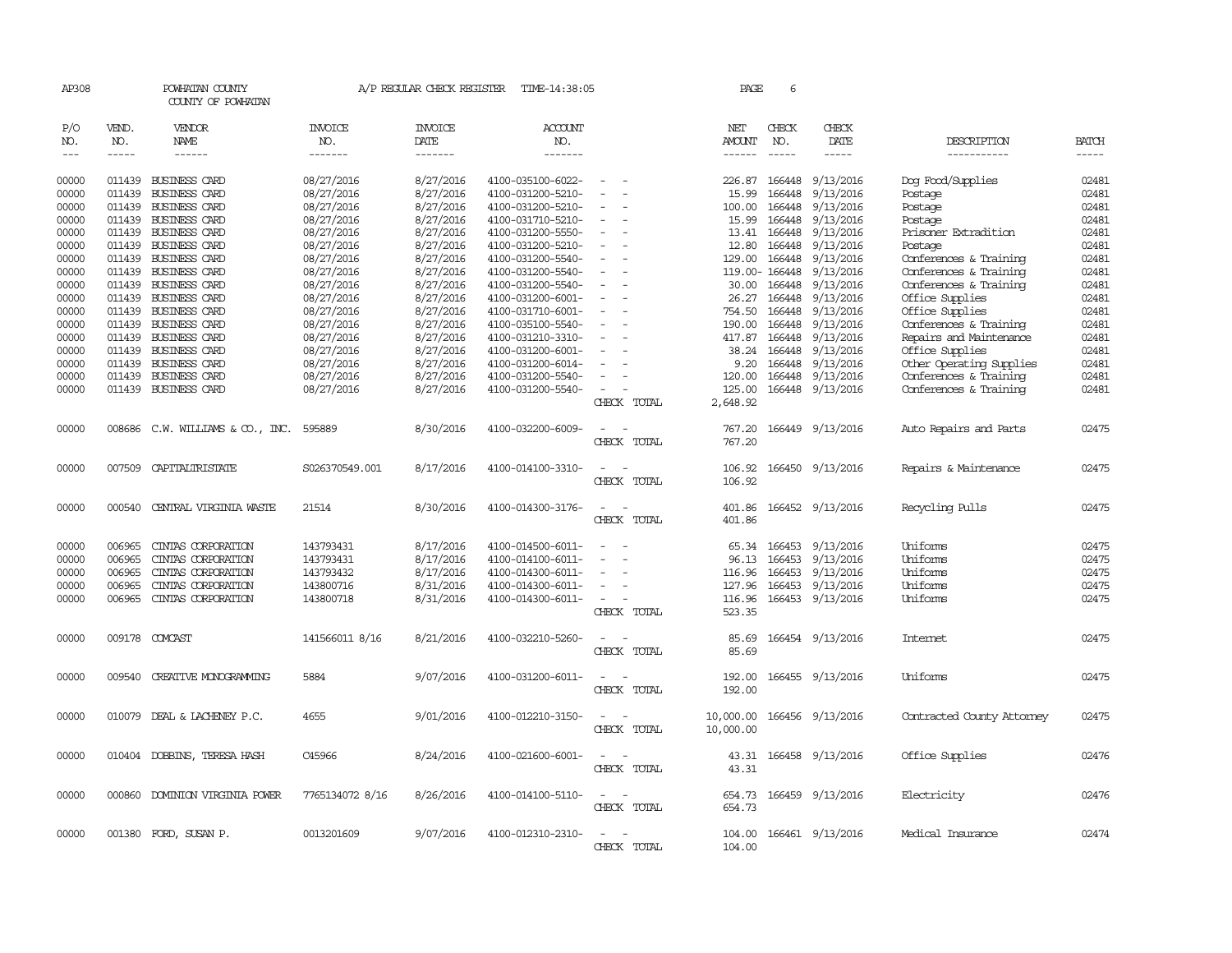| AP308        |                      | POWHATAN COUNTY<br>COUNTY OF POWHATAN |                 | A/P REGULAR CHECK REGISTER | TIME-14:38:05     |                                    | PAGE                    | 6                    |                  |                            |                               |
|--------------|----------------------|---------------------------------------|-----------------|----------------------------|-------------------|------------------------------------|-------------------------|----------------------|------------------|----------------------------|-------------------------------|
| P/O          | VEND.                | VENDOR                                | INVOICE         | <b>INVOICE</b>             | ACCOUNT           |                                    | NET                     | CHECK                | CHECK            |                            |                               |
| NO.<br>$---$ | NO.<br>$\frac{1}{2}$ | NAME<br>$- - - - - -$                 | NO.<br>-------  | DATE<br>-------            | NO.<br>-------    |                                    | AMOUNT<br>$- - - - - -$ | NO.<br>$\frac{1}{2}$ | DATE<br>-----    | DESCRIPTION<br>----------- | <b>BATCH</b><br>$\frac{1}{2}$ |
|              |                      |                                       |                 |                            |                   |                                    |                         |                      |                  |                            |                               |
| 00000        |                      | 011439 BUSINESS CARD                  | 08/27/2016      | 8/27/2016                  | 4100-035100-6022- |                                    | 226.87                  | 166448               | 9/13/2016        | Dog Food/Supplies          | 02481                         |
| 00000        |                      | 011439 BUSINESS CARD                  | 08/27/2016      | 8/27/2016                  | 4100-031200-5210- | $\overline{\phantom{a}}$<br>$\sim$ | 15.99                   | 166448               | 9/13/2016        | Postage                    | 02481                         |
| 00000        |                      | 011439 BUSINESS CARD                  | 08/27/2016      | 8/27/2016                  | 4100-031200-5210- |                                    | 100.00                  | 166448               | 9/13/2016        | Postage                    | 02481                         |
| 00000        |                      | 011439 BUSINESS CARD                  | 08/27/2016      | 8/27/2016                  | 4100-031710-5210- |                                    | 15.99                   | 166448               | 9/13/2016        | Postage                    | 02481                         |
| 00000        |                      | 011439 BUSINESS CARD                  | 08/27/2016      | 8/27/2016                  | 4100-031200-5550- |                                    | 13.41                   | 166448               | 9/13/2016        | Prisoner Extradition       | 02481                         |
| 00000        |                      | 011439 BUSINESS CARD                  | 08/27/2016      | 8/27/2016                  | 4100-031200-5210- |                                    | 12.80                   | 166448               | 9/13/2016        | Postage                    | 02481                         |
| 00000        |                      | 011439 BUSINESS CARD                  | 08/27/2016      | 8/27/2016                  | 4100-031200-5540- |                                    | 129.00                  | 166448               | 9/13/2016        | Conferences & Training     | 02481                         |
| 00000        |                      | 011439 BUSINESS CARD                  | 08/27/2016      | 8/27/2016                  | 4100-031200-5540- |                                    |                         | 119.00-166448        | 9/13/2016        | Conferences & Training     | 02481                         |
| 00000        |                      | 011439 BUSINESS CARD                  | 08/27/2016      | 8/27/2016                  | 4100-031200-5540- | $\sim$                             |                         | 30.00 166448         | 9/13/2016        | Conferences & Training     | 02481                         |
| 00000        |                      | 011439 BUSINESS CARD                  | 08/27/2016      | 8/27/2016                  | 4100-031200-6001- |                                    | 26.27                   | 166448               | 9/13/2016        | Office Supplies            | 02481                         |
| 00000        |                      | 011439 BUSINESS CARD                  | 08/27/2016      | 8/27/2016                  | 4100-031710-6001- |                                    | 754.50                  | 166448               | 9/13/2016        | Office Supplies            | 02481                         |
| 00000        |                      | 011439 BUSINESS CARD                  | 08/27/2016      | 8/27/2016                  | 4100-035100-5540- | $\overline{\phantom{a}}$           | 190.00                  | 166448               | 9/13/2016        | Conferences & Training     | 02481                         |
| 00000        |                      | 011439 BUSINESS CARD                  | 08/27/2016      | 8/27/2016                  | 4100-031210-3310- |                                    | 417.87                  | 166448               | 9/13/2016        | Repairs and Maintenance    | 02481                         |
| 00000        |                      | 011439 BUSINESS CARD                  | 08/27/2016      | 8/27/2016                  | 4100-031200-6001- |                                    | 38.24                   | 166448               | 9/13/2016        | Office Supplies            | 02481                         |
| 00000        |                      | 011439 BUSINESS CARD                  | 08/27/2016      | 8/27/2016                  | 4100-031200-6014- |                                    | 9.20                    | 166448               | 9/13/2016        | Other Operating Supplies   | 02481                         |
| 00000        |                      | 011439 BUSINESS CARD                  | 08/27/2016      | 8/27/2016                  | 4100-031200-5540- | $\overline{\phantom{a}}$           | 120.00                  | 166448               | 9/13/2016        | Conferences & Training     | 02481                         |
| 00000        |                      | 011439 BUSINESS CARD                  | 08/27/2016      | 8/27/2016                  | 4100-031200-5540- | $\sim$                             | 125.00                  | 166448               | 9/13/2016        | Conferences & Training     | 02481                         |
|              |                      |                                       |                 |                            |                   | CHECK TOTAL                        | 2,648.92                |                      |                  |                            |                               |
| 00000        |                      | 008686 C.W. WILLIAMS & CO., INC.      | 595889          | 8/30/2016                  | 4100-032200-6009- | $\overline{a}$                     | 767.20                  |                      | 166449 9/13/2016 | Auto Repairs and Parts     | 02475                         |
|              |                      |                                       |                 |                            |                   | CHECK TOTAL                        | 767.20                  |                      |                  |                            |                               |
|              |                      |                                       |                 |                            |                   |                                    |                         |                      |                  |                            |                               |
| 00000        |                      | 007509 CAPITALIRISTATE                | S026370549.001  | 8/17/2016                  | 4100-014100-3310- |                                    | 106.92                  |                      | 166450 9/13/2016 | Repairs & Maintenance      | 02475                         |
|              |                      |                                       |                 |                            |                   | CHECK TOTAL                        | 106.92                  |                      |                  |                            |                               |
| 00000        |                      | 000540 CENTRAL VIRGINIA WASTE         | 21514           | 8/30/2016                  | 4100-014300-3176- | $\sim$<br>$\sim$                   | 401.86                  |                      | 166452 9/13/2016 | Recycling Pulls            | 02475                         |
|              |                      |                                       |                 |                            |                   | CHECK TOTAL                        | 401.86                  |                      |                  |                            |                               |
|              |                      |                                       |                 |                            |                   |                                    |                         |                      |                  |                            |                               |
| 00000        | 006965               | CINIAS CORPORATION                    | 143793431       | 8/17/2016                  | 4100-014500-6011- |                                    |                         | 65.34 166453         | 9/13/2016        | Uniforms                   | 02475                         |
| 00000        | 006965               | CINIAS CORPORATION                    | 143793431       | 8/17/2016                  | 4100-014100-6011- |                                    | 96.13                   | 166453               | 9/13/2016        | Uniforms                   | 02475                         |
| 00000        | 006965               | CINIAS CORPORATION                    | 143793432       | 8/17/2016                  | 4100-014300-6011- |                                    | 116.96                  | 166453               | 9/13/2016        | Uniforms                   | 02475                         |
| 00000        | 006965               | CINIAS CORPORATION                    | 143800716       | 8/31/2016                  | 4100-014300-6011- |                                    | 127.96                  | 166453               | 9/13/2016        | Uniforms                   | 02475                         |
| 00000        | 006965               | CINIAS CORPORATION                    | 143800718       | 8/31/2016                  | 4100-014300-6011- |                                    | 116.96                  | 166453               | 9/13/2016        | Uniforms                   | 02475                         |
|              |                      |                                       |                 |                            |                   | CHECK TOTAL                        | 523.35                  |                      |                  |                            |                               |
|              |                      |                                       |                 |                            |                   |                                    |                         |                      |                  |                            |                               |
| 00000        | 009178               | COMCAST                               | 141566011 8/16  | 8/21/2016                  | 4100-032210-5260- |                                    | 85.69                   |                      | 166454 9/13/2016 | Internet                   | 02475                         |
|              |                      |                                       |                 |                            |                   | CHECK TOTAL                        | 85.69                   |                      |                  |                            |                               |
|              |                      |                                       |                 |                            |                   |                                    |                         |                      |                  |                            |                               |
| 00000        | 009540               | CREATIVE MONOGRAMMING                 | 5884            | 9/07/2016                  | 4100-031200-6011- |                                    | 192.00                  | 166455               | 9/13/2016        | Uniforms                   | 02475                         |
|              |                      |                                       |                 |                            |                   | CHECK TOTAL                        | 192.00                  |                      |                  |                            |                               |
| 00000        |                      | 010079 DEAL & LACHENEY P.C.           | 4655            | 9/01/2016                  | 4100-012210-3150- |                                    |                         | 166456               |                  |                            | 02475                         |
|              |                      |                                       |                 |                            |                   | CHECK TOTAL                        | 10,000.00               |                      | 9/13/2016        | Contracted County Attomey  |                               |
|              |                      |                                       |                 |                            |                   |                                    | 10,000.00               |                      |                  |                            |                               |
| 00000        |                      | 010404 DOBBINS, TERESA HASH           | C45966          | 8/24/2016                  | 4100-021600-6001- |                                    | 43.31                   |                      | 166458 9/13/2016 | Office Supplies            | 02476                         |
|              |                      |                                       |                 |                            |                   | CHECK TOTAL                        | 43.31                   |                      |                  |                            |                               |
|              |                      |                                       |                 |                            |                   |                                    |                         |                      |                  |                            |                               |
| 00000        |                      | 000860 DOMINION VIRGINIA POWER        | 7765134072 8/16 | 8/26/2016                  | 4100-014100-5110- | $\overline{\phantom{a}}$           | 654.73                  |                      | 166459 9/13/2016 | Electricity                | 02476                         |
|              |                      |                                       |                 |                            |                   | CHECK TOTAL                        | 654.73                  |                      |                  |                            |                               |
|              |                      |                                       |                 |                            |                   |                                    |                         |                      |                  |                            |                               |
| 00000        |                      | 001380 FORD, SUSAN P.                 | 0013201609      | 9/07/2016                  | 4100-012310-2310- |                                    | 104.00                  |                      | 166461 9/13/2016 | Medical Insurance          | 02474                         |
|              |                      |                                       |                 |                            |                   | CHECK TOTAL                        | 104.00                  |                      |                  |                            |                               |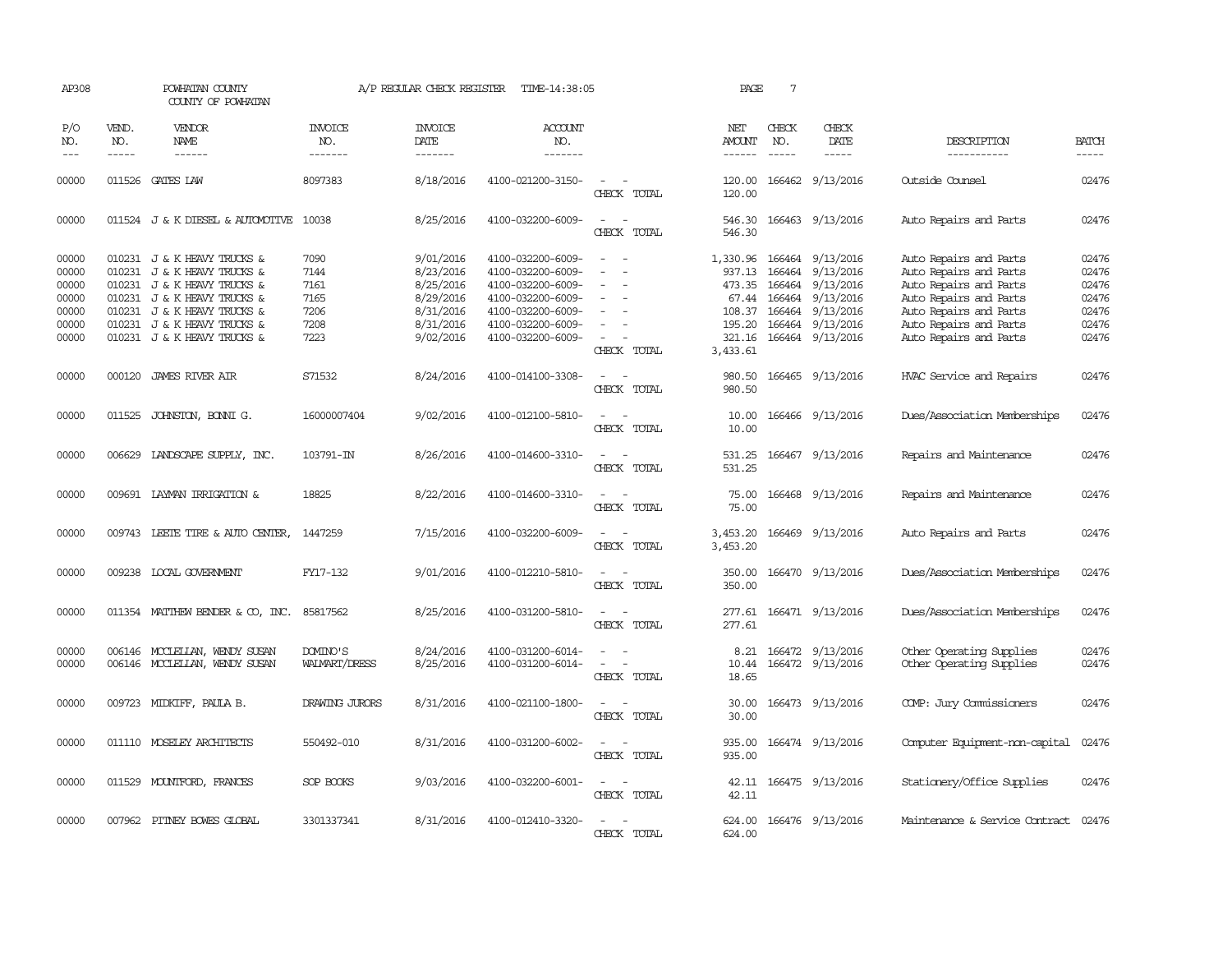| AP308                                                       |              | POWHATAN COUNTY<br>COUNTY OF POWHATAN                                                                                                                                                                                 |                                                      | A/P REGULAR CHECK REGISTER                                                              | TIME-14:38:05                                                                                                                                   |                                                                                                                                                 | PAGE                                                                            | 7                |                                                                                                                            |                                                                                                                                                                                    |                                                             |
|-------------------------------------------------------------|--------------|-----------------------------------------------------------------------------------------------------------------------------------------------------------------------------------------------------------------------|------------------------------------------------------|-----------------------------------------------------------------------------------------|-------------------------------------------------------------------------------------------------------------------------------------------------|-------------------------------------------------------------------------------------------------------------------------------------------------|---------------------------------------------------------------------------------|------------------|----------------------------------------------------------------------------------------------------------------------------|------------------------------------------------------------------------------------------------------------------------------------------------------------------------------------|-------------------------------------------------------------|
| P/O<br>NO.<br>$---$                                         | VEND.<br>NO. | VENDOR<br><b>NAME</b>                                                                                                                                                                                                 | <b>INVOICE</b><br>NO.<br>-------                     | <b>INVOICE</b><br>DATE<br>-------                                                       | <b>ACCOUNT</b><br>NO.<br>-------                                                                                                                |                                                                                                                                                 | NET<br>AMOUNT                                                                   | CHECK<br>NO.     | CHECK<br>DATE<br>-----                                                                                                     | DESCRIPTION<br>-----------                                                                                                                                                         | <b>BATCH</b><br>-----                                       |
| 00000                                                       |              | 011526 GATES LAW                                                                                                                                                                                                      | 8097383                                              | 8/18/2016                                                                               | 4100-021200-3150-                                                                                                                               | $\sim$<br>$\sim$<br>CHECK TOTAL                                                                                                                 | 120.00<br>120.00                                                                |                  | 166462 9/13/2016                                                                                                           | Outside Counsel                                                                                                                                                                    | 02476                                                       |
| 00000                                                       |              | 011524 J & K DIESEL & AUTOMOTIVE                                                                                                                                                                                      | 10038                                                | 8/25/2016                                                                               | 4100-032200-6009-                                                                                                                               | $\overline{\phantom{a}}$<br>CHECK TOTAL                                                                                                         | 546.30<br>546.30                                                                |                  | 166463 9/13/2016                                                                                                           | Auto Repairs and Parts                                                                                                                                                             | 02476                                                       |
| 00000<br>00000<br>00000<br>00000<br>00000<br>00000<br>00000 |              | 010231 J & K HEAVY TRUCKS &<br>010231 J & K HEAVY TRUCKS &<br>010231 J & K HEAVY TRUCKS &<br>010231 J & K HEAVY TRUCKS &<br>010231 J & K HEAVY TRUCKS &<br>010231 J & K HEAVY TRUCKS &<br>010231 J & K HEAVY TRUCKS & | 7090<br>7144<br>7161<br>7165<br>7206<br>7208<br>7223 | 9/01/2016<br>8/23/2016<br>8/25/2016<br>8/29/2016<br>8/31/2016<br>8/31/2016<br>9/02/2016 | 4100-032200-6009-<br>4100-032200-6009-<br>4100-032200-6009-<br>4100-032200-6009-<br>4100-032200-6009-<br>4100-032200-6009-<br>4100-032200-6009- | $\sim$<br>$\overline{\phantom{a}}$<br>$\overline{\phantom{a}}$<br>$\overline{\phantom{a}}$<br>$\sim$<br>$\overline{\phantom{a}}$<br>CHECK TOTAL | 1,330.96<br>937.13<br>473.35<br>67.44<br>108.37<br>195.20<br>321.16<br>3,433.61 | 166464<br>166464 | 166464 9/13/2016<br>9/13/2016<br>9/13/2016<br>166464 9/13/2016<br>166464 9/13/2016<br>166464 9/13/2016<br>166464 9/13/2016 | Auto Repairs and Parts<br>Auto Repairs and Parts<br>Auto Repairs and Parts<br>Auto Repairs and Parts<br>Auto Repairs and Parts<br>Auto Repairs and Parts<br>Auto Repairs and Parts | 02476<br>02476<br>02476<br>02476<br>02476<br>02476<br>02476 |
| 00000                                                       |              | 000120 JAMES RIVER AIR                                                                                                                                                                                                | S71532                                               | 8/24/2016                                                                               | 4100-014100-3308-                                                                                                                               | $\sim$<br>CHECK TOTAL                                                                                                                           | 980.50<br>980.50                                                                |                  | 166465 9/13/2016                                                                                                           | HVAC Service and Repairs                                                                                                                                                           | 02476                                                       |
| 00000                                                       |              | 011525 JOHNSTON, BONNI G.                                                                                                                                                                                             | 16000007404                                          | 9/02/2016                                                                               | 4100-012100-5810-                                                                                                                               | CHECK TOTAL                                                                                                                                     | 10.00<br>10.00                                                                  |                  | 166466 9/13/2016                                                                                                           | Dues/Association Memberships                                                                                                                                                       | 02476                                                       |
| 00000                                                       | 006629       | LANDSCAPE SUPPLY, INC.                                                                                                                                                                                                | 103791-IN                                            | 8/26/2016                                                                               | 4100-014600-3310-                                                                                                                               | $\overline{\phantom{a}}$<br>$\sim$<br>CHECK TOTAL                                                                                               | 531.25<br>531.25                                                                |                  | 166467 9/13/2016                                                                                                           | Repairs and Maintenance                                                                                                                                                            | 02476                                                       |
| 00000                                                       |              | 009691 LAYMAN IRRIGATION &                                                                                                                                                                                            | 18825                                                | 8/22/2016                                                                               | 4100-014600-3310-                                                                                                                               | CHECK TOTAL                                                                                                                                     | 75.00<br>75.00                                                                  |                  | 166468 9/13/2016                                                                                                           | Repairs and Maintenance                                                                                                                                                            | 02476                                                       |
| 00000                                                       |              | 009743 LEETE TIRE & AUTO CENTER,                                                                                                                                                                                      | 1447259                                              | 7/15/2016                                                                               | 4100-032200-6009-                                                                                                                               | $\overline{\phantom{a}}$<br>$\overline{\phantom{a}}$<br>CHECK TOTAL                                                                             | 3,453.20<br>3,453.20                                                            | 166469           | 9/13/2016                                                                                                                  | Auto Repairs and Parts                                                                                                                                                             | 02476                                                       |
| 00000                                                       |              | 009238 LOCAL GOVERNMENT                                                                                                                                                                                               | FY17-132                                             | 9/01/2016                                                                               | 4100-012210-5810-                                                                                                                               | $\sim$<br>$\overline{\phantom{a}}$<br>CHECK TOTAL                                                                                               | 350.00<br>350.00                                                                |                  | 166470 9/13/2016                                                                                                           | Dues/Association Memberships                                                                                                                                                       | 02476                                                       |
| 00000                                                       |              | 011354 MATTHEW BENDER & CO, INC.                                                                                                                                                                                      | 85817562                                             | 8/25/2016                                                                               | 4100-031200-5810-                                                                                                                               | $\overline{\phantom{a}}$<br>$\sim$<br>CHECK TOTAL                                                                                               | 277.61<br>277.61                                                                |                  | 166471 9/13/2016                                                                                                           | Dues/Association Memberships                                                                                                                                                       | 02476                                                       |
| 00000<br>00000                                              |              | 006146 MCCLELLAN, WENDY SUSAN<br>006146 MCCLELLAN, WENDY SUSAN                                                                                                                                                        | DOMINO'S<br><b>WALMART/DRESS</b>                     | 8/24/2016<br>8/25/2016                                                                  | 4100-031200-6014-<br>4100-031200-6014-                                                                                                          | $\sim$<br>$\equiv$<br>$\overline{\phantom{a}}$<br>CHECK TOTAL                                                                                   | 8.21<br>10.44<br>18.65                                                          |                  | 166472 9/13/2016<br>166472 9/13/2016                                                                                       | Other Operating Supplies<br>Other Operating Supplies                                                                                                                               | 02476<br>02476                                              |
| 00000                                                       |              | 009723 MIDKIFF, PAULA B.                                                                                                                                                                                              | DRAWING JURORS                                       | 8/31/2016                                                                               | 4100-021100-1800-                                                                                                                               | $\overline{\phantom{a}}$<br>CHECK TOTAL                                                                                                         | 30.00<br>30.00                                                                  |                  | 166473 9/13/2016                                                                                                           | COMP: Jury Commissioners                                                                                                                                                           | 02476                                                       |
| 00000                                                       |              | 011110 MOSELEY ARCHITECTS                                                                                                                                                                                             | 550492-010                                           | 8/31/2016                                                                               | 4100-031200-6002-                                                                                                                               | $\sim$<br>CHECK TOTAL                                                                                                                           | 935.00<br>935.00                                                                |                  | 166474 9/13/2016                                                                                                           | Computer Equipment-non-capital                                                                                                                                                     | 02476                                                       |
| 00000                                                       |              | 011529 MOUNTFORD, FRANCES                                                                                                                                                                                             | SOP BOOKS                                            | 9/03/2016                                                                               | 4100-032200-6001-                                                                                                                               | $\sim$<br>CHECK TOTAL                                                                                                                           | 42.11                                                                           |                  | 42.11 166475 9/13/2016                                                                                                     | Stationery/Office Supplies                                                                                                                                                         | 02476                                                       |
| 00000                                                       |              | 007962 PITNEY BOWES GLOBAL                                                                                                                                                                                            | 3301337341                                           | 8/31/2016                                                                               | 4100-012410-3320-                                                                                                                               | $\overline{\phantom{a}}$<br>CHECK TOTAL                                                                                                         | 624.00                                                                          |                  | 624.00 166476 9/13/2016                                                                                                    | Maintenance & Service Contract                                                                                                                                                     | 02476                                                       |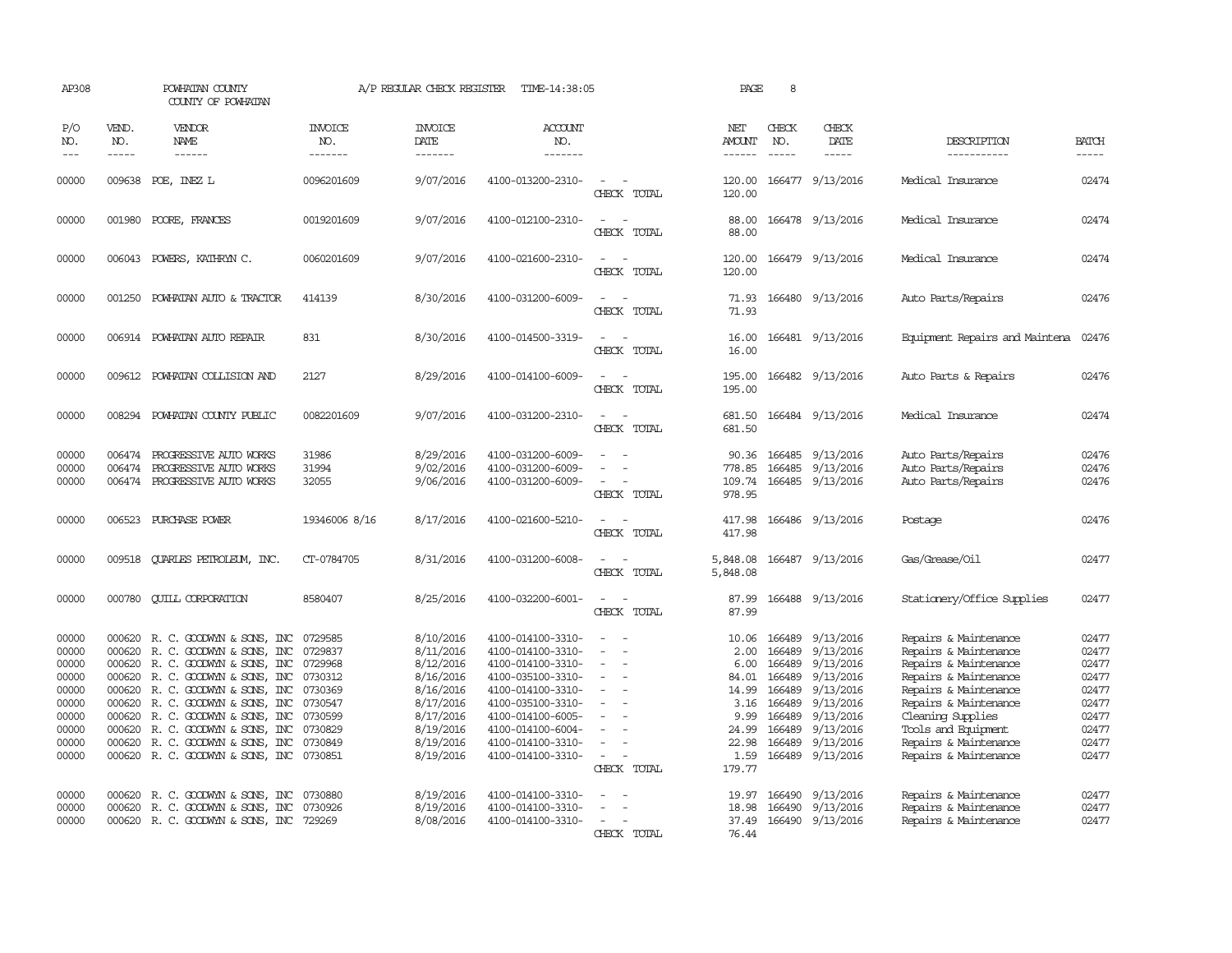| AP308                                                                                  |                                                                                                  | POWHATAN COUNTY<br>COUNTY OF POWHATAN                                                                                                                                                                                                                                                          |                                                                                                            | A/P REGULAR CHECK REGISTER                                                                                                     | TIME-14:38:05                                                                                                                                                                                                  |                                               | PAGE                                                                                        | 8                                                                                                |                                                                                                                                |                                                                                                                                                                                                                                                  |                                                                                        |
|----------------------------------------------------------------------------------------|--------------------------------------------------------------------------------------------------|------------------------------------------------------------------------------------------------------------------------------------------------------------------------------------------------------------------------------------------------------------------------------------------------|------------------------------------------------------------------------------------------------------------|--------------------------------------------------------------------------------------------------------------------------------|----------------------------------------------------------------------------------------------------------------------------------------------------------------------------------------------------------------|-----------------------------------------------|---------------------------------------------------------------------------------------------|--------------------------------------------------------------------------------------------------|--------------------------------------------------------------------------------------------------------------------------------|--------------------------------------------------------------------------------------------------------------------------------------------------------------------------------------------------------------------------------------------------|----------------------------------------------------------------------------------------|
| P/O<br>NO.<br>$---$                                                                    | VEND.<br>NO.<br>$- - - - -$                                                                      | VENDOR<br>NAME<br>$- - - - - -$                                                                                                                                                                                                                                                                | <b>INVOICE</b><br>NO.<br>-------                                                                           | <b>INVOICE</b><br><b>DATE</b><br>-------                                                                                       | <b>ACCOUNT</b><br>NO.<br>-------                                                                                                                                                                               |                                               | NET<br>AMOUNT<br>------                                                                     | CHECK<br>NO.<br>$- - - - -$                                                                      | CHECK<br>DATE<br>$- - - - -$                                                                                                   | DESCRIPTION<br>-----------                                                                                                                                                                                                                       | <b>BATCH</b><br>-----                                                                  |
| 00000                                                                                  |                                                                                                  | 009638 POE, INEZ L                                                                                                                                                                                                                                                                             | 0096201609                                                                                                 | 9/07/2016                                                                                                                      | 4100-013200-2310-                                                                                                                                                                                              | $\equiv$<br>CHECK TOTAL                       | 120.00<br>120.00                                                                            |                                                                                                  | 166477 9/13/2016                                                                                                               | Medical Insurance                                                                                                                                                                                                                                | 02474                                                                                  |
| 00000                                                                                  |                                                                                                  | 001980 POORE, FRANCES                                                                                                                                                                                                                                                                          | 0019201609                                                                                                 | 9/07/2016                                                                                                                      | 4100-012100-2310-                                                                                                                                                                                              | CHECK TOTAL                                   | 88.00<br>88.00                                                                              |                                                                                                  | 166478 9/13/2016                                                                                                               | Medical Insurance                                                                                                                                                                                                                                | 02474                                                                                  |
| 00000                                                                                  |                                                                                                  | 006043 POWERS, KATHRYN C.                                                                                                                                                                                                                                                                      | 0060201609                                                                                                 | 9/07/2016                                                                                                                      | 4100-021600-2310-                                                                                                                                                                                              | $\sim$ $\sim$<br>CHECK TOTAL                  | 120.00<br>120.00                                                                            |                                                                                                  | 166479 9/13/2016                                                                                                               | Medical Insurance                                                                                                                                                                                                                                | 02474                                                                                  |
| 00000                                                                                  | 001250                                                                                           | POWHATAN AUTO & TRACTOR                                                                                                                                                                                                                                                                        | 414139                                                                                                     | 8/30/2016                                                                                                                      | 4100-031200-6009-                                                                                                                                                                                              | $\equiv$<br>$\sim$<br>CHECK TOTAL             | 71.93<br>71.93                                                                              |                                                                                                  | 166480 9/13/2016                                                                                                               | Auto Parts/Repairs                                                                                                                                                                                                                               | 02476                                                                                  |
| 00000                                                                                  |                                                                                                  | 006914 POWHATAN AUTO REPAIR                                                                                                                                                                                                                                                                    | 831                                                                                                        | 8/30/2016                                                                                                                      | 4100-014500-3319-                                                                                                                                                                                              | $\sim$<br>CHECK TOTAL                         | 16.00<br>16.00                                                                              |                                                                                                  | 166481 9/13/2016                                                                                                               | Equipment Repairs and Maintena                                                                                                                                                                                                                   | 02476                                                                                  |
| 00000                                                                                  | 009612                                                                                           | POWHATAN COLLISION AND                                                                                                                                                                                                                                                                         | 2127                                                                                                       | 8/29/2016                                                                                                                      | 4100-014100-6009-                                                                                                                                                                                              | $\sim$<br>CHECK TOTAL                         | 195.00<br>195.00                                                                            |                                                                                                  | 166482 9/13/2016                                                                                                               | Auto Parts & Repairs                                                                                                                                                                                                                             | 02476                                                                                  |
| 00000                                                                                  | 008294                                                                                           | POWHATAN COUNTY PUBLIC                                                                                                                                                                                                                                                                         | 0082201609                                                                                                 | 9/07/2016                                                                                                                      | 4100-031200-2310-                                                                                                                                                                                              | $\overline{\phantom{a}}$<br>CHECK TOTAL       | 681.50<br>681.50                                                                            |                                                                                                  | 166484 9/13/2016                                                                                                               | Medical Insurance                                                                                                                                                                                                                                | 02474                                                                                  |
| 00000<br>00000<br>00000                                                                | 006474<br>006474                                                                                 | PROGRESSIVE AUTO WORKS<br>PROGRESSIVE AUTO WORKS<br>006474 PROGRESSIVE AUTO WORKS                                                                                                                                                                                                              | 31986<br>31994<br>32055                                                                                    | 8/29/2016<br>9/02/2016<br>9/06/2016                                                                                            | 4100-031200-6009-<br>4100-031200-6009-<br>4100-031200-6009-                                                                                                                                                    | $\equiv$<br>CHECK TOTAL                       | 90.36<br>778.85<br>109.74<br>978.95                                                         | 166485<br>166485                                                                                 | 9/13/2016<br>9/13/2016<br>166485 9/13/2016                                                                                     | Auto Parts/Repairs<br>Auto Parts/Repairs<br>Auto Parts/Repairs                                                                                                                                                                                   | 02476<br>02476<br>02476                                                                |
| 00000                                                                                  | 006523                                                                                           | PURCHASE POWER                                                                                                                                                                                                                                                                                 | 19346006 8/16                                                                                              | 8/17/2016                                                                                                                      | 4100-021600-5210-                                                                                                                                                                                              | $\overline{\phantom{a}}$<br>CHECK TOTAL       | 417.98<br>417.98                                                                            |                                                                                                  | 166486 9/13/2016                                                                                                               | Postage                                                                                                                                                                                                                                          | 02476                                                                                  |
| 00000                                                                                  | 009518                                                                                           | OUARLES PETROLEUM, INC.                                                                                                                                                                                                                                                                        | CT-0784705                                                                                                 | 8/31/2016                                                                                                                      | 4100-031200-6008-                                                                                                                                                                                              | $\overline{\phantom{a}}$<br>CHECK TOTAL       | 5,848.08<br>5,848.08                                                                        |                                                                                                  | 166487 9/13/2016                                                                                                               | Gas/Grease/Oil                                                                                                                                                                                                                                   | 02477                                                                                  |
| 00000                                                                                  |                                                                                                  | 000780 CUILL CORPORATION                                                                                                                                                                                                                                                                       | 8580407                                                                                                    | 8/25/2016                                                                                                                      | 4100-032200-6001-                                                                                                                                                                                              | CHECK TOTAL                                   | 87.99<br>87.99                                                                              |                                                                                                  | 166488 9/13/2016                                                                                                               | Stationery/Office Supplies                                                                                                                                                                                                                       | 02477                                                                                  |
| 00000<br>00000<br>00000<br>00000<br>00000<br>00000<br>00000<br>00000<br>00000<br>00000 | 000620<br>000620<br>000620<br>000620<br>000620<br>000620<br>000620<br>000620<br>000620<br>000620 | R. C. GOODWYN & SONS, INC<br>R. C. GOODWYN & SONS, INC<br>R. C. GOODWYN & SONS, INC<br>R. C. GOODWYN & SONS, INC<br>R. C. GOODWYN & SONS, INC<br>R. C. GOODWYN & SONS, INC<br>R. C. GOODWYN & SONS, INC<br>R. C. GOODWYN & SONS, INC<br>R. C. GOODWYN & SONS, INC<br>R. C. GOODWYN & SONS, INC | 0729585<br>0729837<br>0729968<br>0730312<br>0730369<br>0730547<br>0730599<br>0730829<br>0730849<br>0730851 | 8/10/2016<br>8/11/2016<br>8/12/2016<br>8/16/2016<br>8/16/2016<br>8/17/2016<br>8/17/2016<br>8/19/2016<br>8/19/2016<br>8/19/2016 | 4100-014100-3310-<br>4100-014100-3310-<br>4100-014100-3310-<br>4100-035100-3310-<br>4100-014100-3310-<br>4100-035100-3310-<br>4100-014100-6005-<br>4100-014100-6004-<br>4100-014100-3310-<br>4100-014100-3310- | $\equiv$<br>$\sim$<br>$\equiv$<br>CHECK TOTAL | 10.06<br>2.00<br>6.00<br>84.01<br>14.99<br>3.16<br>9.99<br>24.99<br>22.98<br>1.59<br>179.77 | 166489<br>166489<br>166489<br>166489<br>166489<br>166489<br>166489<br>166489<br>166489<br>166489 | 9/13/2016<br>9/13/2016<br>9/13/2016<br>9/13/2016<br>9/13/2016<br>9/13/2016<br>9/13/2016<br>9/13/2016<br>9/13/2016<br>9/13/2016 | Repairs & Maintenance<br>Repairs & Maintenance<br>Repairs & Maintenance<br>Repairs & Maintenance<br>Repairs & Maintenance<br>Repairs & Maintenance<br>Cleaning Supplies<br>Tools and Equipment<br>Repairs & Maintenance<br>Repairs & Maintenance | 02477<br>02477<br>02477<br>02477<br>02477<br>02477<br>02477<br>02477<br>02477<br>02477 |
| 00000<br>00000<br>00000                                                                | 000620<br>000620                                                                                 | R. C. GOODWYN & SONS, INC<br>R. C. GOODWYN & SONS, INC<br>000620 R. C. GOODWYN & SONS, INC 729269                                                                                                                                                                                              | 0730880<br>0730926                                                                                         | 8/19/2016<br>8/19/2016<br>8/08/2016                                                                                            | 4100-014100-3310-<br>4100-014100-3310-<br>4100-014100-3310-                                                                                                                                                    | $\overline{\phantom{a}}$<br>CHECK TOTAL       | 19.97<br>18.98<br>37.49<br>76.44                                                            | 166490<br>166490                                                                                 | 9/13/2016<br>9/13/2016<br>166490 9/13/2016                                                                                     | Repairs & Maintenance<br>Repairs & Maintenance<br>Repairs & Maintenance                                                                                                                                                                          | 02477<br>02477<br>02477                                                                |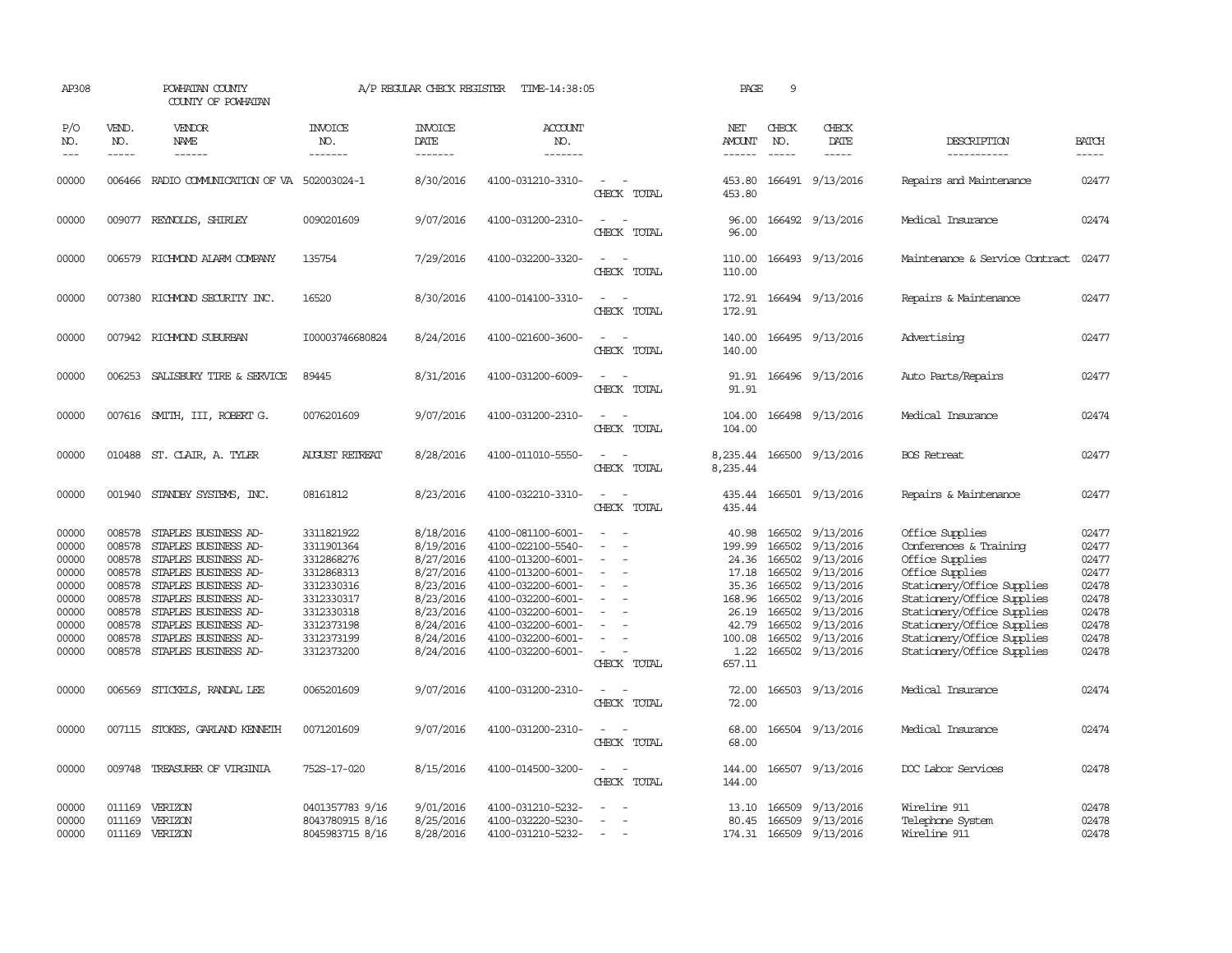| AP308                                                                                  |                                                                                        | POWHATAN COUNTY<br>COUNTY OF POWHATAN                                                                                                                                                                                                               |                                                                                                                                          | A/P REGULAR CHECK REGISTER                                                                                                     | TIME-14:38:05                                                                                                                                                                                                  |                                                                                                                               | PAGE                                                                   | 9                             |                                                                                                                                                                                                           |                                                                                                                                                                                                                                                                     |                                                                                        |
|----------------------------------------------------------------------------------------|----------------------------------------------------------------------------------------|-----------------------------------------------------------------------------------------------------------------------------------------------------------------------------------------------------------------------------------------------------|------------------------------------------------------------------------------------------------------------------------------------------|--------------------------------------------------------------------------------------------------------------------------------|----------------------------------------------------------------------------------------------------------------------------------------------------------------------------------------------------------------|-------------------------------------------------------------------------------------------------------------------------------|------------------------------------------------------------------------|-------------------------------|-----------------------------------------------------------------------------------------------------------------------------------------------------------------------------------------------------------|---------------------------------------------------------------------------------------------------------------------------------------------------------------------------------------------------------------------------------------------------------------------|----------------------------------------------------------------------------------------|
| P/O<br>NO.<br>$---$                                                                    | VEND.<br>NO.<br>$\frac{1}{2}$                                                          | <b>VENDOR</b><br>NAME<br>$- - - - - -$                                                                                                                                                                                                              | <b>INVOICE</b><br>NO.<br>--------                                                                                                        | <b>INVOICE</b><br>DATE<br>--------                                                                                             | ACCOUNT<br>NO.<br>$- - - - - - -$                                                                                                                                                                              |                                                                                                                               | NET<br>AMOUNT<br>------                                                | CHECK<br>NO.<br>$\frac{1}{2}$ | CHECK<br>DATE<br>$\frac{1}{2}$                                                                                                                                                                            | DESCRIPTION<br>-----------                                                                                                                                                                                                                                          | <b>BATCH</b><br>-----                                                                  |
| 00000                                                                                  | 006466                                                                                 | RADIO COMMUNICATION OF VA 502003024-1                                                                                                                                                                                                               |                                                                                                                                          | 8/30/2016                                                                                                                      | 4100-031210-3310-                                                                                                                                                                                              | $\sim$<br>CHECK TOTAL                                                                                                         | 453.80<br>453.80                                                       |                               | 166491 9/13/2016                                                                                                                                                                                          | Repairs and Maintenance                                                                                                                                                                                                                                             | 02477                                                                                  |
| 00000                                                                                  |                                                                                        | 009077 REYNOLDS, SHIRLEY                                                                                                                                                                                                                            | 0090201609                                                                                                                               | 9/07/2016                                                                                                                      | 4100-031200-2310-                                                                                                                                                                                              | CHECK TOTAL                                                                                                                   | 96.00<br>96.00                                                         |                               | 166492 9/13/2016                                                                                                                                                                                          | Medical Insurance                                                                                                                                                                                                                                                   | 02474                                                                                  |
| 00000                                                                                  |                                                                                        | 006579 RICHMOND ALARM COMPANY                                                                                                                                                                                                                       | 135754                                                                                                                                   | 7/29/2016                                                                                                                      | 4100-032200-3320-                                                                                                                                                                                              | $\equiv$<br>$\sim$<br>CHECK TOTAL                                                                                             | 110.00<br>110.00                                                       |                               | 166493 9/13/2016                                                                                                                                                                                          | Maintenance & Service Contract                                                                                                                                                                                                                                      | 02477                                                                                  |
| 00000                                                                                  |                                                                                        | 007380 RICHMOND SECURITY INC.                                                                                                                                                                                                                       | 16520                                                                                                                                    | 8/30/2016                                                                                                                      | 4100-014100-3310-                                                                                                                                                                                              | $\sim$ $\sim$<br>CHECK TOTAL                                                                                                  | 172.91                                                                 |                               | 172.91 166494 9/13/2016                                                                                                                                                                                   | Repairs & Maintenance                                                                                                                                                                                                                                               | 02477                                                                                  |
| 00000                                                                                  |                                                                                        | 007942 RICHMOND SUBURBAN                                                                                                                                                                                                                            | I00003746680824                                                                                                                          | 8/24/2016                                                                                                                      | 4100-021600-3600-                                                                                                                                                                                              | $\sim$<br>CHECK TOTAL                                                                                                         | 140.00<br>140.00                                                       |                               | 166495 9/13/2016                                                                                                                                                                                          | Advertising                                                                                                                                                                                                                                                         | 02477                                                                                  |
| 00000                                                                                  |                                                                                        | 006253 SALISBURY TIRE & SERVICE                                                                                                                                                                                                                     | 89445                                                                                                                                    | 8/31/2016                                                                                                                      | 4100-031200-6009-                                                                                                                                                                                              | $\sim$<br>CHECK TOTAL                                                                                                         | 91.91                                                                  |                               | 91.91 166496 9/13/2016                                                                                                                                                                                    | Auto Parts/Repairs                                                                                                                                                                                                                                                  | 02477                                                                                  |
| 00000                                                                                  |                                                                                        | 007616 SMITH, III, ROBERT G.                                                                                                                                                                                                                        | 0076201609                                                                                                                               | 9/07/2016                                                                                                                      | 4100-031200-2310-                                                                                                                                                                                              | CHECK TOTAL                                                                                                                   | 104.00<br>104.00                                                       |                               | 166498 9/13/2016                                                                                                                                                                                          | Medical Insurance                                                                                                                                                                                                                                                   | 02474                                                                                  |
| 00000                                                                                  |                                                                                        | 010488 ST. CLAIR, A. TYLER                                                                                                                                                                                                                          | <b>AUGUST RETREAT</b>                                                                                                                    | 8/28/2016                                                                                                                      | 4100-011010-5550-                                                                                                                                                                                              | $\sim$<br>CHECK TOTAL                                                                                                         | 8,235.44<br>8,235.44                                                   |                               | 166500 9/13/2016                                                                                                                                                                                          | <b>BOS</b> Retreat                                                                                                                                                                                                                                                  | 02477                                                                                  |
| 00000                                                                                  |                                                                                        | 001940 STANDBY SYSTEMS, INC.                                                                                                                                                                                                                        | 08161812                                                                                                                                 | 8/23/2016                                                                                                                      | 4100-032210-3310-                                                                                                                                                                                              | $\overline{\phantom{a}}$<br>CHECK TOTAL                                                                                       | 435.44<br>435.44                                                       |                               | 166501 9/13/2016                                                                                                                                                                                          | Repairs & Maintenance                                                                                                                                                                                                                                               | 02477                                                                                  |
| 00000<br>00000<br>00000<br>00000<br>00000<br>00000<br>00000<br>00000<br>00000<br>00000 | 008578<br>008578<br>008578<br>008578<br>008578<br>008578<br>008578<br>008578<br>008578 | STAPLES BUSINESS AD-<br>STAPLES BUSINESS AD-<br>STAPLES BUSINESS AD-<br>STAPLES BUSINESS AD-<br>STAPLES BUSINESS AD-<br>008578 STAPLES BUSINESS AD-<br>STAPLES BUSINESS AD-<br>STAPLES BUSINESS AD-<br>STAPLES BUSINESS AD-<br>STAPLES BUSINESS AD- | 3311821922<br>3311901364<br>3312868276<br>3312868313<br>3312330316<br>3312330317<br>3312330318<br>3312373198<br>3312373199<br>3312373200 | 8/18/2016<br>8/19/2016<br>8/27/2016<br>8/27/2016<br>8/23/2016<br>8/23/2016<br>8/23/2016<br>8/24/2016<br>8/24/2016<br>8/24/2016 | 4100-081100-6001-<br>4100-022100-5540-<br>4100-013200-6001-<br>4100-013200-6001-<br>4100-032200-6001-<br>4100-032200-6001-<br>4100-032200-6001-<br>4100-032200-6001-<br>4100-032200-6001-<br>4100-032200-6001- | $\sim$<br>$\sim$<br>$\overline{\phantom{a}}$<br>$\overline{\phantom{a}}$<br>$\sim$<br>$\overline{\phantom{a}}$<br>CHECK TOTAL | 40.98<br>199.99<br>24.36<br>17.18<br>35.36<br>100.08<br>1.22<br>657.11 | 166502<br>166502              | 166502 9/13/2016<br>9/13/2016<br>166502 9/13/2016<br>9/13/2016<br>166502 9/13/2016<br>168.96 166502 9/13/2016<br>26.19 166502 9/13/2016<br>42.79 166502 9/13/2016<br>166502 9/13/2016<br>166502 9/13/2016 | Office Supplies<br>Conferences & Training<br>Office Supplies<br>Office Supplies<br>Stationery/Office Supplies<br>Stationery/Office Supplies<br>Stationery/Office Supplies<br>Stationery/Office Supplies<br>Stationery/Office Supplies<br>Stationery/Office Supplies | 02477<br>02477<br>02477<br>02477<br>02478<br>02478<br>02478<br>02478<br>02478<br>02478 |
| 00000                                                                                  | 006569                                                                                 | STICKELS, RANDAL LEE                                                                                                                                                                                                                                | 0065201609                                                                                                                               | 9/07/2016                                                                                                                      | 4100-031200-2310-                                                                                                                                                                                              | CHECK TOTAL                                                                                                                   | 72.00<br>72.00                                                         |                               | 166503 9/13/2016                                                                                                                                                                                          | Medical Insurance                                                                                                                                                                                                                                                   | 02474                                                                                  |
| 00000                                                                                  |                                                                                        | 007115 STOKES, GARLAND KENNETH                                                                                                                                                                                                                      | 0071201609                                                                                                                               | 9/07/2016                                                                                                                      | 4100-031200-2310-                                                                                                                                                                                              | CHECK TOTAL                                                                                                                   | 68.00<br>68.00                                                         |                               | 166504 9/13/2016                                                                                                                                                                                          | Medical Insurance                                                                                                                                                                                                                                                   | 02474                                                                                  |
| 00000                                                                                  | 009748                                                                                 | TREASURER OF VIRGINIA                                                                                                                                                                                                                               | 752S-17-020                                                                                                                              | 8/15/2016                                                                                                                      | 4100-014500-3200-                                                                                                                                                                                              | $\overline{\phantom{a}}$<br>CHECK TOTAL                                                                                       | 144.00<br>144.00                                                       |                               | 166507 9/13/2016                                                                                                                                                                                          | DOC Labor Services                                                                                                                                                                                                                                                  | 02478                                                                                  |
| 00000<br>00000<br>00000                                                                |                                                                                        | 011169 VERIZON<br>011169 VERIZON<br>011169 VERIZON                                                                                                                                                                                                  | 0401357783 9/16<br>8043780915 8/16<br>8045983715 8/16                                                                                    | 9/01/2016<br>8/25/2016<br>8/28/2016                                                                                            | 4100-031210-5232-<br>4100-032220-5230-<br>4100-031210-5232-                                                                                                                                                    | $\sim$                                                                                                                        | 80.45                                                                  | 13.10 166509                  | 9/13/2016<br>166509 9/13/2016<br>174.31 166509 9/13/2016                                                                                                                                                  | Wireline 911<br>Telephone System<br>Wireline 911                                                                                                                                                                                                                    | 02478<br>02478<br>02478                                                                |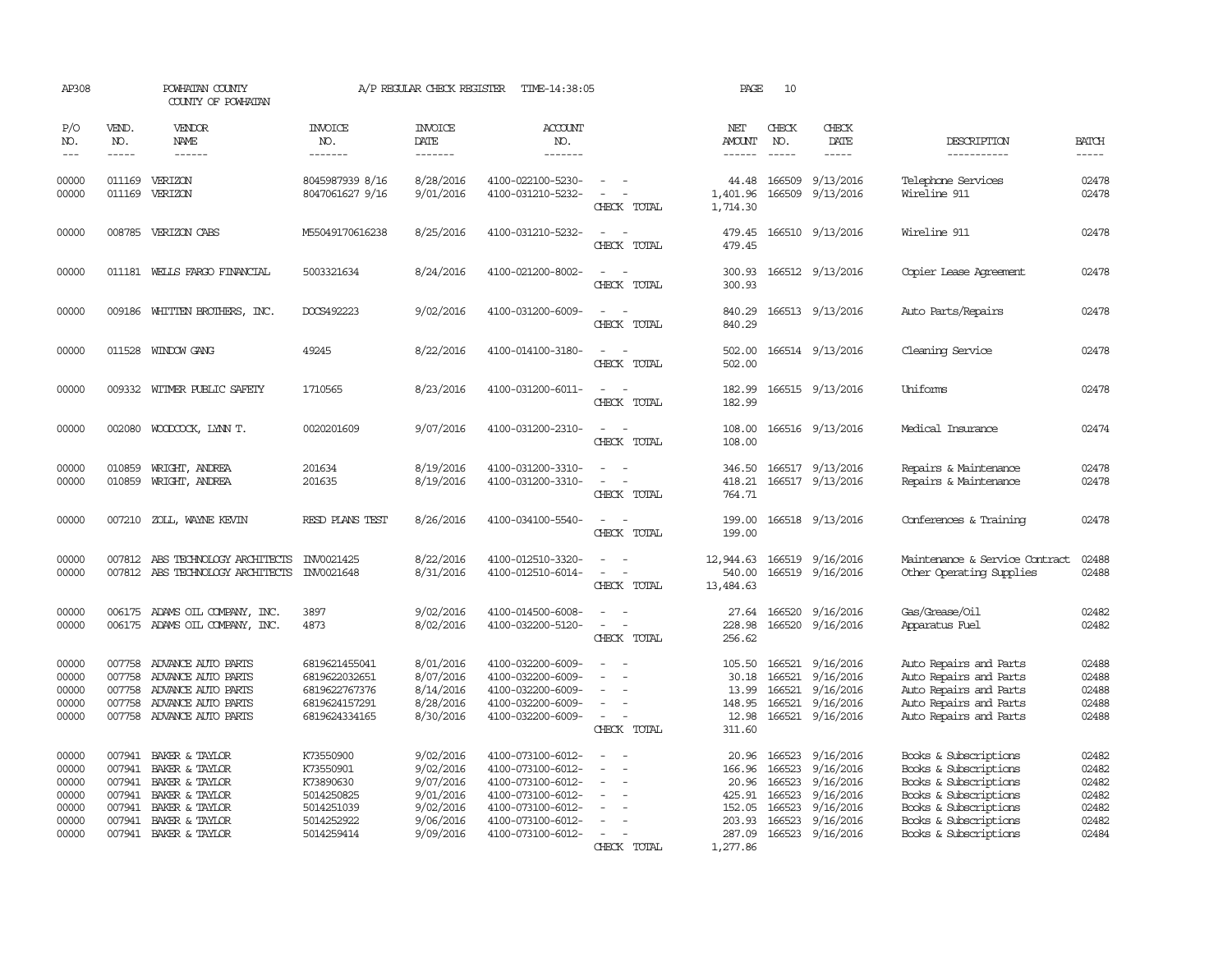| AP308                                                       |                                      | POWHATAN COUNTY<br>COUNTY OF POWHATAN                                                                                                           |                                                                                             | A/P REGULAR CHECK REGISTER                                                              | TIME-14:38:05                                                                                                                                   |                                                                                                 | PAGE                                                       | 10                                                   |                                                                                                             |                                                                                                                                                                             |                                                             |
|-------------------------------------------------------------|--------------------------------------|-------------------------------------------------------------------------------------------------------------------------------------------------|---------------------------------------------------------------------------------------------|-----------------------------------------------------------------------------------------|-------------------------------------------------------------------------------------------------------------------------------------------------|-------------------------------------------------------------------------------------------------|------------------------------------------------------------|------------------------------------------------------|-------------------------------------------------------------------------------------------------------------|-----------------------------------------------------------------------------------------------------------------------------------------------------------------------------|-------------------------------------------------------------|
| P/O<br>NO.<br>$---$                                         | VEND.<br>NO.<br>$- - - - -$          | VENDOR<br><b>NAME</b><br>$- - - - - -$                                                                                                          | <b>INVOICE</b><br>NO.<br>-------                                                            | <b>INVOICE</b><br>DATE<br>$- - - - - - -$                                               | ACCOUNT<br>NO.<br>-------                                                                                                                       |                                                                                                 | NET<br>AMOUNT<br>$- - - - - -$                             | CHECK<br>NO.<br>$- - - - -$                          | CHECK<br>DATE<br>$- - - - -$                                                                                | DESCRIPTION<br>-----------                                                                                                                                                  | <b>BATCH</b><br>-----                                       |
| 00000<br>00000                                              | 011169                               | 011169 VERIZON<br>VERIZON                                                                                                                       | 8045987939 8/16<br>8047061627 9/16                                                          | 8/28/2016<br>9/01/2016                                                                  | 4100-022100-5230-<br>4100-031210-5232-                                                                                                          | $\sim$<br>CHECK TOTAL                                                                           | 44.48<br>1,401.96<br>1,714.30                              | 166509<br>166509                                     | 9/13/2016<br>9/13/2016                                                                                      | Telephone Services<br>Wireline 911                                                                                                                                          | 02478<br>02478                                              |
| 00000                                                       |                                      | 008785 VERIZON CABS                                                                                                                             | M55049170616238                                                                             | 8/25/2016                                                                               | 4100-031210-5232-                                                                                                                               | $\sim$ 100 $\mu$<br>CHECK TOTAL                                                                 | 479.45<br>479.45                                           |                                                      | 166510 9/13/2016                                                                                            | Wireline 911                                                                                                                                                                | 02478                                                       |
| 00000                                                       |                                      | 011181 WELLS FARGO FINANCIAL                                                                                                                    | 5003321634                                                                                  | 8/24/2016                                                                               | 4100-021200-8002-                                                                                                                               | CHECK TOTAL                                                                                     | 300.93                                                     |                                                      | 300.93 166512 9/13/2016                                                                                     | Copier Lease Agreement                                                                                                                                                      | 02478                                                       |
| 00000                                                       |                                      | 009186 WHITTEN BROTHERS, INC.                                                                                                                   | DOCS492223                                                                                  | 9/02/2016                                                                               | 4100-031200-6009-                                                                                                                               | CHECK TOTAL                                                                                     | 840.29<br>840.29                                           |                                                      | 166513 9/13/2016                                                                                            | Auto Parts/Repairs                                                                                                                                                          | 02478                                                       |
| 00000                                                       |                                      | 011528 WINDOW GANG                                                                                                                              | 49245                                                                                       | 8/22/2016                                                                               | 4100-014100-3180-                                                                                                                               | CHECK TOTAL                                                                                     | 502.00<br>502.00                                           |                                                      | 166514 9/13/2016                                                                                            | Cleaning Service                                                                                                                                                            | 02478                                                       |
| 00000                                                       | 009332                               | WITMER PUBLIC SAFETY                                                                                                                            | 1710565                                                                                     | 8/23/2016                                                                               | 4100-031200-6011-                                                                                                                               | CHECK TOTAL                                                                                     | 182.99<br>182.99                                           |                                                      | 166515 9/13/2016                                                                                            | Uniforms                                                                                                                                                                    | 02478                                                       |
| 00000                                                       |                                      | 002080 WOODCOCK, LYNN T.                                                                                                                        | 0020201609                                                                                  | 9/07/2016                                                                               | 4100-031200-2310-                                                                                                                               | $\overline{\phantom{a}}$<br>CHECK TOTAL                                                         | 108.00<br>108.00                                           |                                                      | 166516 9/13/2016                                                                                            | Medical Insurance                                                                                                                                                           | 02474                                                       |
| 00000<br>00000                                              | 010859<br>010859                     | WRIGHT, ANDREA<br>WRIGHT, ANDREA                                                                                                                | 201634<br>201635                                                                            | 8/19/2016<br>8/19/2016                                                                  | 4100-031200-3310-<br>4100-031200-3310-                                                                                                          | $\sim$ $\sim$<br>$\equiv$<br>CHECK TOTAL                                                        | 346.50<br>418.21<br>764.71                                 |                                                      | 166517 9/13/2016<br>166517 9/13/2016                                                                        | Repairs & Maintenance<br>Repairs & Maintenance                                                                                                                              | 02478<br>02478                                              |
| 00000                                                       |                                      | 007210 ZOLL, WAYNE KEVIN                                                                                                                        | RESD PLANS TEST                                                                             | 8/26/2016                                                                               | 4100-034100-5540-                                                                                                                               | $\sim$<br>CHECK TOTAL                                                                           | 199.00<br>199.00                                           |                                                      | 166518 9/13/2016                                                                                            | Conferences & Training                                                                                                                                                      | 02478                                                       |
| 00000<br>00000                                              | 007812                               | ABS TECHNOLOGY ARCHITECTS<br>007812 ABS TECHNOLOGY ARCHITECTS                                                                                   | INV0021425<br>INV0021648                                                                    | 8/22/2016<br>8/31/2016                                                                  | 4100-012510-3320-<br>4100-012510-6014-                                                                                                          | $\overline{\phantom{a}}$<br>$\equiv$<br>CHECK TOTAL                                             | 12,944.63<br>540.00<br>13,484.63                           |                                                      | 166519 9/16/2016<br>166519 9/16/2016                                                                        | Maintenance & Service Contract<br>Other Operating Supplies                                                                                                                  | 02488<br>02488                                              |
| 00000<br>00000                                              |                                      | 006175 ADAMS OIL COMPANY, INC.<br>006175 ADAMS OIL COMPANY, INC.                                                                                | 3897<br>4873                                                                                | 9/02/2016<br>8/02/2016                                                                  | 4100-014500-6008-<br>4100-032200-5120-                                                                                                          | $\sim$<br>$\sim$<br>CHECK TOTAL                                                                 | 228.98<br>256.62                                           | 166520                                               | 27.64 166520 9/16/2016<br>9/16/2016                                                                         | Gas/Grease/Oil<br>Apparatus Fuel                                                                                                                                            | 02482<br>02482                                              |
| 00000<br>00000<br>00000<br>00000<br>00000                   | 007758<br>007758<br>007758           | ADVANCE AUTO PARTS<br>ADVANCE AUTO PARTS<br>007758 ADVANCE AUTO PARTS<br>ADVANCE AUTO PARTS<br>007758 ADVANCE AUTO PARTS                        | 6819621455041<br>6819622032651<br>6819622767376<br>6819624157291<br>6819624334165           | 8/01/2016<br>8/07/2016<br>8/14/2016<br>8/28/2016<br>8/30/2016                           | 4100-032200-6009-<br>4100-032200-6009-<br>4100-032200-6009-<br>4100-032200-6009-<br>4100-032200-6009-                                           | $\overline{\phantom{a}}$<br>$\overline{\phantom{a}}$<br>$\overline{\phantom{a}}$<br>CHECK TOTAL | 105.50<br>30.18<br>13.99<br>148.95<br>12.98<br>311.60      | 166521<br>166521<br>166521                           | 9/16/2016<br>9/16/2016<br>9/16/2016<br>166521 9/16/2016<br>166521 9/16/2016                                 | Auto Repairs and Parts<br>Auto Repairs and Parts<br>Auto Repairs and Parts<br>Auto Repairs and Parts<br>Auto Repairs and Parts                                              | 02488<br>02488<br>02488<br>02488<br>02488                   |
| 00000<br>00000<br>00000<br>00000<br>00000<br>00000<br>00000 | 007941<br>007941<br>007941<br>007941 | 007941 BAKER & TAYLOR<br>BAKER & TAYLOR<br>007941 BAKER & TAYLOR<br>BAKER & TAYLOR<br>BAKER & TAYLOR<br>BAKER & TAYLOR<br>007941 BAKER & TAYLOR | K73550900<br>K73550901<br>K73890630<br>5014250825<br>5014251039<br>5014252922<br>5014259414 | 9/02/2016<br>9/02/2016<br>9/07/2016<br>9/01/2016<br>9/02/2016<br>9/06/2016<br>9/09/2016 | 4100-073100-6012-<br>4100-073100-6012-<br>4100-073100-6012-<br>4100-073100-6012-<br>4100-073100-6012-<br>4100-073100-6012-<br>4100-073100-6012- | $\overline{\phantom{a}}$<br>CHECK TOTAL                                                         | 166.96<br>425.91<br>152.05<br>203.93<br>287.09<br>1,277.86 | 166523<br>20.96 166523<br>166523<br>166523<br>166523 | 20.96 166523 9/16/2016<br>9/16/2016<br>9/16/2016<br>9/16/2016<br>9/16/2016<br>9/16/2016<br>166523 9/16/2016 | Books & Subscriptions<br>Books & Subscriptions<br>Books & Subscriptions<br>Books & Subscriptions<br>Books & Subscriptions<br>Books & Subscriptions<br>Books & Subscriptions | 02482<br>02482<br>02482<br>02482<br>02482<br>02482<br>02484 |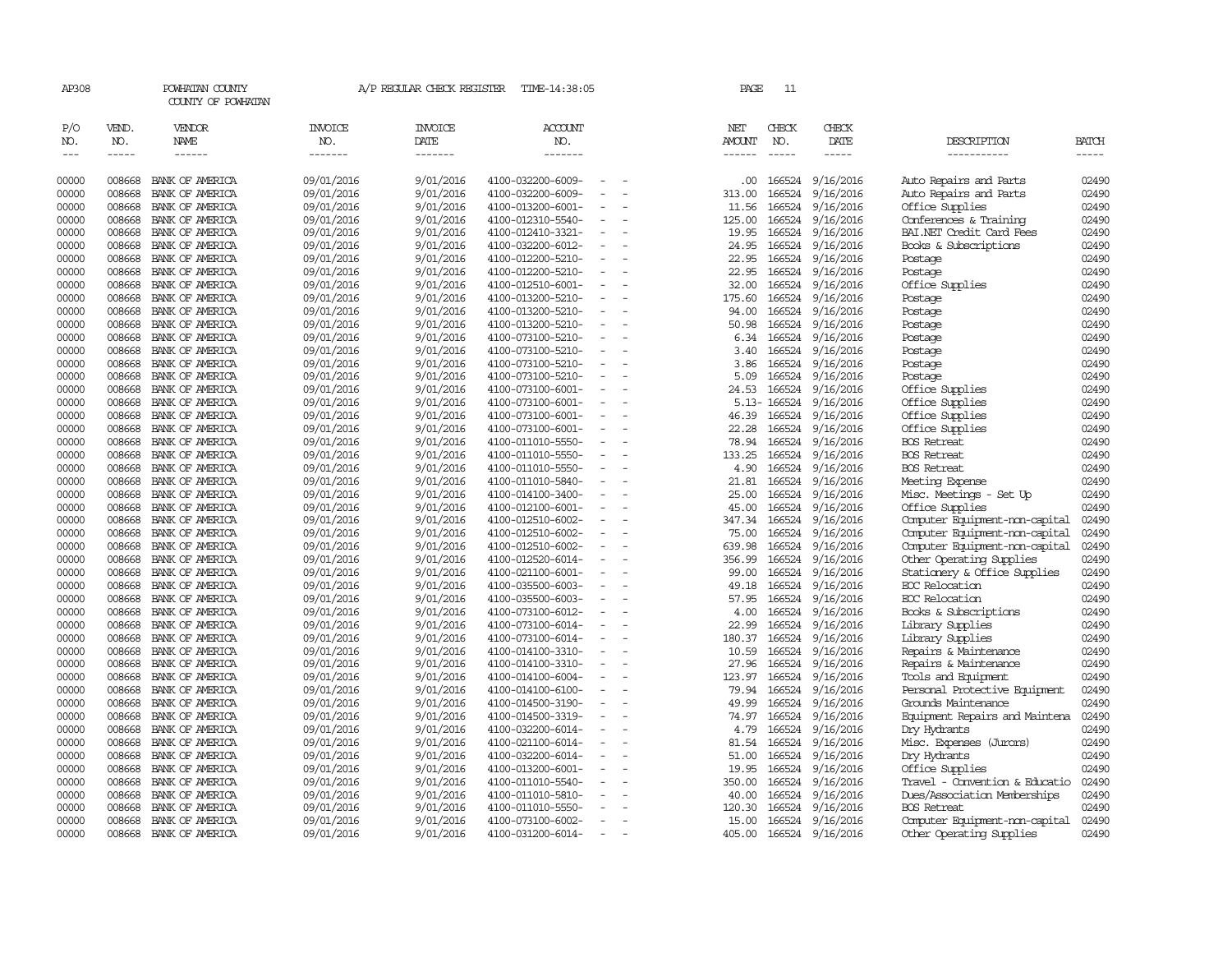| AP308                           |                             | POWHATAN COUNTY<br>COUNTY OF POWHATAN |                                  | A/P REGULAR CHECK REGISTER        | TIME-14:38:05                          |                          | PAGE                           | 11                            |                              |                                           |                             |
|---------------------------------|-----------------------------|---------------------------------------|----------------------------------|-----------------------------------|----------------------------------------|--------------------------|--------------------------------|-------------------------------|------------------------------|-------------------------------------------|-----------------------------|
| P/O<br>NO.<br>$\qquad \qquad -$ | VEND.<br>NO.<br>$- - - - -$ | VENDOR<br>NAME<br>$- - - - - -$       | <b>INVOICE</b><br>NO.<br>------- | <b>INVOICE</b><br>DATE<br>------- | <b>ACCOUNT</b><br>NO.<br>-------       |                          | NET<br>AMOUNT<br>$- - - - - -$ | CHECK<br>NO.<br>$\frac{1}{2}$ | CHECK<br>DATE<br>$- - - - -$ | DESCRIPTION<br>-----------                | <b>BATCH</b><br>$- - - - -$ |
| 00000                           | 008668                      | BANK OF AMERICA                       | 09/01/2016                       | 9/01/2016                         | 4100-032200-6009-                      |                          | $.00 \cdot$                    | 166524                        | 9/16/2016                    | Auto Repairs and Parts                    | 02490                       |
| 00000                           | 008668                      | BANK OF AMERICA                       | 09/01/2016                       | 9/01/2016                         | 4100-032200-6009-                      |                          | 313.00                         | 166524                        | 9/16/2016                    | Auto Repairs and Parts                    | 02490                       |
| 00000                           | 008668                      | BANK OF AMERICA                       | 09/01/2016                       | 9/01/2016                         | 4100-013200-6001-                      | $\overline{\phantom{a}}$ | 11.56                          | 166524                        | 9/16/2016                    | Office Supplies                           | 02490                       |
| 00000                           | 008668                      | BANK OF AMERICA                       | 09/01/2016                       | 9/01/2016                         | 4100-012310-5540-                      |                          | 125.00                         | 166524                        | 9/16/2016                    | Conferences & Training                    | 02490                       |
| 00000                           | 008668                      | BANK OF AMERICA                       | 09/01/2016                       | 9/01/2016                         | 4100-012410-3321-                      |                          | 19.95                          | 166524                        | 9/16/2016                    | BAI.NET Credit Card Fees                  | 02490                       |
| 00000                           | 008668                      | BANK OF AMERICA                       | 09/01/2016                       | 9/01/2016                         | 4100-032200-6012-                      |                          | 24.95                          | 166524                        | 9/16/2016                    | Books & Subscriptions                     | 02490                       |
| 00000                           | 008668                      | BANK OF AMERICA                       | 09/01/2016                       | 9/01/2016                         | 4100-012200-5210-                      |                          | 22.95                          | 166524                        | 9/16/2016                    | Postage                                   | 02490                       |
| 00000                           | 008668                      | BANK OF AMERICA                       | 09/01/2016                       | 9/01/2016                         | 4100-012200-5210-                      |                          | 22.95                          | 166524                        | 9/16/2016                    | Postage                                   | 02490                       |
| 00000                           | 008668                      | BANK OF AMERICA                       | 09/01/2016                       | 9/01/2016                         | 4100-012510-6001-                      |                          | 32.00                          | 166524                        | 9/16/2016                    | Office Supplies                           | 02490                       |
| 00000                           | 008668                      | BANK OF AMERICA                       | 09/01/2016                       | 9/01/2016                         | 4100-013200-5210-                      | $\equiv$                 | 175.60                         | 166524                        | 9/16/2016                    | Postage                                   | 02490                       |
| 00000<br>00000                  | 008668<br>008668            | BANK OF AMERICA<br>BANK OF AMERICA    | 09/01/2016                       | 9/01/2016                         | 4100-013200-5210-<br>4100-013200-5210- |                          | 94.00<br>50.98                 | 166524<br>166524              | 9/16/2016                    | Postage                                   | 02490<br>02490              |
| 00000                           | 008668                      | BANK OF AMERICA                       | 09/01/2016                       | 9/01/2016<br>9/01/2016            | 4100-073100-5210-                      |                          |                                | 166524                        | 9/16/2016                    | Postage                                   | 02490                       |
| 00000                           | 008668                      | BANK OF AMERICA                       | 09/01/2016<br>09/01/2016         | 9/01/2016                         | 4100-073100-5210-                      | $\overline{\phantom{a}}$ | 6.34<br>3.40                   | 166524                        | 9/16/2016<br>9/16/2016       | Postage<br>Postage                        | 02490                       |
| 00000                           | 008668                      | BANK OF AMERICA                       | 09/01/2016                       | 9/01/2016                         | 4100-073100-5210-                      |                          | 3.86                           | 166524                        | 9/16/2016                    | Postage                                   | 02490                       |
| 00000                           | 008668                      | BANK OF AMERICA                       | 09/01/2016                       | 9/01/2016                         | 4100-073100-5210-                      |                          | 5.09                           | 166524                        | 9/16/2016                    | Postage                                   | 02490                       |
| 00000                           | 008668                      | BANK OF AMERICA                       | 09/01/2016                       | 9/01/2016                         | 4100-073100-6001-                      | $\equiv$                 | 24.53                          | 166524                        | 9/16/2016                    | Office Supplies                           | 02490                       |
| 00000                           | 008668                      | BANK OF AMERICA                       | 09/01/2016                       | 9/01/2016                         | 4100-073100-6001-                      |                          |                                | 5.13-166524                   | 9/16/2016                    | Office Supplies                           | 02490                       |
| 00000                           | 008668                      | BANK OF AMERICA                       | 09/01/2016                       | 9/01/2016                         | 4100-073100-6001-                      |                          | 46.39                          | 166524                        | 9/16/2016                    | Office Supplies                           | 02490                       |
| 00000                           | 008668                      | BANK OF AMERICA                       | 09/01/2016                       | 9/01/2016                         | 4100-073100-6001-                      |                          | 22.28                          | 166524                        | 9/16/2016                    | Office Supplies                           | 02490                       |
| 00000                           | 008668                      | BANK OF AMERICA                       | 09/01/2016                       | 9/01/2016                         | 4100-011010-5550-                      |                          | 78.94                          | 166524                        | 9/16/2016                    | <b>BOS</b> Retreat                        | 02490                       |
| 00000                           | 008668                      | BANK OF AMERICA                       | 09/01/2016                       | 9/01/2016                         | 4100-011010-5550-                      |                          | 133.25                         | 166524                        | 9/16/2016                    | <b>BOS Retreat</b>                        | 02490                       |
| 00000                           | 008668                      | BANK OF AMERICA                       | 09/01/2016                       | 9/01/2016                         | 4100-011010-5550-                      |                          | 4.90                           | 166524                        | 9/16/2016                    | <b>BOS Retreat</b>                        | 02490                       |
| 00000                           | 008668                      | BANK OF AMERICA                       | 09/01/2016                       | 9/01/2016                         | 4100-011010-5840-                      | $\equiv$                 | 21.81                          | 166524                        | 9/16/2016                    | Meeting Expense                           | 02490                       |
| 00000                           | 008668                      | BANK OF AMERICA                       | 09/01/2016                       | 9/01/2016                         | 4100-014100-3400-                      |                          | 25.00                          | 166524                        | 9/16/2016                    | Misc. Meetings - Set Up                   | 02490                       |
| 00000                           | 008668                      | BANK OF AMERICA                       | 09/01/2016                       | 9/01/2016                         | 4100-012100-6001-                      |                          | 45.00                          | 166524                        | 9/16/2016                    | Office Supplies                           | 02490                       |
| 00000                           | 008668                      | BANK OF AMERICA                       | 09/01/2016                       | 9/01/2016                         | 4100-012510-6002-                      |                          | 347.34                         | 166524                        | 9/16/2016                    | Computer Equipment-non-capital            | 02490                       |
| 00000                           | 008668                      | BANK OF AMERICA                       | 09/01/2016                       | 9/01/2016                         | 4100-012510-6002-                      | $\overline{\phantom{a}}$ | 75.00                          | 166524                        | 9/16/2016                    | Computer Equipment-non-capital            | 02490                       |
| 00000                           | 008668                      | BANK OF AMERICA                       | 09/01/2016                       | 9/01/2016                         | 4100-012510-6002-                      |                          | 639.98                         | 166524                        | 9/16/2016                    | Computer Equipment-non-capital            | 02490                       |
| 00000                           | 008668                      | BANK OF AMERICA                       | 09/01/2016                       | 9/01/2016                         | 4100-012520-6014-                      |                          | 356.99                         | 166524                        | 9/16/2016                    | Other Operating Supplies                  | 02490                       |
| 00000                           | 008668                      | BANK OF AMERICA                       | 09/01/2016                       | 9/01/2016                         | 4100-021100-6001-                      | $\equiv$                 | 99.00                          | 166524                        | 9/16/2016                    | Stationery & Office Supplies              | 02490                       |
| 00000                           | 008668                      | BANK OF AMERICA                       | 09/01/2016                       | 9/01/2016                         | 4100-035500-6003-                      |                          | 49.18                          | 166524                        | 9/16/2016                    | EOC Relocation                            | 02490                       |
| 00000                           | 008668                      | BANK OF AMERICA                       | 09/01/2016                       | 9/01/2016                         | 4100-035500-6003-                      |                          | 57.95                          | 166524                        | 9/16/2016                    | EOC Relocation                            | 02490                       |
| 00000                           | 008668                      | BANK OF AMERICA                       | 09/01/2016                       | 9/01/2016                         | 4100-073100-6012-                      |                          | 4.00                           | 166524                        | 9/16/2016                    | Books & Subscriptions                     | 02490                       |
| 00000                           | 008668                      | BANK OF AMERICA                       | 09/01/2016                       | 9/01/2016                         | 4100-073100-6014-                      |                          | 22.99                          | 166524                        | 9/16/2016                    | Library Supplies                          | 02490                       |
| 00000<br>00000                  | 008668<br>008668            | BANK OF AMERICA<br>BANK OF AMERICA    | 09/01/2016<br>09/01/2016         | 9/01/2016<br>9/01/2016            | 4100-073100-6014-<br>4100-014100-3310- |                          | 180.37<br>10.59                | 166524<br>166524              | 9/16/2016<br>9/16/2016       | Library Supplies<br>Repairs & Maintenance | 02490<br>02490              |
| 00000                           | 008668                      | BANK OF AMERICA                       | 09/01/2016                       | 9/01/2016                         | 4100-014100-3310-                      | $\equiv$                 | 27.96                          | 166524                        | 9/16/2016                    | Repairs & Maintenance                     | 02490                       |
| 00000                           | 008668                      | BANK OF AMERICA                       | 09/01/2016                       | 9/01/2016                         | 4100-014100-6004-                      |                          | 123.97                         | 166524                        | 9/16/2016                    | Tools and Equipment                       | 02490                       |
| 00000                           | 008668                      | BANK OF AMERICA                       | 09/01/2016                       | 9/01/2016                         | 4100-014100-6100-                      | $\equiv$                 |                                | 79.94 166524                  | 9/16/2016                    | Personal Protective Equipment             | 02490                       |
| 00000                           | 008668                      | BANK OF AMERICA                       | 09/01/2016                       | 9/01/2016                         | 4100-014500-3190-                      |                          | 49.99                          | 166524                        | 9/16/2016                    | Grounds Maintenance                       | 02490                       |
| 00000                           | 008668                      | BANK OF AMERICA                       | 09/01/2016                       | 9/01/2016                         | 4100-014500-3319-                      | $\overline{\phantom{a}}$ | 74.97                          | 166524                        | 9/16/2016                    | Equipment Repairs and Maintena            | 02490                       |
| 00000                           | 008668                      | BANK OF AMERICA                       | 09/01/2016                       | 9/01/2016                         | 4100-032200-6014-                      |                          | 4.79                           | 166524                        | 9/16/2016                    | Dry Hydrants                              | 02490                       |
| 00000                           | 008668                      | BANK OF AMERICA                       | 09/01/2016                       | 9/01/2016                         | 4100-021100-6014-                      |                          | 81.54                          | 166524                        | 9/16/2016                    | Misc. Expenses (Jurors)                   | 02490                       |
| 00000                           | 008668                      | BANK OF AMERICA                       | 09/01/2016                       | 9/01/2016                         | 4100-032200-6014-                      | $\overline{\phantom{a}}$ | 51.00                          | 166524                        | 9/16/2016                    | Dry Hydrants                              | 02490                       |
| 00000                           | 008668                      | BANK OF AMERICA                       | 09/01/2016                       | 9/01/2016                         | 4100-013200-6001-                      |                          | 19.95                          | 166524                        | 9/16/2016                    | Office Supplies                           | 02490                       |
| 00000                           | 008668                      | BANK OF AMERICA                       | 09/01/2016                       | 9/01/2016                         | 4100-011010-5540-                      |                          | 350.00                         | 166524                        | 9/16/2016                    | Travel - Convention & Educatio            | 02490                       |
| 00000                           | 008668                      | BANK OF AMERICA                       | 09/01/2016                       | 9/01/2016                         | 4100-011010-5810-                      |                          | 40.00                          | 166524                        | 9/16/2016                    | Dues/Association Memberships              | 02490                       |
| 00000                           | 008668                      | BANK OF AMERICA                       | 09/01/2016                       | 9/01/2016                         | 4100-011010-5550-                      |                          | 120.30                         | 166524                        | 9/16/2016                    | <b>BOS Retreat</b>                        | 02490                       |
| 00000                           | 008668                      | BANK OF AMERICA                       | 09/01/2016                       | 9/01/2016                         | 4100-073100-6002-                      |                          | 15.00                          | 166524                        | 9/16/2016                    | Computer Equipment-non-capital            | 02490                       |
| 00000                           | 008668                      | BANK OF AMERICA                       | 09/01/2016                       | 9/01/2016                         | 4100-031200-6014-                      | $\equiv$                 | 405.00                         |                               | 166524 9/16/2016             | Other Operating Supplies                  | 02490                       |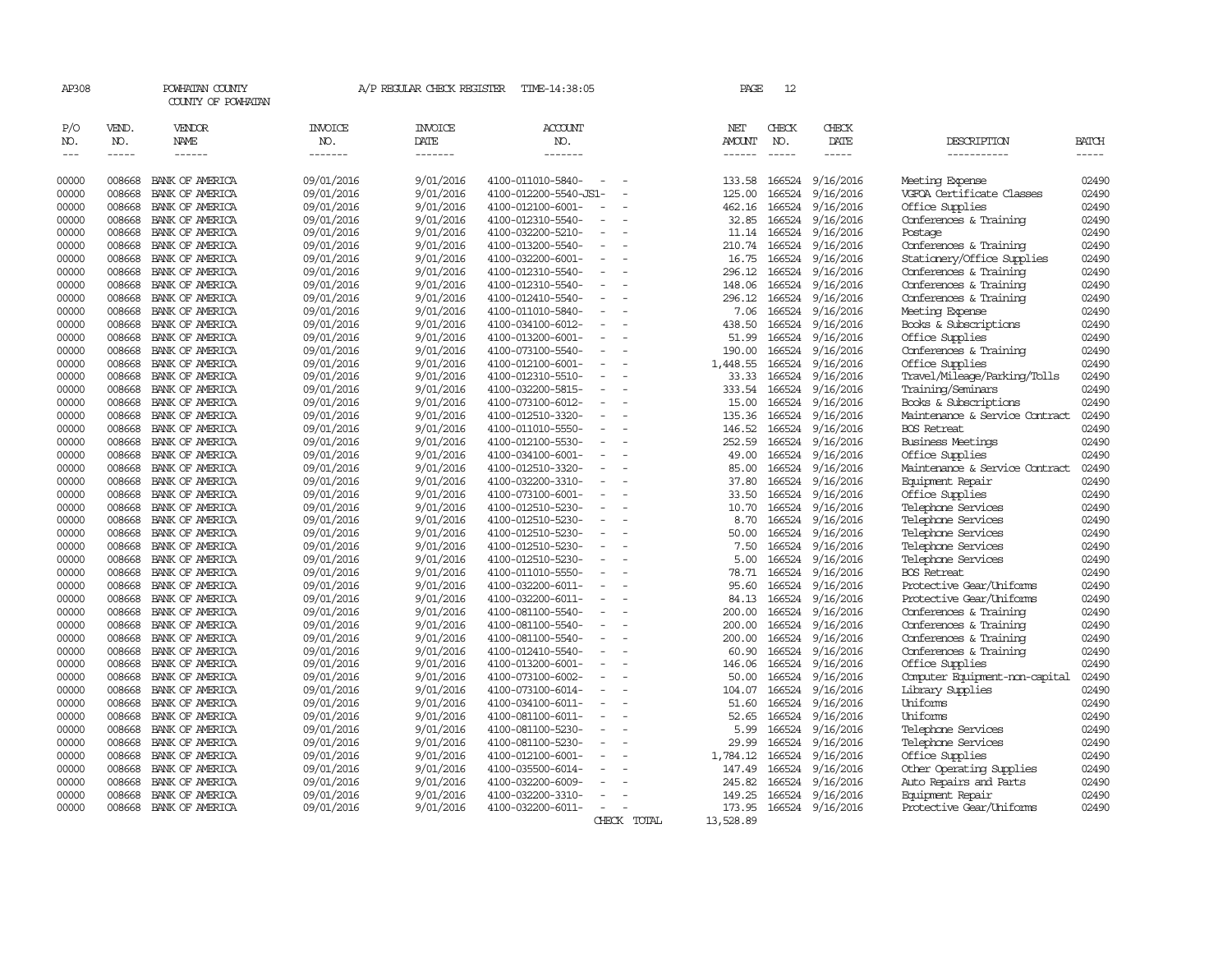| AP308          |                  | POWHATAN COUNTY<br>COUNTY OF POWHATAN |                          | A/P REGULAR CHECK REGISTER | TIME-14:38:05                          |                          |             | PAGE             | 12               |                        |                                                      |                |
|----------------|------------------|---------------------------------------|--------------------------|----------------------------|----------------------------------------|--------------------------|-------------|------------------|------------------|------------------------|------------------------------------------------------|----------------|
| P/O<br>NO.     | VEND.<br>NO.     | VENDOR<br><b>NAME</b>                 | INVOICE<br>NO.           | <b>INVOICE</b><br>DATE     | <b>ACCOUNT</b><br>NO.                  |                          |             | NET<br>AMOUNT    | CHECK<br>NO.     | CHECK<br>DATE          | DESCRIPTION                                          | BATCH          |
| $\cdots$       | -----            | $- - - - - -$                         | -------                  | -------                    | -------                                |                          |             | ------           | $- - - - -$      | -----                  | -----------                                          | $- - - - -$    |
| 00000          | 008668           | BANK OF AMERICA                       | 09/01/2016               | 9/01/2016                  | 4100-011010-5840-                      | $\sim$                   |             | 133.58           | 166524           | 9/16/2016              | Meeting Expense                                      | 02490          |
| 00000          | 008668           | BANK OF AMERICA                       | 09/01/2016               | 9/01/2016                  | 4100-012200-5540-JS1-                  |                          |             | 125.00           | 166524           | 9/16/2016              | VGFOA Certificate Classes                            | 02490          |
| 00000          | 008668           | BANK OF AMERICA                       | 09/01/2016               | 9/01/2016                  | 4100-012100-6001-                      |                          |             | 462.16           | 166524           | 9/16/2016              | Office Supplies                                      | 02490          |
| 00000          | 008668           | BANK OF AMERICA                       | 09/01/2016               | 9/01/2016                  | 4100-012310-5540-                      |                          |             | 32.85            | 166524           | 9/16/2016              | Conferences & Training                               | 02490          |
| 00000          | 008668           | BANK OF AMERICA                       | 09/01/2016               | 9/01/2016                  | 4100-032200-5210-                      | $\sim$                   |             | 11.14            | 166524           | 9/16/2016              | Postage                                              | 02490          |
| 00000          | 008668           | BANK OF AMERICA                       | 09/01/2016               | 9/01/2016                  | 4100-013200-5540-                      | $\overline{\phantom{a}}$ |             | 210.74           | 166524           | 9/16/2016              | Conferences & Training<br>Stationery/Office Supplies | 02490<br>02490 |
| 00000          | 008668           | BANK OF AMERICA                       | 09/01/2016               | 9/01/2016                  | 4100-032200-6001-                      |                          |             | 16.75            | 166524<br>166524 | 9/16/2016              |                                                      |                |
| 00000          | 008668           | BANK OF AMERICA                       | 09/01/2016               | 9/01/2016                  | 4100-012310-5540-                      | $\sim$                   |             | 296.12           |                  | 9/16/2016              | Conferences & Training                               | 02490          |
| 00000<br>00000 | 008668<br>008668 | BANK OF AMERICA<br>BANK OF AMERICA    | 09/01/2016<br>09/01/2016 | 9/01/2016<br>9/01/2016     | 4100-012310-5540-<br>4100-012410-5540- |                          |             | 148.06<br>296.12 | 166524<br>166524 | 9/16/2016<br>9/16/2016 | Conferences & Training<br>Conferences & Training     | 02490<br>02490 |
| 00000          | 008668           | BANK OF AMERICA                       | 09/01/2016               | 9/01/2016                  | 4100-011010-5840-                      |                          |             | 7.06             | 166524           | 9/16/2016              |                                                      | 02490          |
| 00000          | 008668           | BANK OF AMERICA                       | 09/01/2016               | 9/01/2016                  | 4100-034100-6012-                      | $\sim$                   |             | 438.50           | 166524           | 9/16/2016              | Meeting Expense<br>Books & Subscriptions             | 02490          |
| 00000          | 008668           |                                       |                          | 9/01/2016                  | 4100-013200-6001-                      | $\sim$                   |             |                  | 166524           | 9/16/2016              | Office Supplies                                      | 02490          |
| 00000          | 008668           | BANK OF AMERICA<br>BANK OF AMERICA    | 09/01/2016<br>09/01/2016 | 9/01/2016                  | 4100-073100-5540-                      | $\sim$                   |             | 51.99<br>190.00  | 166524           | 9/16/2016              | Conferences & Training                               | 02490          |
| 00000          | 008668           | BANK OF AMERICA                       | 09/01/2016               | 9/01/2016                  | 4100-012100-6001-                      | $\sim$                   |             | 1,448.55         | 166524           | 9/16/2016              | Office Supplies                                      | 02490          |
| 00000          | 008668           | BANK OF AMERICA                       | 09/01/2016               | 9/01/2016                  | 4100-012310-5510-                      | $\overline{\phantom{a}}$ |             | 33.33            | 166524           | 9/16/2016              | Travel/Mileage/Parking/Tolls                         | 02490          |
| 00000          | 008668           | BANK OF AMERICA                       | 09/01/2016               | 9/01/2016                  | 4100-032200-5815-                      |                          |             | 333.54           | 166524           | 9/16/2016              | Training/Seminars                                    | 02490          |
| 00000          | 008668           | BANK OF AMERICA                       | 09/01/2016               | 9/01/2016                  | 4100-073100-6012-                      | $\sim$                   |             | 15.00            | 166524           | 9/16/2016              | Books & Subscriptions                                | 02490          |
| 00000          | 008668           | BANK OF AMERICA                       | 09/01/2016               | 9/01/2016                  | 4100-012510-3320-                      | $\sim$                   |             | 135.36           | 166524           | 9/16/2016              | Maintenance & Service Contract                       | 02490          |
| 00000          | 008668           | BANK OF AMERICA                       | 09/01/2016               | 9/01/2016                  | 4100-011010-5550-                      | $\overline{\phantom{a}}$ |             | 146.52           | 166524           | 9/16/2016              | <b>BOS Retreat</b>                                   | 02490          |
| 00000          | 008668           | BANK OF AMERICA                       | 09/01/2016               | 9/01/2016                  | 4100-012100-5530-                      |                          |             | 252.59           | 166524           | 9/16/2016              | <b>Business Meetings</b>                             | 02490          |
| 00000          | 008668           | BANK OF AMERICA                       | 09/01/2016               | 9/01/2016                  | 4100-034100-6001-                      | $\equiv$                 |             | 49.00            | 166524           | 9/16/2016              | Office Supplies                                      | 02490          |
| 00000          | 008668           | BANK OF AMERICA                       | 09/01/2016               | 9/01/2016                  | 4100-012510-3320-                      |                          |             | 85.00            | 166524           | 9/16/2016              | Maintenance & Service Contract                       | 02490          |
| 00000          | 008668           | BANK OF AMERICA                       | 09/01/2016               | 9/01/2016                  | 4100-032200-3310-                      |                          |             | 37.80            | 166524           | 9/16/2016              | Equipment Repair                                     | 02490          |
| 00000          | 008668           | BANK OF AMERICA                       | 09/01/2016               | 9/01/2016                  | 4100-073100-6001-                      | $\equiv$                 |             | 33.50            | 166524           | 9/16/2016              | Office Supplies                                      | 02490          |
| 00000          | 008668           | BANK OF AMERICA                       | 09/01/2016               | 9/01/2016                  | 4100-012510-5230-                      |                          |             | 10.70            | 166524           | 9/16/2016              | Telephone Services                                   | 02490          |
| 00000          | 008668           | BANK OF AMERICA                       | 09/01/2016               | 9/01/2016                  | 4100-012510-5230-                      | $\sim$                   |             | 8.70             | 166524           | 9/16/2016              | Telephone Services                                   | 02490          |
| 00000          | 008668           | BANK OF AMERICA                       | 09/01/2016               | 9/01/2016                  | 4100-012510-5230-                      |                          |             | 50.00            | 166524           | 9/16/2016              | Telephone Services                                   | 02490          |
| 00000          | 008668           | BANK OF AMERICA                       | 09/01/2016               | 9/01/2016                  | 4100-012510-5230-                      | $\overline{\phantom{a}}$ |             | 7.50             | 166524           | 9/16/2016              | Telephone Services                                   | 02490          |
| 00000          | 008668           | BANK OF AMERICA                       | 09/01/2016               | 9/01/2016                  | 4100-012510-5230-                      |                          |             | 5.00             | 166524           | 9/16/2016              | Telephone Services                                   | 02490          |
| 00000          | 008668           | BANK OF AMERICA                       | 09/01/2016               | 9/01/2016                  | 4100-011010-5550-                      |                          |             | 78.71            | 166524           | 9/16/2016              | <b>BOS Retreat</b>                                   | 02490          |
| 00000          | 008668           | BANK OF AMERICA                       | 09/01/2016               | 9/01/2016                  | 4100-032200-6011-                      | $\overline{\phantom{a}}$ |             | 95.60            | 166524           | 9/16/2016              | Protective Gear/Uniforms                             | 02490          |
| 00000          | 008668           | BANK OF AMERICA                       | 09/01/2016               | 9/01/2016                  | 4100-032200-6011-                      |                          |             | 84.13            | 166524           | 9/16/2016              | Protective Gear/Uniforms                             | 02490          |
| 00000          | 008668           | BANK OF AMERICA                       | 09/01/2016               | 9/01/2016                  | 4100-081100-5540-                      |                          |             | 200.00           | 166524           | 9/16/2016              | Conferences & Training                               | 02490          |
| 00000          | 008668           | BANK OF AMERICA                       | 09/01/2016               | 9/01/2016                  | 4100-081100-5540-                      | $\equiv$                 |             | 200.00           | 166524           | 9/16/2016              | Conferences & Training                               | 02490          |
| 00000          | 008668           | BANK OF AMERICA                       | 09/01/2016               | 9/01/2016                  | 4100-081100-5540-                      | $\overline{a}$           |             | 200.00           | 166524           | 9/16/2016              | Conferences & Training                               | 02490          |
| 00000          | 008668           | BANK OF AMERICA                       | 09/01/2016               | 9/01/2016                  | 4100-012410-5540-                      |                          |             | 60.90            | 166524           | 9/16/2016              | Conferences & Training                               | 02490          |
| 00000          | 008668           | BANK OF AMERICA                       | 09/01/2016               | 9/01/2016                  | 4100-013200-6001-                      | $\sim$                   |             | 146.06           | 166524           | 9/16/2016              | Office Supplies                                      | 02490          |
| 00000          | 008668           | BANK OF AMERICA                       | 09/01/2016               | 9/01/2016                  | 4100-073100-6002-                      |                          |             | 50.00            | 166524           | 9/16/2016              | Computer Equipment-non-capital                       | 02490          |
| 00000          | 008668           | BANK OF AMERICA                       | 09/01/2016               | 9/01/2016                  | 4100-073100-6014-                      | $\sim$                   |             | 104.07           | 166524           | 9/16/2016              | Library Supplies                                     | 02490          |
| 00000          | 008668           | BANK OF AMERICA                       | 09/01/2016               | 9/01/2016                  | 4100-034100-6011-                      | $\equiv$                 |             | 51.60            | 166524           | 9/16/2016              | Uniforms                                             | 02490          |
| 00000          | 008668           | BANK OF AMERICA                       | 09/01/2016               | 9/01/2016                  | 4100-081100-6011-                      | $\overline{\phantom{a}}$ |             | 52.65            | 166524           | 9/16/2016              | Uniforms                                             | 02490          |
| 00000          | 008668           | BANK OF AMERICA                       | 09/01/2016               | 9/01/2016                  | 4100-081100-5230-                      |                          |             | 5.99             | 166524           | 9/16/2016              | Telephone Services                                   | 02490          |
| 00000          | 008668           | BANK OF AMERICA                       | 09/01/2016               | 9/01/2016                  | 4100-081100-5230-                      |                          |             | 29.99            | 166524           | 9/16/2016              | Telephone Services                                   | 02490          |
| 00000          | 008668           | BANK OF AMERICA                       | 09/01/2016               | 9/01/2016                  | 4100-012100-6001-                      | $\equiv$                 |             | 1,784.12         | 166524           | 9/16/2016              | Office Supplies                                      | 02490          |
| 00000          | 008668           | BANK OF AMERICA                       | 09/01/2016               | 9/01/2016                  | 4100-035500-6014-                      |                          |             | 147.49           | 166524           | 9/16/2016              | Other Operating Supplies                             | 02490          |
| 00000          | 008668           | BANK OF AMERICA                       | 09/01/2016               | 9/01/2016                  | 4100-032200-6009-                      |                          |             | 245.82           | 166524           | 9/16/2016              | Auto Repairs and Parts                               | 02490          |
| 00000          | 008668           | BANK OF AMERICA                       | 09/01/2016               | 9/01/2016                  | 4100-032200-3310-                      | $\overline{\phantom{a}}$ |             | 149.25           | 166524           | 9/16/2016              | Equipment Repair                                     | 02490          |
| 00000          | 008668           | BANK OF AMERICA                       | 09/01/2016               | 9/01/2016                  | 4100-032200-6011-                      | $\sim$                   |             | 173.95           |                  | 166524 9/16/2016       | Protective Gear/Uniforms                             | 02490          |
|                |                  |                                       |                          |                            |                                        |                          | CHECK TOTAL | 13,528.89        |                  |                        |                                                      |                |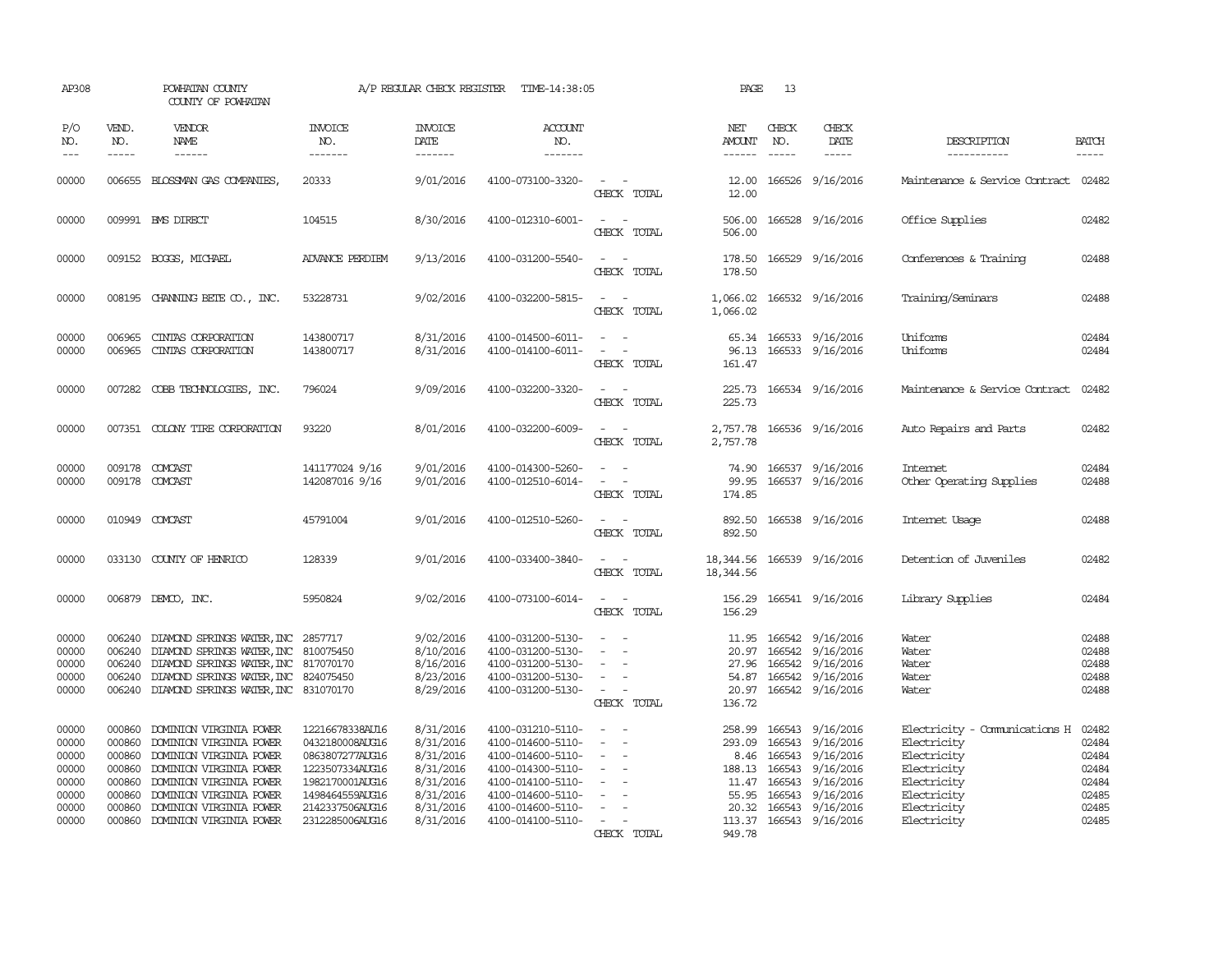| AP308                                                                |                                                                    | POWHATAN COUNTY<br>COUNTY OF POWHATAN                                                                                                                                                                                       |                                                                                                                                                      | A/P REGULAR CHECK REGISTER                                                                           | TIME-14:38:05                                                                                                                                                        |                                                                                                      | PAGE                      | 13                            |                                                                                                                                                                                |                                                                                                                                        |                                                                      |
|----------------------------------------------------------------------|--------------------------------------------------------------------|-----------------------------------------------------------------------------------------------------------------------------------------------------------------------------------------------------------------------------|------------------------------------------------------------------------------------------------------------------------------------------------------|------------------------------------------------------------------------------------------------------|----------------------------------------------------------------------------------------------------------------------------------------------------------------------|------------------------------------------------------------------------------------------------------|---------------------------|-------------------------------|--------------------------------------------------------------------------------------------------------------------------------------------------------------------------------|----------------------------------------------------------------------------------------------------------------------------------------|----------------------------------------------------------------------|
| P/O<br>NO.<br>$ -$                                                   | VEND.<br>NO.<br>$\frac{1}{2}$                                      | VENDOR<br>NAME<br>$- - - - - -$                                                                                                                                                                                             | <b>INVOICE</b><br>NO.<br>-------                                                                                                                     | <b>INVOICE</b><br>DATE<br>$- - - - - - -$                                                            | <b>ACCOUNT</b><br>NO.<br>$- - - - - - -$                                                                                                                             |                                                                                                      | NET<br>AMOUNT<br>------   | CHECK<br>NO.<br>$\frac{1}{2}$ | CHECK<br>DATE<br>$- - - - -$                                                                                                                                                   | DESCRIPTION<br>-----------                                                                                                             | <b>BATCH</b><br>$- - - - -$                                          |
| 00000                                                                |                                                                    | 006655 BLOSSMAN GAS COMPANIES                                                                                                                                                                                               | 20333                                                                                                                                                | 9/01/2016                                                                                            | 4100-073100-3320-                                                                                                                                                    | $\sim$<br>CHECK TOTAL                                                                                | 12.00                     |                               | 12.00 166526 9/16/2016                                                                                                                                                         | Maintenance & Service Contract                                                                                                         | 02482                                                                |
| 00000                                                                |                                                                    | 009991 BMS DIRECT                                                                                                                                                                                                           | 104515                                                                                                                                               | 8/30/2016                                                                                            | 4100-012310-6001-                                                                                                                                                    | CHECK TOTAL                                                                                          | 506.00<br>506.00          |                               | 166528 9/16/2016                                                                                                                                                               | Office Supplies                                                                                                                        | 02482                                                                |
| 00000                                                                |                                                                    | 009152 BOGGS, MICHAEL                                                                                                                                                                                                       | <b>ADVANCE PERDIEM</b>                                                                                                                               | 9/13/2016                                                                                            | 4100-031200-5540-                                                                                                                                                    | $\sim$ 10 $\sim$ 10 $\sim$<br>CHECK TOTAL                                                            | 178.50<br>178.50          |                               | 166529 9/16/2016                                                                                                                                                               | Conferences & Training                                                                                                                 | 02488                                                                |
| 00000                                                                |                                                                    | 008195 CHANNING BETE CO., INC.                                                                                                                                                                                              | 53228731                                                                                                                                             | 9/02/2016                                                                                            | 4100-032200-5815-                                                                                                                                                    | $\sim$ 100 $\sim$<br>CHECK TOTAL                                                                     | 1,066.02                  |                               | 1,066.02 166532 9/16/2016                                                                                                                                                      | Training/Seminars                                                                                                                      | 02488                                                                |
| 00000<br>00000                                                       | 006965<br>006965                                                   | CINIAS CORPORATION<br>CINIAS CORPORATION                                                                                                                                                                                    | 143800717<br>143800717                                                                                                                               | 8/31/2016<br>8/31/2016                                                                               | 4100-014500-6011-<br>4100-014100-6011-                                                                                                                               | CHECK TOTAL                                                                                          | 96.13<br>161.47           |                               | 65.34 166533 9/16/2016<br>166533 9/16/2016                                                                                                                                     | Uniforms<br>Uniforms                                                                                                                   | 02484<br>02484                                                       |
| 00000                                                                |                                                                    | 007282 COBB TECHNOLOGIES, INC.                                                                                                                                                                                              | 796024                                                                                                                                               | 9/09/2016                                                                                            | 4100-032200-3320-                                                                                                                                                    | $\sim$ 100 $\sim$<br>CHECK TOTAL                                                                     | 225.73                    |                               | 225.73 166534 9/16/2016                                                                                                                                                        | Maintenance & Service Contract                                                                                                         | 02482                                                                |
| 00000                                                                |                                                                    | 007351 COLONY TIRE CORPORATION                                                                                                                                                                                              | 93220                                                                                                                                                | 8/01/2016                                                                                            | 4100-032200-6009-                                                                                                                                                    | CHECK TOTAL                                                                                          | 2,757.78                  |                               | 2,757.78 166536 9/16/2016                                                                                                                                                      | Auto Repairs and Parts                                                                                                                 | 02482                                                                |
| 00000<br>00000                                                       |                                                                    | 009178 COMCAST<br>009178 COMCAST                                                                                                                                                                                            | 141177024 9/16<br>142087016 9/16                                                                                                                     | 9/01/2016<br>9/01/2016                                                                               | 4100-014300-5260-<br>4100-012510-6014-                                                                                                                               | $\sim$<br>$\sim$ 100 $\sim$<br>CHECK TOTAL                                                           | 74.90<br>99.95<br>174.85  |                               | 166537 9/16/2016<br>166537 9/16/2016                                                                                                                                           | <b>Internet</b><br>Other Operating Supplies                                                                                            | 02484<br>02488                                                       |
| 00000                                                                |                                                                    | 010949 COMCAST                                                                                                                                                                                                              | 45791004                                                                                                                                             | 9/01/2016                                                                                            | 4100-012510-5260-                                                                                                                                                    | $\sim$<br>CHECK TOTAL                                                                                | 892.50<br>892.50          |                               | 166538 9/16/2016                                                                                                                                                               | Internet Usage                                                                                                                         | 02488                                                                |
| 00000                                                                |                                                                    | 033130 COUNTY OF HENRICO                                                                                                                                                                                                    | 128339                                                                                                                                               | 9/01/2016                                                                                            | 4100-033400-3840-                                                                                                                                                    | $\sim$<br>CHECK TOTAL                                                                                | 18,344.56<br>18, 344.56   |                               | 166539 9/16/2016                                                                                                                                                               | Detention of Juveniles                                                                                                                 | 02482                                                                |
| 00000                                                                |                                                                    | 006879 DEMCO, INC.                                                                                                                                                                                                          | 5950824                                                                                                                                              | 9/02/2016                                                                                            | 4100-073100-6014-                                                                                                                                                    | $\overline{\phantom{a}}$<br>CHECK TOTAL                                                              | 156.29<br>156.29          |                               | 166541 9/16/2016                                                                                                                                                               | Library Supplies                                                                                                                       | 02484                                                                |
| 00000<br>00000<br>00000<br>00000<br>00000                            | 006240<br>006240<br>006240<br>006240                               | DIAMOND SPRINGS WATER, INC 2857717<br>DIAMOND SPRINGS WATER, INC<br>DIAMOND SPRINGS WATER, INC<br>DIAMOND SPRINGS WATER, INC<br>006240 DIAMOND SPRINGS WATER, INC 831070170                                                 | 810075450<br>817070170<br>824075450                                                                                                                  | 9/02/2016<br>8/10/2016<br>8/16/2016<br>8/23/2016<br>8/29/2016                                        | 4100-031200-5130-<br>4100-031200-5130-<br>4100-031200-5130-<br>4100-031200-5130-<br>4100-031200-5130-                                                                | $\sim$<br>$\equiv$<br>$\equiv$<br>$\overline{\phantom{a}}$<br>CHECK TOTAL                            | 27.96<br>54.87<br>136.72  |                               | 11.95 166542 9/16/2016<br>20.97 166542 9/16/2016<br>166542 9/16/2016<br>166542 9/16/2016<br>20.97 166542 9/16/2016                                                             | Water<br>Water<br>Water<br>Water<br>Water                                                                                              | 02488<br>02488<br>02488<br>02488<br>02488                            |
| 00000<br>00000<br>00000<br>00000<br>00000<br>00000<br>00000<br>00000 | 000860<br>000860<br>000860<br>000860<br>000860<br>000860<br>000860 | DOMINION VIRGINIA POWER<br>DOMINION VIRGINIA POWER<br>DOMINION VIRGINIA POWER<br>DOMINION VIRGINIA POWER<br>DOMINION VIRGINIA POWER<br>DOMINION VIRGINIA POWER<br>DOMINION VIRGINIA POWER<br>000860 DOMINION VIRGINIA POWER | 12216678338AU16<br>0432180008AUG16<br>0863807277AUG16<br>1223507334AUG16<br>1982170001AUG16<br>1498464559AUG16<br>2142337506AUG16<br>2312285006AUG16 | 8/31/2016<br>8/31/2016<br>8/31/2016<br>8/31/2016<br>8/31/2016<br>8/31/2016<br>8/31/2016<br>8/31/2016 | 4100-031210-5110-<br>4100-014600-5110-<br>4100-014600-5110-<br>4100-014300-5110-<br>4100-014100-5110-<br>4100-014600-5110-<br>4100-014600-5110-<br>4100-014100-5110- | $\sim$ $\sim$<br>$\equiv$<br>$\sim$<br>$\sim$<br>$\overline{\phantom{a}}$<br>$\equiv$<br>CHECK TOTAL | 293.09<br>55.95<br>949.78 | 166543<br>11.47 166543        | 258.99 166543 9/16/2016<br>9/16/2016<br>8.46 166543 9/16/2016<br>188.13 166543 9/16/2016<br>9/16/2016<br>166543 9/16/2016<br>20.32 166543 9/16/2016<br>113.37 166543 9/16/2016 | Electricity - Comunications H<br>Electricity<br>Electricity<br>Electricity<br>Electricity<br>Electricity<br>Electricity<br>Electricity | 02482<br>02484<br>02484<br>02484<br>02484<br>02485<br>02485<br>02485 |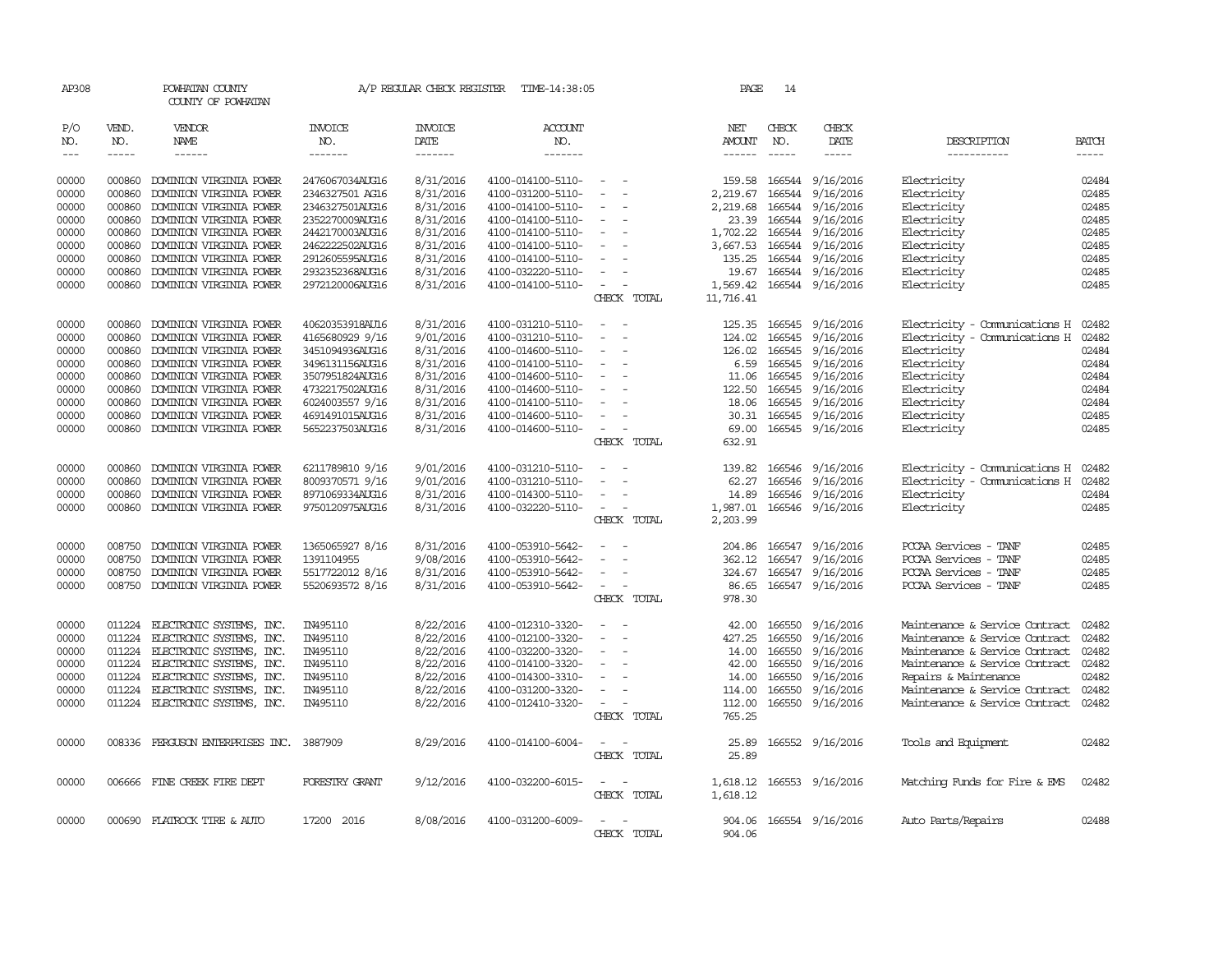| AP308                          |              | POWHATAN COUNTY<br>COUNTY OF POWHATAN    |                 | A/P REGULAR CHECK REGISTER | TIME-14:38:05         |                                                      | PAGE             | 14           |                  |                                      |              |
|--------------------------------|--------------|------------------------------------------|-----------------|----------------------------|-----------------------|------------------------------------------------------|------------------|--------------|------------------|--------------------------------------|--------------|
| P/O<br>NO.                     | VEND.<br>NO. | VENDOR<br>NAME                           | INVOICE<br>NO.  | INVOICE<br>DATE            | <b>ACCOUNT</b><br>NO. |                                                      | NET<br>AMOUNT    | CHECK<br>NO. | CHECK<br>DATE    | DESCRIPTION                          | <b>BATCH</b> |
| $\!\!\!\!\!-\!-\!$ $\!\!\!-\!$ | $\cdots$     | ------                                   | -------         | -------                    | -------               |                                                      |                  | $- - - - -$  | -----            | -----------                          | $- - - - -$  |
| 00000                          | 000860       |                                          | 2476067034AUG16 | 8/31/2016                  |                       | $\sim$                                               |                  |              |                  | Electricity                          | 02484        |
|                                |              | DOMINION VIRGINIA POWER                  |                 |                            | 4100-014100-5110-     | $\sim$                                               | 159.58           | 166544       | 9/16/2016        |                                      |              |
| 00000                          | 000860       | DOMINION VIRGINIA POWER                  | 2346327501 AG16 | 8/31/2016                  | 4100-031200-5110-     |                                                      | 2,219.67         | 166544       | 9/16/2016        | Electricity                          | 02485        |
| 00000                          | 000860       | DOMINION VIRGINIA POWER                  | 2346327501AUG16 | 8/31/2016                  | 4100-014100-5110-     |                                                      | 2,219.68         | 166544       | 9/16/2016        | Electricity                          | 02485        |
| 00000                          | 000860       | DOMINION VIRGINIA POWER                  | 2352270009AUG16 | 8/31/2016                  | 4100-014100-5110-     | $\equiv$                                             | 23.39            | 166544       | 9/16/2016        | Electricity                          | 02485        |
| 00000                          | 000860       | DOMINION VIRGINIA POWER                  | 2442170003AUG16 | 8/31/2016                  | 4100-014100-5110-     | $\overline{\phantom{a}}$<br>$\sim$                   | 1,702.22         | 166544       | 9/16/2016        | Electricity                          | 02485        |
| 00000                          | 000860       | DOMINION VIRGINIA POWER                  | 2462222502AUG16 | 8/31/2016                  | 4100-014100-5110-     |                                                      | 3,667.53         | 166544       | 9/16/2016        | Electricity                          | 02485        |
| 00000                          | 000860       | DOMINION VIRGINIA POWER                  | 2912605595AUG16 | 8/31/2016                  | 4100-014100-5110-     |                                                      | 135.25           | 166544       | 9/16/2016        | Electricity                          | 02485        |
| 00000                          | 000860       | DOMINION VIRGINIA POWER                  | 2932352368AUG16 | 8/31/2016                  | 4100-032220-5110-     | $\overline{\phantom{a}}$                             | 19.67            |              | 166544 9/16/2016 | Electricity                          | 02485        |
| 00000                          | 000860       | DOMINION VIRGINIA POWER                  | 2972120006AUG16 | 8/31/2016                  | 4100-014100-5110-     | $\overline{\phantom{a}}$<br>$\overline{a}$           | 1,569.42         |              | 166544 9/16/2016 | Electricity                          | 02485        |
|                                |              |                                          |                 |                            |                       | CHECK TOTAL                                          | 11,716.41        |              |                  |                                      |              |
| 00000                          | 000860       | DOMINION VIRGINIA POWER                  | 40620353918AU16 | 8/31/2016                  | 4100-031210-5110-     |                                                      | 125.35           | 166545       | 9/16/2016        | Electricity - Comunications H        | 02482        |
| 00000                          | 000860       | DOMINION VIRGINIA POWER                  | 4165680929 9/16 | 9/01/2016                  | 4100-031210-5110-     | $\sim$                                               | 124.02           | 166545       | 9/16/2016        | Electricity - Comunications H        | 02482        |
| 00000                          | 000860       | DOMINION VIRGINIA POWER                  | 3451094936AUG16 | 8/31/2016                  | 4100-014600-5110-     | $\overline{\phantom{a}}$                             | 126.02           | 166545       | 9/16/2016        | Electricity                          | 02484        |
| 00000                          | 000860       | DOMINION VIRGINIA POWER                  | 3496131156AUG16 | 8/31/2016                  | 4100-014100-5110-     | $\overline{\phantom{a}}$                             | 6.59             | 166545       | 9/16/2016        | Electricity                          | 02484        |
| 00000                          | 000860       | DOMINION VIRGINIA POWER                  | 3507951824AUG16 | 8/31/2016                  | 4100-014600-5110-     | $\overline{\phantom{a}}$                             | 11.06            | 166545       | 9/16/2016        | Electricity                          | 02484        |
| 00000                          | 000860       | DOMINION VIRGINIA POWER                  | 4732217502AUG16 | 8/31/2016                  | 4100-014600-5110-     |                                                      | 122.50           | 166545       | 9/16/2016        | Electricity                          | 02484        |
| 00000                          | 000860       | DOMINION VIRGINIA POWER                  | 6024003557 9/16 | 8/31/2016                  | 4100-014100-5110-     | $\equiv$<br>$\overline{\phantom{a}}$                 | 18.06            | 166545       | 9/16/2016        | Electricity                          | 02484        |
| 00000                          | 000860       | DOMINION VIRGINIA POWER                  | 4691491015AUG16 | 8/31/2016                  | 4100-014600-5110-     | $\overline{\phantom{a}}$                             | 30.31            | 166545       | 9/16/2016        | Electricity                          | 02485        |
| 00000                          | 000860       | DOMINION VIRGINIA POWER                  | 5652237503AUG16 | 8/31/2016                  | 4100-014600-5110-     | $\sim$<br>$\overline{\phantom{a}}$                   | 69.00            |              | 166545 9/16/2016 | Electricity                          | 02485        |
|                                |              |                                          |                 |                            |                       | CHECK TOTAL                                          | 632.91           |              |                  |                                      |              |
| 00000                          | 000860       | DOMINION VIRGINIA POWER                  | 6211789810 9/16 | 9/01/2016                  | 4100-031210-5110-     |                                                      | 139.82           | 166546       | 9/16/2016        | Electricity - Comunications H        | 02482        |
| 00000                          | 000860       | DOMINION VIRGINIA POWER                  | 8009370571 9/16 | 9/01/2016                  | 4100-031210-5110-     |                                                      | 62.27            | 166546       | 9/16/2016        | Electricity - Comunications H        | 02482        |
| 00000                          | 000860       | DOMINION VIRGINIA POWER                  | 8971069334AUG16 | 8/31/2016                  | 4100-014300-5110-     | $\equiv$                                             | 14.89            |              | 166546 9/16/2016 | Electricity                          | 02484        |
| 00000                          | 000860       | DOMINION VIRGINIA POWER                  | 9750120975AUG16 | 8/31/2016                  | 4100-032220-5110-     | $\overline{\phantom{a}}$<br>$\overline{\phantom{a}}$ | 1,987.01         |              | 166546 9/16/2016 | Electricity                          | 02485        |
|                                |              |                                          |                 |                            |                       | CHECK TOTAL                                          | 2,203.99         |              |                  |                                      |              |
| 00000                          | 008750       | DOMINION VIRGINIA POWER                  | 1365065927 8/16 | 8/31/2016                  | 4100-053910-5642-     |                                                      | 204.86           | 166547       | 9/16/2016        | PCCAA Services - TANF                | 02485        |
| 00000                          | 008750       | DOMINION VIRGINIA POWER                  | 1391104955      | 9/08/2016                  | 4100-053910-5642-     |                                                      | 362.12           | 166547       | 9/16/2016        | PCCAA Services - TANF                | 02485        |
| 00000                          | 008750       | DOMINION VIRGINIA POWER                  | 5517722012 8/16 | 8/31/2016                  | 4100-053910-5642-     | $\sim$                                               | 324.67           |              | 166547 9/16/2016 | PCCAA Services - TANF                | 02485        |
| 00000                          |              | 008750 DOMINION VIRGINIA POWER           | 5520693572 8/16 | 8/31/2016                  | 4100-053910-5642-     | $\equiv$                                             | 86.65            |              | 166547 9/16/2016 | PCCAA Services - TANF                | 02485        |
|                                |              |                                          |                 |                            |                       | CHECK TOTAL                                          | 978.30           |              |                  |                                      |              |
|                                |              |                                          |                 |                            |                       |                                                      |                  |              |                  |                                      |              |
| 00000                          | 011224       | ELECTRONIC SYSTEMS, INC.                 | IN495110        | 8/22/2016                  | 4100-012310-3320-     | $\overline{\phantom{a}}$<br>$\overline{\phantom{a}}$ | 42.00            | 166550       | 9/16/2016        | Maintenance & Service Contract       | 02482        |
| 00000                          | 011224       | ELECTRONIC SYSTEMS, INC.                 | IN495110        | 8/22/2016                  | 4100-012100-3320-     | $\overline{\phantom{a}}$<br>$\sim$                   | 427.25           | 166550       | 9/16/2016        | Maintenance & Service Contract       | 02482        |
| 00000                          | 011224       | ELECTRONIC SYSTEMS, INC.                 | IN495110        | 8/22/2016                  | 4100-032200-3320-     |                                                      | 14.00            | 166550       | 9/16/2016        | Maintenance & Service Contract       | 02482        |
| 00000                          | 011224       | ELECTRONIC SYSTEMS, INC.                 | IN495110        | 8/22/2016                  | 4100-014100-3320-     |                                                      | 42.00            | 166550       | 9/16/2016        | Maintenance & Service Contract 02482 |              |
| 00000                          | 011224       | ELECTRONIC SYSTEMS, INC.                 | IN495110        | 8/22/2016                  | 4100-014300-3310-     | $\overline{\phantom{a}}$                             | 14.00            | 166550       | 9/16/2016        | Repairs & Maintenance                | 02482        |
| 00000                          | 011224       | ELECTRONIC SYSTEMS, INC.                 | IN495110        | 8/22/2016                  | 4100-031200-3320-     | $\overline{\phantom{a}}$                             | 114.00           | 166550       | 9/16/2016        | Maintenance & Service Contract       | 02482        |
| 00000                          |              | 011224 ELECTRONIC SYSTEMS, INC.          | IN495110        | 8/22/2016                  | 4100-012410-3320-     | CHECK TOTAL                                          | 112.00<br>765.25 |              | 166550 9/16/2016 | Maintenance & Service Contract       | 02482        |
|                                |              |                                          |                 |                            |                       |                                                      |                  |              |                  |                                      |              |
| 00000                          |              | 008336 FERGUSON ENTERPRISES INC. 3887909 |                 | 8/29/2016                  | 4100-014100-6004-     | $\sim$<br>CHECK TOTAL                                | 25.89            |              | 166552 9/16/2016 | Tools and Equipment                  | 02482        |
|                                |              |                                          |                 |                            |                       |                                                      | 25.89            |              |                  |                                      |              |
| 00000                          |              | 006666 FINE CREEK FIRE DEPT              | FORESTRY GRANT  | 9/12/2016                  | 4100-032200-6015-     |                                                      | 1,618.12         |              | 166553 9/16/2016 | Matching Funds for Fire & EMS        | 02482        |
|                                |              |                                          |                 |                            |                       | CHECK TOTAL                                          | 1,618.12         |              |                  |                                      |              |
| 00000                          |              | 000690 FLATROCK TIRE & AUTO              | 17200 2016      | 8/08/2016                  | 4100-031200-6009-     |                                                      | 904.06           |              | 166554 9/16/2016 | Auto Parts/Repairs                   | 02488        |
|                                |              |                                          |                 |                            |                       | CHECK TOTAL                                          | 904.06           |              |                  |                                      |              |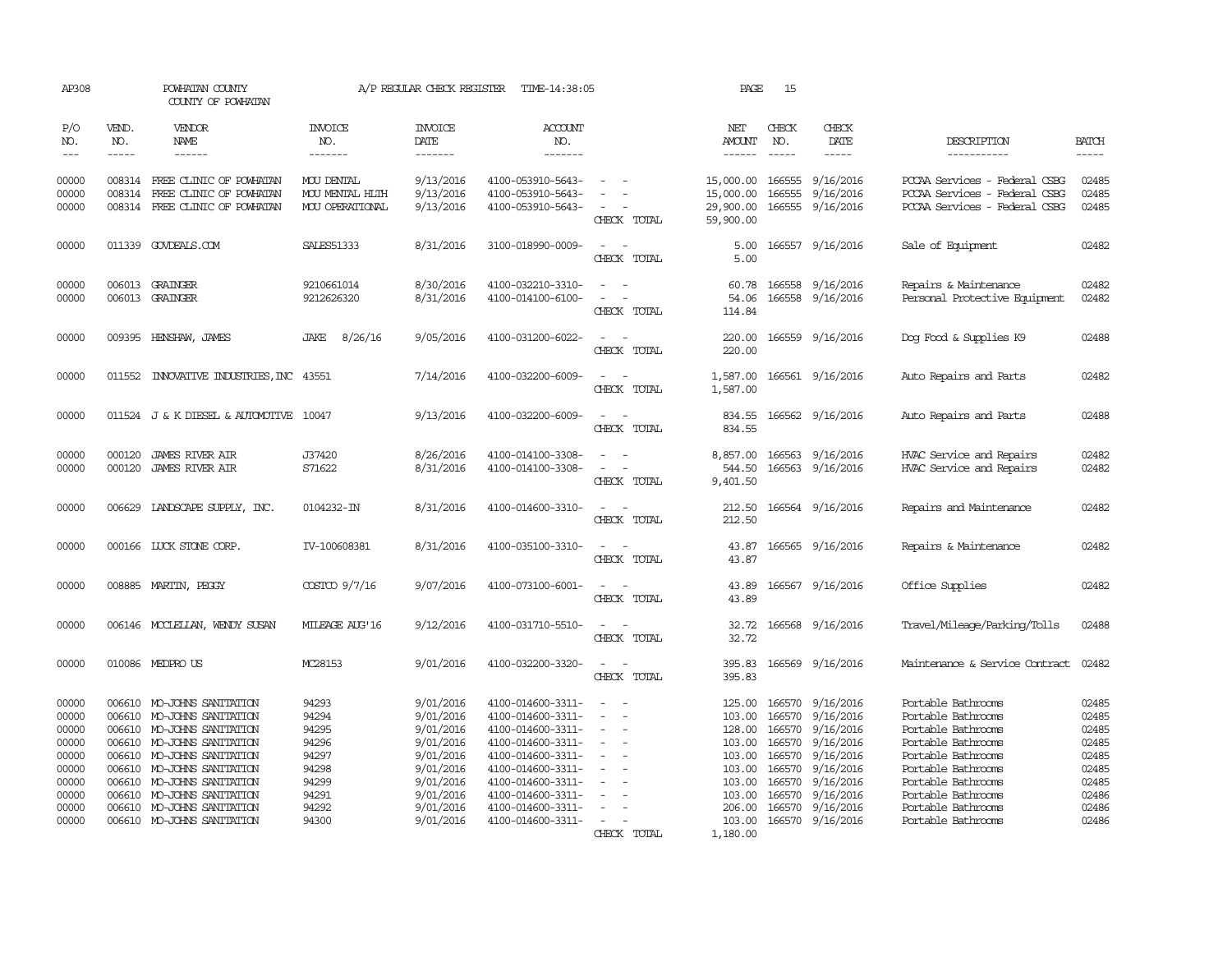| AP308                                                                                  |                                      | POWHATAN COUNTY<br>COUNTY OF POWHATAN                                                                                                                                                                                                                                        |                                                                                        | A/P REGULAR CHECK REGISTER                                                                                                     | TIME-14:38:05                                                                                                                                                                                                  |                                                                                                       | PAGE                                                                                                         | 15                                                                           |                                                                                                                                              |                                                                                                                                                                                                                          |                                                                                        |
|----------------------------------------------------------------------------------------|--------------------------------------|------------------------------------------------------------------------------------------------------------------------------------------------------------------------------------------------------------------------------------------------------------------------------|----------------------------------------------------------------------------------------|--------------------------------------------------------------------------------------------------------------------------------|----------------------------------------------------------------------------------------------------------------------------------------------------------------------------------------------------------------|-------------------------------------------------------------------------------------------------------|--------------------------------------------------------------------------------------------------------------|------------------------------------------------------------------------------|----------------------------------------------------------------------------------------------------------------------------------------------|--------------------------------------------------------------------------------------------------------------------------------------------------------------------------------------------------------------------------|----------------------------------------------------------------------------------------|
| P/O<br>NO.<br>$---$                                                                    | VEND.<br>NO.<br>$- - - - -$          | VENDOR<br><b>NAME</b><br>------                                                                                                                                                                                                                                              | <b>INVOICE</b><br>NO.<br>-------                                                       | <b>INVOICE</b><br>DATE<br>-------                                                                                              | <b>ACCOUNT</b><br>NO.<br>-------                                                                                                                                                                               |                                                                                                       | NET<br>AMOUNT                                                                                                | CHECK<br>NO.<br>$- - - - -$                                                  | CHECK<br>DATE<br>-----                                                                                                                       | DESCRIPTION<br>-----------                                                                                                                                                                                               | <b>BATCH</b><br>$- - - - -$                                                            |
| 00000<br>00000<br>00000                                                                | 008314                               | 008314 FREE CLINIC OF POWHATAN<br>FREE CLINIC OF POWHATAN<br>008314 FREE CLINIC OF POWHATAN                                                                                                                                                                                  | MOU DENTAL<br>MOU MENTAL HLTH<br>MOU OPERATIONAL                                       | 9/13/2016<br>9/13/2016<br>9/13/2016                                                                                            | 4100-053910-5643-<br>4100-053910-5643-<br>4100-053910-5643-                                                                                                                                                    | CHECK TOTAL                                                                                           | 15,000.00<br>15,000.00<br>29,900.00<br>59,900.00                                                             | 166555<br>166555                                                             | 9/16/2016<br>9/16/2016<br>166555 9/16/2016                                                                                                   | PCCAA Services - Federal CSBG<br>PCCAA Services - Federal CSBG<br>PCCAA Services - Federal CSBG                                                                                                                          | 02485<br>02485<br>02485                                                                |
| 00000                                                                                  |                                      | 011339 GOVDEALS.COM                                                                                                                                                                                                                                                          | <b>SALES51333</b>                                                                      | 8/31/2016                                                                                                                      | 3100-018990-0009-                                                                                                                                                                                              | CHECK TOTAL                                                                                           | 5.00<br>5.00                                                                                                 |                                                                              | 166557 9/16/2016                                                                                                                             | Sale of Equipment                                                                                                                                                                                                        | 02482                                                                                  |
| 00000<br>00000                                                                         |                                      | 006013 GRAINGER<br>006013 GRAINGER                                                                                                                                                                                                                                           | 9210661014<br>9212626320                                                               | 8/30/2016<br>8/31/2016                                                                                                         | 4100-032210-3310-<br>4100-014100-6100-                                                                                                                                                                         | CHECK TOTAL                                                                                           | 60.78<br>54.06<br>114.84                                                                                     |                                                                              | 166558 9/16/2016<br>166558 9/16/2016                                                                                                         | Repairs & Maintenance<br>Personal Protective Equipment                                                                                                                                                                   | 02482<br>02482                                                                         |
| 00000                                                                                  |                                      | 009395 HENSHAW, JAMES                                                                                                                                                                                                                                                        | 8/26/16<br>JAKE                                                                        | 9/05/2016                                                                                                                      | 4100-031200-6022-                                                                                                                                                                                              | CHECK TOTAL                                                                                           | 220.00<br>220.00                                                                                             |                                                                              | 166559 9/16/2016                                                                                                                             | Dog Food & Supplies K9                                                                                                                                                                                                   | 02488                                                                                  |
| 00000                                                                                  | 011552                               | INVATIVE INDUSTRIES, INC 43551                                                                                                                                                                                                                                               |                                                                                        | 7/14/2016                                                                                                                      | 4100-032200-6009-                                                                                                                                                                                              | $\sim$<br>$\sim$<br>CHECK TOTAL                                                                       | 1,587.00<br>1,587.00                                                                                         |                                                                              | 166561 9/16/2016                                                                                                                             | Auto Repairs and Parts                                                                                                                                                                                                   | 02482                                                                                  |
| 00000                                                                                  |                                      | 011524 J & K DIESEL & AUTOMOTIVE 10047                                                                                                                                                                                                                                       |                                                                                        | 9/13/2016                                                                                                                      | 4100-032200-6009-                                                                                                                                                                                              | CHECK TOTAL                                                                                           | 834.55<br>834.55                                                                                             |                                                                              | 166562 9/16/2016                                                                                                                             | Auto Repairs and Parts                                                                                                                                                                                                   | 02488                                                                                  |
| 00000<br>00000                                                                         | 000120<br>000120                     | <b>JAMES RIVER AIR</b><br><b>JAMES RIVER AIR</b>                                                                                                                                                                                                                             | J37420<br>S71622                                                                       | 8/26/2016<br>8/31/2016                                                                                                         | 4100-014100-3308-<br>4100-014100-3308-                                                                                                                                                                         | CHECK TOTAL                                                                                           | 8,857.00<br>544.50<br>9,401.50                                                                               |                                                                              | 166563 9/16/2016<br>166563 9/16/2016                                                                                                         | HVAC Service and Repairs<br>HVAC Service and Repairs                                                                                                                                                                     | 02482<br>02482                                                                         |
| 00000                                                                                  | 006629                               | LANDSCAPE SUPPLY, INC.                                                                                                                                                                                                                                                       | 0104232-IN                                                                             | 8/31/2016                                                                                                                      | 4100-014600-3310-                                                                                                                                                                                              | CHECK TOTAL                                                                                           | 212.50<br>212.50                                                                                             |                                                                              | 166564 9/16/2016                                                                                                                             | Repairs and Maintenance                                                                                                                                                                                                  | 02482                                                                                  |
| 00000                                                                                  |                                      | 000166 LUCK STONE CORP.                                                                                                                                                                                                                                                      | IV-100608381                                                                           | 8/31/2016                                                                                                                      | 4100-035100-3310-                                                                                                                                                                                              | CHECK TOTAL                                                                                           | 43.87<br>43.87                                                                                               |                                                                              | 166565 9/16/2016                                                                                                                             | Repairs & Maintenance                                                                                                                                                                                                    | 02482                                                                                  |
| 00000                                                                                  |                                      | 008885 MARTIN, PEGGY                                                                                                                                                                                                                                                         | COSTCO 9/7/16                                                                          | 9/07/2016                                                                                                                      | 4100-073100-6001-                                                                                                                                                                                              | $\equiv$<br>CHECK TOTAL                                                                               | 43.89<br>43.89                                                                                               |                                                                              | 166567 9/16/2016                                                                                                                             | Office Supplies                                                                                                                                                                                                          | 02482                                                                                  |
| 00000                                                                                  |                                      | 006146 MCCLELLAN, WENDY SUSAN                                                                                                                                                                                                                                                | MILEAGE AUG'16                                                                         | 9/12/2016                                                                                                                      | 4100-031710-5510-                                                                                                                                                                                              | CHECK TOTAL                                                                                           | 32.72<br>32.72                                                                                               |                                                                              | 166568 9/16/2016                                                                                                                             | Travel/Mileage/Parking/Tolls                                                                                                                                                                                             | 02488                                                                                  |
| 00000                                                                                  |                                      | 010086 MEDPROUS                                                                                                                                                                                                                                                              | MC28153                                                                                | 9/01/2016                                                                                                                      | 4100-032200-3320-                                                                                                                                                                                              | $\sim$<br>$\sim$<br>CHECK TOTAL                                                                       | 395.83<br>395.83                                                                                             |                                                                              | 166569 9/16/2016                                                                                                                             | Maintenance & Service Contract                                                                                                                                                                                           | 02482                                                                                  |
| 00000<br>00000<br>00000<br>00000<br>00000<br>00000<br>00000<br>00000<br>00000<br>00000 | 006610<br>006610<br>006610<br>006610 | 006610 MO-JOHNS SANITATION<br>006610 MO-JOHNS SANITATION<br>006610 MO-JOHNS SANITATION<br>006610 MO-JOHNS SANITATION<br>006610 MO-JOHNS SANITATION<br>MO-JOHNS SANITATION<br>MO-JOHNS SANITATION<br>MO-JOHNS SANITATION<br>MO-JOHNS SANITATION<br>006610 MO-JOHNS SANITATION | 94293<br>94294<br>94295<br>94296<br>94297<br>94298<br>94299<br>94291<br>94292<br>94300 | 9/01/2016<br>9/01/2016<br>9/01/2016<br>9/01/2016<br>9/01/2016<br>9/01/2016<br>9/01/2016<br>9/01/2016<br>9/01/2016<br>9/01/2016 | 4100-014600-3311-<br>4100-014600-3311-<br>4100-014600-3311-<br>4100-014600-3311-<br>4100-014600-3311-<br>4100-014600-3311-<br>4100-014600-3311-<br>4100-014600-3311-<br>4100-014600-3311-<br>4100-014600-3311- | $\equiv$<br>$\overline{\phantom{a}}$<br>$\equiv$<br>$\overline{\phantom{a}}$<br>$\sim$<br>CHECK TOTAL | 125.00<br>103.00<br>128,00<br>103.00<br>103.00<br>103.00<br>103.00<br>103.00<br>206.00<br>103.00<br>1,180.00 | 166570<br>166570<br>166570<br>166570<br>166570<br>166570<br>166570<br>166570 | 166570 9/16/2016<br>9/16/2016<br>9/16/2016<br>9/16/2016<br>9/16/2016<br>9/16/2016<br>9/16/2016<br>9/16/2016<br>9/16/2016<br>166570 9/16/2016 | Portable Bathrooms<br>Portable Bathrooms<br>Portable Bathrooms<br>Portable Bathrooms<br>Portable Bathrooms<br>Portable Bathrooms<br>Portable Bathrooms<br>Portable Bathrooms<br>Portable Bathrooms<br>Portable Bathrooms | 02485<br>02485<br>02485<br>02485<br>02485<br>02485<br>02485<br>02486<br>02486<br>02486 |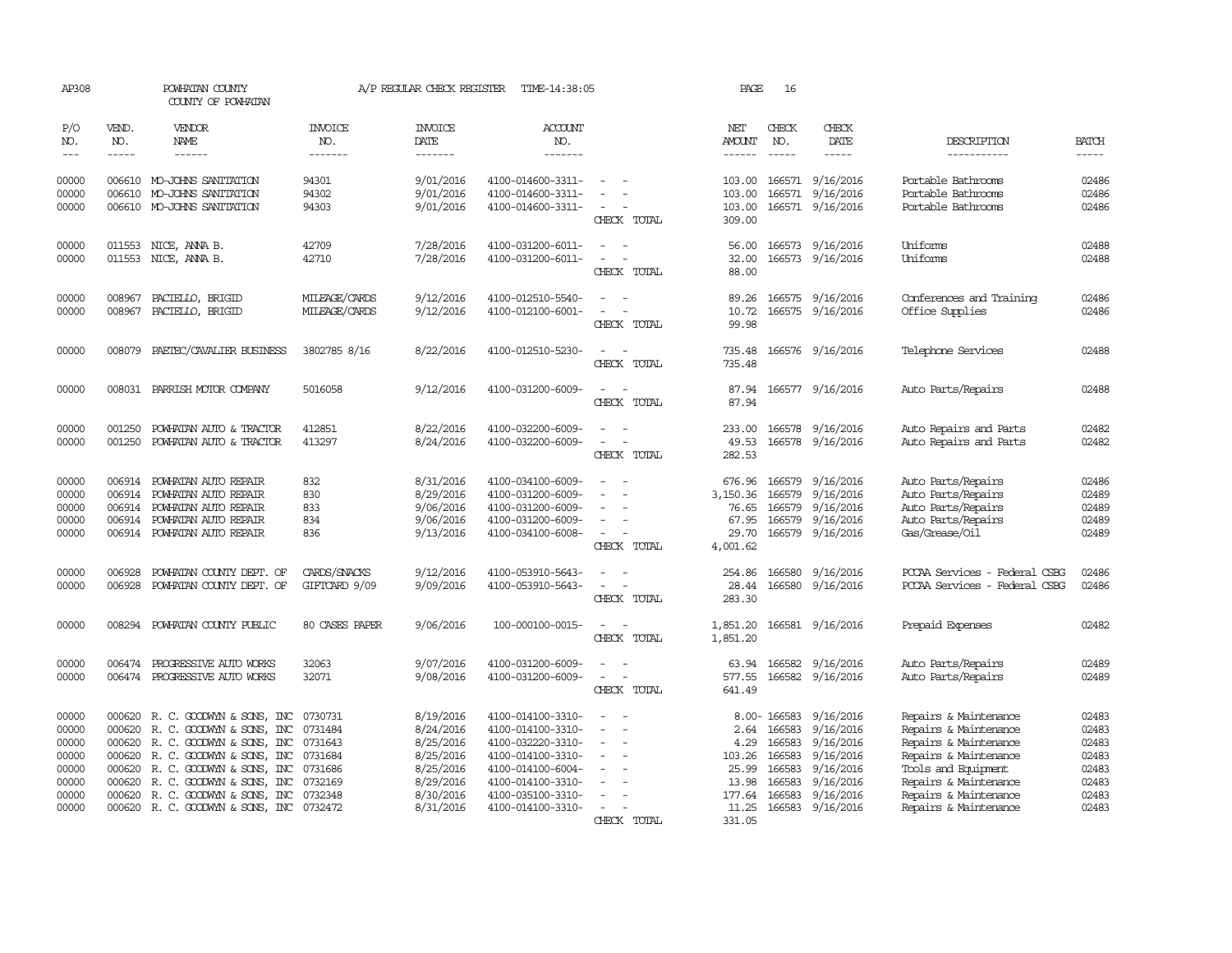| AP308                                                                |                                      | POWHATAN COUNTY<br>COUNTY OF POWHATAN                                                                                                                                                                                                                                   |                                                                           | A/P REGULAR CHECK REGISTER                                                                           | TIME-14:38:05                                                                                                                                                        |                                                                 | PAGE                                                                                 | 16                                                       |                                                                                                             |                                                                                                                                                                                                    |                                                                      |
|----------------------------------------------------------------------|--------------------------------------|-------------------------------------------------------------------------------------------------------------------------------------------------------------------------------------------------------------------------------------------------------------------------|---------------------------------------------------------------------------|------------------------------------------------------------------------------------------------------|----------------------------------------------------------------------------------------------------------------------------------------------------------------------|-----------------------------------------------------------------|--------------------------------------------------------------------------------------|----------------------------------------------------------|-------------------------------------------------------------------------------------------------------------|----------------------------------------------------------------------------------------------------------------------------------------------------------------------------------------------------|----------------------------------------------------------------------|
| P/O<br>NO.<br>$---$                                                  | VEND.<br>NO.<br>$- - - - -$          | <b>VENDOR</b><br>NAME<br>$- - - - - -$                                                                                                                                                                                                                                  | <b>INVOICE</b><br>NO.<br>-------                                          | <b>INVOICE</b><br>DATE<br>-------                                                                    | <b>ACCOUNT</b><br>NO.<br>-------                                                                                                                                     |                                                                 | NET<br><b>AMOUNT</b><br>$- - - - - -$                                                | CHECK<br>NO.<br>$- - - - -$                              | CHECK<br>DATE<br>-----                                                                                      | DESCRIPTION<br>-----------                                                                                                                                                                         | <b>BATCH</b><br>$- - - - -$                                          |
| 00000<br>00000<br>00000                                              |                                      | 006610 MO-JOHNS SANITATION<br>006610 MO-JOHNS SANITATION<br>006610 MO-JOHNS SANITATION                                                                                                                                                                                  | 94301<br>94302<br>94303                                                   | 9/01/2016<br>9/01/2016<br>9/01/2016                                                                  | 4100-014600-3311-<br>4100-014600-3311-<br>4100-014600-3311-                                                                                                          | CHECK TOTAL                                                     | 103.00<br>103.00<br>103.00<br>309.00                                                 | 166571<br>166571                                         | 9/16/2016<br>9/16/2016<br>166571 9/16/2016                                                                  | Portable Bathrooms<br>Portable Bathrooms<br>Portable Bathrooms                                                                                                                                     | 02486<br>02486<br>02486                                              |
| 00000<br>00000                                                       | 011553                               | NICE, ANNA B.<br>011553 NICE, ANNA B.                                                                                                                                                                                                                                   | 42709<br>42710                                                            | 7/28/2016<br>7/28/2016                                                                               | 4100-031200-6011-<br>4100-031200-6011-                                                                                                                               | $\equiv$<br>CHECK TOTAL                                         | 56.00<br>32.00<br>88.00                                                              |                                                          | 166573 9/16/2016<br>166573 9/16/2016                                                                        | Uniforms<br>Uniforms                                                                                                                                                                               | 02488<br>02488                                                       |
| 00000<br>00000                                                       | 008967<br>008967                     | PACIELLO, BRIGID<br>PACIELLO, BRIGID                                                                                                                                                                                                                                    | MILEAGE/CARDS<br>MILEAGE/CARDS                                            | 9/12/2016<br>9/12/2016                                                                               | 4100-012510-5540-<br>4100-012100-6001-                                                                                                                               | $\sim$<br>$\equiv$<br>CHECK TOTAL                               | 89.26<br>10.72<br>99.98                                                              |                                                          | 166575 9/16/2016<br>166575 9/16/2016                                                                        | Conferences and Training<br>Office Supplies                                                                                                                                                        | 02486<br>02486                                                       |
| 00000                                                                | 008079                               | PAETEC/CAVALIER BUSINESS                                                                                                                                                                                                                                                | 3802785 8/16                                                              | 8/22/2016                                                                                            | 4100-012510-5230-                                                                                                                                                    | CHECK TOTAL                                                     | 735.48<br>735.48                                                                     |                                                          | 166576 9/16/2016                                                                                            | Telephone Services                                                                                                                                                                                 | 02488                                                                |
| 00000                                                                |                                      | 008031 PARRISH MOTOR COMPANY                                                                                                                                                                                                                                            | 5016058                                                                   | 9/12/2016                                                                                            | 4100-031200-6009-                                                                                                                                                    | CHECK TOTAL                                                     | 87.94<br>87.94                                                                       |                                                          | 166577 9/16/2016                                                                                            | Auto Parts/Repairs                                                                                                                                                                                 | 02488                                                                |
| 00000<br>00000                                                       | 001250<br>001250                     | POWHATAN AUTO & TRACTOR<br>POWHATAN AUTO & TRACTOR                                                                                                                                                                                                                      | 412851<br>413297                                                          | 8/22/2016<br>8/24/2016                                                                               | 4100-032200-6009-<br>4100-032200-6009-                                                                                                                               | CHECK TOTAL                                                     | 233.00<br>49.53<br>282.53                                                            | 166578                                                   | 9/16/2016<br>166578 9/16/2016                                                                               | Auto Repairs and Parts<br>Auto Repairs and Parts                                                                                                                                                   | 02482<br>02482                                                       |
| 00000<br>00000<br>00000<br>00000<br>00000                            | 006914<br>006914                     | 006914 POWHATAN AUTO REPAIR<br>POWHATAN AUTO REPAIR<br>POWHATAN AUTO REPAIR<br>006914 POWHATAN AUTO REPAIR<br>006914 POWHATAN AUTO REPAIR                                                                                                                               | 832<br>830<br>833<br>834<br>836                                           | 8/31/2016<br>8/29/2016<br>9/06/2016<br>9/06/2016<br>9/13/2016                                        | 4100-034100-6009-<br>4100-031200-6009-<br>4100-031200-6009-<br>4100-031200-6009-<br>4100-034100-6008-                                                                | $\equiv$<br>$\equiv$<br>$\overline{\phantom{a}}$<br>CHECK TOTAL | 676.96<br>3,150.36<br>76.65<br>67.95<br>29.70<br>4,001.62                            | 166579<br>166579<br>166579<br>166579                     | 9/16/2016<br>9/16/2016<br>9/16/2016<br>9/16/2016<br>166579 9/16/2016                                        | Auto Parts/Repairs<br>Auto Parts/Repairs<br>Auto Parts/Repairs<br>Auto Parts/Repairs<br>Gas/Grease/Oil                                                                                             | 02486<br>02489<br>02489<br>02489<br>02489                            |
| 00000<br>00000                                                       | 006928<br>006928                     | POWHATAN COUNTY DEPT. OF<br>POWHATAN COUNTY DEPT. OF                                                                                                                                                                                                                    | CARDS/SNACKS<br>GIFTCARD 9/09                                             | 9/12/2016<br>9/09/2016                                                                               | 4100-053910-5643-<br>4100-053910-5643-                                                                                                                               | CHECK TOTAL                                                     | 254.86<br>28.44<br>283.30                                                            | 166580                                                   | 9/16/2016<br>166580 9/16/2016                                                                               | PCCAA Services - Federal CSBG<br>PCCAA Services - Federal CSBG                                                                                                                                     | 02486<br>02486                                                       |
| 00000                                                                |                                      | 008294 POWHATAN COUNTY PUBLIC                                                                                                                                                                                                                                           | 80 CASES PAPER                                                            | 9/06/2016                                                                                            | 100-000100-0015-                                                                                                                                                     | CHECK TOTAL                                                     | 1,851.20<br>1,851.20                                                                 |                                                          | 166581 9/16/2016                                                                                            | Prepaid Expenses                                                                                                                                                                                   | 02482                                                                |
| 00000<br>00000                                                       | 006474                               | PROGRESSIVE AUTO WORKS<br>006474 PROGRESSIVE AUTO WORKS                                                                                                                                                                                                                 | 32063<br>32071                                                            | 9/07/2016<br>9/08/2016                                                                               | 4100-031200-6009-<br>4100-031200-6009-                                                                                                                               | $\sim$<br>$\overline{\phantom{a}}$<br>CHECK TOTAL               | 63.94<br>577.55<br>641.49                                                            | 166582                                                   | 9/16/2016<br>166582 9/16/2016                                                                               | Auto Parts/Repairs<br>Auto Parts/Repairs                                                                                                                                                           | 02489<br>02489                                                       |
| 00000<br>00000<br>00000<br>00000<br>00000<br>00000<br>00000<br>00000 | 000620<br>000620<br>000620<br>000620 | 000620 R.C. GOODWYN & SONS, INC<br>R. C. GOODWYN & SONS, INC<br>000620 R. C. GOODWYN & SONS, INC<br>R. C. GOODWYN & SONS, INC<br>R. C. GOODWYN & SONS, INC<br>000620 R. C. GOODWYN & SONS, INC<br>R. C. GOODWYN & SONS, INC<br>000620 R. C. GOODWYN & SONS, INC 0732472 | 0730731<br>0731484<br>0731643<br>0731684<br>0731686<br>0732169<br>0732348 | 8/19/2016<br>8/24/2016<br>8/25/2016<br>8/25/2016<br>8/25/2016<br>8/29/2016<br>8/30/2016<br>8/31/2016 | 4100-014100-3310-<br>4100-014100-3310-<br>4100-032220-3310-<br>4100-014100-3310-<br>4100-014100-6004-<br>4100-014100-3310-<br>4100-035100-3310-<br>4100-014100-3310- | $\equiv$<br>CHECK TOTAL                                         | 8.00-166583<br>2.64<br>4.29<br>103.26<br>25.99<br>13.98<br>177.64<br>11.25<br>331.05 | 166583<br>166583<br>166583<br>166583<br>166583<br>166583 | 9/16/2016<br>9/16/2016<br>9/16/2016<br>9/16/2016<br>9/16/2016<br>9/16/2016<br>9/16/2016<br>166583 9/16/2016 | Repairs & Maintenance<br>Repairs & Maintenance<br>Repairs & Maintenance<br>Repairs & Maintenance<br>Tools and Equipment<br>Repairs & Maintenance<br>Repairs & Maintenance<br>Repairs & Maintenance | 02483<br>02483<br>02483<br>02483<br>02483<br>02483<br>02483<br>02483 |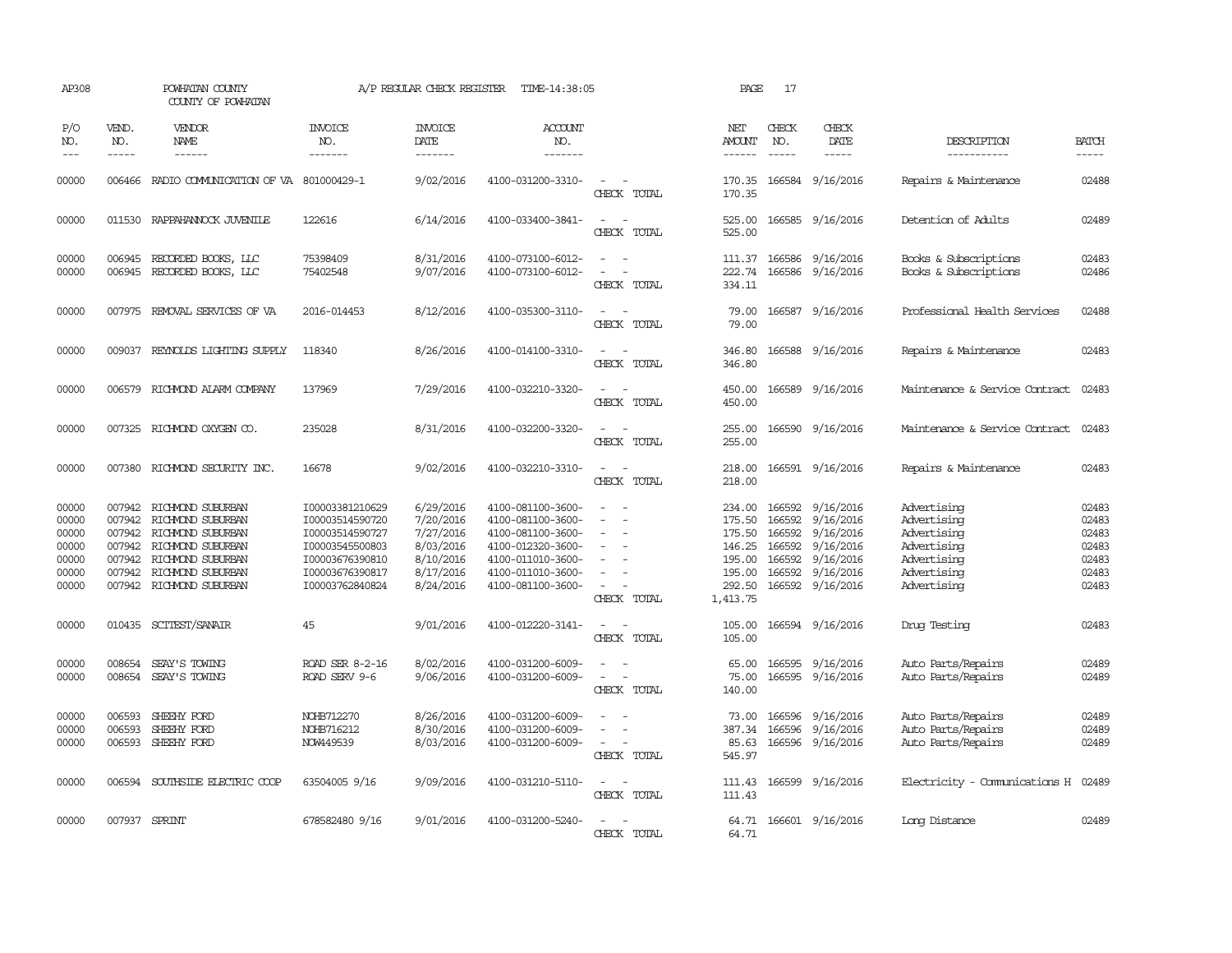| AP308                                                       |                                      | POWHATAN COUNTY<br>COUNTY OF POWHATAN                                                                                                                                |                                                                                                                                   | A/P REGULAR CHECK REGISTER                                                              | TIME-14:38:05                                                                                                                                   |                                               | PAGE                                                                           | 17                                                       |                                                                                                |                                                                                                       |                                                             |
|-------------------------------------------------------------|--------------------------------------|----------------------------------------------------------------------------------------------------------------------------------------------------------------------|-----------------------------------------------------------------------------------------------------------------------------------|-----------------------------------------------------------------------------------------|-------------------------------------------------------------------------------------------------------------------------------------------------|-----------------------------------------------|--------------------------------------------------------------------------------|----------------------------------------------------------|------------------------------------------------------------------------------------------------|-------------------------------------------------------------------------------------------------------|-------------------------------------------------------------|
| P/O<br>NO.<br>$---$                                         | VEND.<br>NO.<br>$\frac{1}{2}$        | <b>VENDOR</b><br>NAME<br>------                                                                                                                                      | <b>INVOICE</b><br>NO.<br>-------                                                                                                  | <b>INVOICE</b><br>DATE                                                                  | ACCOUNT<br>NO.<br>-------                                                                                                                       |                                               | NET<br>AMOUNT<br>$- - - - - -$                                                 | CHECK<br>NO.<br>$\frac{1}{2}$                            | CHECK<br>DATE                                                                                  | DESCRIPTION                                                                                           | <b>BATCH</b>                                                |
|                                                             |                                      |                                                                                                                                                                      |                                                                                                                                   | -------                                                                                 |                                                                                                                                                 |                                               |                                                                                |                                                          | -----                                                                                          | -----------                                                                                           | -----                                                       |
| 00000                                                       |                                      | 006466 RADIO COMMUNICATION OF VA 801000429-1                                                                                                                         |                                                                                                                                   | 9/02/2016                                                                               | 4100-031200-3310-                                                                                                                               | $\sim$ 100 $\mu$<br>$\sim$<br>CHECK TOTAL     | 170.35<br>170.35                                                               |                                                          | 166584 9/16/2016                                                                               | Repairs & Maintenance                                                                                 | 02488                                                       |
| 00000                                                       |                                      | 011530 RAPPAHANNOCK JUVENILE                                                                                                                                         | 122616                                                                                                                            | 6/14/2016                                                                               | 4100-033400-3841-                                                                                                                               | $\sim$<br>$\equiv$<br>CHECK TOTAL             | 525.00<br>525.00                                                               |                                                          | 166585 9/16/2016                                                                               | Detention of Adults                                                                                   | 02489                                                       |
| 00000<br>00000                                              |                                      | 006945 RECORDED BOOKS, LLC<br>006945 RECORDED BOOKS, LLC                                                                                                             | 75398409<br>75402548                                                                                                              | 8/31/2016<br>9/07/2016                                                                  | 4100-073100-6012-<br>4100-073100-6012-                                                                                                          | $\equiv$<br>CHECK TOTAL                       | 111.37<br>222.74<br>334.11                                                     |                                                          | 166586 9/16/2016<br>166586 9/16/2016                                                           | Books & Subscriptions<br>Books & Subscriptions                                                        | 02483<br>02486                                              |
| 00000                                                       |                                      | 007975 REMOVAL SERVICES OF VA                                                                                                                                        | 2016-014453                                                                                                                       | 8/12/2016                                                                               | 4100-035300-3110-                                                                                                                               | $\equiv$<br>. —<br>CHECK TOTAL                | 79.00<br>79.00                                                                 |                                                          | 166587 9/16/2016                                                                               | Professional Health Services                                                                          | 02488                                                       |
| 00000                                                       |                                      | 009037 REYNOLDS LIGHTING SUPPLY                                                                                                                                      | 118340                                                                                                                            | 8/26/2016                                                                               | 4100-014100-3310-                                                                                                                               | CHECK TOTAL                                   | 346.80<br>346.80                                                               |                                                          | 166588 9/16/2016                                                                               | Repairs & Maintenance                                                                                 | 02483                                                       |
| 00000                                                       |                                      | 006579 RICHMOND ALARM COMPANY                                                                                                                                        | 137969                                                                                                                            | 7/29/2016                                                                               | 4100-032210-3320-                                                                                                                               | CHECK TOTAL                                   | 450.00<br>450.00                                                               |                                                          | 166589 9/16/2016                                                                               | Maintenance & Service Contract                                                                        | 02483                                                       |
| 00000                                                       |                                      | 007325 RICHMOND OXYGEN CO.                                                                                                                                           | 235028                                                                                                                            | 8/31/2016                                                                               | 4100-032200-3320-                                                                                                                               | CHECK TOTAL                                   | 255.00<br>255.00                                                               |                                                          | 166590 9/16/2016                                                                               | Maintenance & Service Contract                                                                        | 02483                                                       |
| 00000                                                       |                                      | 007380 RICHMOND SECURITY INC.                                                                                                                                        | 16678                                                                                                                             | 9/02/2016                                                                               | 4100-032210-3310-                                                                                                                               | $\equiv$<br>CHECK TOTAL                       | 218.00<br>218.00                                                               |                                                          | 166591 9/16/2016                                                                               | Repairs & Maintenance                                                                                 | 02483                                                       |
| 00000<br>00000<br>00000<br>00000<br>00000<br>00000<br>00000 | 007942<br>007942<br>007942<br>007942 | 007942 RICHMOND SUBURBAN<br>RICHMOND SUBURBAN<br>007942 RICHMOND SUBURBAN<br>RICHMOND SUBURBAN<br>RICHMOND SUBURBAN<br>RICHMOND SUBURBAN<br>007942 RICHMOND SUBURBAN | I00003381210629<br>I00003514590720<br>I00003514590727<br>I00003545500803<br>I00003676390810<br>I00003676390817<br>I00003762840824 | 6/29/2016<br>7/20/2016<br>7/27/2016<br>8/03/2016<br>8/10/2016<br>8/17/2016<br>8/24/2016 | 4100-081100-3600-<br>4100-081100-3600-<br>4100-081100-3600-<br>4100-012320-3600-<br>4100-011010-3600-<br>4100-011010-3600-<br>4100-081100-3600- | $\sim$<br>$\equiv$<br>$\equiv$<br>CHECK TOTAL | 234.00<br>175.50<br>175.50<br>146.25<br>195.00<br>195.00<br>292.50<br>1,413.75 | 166592<br>166592<br>166592<br>166592<br>166592<br>166592 | 9/16/2016<br>9/16/2016<br>9/16/2016<br>9/16/2016<br>9/16/2016<br>9/16/2016<br>166592 9/16/2016 | Advertising<br>Advertising<br>Advertising<br>Advertising<br>Advertising<br>Advertising<br>Advertising | 02483<br>02483<br>02483<br>02483<br>02483<br>02483<br>02483 |
| 00000                                                       |                                      | 010435 SCITEST/SANAIR                                                                                                                                                | 45                                                                                                                                | 9/01/2016                                                                               | 4100-012220-3141-                                                                                                                               | $\sim$<br>$\sim$<br>CHECK TOTAL               | 105.00<br>105.00                                                               |                                                          | 166594 9/16/2016                                                                               | Drug Testing                                                                                          | 02483                                                       |
| 00000<br>00000                                              | 008654<br>008654                     | SEAY'S TOWING<br>SEAY'S TOWING                                                                                                                                       | ROAD SER 8-2-16<br>ROAD SERV 9-6                                                                                                  | 8/02/2016<br>9/06/2016                                                                  | 4100-031200-6009-<br>4100-031200-6009-                                                                                                          | CHECK TOTAL                                   | 65.00<br>75.00<br>140.00                                                       |                                                          | 166595 9/16/2016<br>166595 9/16/2016                                                           | Auto Parts/Repairs<br>Auto Parts/Repairs                                                              | 02489<br>02489                                              |
| 00000<br>00000<br>00000                                     | 006593<br>006593<br>006593           | SHEEHY FORD<br>SHEEHY FORD<br>SHEEHY FORD                                                                                                                            | NOHB712270<br>NOHB716212<br>NOW449539                                                                                             | 8/26/2016<br>8/30/2016<br>8/03/2016                                                     | 4100-031200-6009-<br>4100-031200-6009-<br>4100-031200-6009-                                                                                     | $\equiv$<br>CHECK TOTAL                       | 73.00<br>387.34<br>85.63<br>545.97                                             | 166596<br>166596                                         | 9/16/2016<br>9/16/2016<br>166596 9/16/2016                                                     | Auto Parts/Repairs<br>Auto Parts/Repairs<br>Auto Parts/Repairs                                        | 02489<br>02489<br>02489                                     |
| 00000                                                       |                                      | 006594 SOUTHSIDE ELECTRIC COOP                                                                                                                                       | 63504005 9/16                                                                                                                     | 9/09/2016                                                                               | 4100-031210-5110-                                                                                                                               | $\equiv$<br>CHECK TOTAL                       | 111.43<br>111.43                                                               |                                                          | 166599 9/16/2016                                                                               | Electricity - Comunications H 02489                                                                   |                                                             |
| 00000                                                       |                                      | 007937 SPRINT                                                                                                                                                        | 678582480 9/16                                                                                                                    | 9/01/2016                                                                               | 4100-031200-5240-                                                                                                                               | CHECK TOTAL                                   | 64.71<br>64.71                                                                 |                                                          | 166601 9/16/2016                                                                               | Long Distance                                                                                         | 02489                                                       |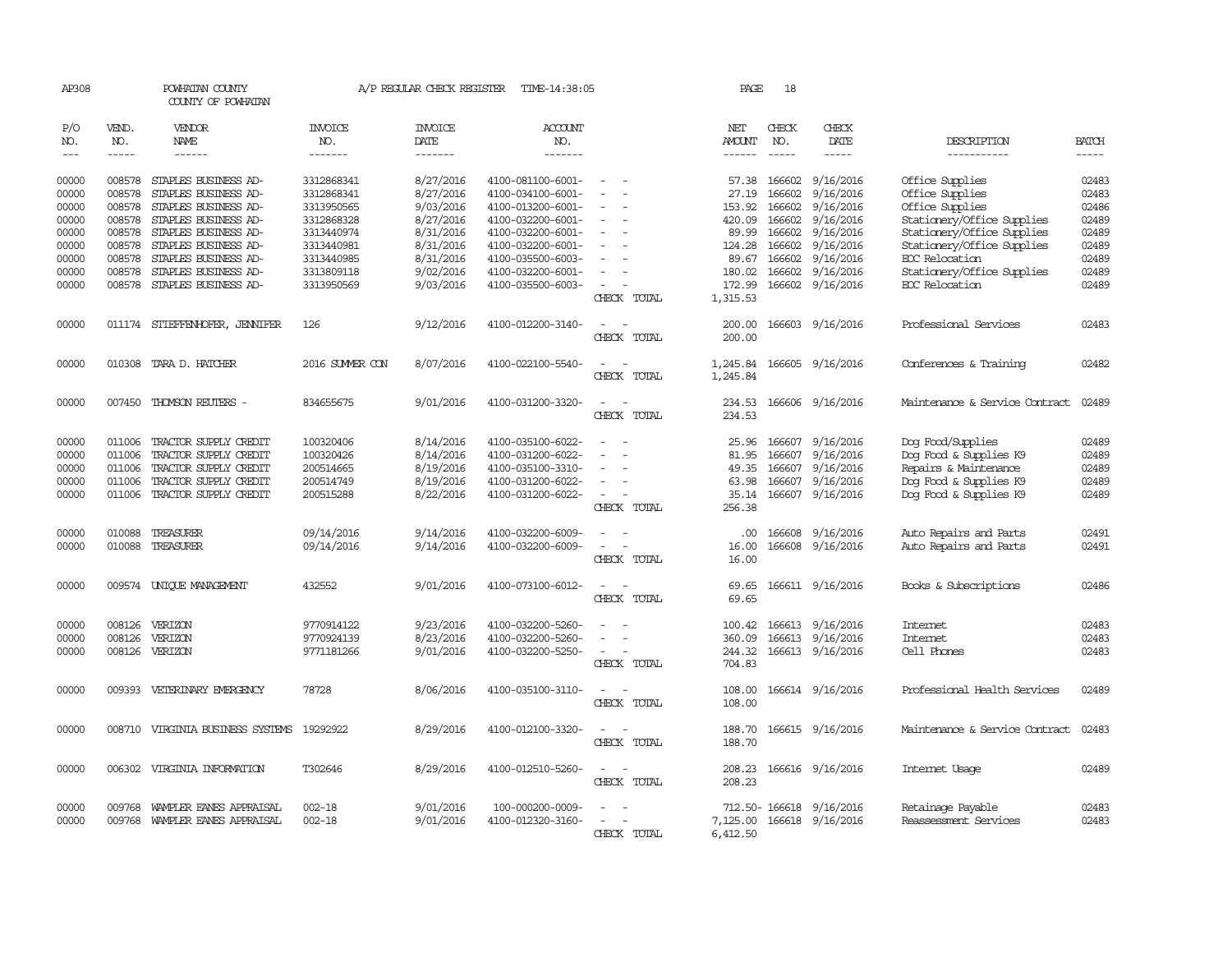| AP308          |                  | POWHATAN COUNTY<br>COUNTY OF POWHATAN        |                          | A/P REGULAR CHECK REGISTER | TIME-14:38:05                          |                                         | PAGE                 | 18               |                           |                                |                |
|----------------|------------------|----------------------------------------------|--------------------------|----------------------------|----------------------------------------|-----------------------------------------|----------------------|------------------|---------------------------|--------------------------------|----------------|
| P/O<br>NO.     | VEND.<br>NO.     | VENDOR<br>NAME                               | <b>INVOICE</b><br>NO.    | <b>INVOICE</b><br>DATE     | <b>ACCOUNT</b><br>NO.                  |                                         | NET<br>AMOUNT        | CHECK<br>NO.     | CHECK<br>DATE             | DESCRIPTION                    | <b>BATCH</b>   |
| $---$          | $- - - - -$      | $- - - - - -$                                | -------                  | -------                    | -------                                |                                         |                      | $- - - - -$      | -----                     | -----------                    | $- - - - -$    |
| 00000          |                  | 008578 STAPLES BUSINESS AD-                  | 3312868341               | 8/27/2016                  | 4100-081100-6001-                      | $\sim$                                  |                      | 57.38 166602     | 9/16/2016                 | Office Supplies                | 02483          |
| 00000<br>00000 | 008578<br>008578 | STAPLES BUSINESS AD-<br>STAPLES BUSINESS AD- | 3312868341<br>3313950565 | 8/27/2016<br>9/03/2016     | 4100-034100-6001-<br>4100-013200-6001- |                                         | 27.19<br>153.92      | 166602<br>166602 | 9/16/2016                 | Office Supplies                | 02483<br>02486 |
| 00000          | 008578           | STAPLES BUSINESS AD-                         | 3312868328               | 8/27/2016                  | 4100-032200-6001-                      | $\overline{\phantom{a}}$                | 420.09               | 166602           | 9/16/2016<br>9/16/2016    | Office Supplies                | 02489          |
|                |                  |                                              |                          |                            |                                        |                                         |                      |                  |                           | Stationery/Office Supplies     |                |
| 00000          | 008578<br>008578 | STAPLES BUSINESS AD-<br>STAPLES BUSINESS AD- | 3313440974               | 8/31/2016<br>8/31/2016     | 4100-032200-6001-<br>4100-032200-6001- |                                         | 89.99                | 166602<br>166602 | 9/16/2016<br>9/16/2016    | Stationery/Office Supplies     | 02489<br>02489 |
| 00000          |                  |                                              | 3313440981               |                            |                                        |                                         | 124.28               |                  |                           | Stationery/Office Supplies     |                |
| 00000          | 008578           | STAPLES BUSINESS AD-                         | 3313440985               | 8/31/2016                  | 4100-035500-6003-                      |                                         | 89.67                | 166602           | 9/16/2016                 | EOC Relocation                 | 02489          |
| 00000          | 008578           | STAPLES BUSINESS AD-                         | 3313809118               | 9/02/2016                  | 4100-032200-6001-                      | $\overline{\phantom{a}}$                | 180.02               | 166602           | 9/16/2016                 | Stationery/Office Supplies     | 02489          |
| 00000          | 008578           | STAPLES BUSINESS AD-                         | 3313950569               | 9/03/2016                  | 4100-035500-6003-                      | $\sim$<br>CHECK TOTAL                   | 172.99<br>1,315.53   | 166602           | 9/16/2016                 | EOC Relocation                 | 02489          |
| 00000          |                  | 011174 STIEFFENHOFER, JENNIFER               | 126                      | 9/12/2016                  | 4100-012200-3140-                      | $\overline{\phantom{a}}$<br>CHECK TOTAL | 200.00<br>200.00     |                  | 166603 9/16/2016          | Professional Services          | 02483          |
| 00000          | 010308           | TARA D. HATCHER                              | 2016 SUMMER CON          | 8/07/2016                  | 4100-022100-5540-                      | CHECK TOTAL                             | 1,245.84<br>1,245.84 |                  | 166605 9/16/2016          | Conferences & Training         | 02482          |
| 00000          |                  | 007450 THOMSON REUTERS -                     | 834655675                | 9/01/2016                  | 4100-031200-3320-                      | $\overline{\phantom{a}}$<br>CHECK TOTAL | 234.53<br>234.53     |                  | 166606 9/16/2016          | Maintenance & Service Contract | 02489          |
| 00000          | 011006           | TRACTOR SUPPLY CREDIT                        | 100320406                | 8/14/2016                  | 4100-035100-6022-                      | $\overline{\phantom{a}}$                | 25.96                | 166607           | 9/16/2016                 | Dog Food/Supplies              | 02489          |
| 00000          | 011006           | TRACTOR SUPPLY CREDIT                        | 100320426                | 8/14/2016                  | 4100-031200-6022-                      |                                         | 81.95                | 166607           | 9/16/2016                 | Dog Food & Supplies K9         | 02489          |
| 00000          | 011006           | TRACTOR SUPPLY CREDIT                        | 200514665                | 8/19/2016                  | 4100-035100-3310-                      |                                         | 49.35                | 166607           | 9/16/2016                 | Repairs & Maintenance          | 02489          |
| 00000          | 011006           | TRACTOR SUPPLY CREDIT                        | 200514749                | 8/19/2016                  | 4100-031200-6022-                      | $\sim$                                  | 63.98                | 166607           | 9/16/2016                 | Dog Food & Supplies K9         | 02489          |
| 00000          | 011006           | TRACTOR SUPPLY CREDIT                        | 200515288                | 8/22/2016                  | 4100-031200-6022-                      | $\overline{\phantom{a}}$                | 35.14                | 166607           | 9/16/2016                 | Dog Food & Supplies K9         | 02489          |
|                |                  |                                              |                          |                            |                                        | CHECK TOTAL                             | 256.38               |                  |                           |                                |                |
| 00000          | 010088           | TREASURER                                    | 09/14/2016               | 9/14/2016                  | 4100-032200-6009-                      |                                         | .00.                 | 166608           | 9/16/2016                 | Auto Repairs and Parts         | 02491          |
| 00000          | 010088           | TREASURER                                    | 09/14/2016               | 9/14/2016                  | 4100-032200-6009-                      | $\sim$<br>$\overline{\phantom{a}}$      | 16.00                | 166608           | 9/16/2016                 | Auto Repairs and Parts         | 02491          |
|                |                  |                                              |                          |                            |                                        | CHECK TOTAL                             | 16.00                |                  |                           |                                |                |
| 00000          |                  | 009574 UNIOUE MANAGEMENT                     | 432552                   | 9/01/2016                  | 4100-073100-6012-                      | $\sim$<br>÷.                            | 69.65                |                  | 166611 9/16/2016          | Books & Subscriptions          | 02486          |
|                |                  |                                              |                          |                            |                                        | CHECK TOTAL                             | 69.65                |                  |                           |                                |                |
| 00000          |                  | 008126 VERIZON                               | 9770914122               | 9/23/2016                  | 4100-032200-5260-                      |                                         |                      |                  | 100.42 166613 9/16/2016   | Internet                       | 02483          |
| 00000          | 008126           | VERIZON                                      | 9770924139               | 8/23/2016                  | 4100-032200-5260-                      |                                         | 360.09               | 166613           | 9/16/2016                 | <b>Internet</b>                | 02483          |
| 00000          |                  | 008126 VERIZON                               | 9771181266               | 9/01/2016                  | 4100-032200-5250-                      |                                         | 244.32               |                  | 166613 9/16/2016          | Cell Phones                    | 02483          |
|                |                  |                                              |                          |                            |                                        | CHECK TOTAL                             | 704.83               |                  |                           |                                |                |
| 00000          | 009393           | VETERINARY EMERGENCY                         | 78728                    | 8/06/2016                  | 4100-035100-3110-                      | $\overline{\phantom{a}}$<br>CHECK TOTAL | 108.00<br>108.00     |                  | 166614 9/16/2016          | Professional Health Services   | 02489          |
| 00000          |                  | 008710 VIRGINIA BUSINESS SYSTEMS             | 19292922                 | 8/29/2016                  | 4100-012100-3320-                      |                                         | 188.70               |                  | 166615 9/16/2016          | Maintenance & Service Contract | 02483          |
|                |                  |                                              |                          |                            |                                        | CHECK TOTAL                             | 188.70               |                  |                           |                                |                |
| 00000          | 006302           | VIRGINIA INFORMATION                         | T302646                  | 8/29/2016                  | 4100-012510-5260-                      | CHECK TOTAL                             | 208.23<br>208.23     |                  | 166616 9/16/2016          | Internet Usage                 | 02489          |
| 00000          | 009768           | WAMPLER EANES APPRAISAL                      | $002 - 18$               | 9/01/2016                  | 100-000200-0009-                       |                                         |                      | 712.50-166618    | 9/16/2016                 | Retainage Payable              | 02483          |
| 00000          |                  | 009768 WAMPLER EANES APPRAISAL               | $002 - 18$               | 9/01/2016                  | 4100-012320-3160-                      |                                         |                      |                  | 7,125.00 166618 9/16/2016 | Reassessment Services          | 02483          |
|                |                  |                                              |                          |                            |                                        | CHECK TOTAL                             | 6,412.50             |                  |                           |                                |                |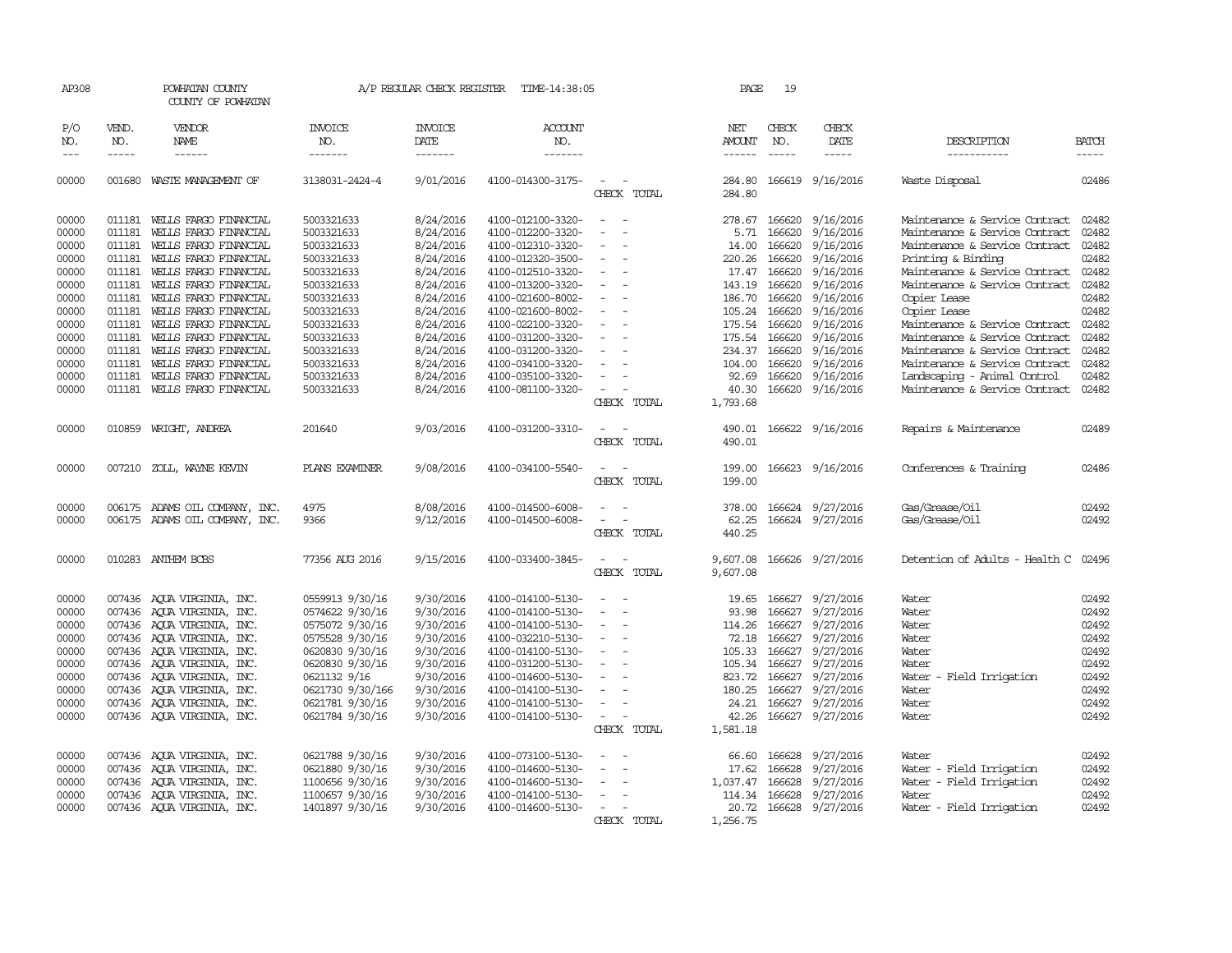| AP308                                                                                  |                                                                              | POWHATAN COUNTY<br>COUNTY OF POWHATAN                                                                                                                                                                                                                                                                    |                                                                                                                                                                                          | A/P REGULAR CHECK REGISTER                                                                                                     | TIME-14:38:05                                                                                                                                                                                                  |                                                                                                                                                                            | PAGE                                                                                          | 19                                                                                               |                                                                                                                                              |                                                                                                                                                                                                                                                                                                  |                                                                                        |
|----------------------------------------------------------------------------------------|------------------------------------------------------------------------------|----------------------------------------------------------------------------------------------------------------------------------------------------------------------------------------------------------------------------------------------------------------------------------------------------------|------------------------------------------------------------------------------------------------------------------------------------------------------------------------------------------|--------------------------------------------------------------------------------------------------------------------------------|----------------------------------------------------------------------------------------------------------------------------------------------------------------------------------------------------------------|----------------------------------------------------------------------------------------------------------------------------------------------------------------------------|-----------------------------------------------------------------------------------------------|--------------------------------------------------------------------------------------------------|----------------------------------------------------------------------------------------------------------------------------------------------|--------------------------------------------------------------------------------------------------------------------------------------------------------------------------------------------------------------------------------------------------------------------------------------------------|----------------------------------------------------------------------------------------|
| P/O<br>NO.<br>$---$                                                                    | VEND.<br>NO.<br>$- - - - -$                                                  | VENDOR<br>NAME<br>$- - - - - -$                                                                                                                                                                                                                                                                          | <b>INVOICE</b><br>NO.<br>-------                                                                                                                                                         | <b>INVOICE</b><br>DATE<br>-------                                                                                              | <b>ACCOUNT</b><br>NO.<br>-------                                                                                                                                                                               |                                                                                                                                                                            | NET<br><b>AMOUNT</b><br>$- - - - - -$                                                         | CHECK<br>NO.<br>$\frac{1}{2}$                                                                    | CHECK<br>DATE<br>-----                                                                                                                       | DESCRIPTION<br>-----------                                                                                                                                                                                                                                                                       | <b>BATCH</b><br>$- - - - -$                                                            |
|                                                                                        |                                                                              |                                                                                                                                                                                                                                                                                                          |                                                                                                                                                                                          |                                                                                                                                |                                                                                                                                                                                                                |                                                                                                                                                                            |                                                                                               |                                                                                                  |                                                                                                                                              |                                                                                                                                                                                                                                                                                                  |                                                                                        |
| 00000                                                                                  | 001680                                                                       | WASTE MANAGEMENT OF                                                                                                                                                                                                                                                                                      | 3138031-2424-4                                                                                                                                                                           | 9/01/2016                                                                                                                      | 4100-014300-3175-                                                                                                                                                                                              | CHECK TOTAL                                                                                                                                                                | 284.80<br>284.80                                                                              |                                                                                                  | 166619 9/16/2016                                                                                                                             | Waste Disposal                                                                                                                                                                                                                                                                                   | 02486                                                                                  |
| 00000<br>00000<br>00000<br>00000<br>00000<br>00000<br>00000<br>00000<br>00000<br>00000 | 011181<br>011181<br>011181<br>011181<br>011181<br>011181<br>011181<br>011181 | 011181 WELLS FARGO FINANCIAL<br>WELLS FARGO FINANCIAL<br>WELLS FARGO FINANCIAL<br>WELLS FARGO FINANCIAL<br>WELLS FARGO FINANCIAL<br>WELLS FARGO FINANCIAL<br>011181 WELLS FARGO FINANCIAL<br>WELLS FARGO FINANCIAL<br>WELLS FARGO FINANCIAL<br>WELLS FARGO FINANCIAL                                     | 5003321633<br>5003321633<br>5003321633<br>5003321633<br>5003321633<br>5003321633<br>5003321633<br>5003321633<br>5003321633<br>5003321633                                                 | 8/24/2016<br>8/24/2016<br>8/24/2016<br>8/24/2016<br>8/24/2016<br>8/24/2016<br>8/24/2016<br>8/24/2016<br>8/24/2016<br>8/24/2016 | 4100-012100-3320-<br>4100-012200-3320-<br>4100-012310-3320-<br>4100-012320-3500-<br>4100-012510-3320-<br>4100-013200-3320-<br>4100-021600-8002-<br>4100-021600-8002-<br>4100-022100-3320-<br>4100-031200-3320- | $\sim$<br>$\overline{\phantom{a}}$<br>$\overline{\phantom{a}}$<br>$\overline{a}$<br>$\equiv$<br>$\overline{\phantom{a}}$<br>$\sim$<br>$\equiv$<br>$\overline{\phantom{a}}$ | 278.67<br>5.71<br>14.00<br>220.26<br>17.47<br>143.19<br>186.70<br>105.24<br>175.54<br>175.54  | 166620<br>166620<br>166620<br>166620<br>166620<br>166620<br>166620<br>166620<br>166620<br>166620 | 9/16/2016<br>9/16/2016<br>9/16/2016<br>9/16/2016<br>9/16/2016<br>9/16/2016<br>9/16/2016<br>9/16/2016<br>9/16/2016<br>9/16/2016               | Maintenance & Service Contract<br>Maintenance & Service Contract<br>Maintenance & Service Contract<br>Printing & Binding<br>Maintenance & Service Contract<br>Maintenance & Service Contract<br>Copier Lease<br>Copier Lease<br>Maintenance & Service Contract<br>Maintenance & Service Contract | 02482<br>02482<br>02482<br>02482<br>02482<br>02482<br>02482<br>02482<br>02482<br>02482 |
| 00000<br>00000<br>00000<br>00000                                                       | 011181<br>011181<br>011181                                                   | WELLS FARGO FINANCIAL<br>WELLS FARGO FINANCIAL<br>WELLS FARGO FINANCIAL<br>011181 WELLS FARGO FINANCIAL                                                                                                                                                                                                  | 5003321633<br>5003321633<br>5003321633<br>5003321633                                                                                                                                     | 8/24/2016<br>8/24/2016<br>8/24/2016<br>8/24/2016                                                                               | 4100-031200-3320-<br>4100-034100-3320-<br>4100-035100-3320-<br>4100-081100-3320-                                                                                                                               | $\sim$<br>$\overline{\phantom{a}}$<br>CHECK TOTAL                                                                                                                          | 234.37<br>104.00<br>92.69<br>40.30<br>1,793.68                                                | 166620<br>166620<br>166620<br>166620                                                             | 9/16/2016<br>9/16/2016<br>9/16/2016<br>9/16/2016                                                                                             | Maintenance & Service Contract<br>Maintenance & Service Contract<br>Landscaping - Animal Control<br>Maintenance & Service Contract                                                                                                                                                               | 02482<br>02482<br>02482<br>02482                                                       |
| 00000                                                                                  |                                                                              | 010859 WRIGHT, ANDREA                                                                                                                                                                                                                                                                                    | 201640                                                                                                                                                                                   | 9/03/2016                                                                                                                      | 4100-031200-3310-                                                                                                                                                                                              | CHECK TOTAL                                                                                                                                                                | 490.01<br>490.01                                                                              |                                                                                                  | 166622 9/16/2016                                                                                                                             | Repairs & Maintenance                                                                                                                                                                                                                                                                            | 02489                                                                                  |
| 00000                                                                                  |                                                                              | 007210 ZOLL, WAYNE KEVIN                                                                                                                                                                                                                                                                                 | PLANS EXAMINER                                                                                                                                                                           | 9/08/2016                                                                                                                      | 4100-034100-5540-                                                                                                                                                                                              | $\overline{\phantom{a}}$<br>CHECK TOTAL                                                                                                                                    | 199.00<br>199.00                                                                              |                                                                                                  | 166623 9/16/2016                                                                                                                             | Conferences & Training                                                                                                                                                                                                                                                                           | 02486                                                                                  |
| 00000<br>00000                                                                         |                                                                              | 006175 ADAMS OIL COMPANY, INC.<br>006175 ADAMS OIL COMPANY, INC.                                                                                                                                                                                                                                         | 4975<br>9366                                                                                                                                                                             | 8/08/2016<br>9/12/2016                                                                                                         | 4100-014500-6008-<br>4100-014500-6008-                                                                                                                                                                         | CHECK TOTAL                                                                                                                                                                | 378.00<br>62.25<br>440.25                                                                     |                                                                                                  | 166624 9/27/2016<br>166624 9/27/2016                                                                                                         | Gas/Grease/Oil<br>Gas/Grease/Oil                                                                                                                                                                                                                                                                 | 02492<br>02492                                                                         |
| 00000                                                                                  |                                                                              | 010283 ANTHEM BCBS                                                                                                                                                                                                                                                                                       | 77356 AUG 2016                                                                                                                                                                           | 9/15/2016                                                                                                                      | 4100-033400-3845-                                                                                                                                                                                              | CHECK TOTAL                                                                                                                                                                | 9,607.08<br>9,607.08                                                                          |                                                                                                  | 166626 9/27/2016                                                                                                                             | Detention of Adults - Health C                                                                                                                                                                                                                                                                   | 02496                                                                                  |
| 00000<br>00000<br>00000<br>00000<br>00000<br>00000<br>00000<br>00000<br>00000<br>00000 |                                                                              | 007436 AQUA VIRGINIA, INC.<br>007436 AQUA VIRGINIA, INC.<br>007436 AQUA VIRGINIA, INC.<br>007436 AOUA VIRGINIA, INC.<br>007436 AQUA VIRGINIA, INC.<br>007436 AOUA VIRGINIA, INC.<br>007436 AOUA VIRGINIA, INC.<br>007436 AQUA VIRGINIA, INC.<br>007436 AOUA VIRGINIA, INC.<br>007436 AQUA VIRGINIA, INC. | 0559913 9/30/16<br>0574622 9/30/16<br>0575072 9/30/16<br>0575528 9/30/16<br>0620830 9/30/16<br>0620830 9/30/16<br>0621132 9/16<br>0621730 9/30/166<br>0621781 9/30/16<br>0621784 9/30/16 | 9/30/2016<br>9/30/2016<br>9/30/2016<br>9/30/2016<br>9/30/2016<br>9/30/2016<br>9/30/2016<br>9/30/2016<br>9/30/2016<br>9/30/2016 | 4100-014100-5130-<br>4100-014100-5130-<br>4100-014100-5130-<br>4100-032210-5130-<br>4100-014100-5130-<br>4100-031200-5130-<br>4100-014600-5130-<br>4100-014100-5130-<br>4100-014100-5130-<br>4100-014100-5130- | $\sim$<br>$\overline{\phantom{a}}$<br>$\sim$<br>$\sim$<br>$\overline{\phantom{a}}$<br>$\sim$<br>$\overline{\phantom{a}}$<br>$\sim$<br>CHECK TOTAL                          | 19.65<br>93.98<br>114.26<br>72.18<br>105.33<br>823.72<br>180.25<br>24.21<br>42.26<br>1,581.18 | 166627<br>166627<br>166627<br>166627<br>166627<br>105.34 166627<br>166627<br>166627              | 9/27/2016<br>9/27/2016<br>9/27/2016<br>9/27/2016<br>9/27/2016<br>9/27/2016<br>9/27/2016<br>9/27/2016<br>166627 9/27/2016<br>166627 9/27/2016 | Water<br>Water<br>Water<br>Water<br>Water<br>Water<br>Water<br>- Field Irrigation<br>Water<br>Water<br>Water                                                                                                                                                                                     | 02492<br>02492<br>02492<br>02492<br>02492<br>02492<br>02492<br>02492<br>02492<br>02492 |
| 00000<br>00000<br>00000<br>00000<br>00000                                              |                                                                              | 007436 AQUA VIRGINIA, INC.<br>007436 AQUA VIRGINIA, INC.<br>007436 AOUA VIRGINIA, INC.<br>007436 AQUA VIRGINIA, INC.<br>007436 AQUA VIRGINIA, INC.                                                                                                                                                       | 0621788 9/30/16<br>0621880 9/30/16<br>1100656 9/30/16<br>1100657 9/30/16<br>1401897 9/30/16                                                                                              | 9/30/2016<br>9/30/2016<br>9/30/2016<br>9/30/2016<br>9/30/2016                                                                  | 4100-073100-5130-<br>4100-014600-5130-<br>4100-014600-5130-<br>4100-014100-5130-<br>4100-014600-5130-                                                                                                          | $\equiv$<br>$\sim$<br>$\sim$<br>CHECK TOTAL                                                                                                                                | 66.60<br>17.62<br>1,037.47<br>114.34<br>20.72<br>1,256.75                                     | 166628<br>166628<br>166628<br>166628                                                             | 9/27/2016<br>9/27/2016<br>9/27/2016<br>9/27/2016<br>166628 9/27/2016                                                                         | Water<br>Water - Field Irrigation<br>Water - Field Irrigation<br>Water<br>Water - Field Irrigation                                                                                                                                                                                               | 02492<br>02492<br>02492<br>02492<br>02492                                              |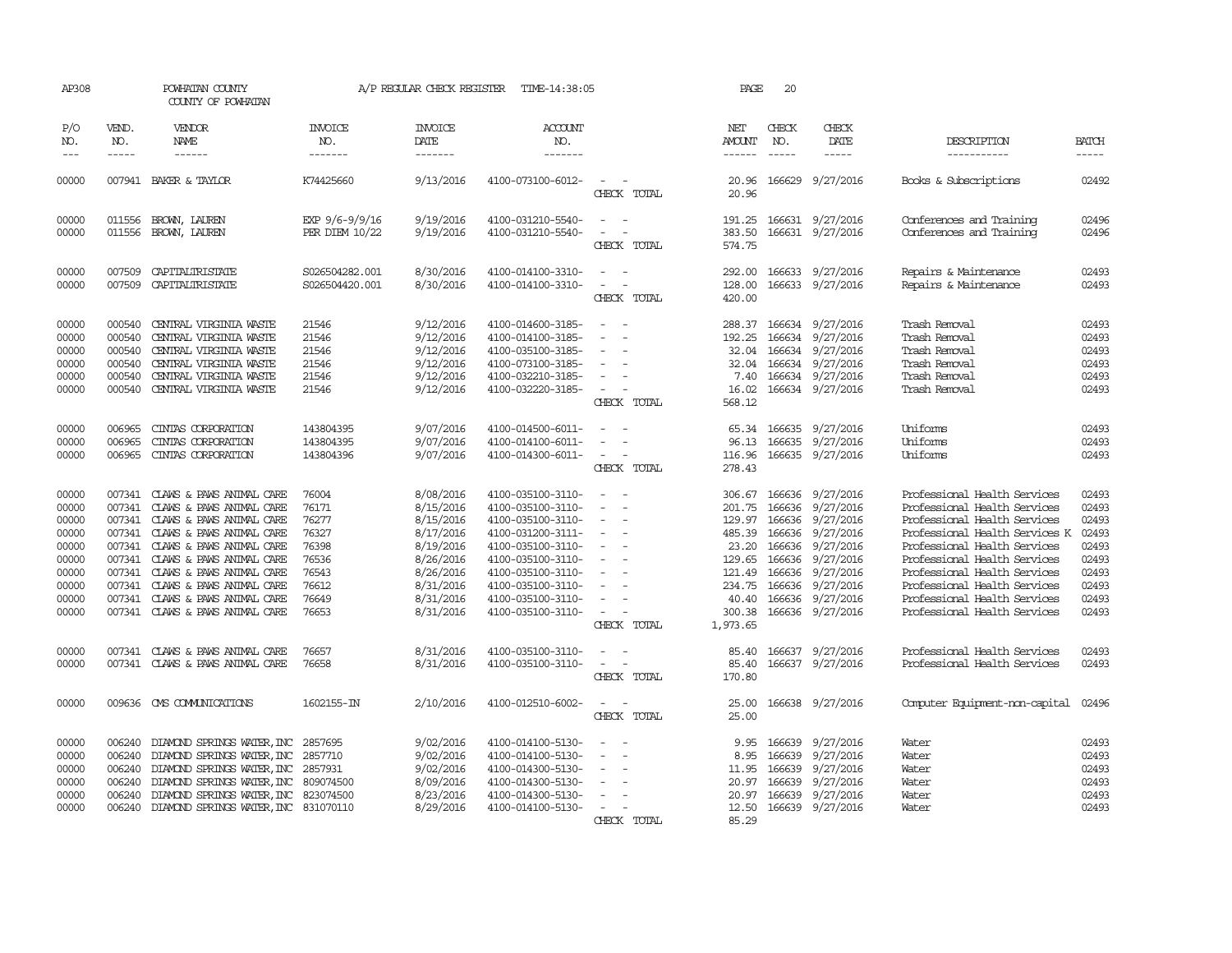| AP308                                                                                  |                                                          | POWHATAN COUNTY<br>COUNTY OF POWHATAN                                                                                                                                                                                                                                                                                   |                                                                                        | A/P REGULAR CHECK REGISTER                                                                                                     | TIME-14:38:05                                                                                                                                                                                                  |                                                                                                                                                                                                                                                                                                                           | PAGE                                                                                             | 20                                                                                            |                                                                                                                                       |                                                                                                                                                                                                                                                                                                                                |                                                                                        |
|----------------------------------------------------------------------------------------|----------------------------------------------------------|-------------------------------------------------------------------------------------------------------------------------------------------------------------------------------------------------------------------------------------------------------------------------------------------------------------------------|----------------------------------------------------------------------------------------|--------------------------------------------------------------------------------------------------------------------------------|----------------------------------------------------------------------------------------------------------------------------------------------------------------------------------------------------------------|---------------------------------------------------------------------------------------------------------------------------------------------------------------------------------------------------------------------------------------------------------------------------------------------------------------------------|--------------------------------------------------------------------------------------------------|-----------------------------------------------------------------------------------------------|---------------------------------------------------------------------------------------------------------------------------------------|--------------------------------------------------------------------------------------------------------------------------------------------------------------------------------------------------------------------------------------------------------------------------------------------------------------------------------|----------------------------------------------------------------------------------------|
| P/O<br>NO.<br>$\frac{1}{2}$                                                            | VEND.<br>NO.<br>-----                                    | VENDOR<br>NAME<br>------                                                                                                                                                                                                                                                                                                | <b>INVOICE</b><br>NO.<br>-------                                                       | <b>INVOICE</b><br>DATE<br>$- - - - - - -$                                                                                      | <b>ACCOUNT</b><br>NO.<br>-------                                                                                                                                                                               |                                                                                                                                                                                                                                                                                                                           | NET<br>AMOUNT<br>$- - - - - -$                                                                   | CHECK<br>NO.                                                                                  | CHECK<br>DATE<br>-----                                                                                                                | DESCRIPTION<br>-----------                                                                                                                                                                                                                                                                                                     | <b>BATCH</b><br>$- - - - -$                                                            |
| 00000                                                                                  |                                                          | 007941 BAKER & TAYLOR                                                                                                                                                                                                                                                                                                   | K74425660                                                                              | 9/13/2016                                                                                                                      | 4100-073100-6012-                                                                                                                                                                                              | $\overline{\phantom{a}}$<br>CHECK TOTAL                                                                                                                                                                                                                                                                                   | 20.96<br>20.96                                                                                   | 166629                                                                                        | 9/27/2016                                                                                                                             | Books & Subscriptions                                                                                                                                                                                                                                                                                                          | 02492                                                                                  |
| 00000<br>00000                                                                         | 011556<br>011556                                         | BROWN, LAUREN<br>BROWN, LAUREN                                                                                                                                                                                                                                                                                          | EXP 9/6-9/9/16<br>PER DIEM 10/22                                                       | 9/19/2016<br>9/19/2016                                                                                                         | 4100-031210-5540-<br>4100-031210-5540-                                                                                                                                                                         | $\sim$<br>$\sim$<br>$\overline{\phantom{a}}$<br>$\overline{\phantom{a}}$<br>CHECK TOTAL                                                                                                                                                                                                                                   | 383.50<br>574.75                                                                                 |                                                                                               | 191.25 166631 9/27/2016<br>166631 9/27/2016                                                                                           | Conferences and Training<br>Conferences and Training                                                                                                                                                                                                                                                                           | 02496<br>02496                                                                         |
| 00000<br>00000                                                                         | 007509<br>007509                                         | CAPITALIRISTATE<br>CAPITALIRISTATE                                                                                                                                                                                                                                                                                      | S026504282.001<br>S026504420.001                                                       | 8/30/2016<br>8/30/2016                                                                                                         | 4100-014100-3310-<br>4100-014100-3310-                                                                                                                                                                         | $\overline{\phantom{a}}$<br>CHECK TOTAL                                                                                                                                                                                                                                                                                   | 292.00<br>128.00<br>420.00                                                                       |                                                                                               | 166633 9/27/2016<br>166633 9/27/2016                                                                                                  | Repairs & Maintenance<br>Repairs & Maintenance                                                                                                                                                                                                                                                                                 | 02493<br>02493                                                                         |
| 00000<br>00000<br>00000<br>00000<br>00000<br>00000                                     | 000540<br>000540<br>000540<br>000540<br>000540<br>000540 | CENTRAL VIRGINIA WASTE<br>CENTRAL VIRGINIA WASTE<br>CENTRAL VIRGINIA WASTE<br>CENTRAL VIRGINIA WASTE<br>CENTRAL VIRGINIA WASTE<br>CENTRAL VIRGINIA WASTE                                                                                                                                                                | 21546<br>21546<br>21546<br>21546<br>21546<br>21546                                     | 9/12/2016<br>9/12/2016<br>9/12/2016<br>9/12/2016<br>9/12/2016<br>9/12/2016                                                     | 4100-014600-3185-<br>4100-014100-3185-<br>4100-035100-3185-<br>4100-073100-3185-<br>4100-032210-3185-<br>4100-032220-3185-                                                                                     | $\overline{\phantom{a}}$<br>$\sim$<br>$\equiv$<br>$\overline{\phantom{a}}$<br>CHECK TOTAL                                                                                                                                                                                                                                 | 192.25<br>32.04<br>32.04<br>7.40<br>16.02<br>568.12                                              |                                                                                               | 288.37 166634 9/27/2016<br>166634 9/27/2016<br>166634 9/27/2016<br>166634 9/27/2016<br>166634 9/27/2016<br>166634 9/27/2016           | Trash Removal<br>Trash Removal<br>Trash Removal<br>Trash Removal<br>Trash Removal<br>Trash Removal                                                                                                                                                                                                                             | 02493<br>02493<br>02493<br>02493<br>02493<br>02493                                     |
| 00000<br>00000<br>00000                                                                | 006965<br>006965<br>006965                               | CINIAS CORPORATION<br>CINIAS CORPORATION<br>CINIAS CORPORATION                                                                                                                                                                                                                                                          | 143804395<br>143804395<br>143804396                                                    | 9/07/2016<br>9/07/2016<br>9/07/2016                                                                                            | 4100-014500-6011-<br>4100-014100-6011-<br>4100-014300-6011-                                                                                                                                                    | $\equiv$<br>$\equiv$<br>$\sim$<br>$\sim$<br>CHECK TOTAL                                                                                                                                                                                                                                                                   | 65.34<br>96.13<br>116.96<br>278.43                                                               | 166635<br>166635                                                                              | 9/27/2016<br>9/27/2016<br>166635 9/27/2016                                                                                            | Uniforms<br>Uniforms<br>Uniforms                                                                                                                                                                                                                                                                                               | 02493<br>02493<br>02493                                                                |
| 00000<br>00000<br>00000<br>00000<br>00000<br>00000<br>00000<br>00000<br>00000<br>00000 | 007341<br>007341<br>007341<br>007341<br>007341           | CLAWS & PAWS ANIMAL CARE<br>CLAWS & PAWS ANIMAL CARE<br>CLAWS & PAWS ANIMAL CARE<br>007341 CLAWS & PAWS ANIMAL CARE<br>007341 CLAWS & PAWS ANIMAL CARE<br>007341 CLAWS & PAWS ANIMAL CARE<br>CLAWS & PAWS ANIMAL CARE<br>CLAWS & PAWS ANIMAL CARE<br>007341 CLAWS & PAWS ANIMAL CARE<br>007341 CLAWS & PAWS ANIMAL CARE | 76004<br>76171<br>76277<br>76327<br>76398<br>76536<br>76543<br>76612<br>76649<br>76653 | 8/08/2016<br>8/15/2016<br>8/15/2016<br>8/17/2016<br>8/19/2016<br>8/26/2016<br>8/26/2016<br>8/31/2016<br>8/31/2016<br>8/31/2016 | 4100-035100-3110-<br>4100-035100-3110-<br>4100-035100-3110-<br>4100-031200-3111-<br>4100-035100-3110-<br>4100-035100-3110-<br>4100-035100-3110-<br>4100-035100-3110-<br>4100-035100-3110-<br>4100-035100-3110- | $\overline{\phantom{a}}$<br>$\sim$<br>$\overline{\phantom{a}}$<br>$\sim$<br>$\overline{\phantom{a}}$<br>$\overline{\phantom{a}}$<br>$\sim$<br>$\overline{a}$<br>$\sim$<br>$\overline{\phantom{a}}$<br>$\overline{\phantom{a}}$<br>$\sim$<br>$\overline{\phantom{a}}$<br>$\sim$<br>$\overline{\phantom{a}}$<br>CHECK TOTAL | 306.67<br>201.75<br>129.97<br>485.39<br>23.20<br>121.49<br>234.75<br>40.40<br>300.38<br>1,973.65 | 166636<br>166636<br>166636<br>166636<br>166636<br>129.65 166636<br>166636<br>166636<br>166636 | 9/27/2016<br>9/27/2016<br>9/27/2016<br>9/27/2016<br>9/27/2016<br>9/27/2016<br>9/27/2016<br>9/27/2016<br>9/27/2016<br>166636 9/27/2016 | Professional Health Services<br>Professional Health Services<br>Professional Health Services<br>Professional Health Services K<br>Professional Health Services<br>Professional Health Services<br>Professional Health Services<br>Professional Health Services<br>Professional Health Services<br>Professional Health Services | 02493<br>02493<br>02493<br>02493<br>02493<br>02493<br>02493<br>02493<br>02493<br>02493 |
| 00000<br>00000                                                                         |                                                          | 007341 CLAWS & PAWS ANIMAL CARE<br>007341 CLAWS & PAWS ANIMAL CARE                                                                                                                                                                                                                                                      | 76657<br>76658                                                                         | 8/31/2016<br>8/31/2016                                                                                                         | 4100-035100-3110-<br>4100-035100-3110-                                                                                                                                                                         | CHECK TOTAL                                                                                                                                                                                                                                                                                                               | 85.40<br>85.40<br>170.80                                                                         | 166637                                                                                        | 9/27/2016<br>166637 9/27/2016                                                                                                         | Professional Health Services<br>Professional Health Services                                                                                                                                                                                                                                                                   | 02493<br>02493                                                                         |
| 00000                                                                                  | 009636                                                   | CMS COMMUNICATIONS                                                                                                                                                                                                                                                                                                      | 1602155-IN                                                                             | 2/10/2016                                                                                                                      | 4100-012510-6002-                                                                                                                                                                                              | CHECK TOTAL                                                                                                                                                                                                                                                                                                               | 25.00<br>25.00                                                                                   |                                                                                               | 166638 9/27/2016                                                                                                                      | Computer Equipment-non-capital                                                                                                                                                                                                                                                                                                 | 02496                                                                                  |
| 00000<br>00000<br>00000<br>00000<br>00000<br>00000                                     | 006240<br>006240<br>006240<br>006240<br>006240           | DIAMOND SPRINGS WATER, INC<br>DIAMOND SPRINGS WATER, INC<br>DIAMOND SPRINGS WATER, INC 2857931<br>DIAMOND SPRINGS WATER, INC<br>DIAMOND SPRINGS WATER, INC<br>006240 DIAMOND SPRINGS WATER, INC 831070110                                                                                                               | 2857695<br>2857710<br>809074500<br>823074500                                           | 9/02/2016<br>9/02/2016<br>9/02/2016<br>8/09/2016<br>8/23/2016<br>8/29/2016                                                     | 4100-014100-5130-<br>4100-014100-5130-<br>4100-014300-5130-<br>4100-014300-5130-<br>4100-014300-5130-<br>4100-014100-5130-                                                                                     | $\overline{\phantom{a}}$<br>$\overline{\phantom{a}}$<br>$\sim$<br>$\overline{\phantom{a}}$<br>CHECK TOTAL                                                                                                                                                                                                                 | 9.95<br>8.95<br>11.95<br>20.97<br>20.97<br>12.50<br>85.29                                        | 166639<br>166639<br>166639<br>166639<br>166639                                                | 9/27/2016<br>9/27/2016<br>9/27/2016<br>9/27/2016<br>9/27/2016<br>166639 9/27/2016                                                     | Water<br>Water<br>Water<br>Water<br>Water<br>Water                                                                                                                                                                                                                                                                             | 02493<br>02493<br>02493<br>02493<br>02493<br>02493                                     |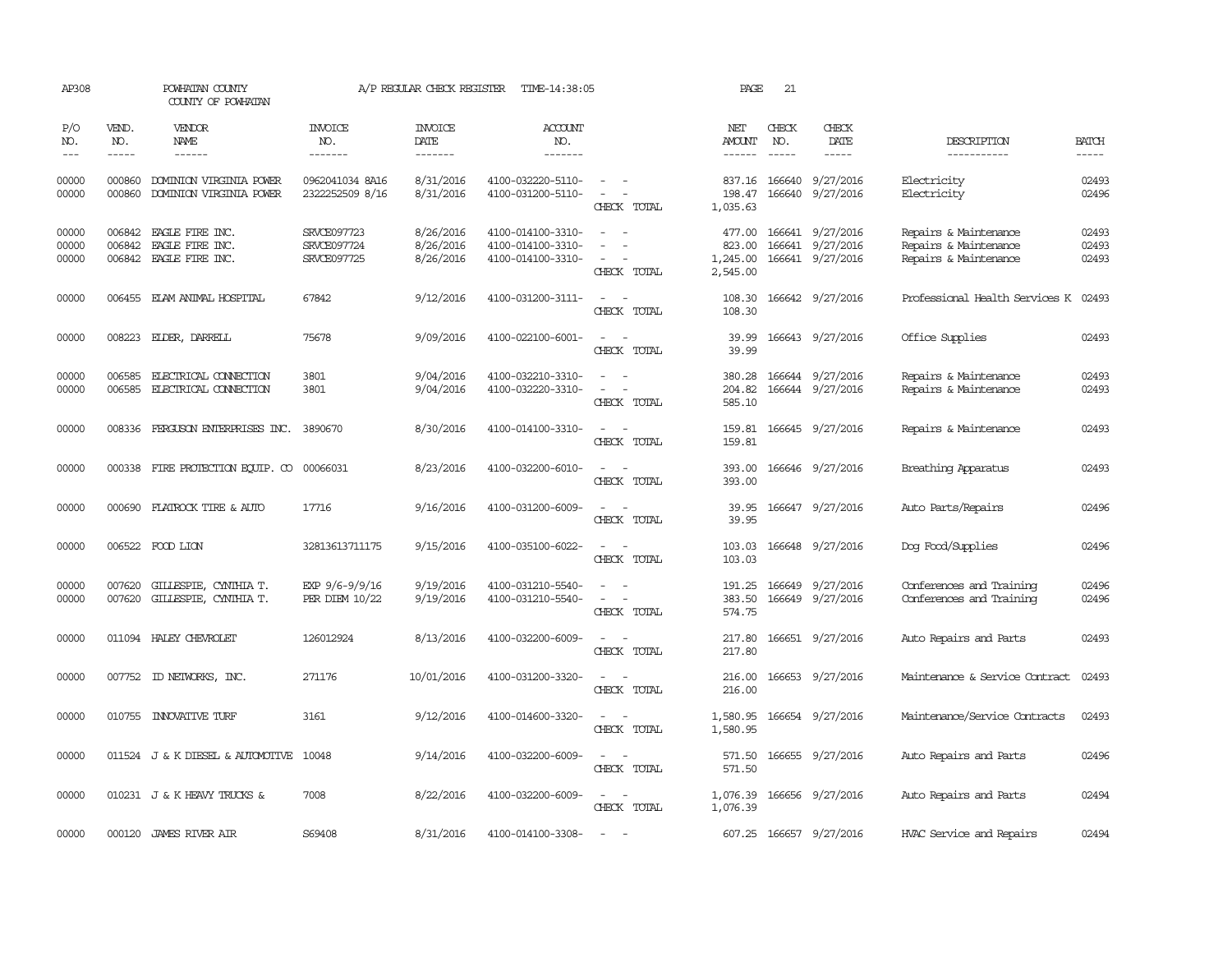| AP308                   |                               | POWHATAN COUNTY<br>COUNTY OF POWHATAN                               |                                           | A/P REGULAR CHECK REGISTER          | TIME-14:38:05                                               |                                                                                                                                       | PAGE                                     | 21                            |                                                          |                                                                         |                         |
|-------------------------|-------------------------------|---------------------------------------------------------------------|-------------------------------------------|-------------------------------------|-------------------------------------------------------------|---------------------------------------------------------------------------------------------------------------------------------------|------------------------------------------|-------------------------------|----------------------------------------------------------|-------------------------------------------------------------------------|-------------------------|
| P/O<br>NO.<br>$---$     | VEND.<br>NO.<br>$\frac{1}{2}$ | <b>VENDOR</b><br>NAME<br>$- - - - - -$                              | <b>INVOICE</b><br>NO.<br>-------          | <b>INVOICE</b><br>DATE<br>--------  | ACCOUNT<br>NO.<br>--------                                  |                                                                                                                                       | NET<br>AMOUNT<br>------                  | CHECK<br>NO.<br>$\frac{1}{2}$ | CHECK<br>DATE<br>$\frac{1}{2}$                           | DESCRIPTION<br>-----------                                              | <b>BATCH</b><br>-----   |
| 00000<br>00000          | 000860<br>000860              | DOMINION VIRGINIA POWER<br>DOMINION VIRGINIA POWER                  | 0962041034 8A16<br>2322252509 8/16        | 8/31/2016<br>8/31/2016              | 4100-032220-5110-<br>4100-031200-5110-                      | $\frac{1}{2} \left( \frac{1}{2} \right) \left( \frac{1}{2} \right) = \frac{1}{2} \left( \frac{1}{2} \right)$<br>$\sim$<br>CHECK TOTAL | 837.16<br>198.47<br>1,035.63             | 166640<br>166640              | 9/27/2016<br>9/27/2016                                   | Electricity<br>Electricity                                              | 02493<br>02496          |
| 00000<br>00000<br>00000 | 006842                        | 006842 EAGLE FIRE INC.<br>EAGLE FIRE INC.<br>006842 EAGLE FIRE INC. | SRVCE097723<br>SRVCE097724<br>SRVCE097725 | 8/26/2016<br>8/26/2016<br>8/26/2016 | 4100-014100-3310-<br>4100-014100-3310-<br>4100-014100-3310- | $\sim$<br>CHECK TOTAL                                                                                                                 | 477.00<br>823.00<br>1,245.00<br>2,545.00 |                               | 166641 9/27/2016<br>166641 9/27/2016<br>166641 9/27/2016 | Repairs & Maintenance<br>Repairs & Maintenance<br>Repairs & Maintenance | 02493<br>02493<br>02493 |
| 00000                   |                               | 006455 ELAM ANIMAL HOSPITAL                                         | 67842                                     | 9/12/2016                           | 4100-031200-3111-                                           | $\sim$ $\sim$<br>CHECK TOTAL                                                                                                          | 108.30<br>108.30                         |                               | 166642 9/27/2016                                         | Professional Health Services K 02493                                    |                         |
| 00000                   |                               | 008223 ELDER, DARRELL                                               | 75678                                     | 9/09/2016                           | 4100-022100-6001-                                           | $\sim$ $ \sim$<br>CHECK TOTAL                                                                                                         | 39.99<br>39.99                           |                               | 166643 9/27/2016                                         | Office Supplies                                                         | 02493                   |
| 00000<br>00000          | 006585<br>006585              | ELECTRICAL CONNECTION<br>ELECTRICAL CONNECTION                      | 3801<br>3801                              | 9/04/2016<br>9/04/2016              | 4100-032210-3310-<br>4100-032220-3310-                      | CHECK TOTAL                                                                                                                           | 380.28<br>204.82<br>585.10               |                               | 166644 9/27/2016<br>166644 9/27/2016                     | Repairs & Maintenance<br>Repairs & Maintenance                          | 02493<br>02493          |
| 00000                   | 008336                        | FERGUSON ENTERPRISES INC.                                           | 3890670                                   | 8/30/2016                           | 4100-014100-3310-                                           | CHECK TOTAL                                                                                                                           | 159.81<br>159.81                         |                               | 166645 9/27/2016                                         | Repairs & Maintenance                                                   | 02493                   |
| 00000                   |                               | 000338 FIRE PROTECTION EQUIP. CO                                    | 00066031                                  | 8/23/2016                           | 4100-032200-6010-                                           | CHECK TOTAL                                                                                                                           | 393.00<br>393.00                         |                               | 166646 9/27/2016                                         | Breathing Apparatus                                                     | 02493                   |
| 00000                   | 000690                        | FLATROCK TIRE & AUTO                                                | 17716                                     | 9/16/2016                           | 4100-031200-6009-                                           | CHECK TOTAL                                                                                                                           | 39.95<br>39.95                           |                               | 166647 9/27/2016                                         | Auto Parts/Repairs                                                      | 02496                   |
| 00000                   |                               | 006522 FOOD LION                                                    | 32813613711175                            | 9/15/2016                           | 4100-035100-6022-                                           | $\overline{\phantom{a}}$<br>CHECK TOTAL                                                                                               | 103.03<br>103.03                         |                               | 166648 9/27/2016                                         | Dog Food/Supplies                                                       | 02496                   |
| 00000<br>00000          | 007620                        | GILLESPIE, CYNIHIA T.<br>007620 GILLESPIE, CYNTHIA T.               | EXP 9/6-9/9/16<br>PER DIEM 10/22          | 9/19/2016<br>9/19/2016              | 4100-031210-5540-<br>4100-031210-5540-                      | $\sim$<br>$\sim$<br>$\overline{\phantom{a}}$<br>CHECK TOTAL                                                                           | 191.25<br>383.50<br>574.75               |                               | 166649 9/27/2016<br>166649 9/27/2016                     | Conferences and Training<br>Conferences and Training                    | 02496<br>02496          |
| 00000                   |                               | 011094 HALEY CHEVROLET                                              | 126012924                                 | 8/13/2016                           | 4100-032200-6009-                                           | $\sim$<br>$\sim$<br>CHECK TOTAL                                                                                                       | 217.80<br>217.80                         |                               | 166651 9/27/2016                                         | Auto Repairs and Parts                                                  | 02493                   |
| 00000                   |                               | 007752 ID NEIWORKS, INC.                                            | 271176                                    | 10/01/2016                          | 4100-031200-3320-                                           | $\sim$<br>CHECK TOTAL                                                                                                                 | 216.00<br>216.00                         |                               | 166653 9/27/2016                                         | Maintenance & Service Contract                                          | 02493                   |
| 00000                   |                               | 010755 INNOVATIVE TURF                                              | 3161                                      | 9/12/2016                           | 4100-014600-3320-                                           | $\frac{1}{2} \left( \frac{1}{2} \right) \left( \frac{1}{2} \right) = \frac{1}{2} \left( \frac{1}{2} \right)$<br>CHECK TOTAL           | 1,580.95<br>1,580.95                     |                               | 166654 9/27/2016                                         | Maintenance/Service Contracts                                           | 02493                   |
| 00000                   |                               | 011524 J & K DIESEL & AUTOMOTIVE                                    | 10048                                     | 9/14/2016                           | 4100-032200-6009-                                           | $\frac{1}{2} \left( \frac{1}{2} \right) \left( \frac{1}{2} \right) = \frac{1}{2} \left( \frac{1}{2} \right)$<br>CHECK TOTAL           | 571.50                                   |                               | 571.50 166655 9/27/2016                                  | Auto Repairs and Parts                                                  | 02496                   |
| 00000                   |                               | 010231 J & K HEAVY TRUCKS &                                         | 7008                                      | 8/22/2016                           | 4100-032200-6009-                                           | $\sim$ $ \sim$<br>CHECK TOTAL                                                                                                         | 1,076.39                                 |                               | 1,076.39 166656 9/27/2016                                | Auto Repairs and Parts                                                  | 02494                   |
| 00000                   |                               | 000120 JAMES RIVER AIR                                              | S69408                                    | 8/31/2016                           | 4100-014100-3308-                                           | $\sim$                                                                                                                                |                                          |                               | 607.25 166657 9/27/2016                                  | HVAC Service and Repairs                                                | 02494                   |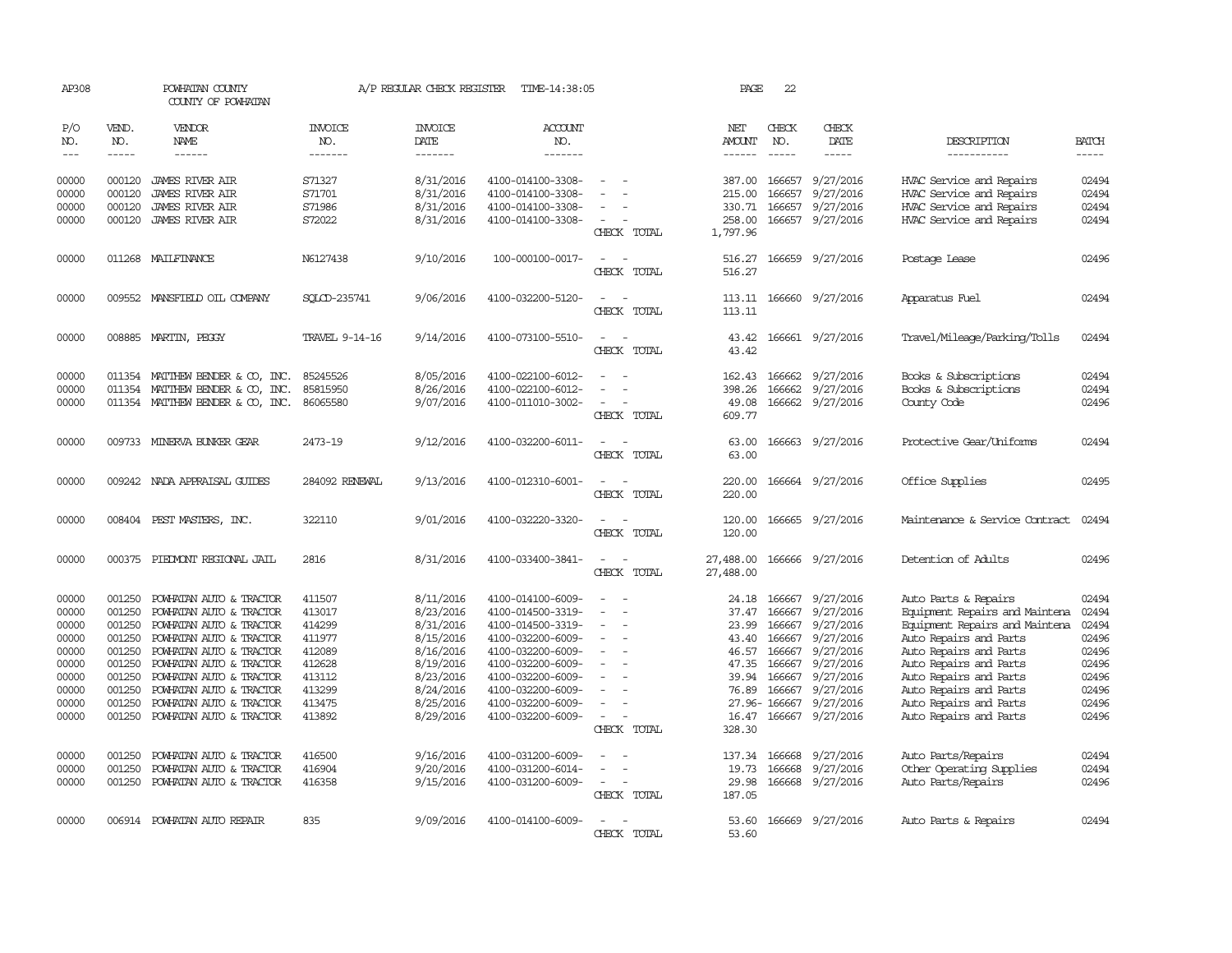| AP308                                                                                           |                                                                                                            | POWHATAN COUNTY<br>COUNTY OF POWHATAN                                                                                                                                                                                                                                                                                                                                                                                                                                      |                                                                                                            | A/P REGULAR CHECK REGISTER                                                                                                                  | TIME-14:38:05                                                                                                                                                                                                                       |                                         | PAGE                                                                                              | 22                                                                                                     |                                                                                                                                                    |                                                                                                                                                                                                                                                                                                      |                                                                                                 |
|-------------------------------------------------------------------------------------------------|------------------------------------------------------------------------------------------------------------|----------------------------------------------------------------------------------------------------------------------------------------------------------------------------------------------------------------------------------------------------------------------------------------------------------------------------------------------------------------------------------------------------------------------------------------------------------------------------|------------------------------------------------------------------------------------------------------------|---------------------------------------------------------------------------------------------------------------------------------------------|-------------------------------------------------------------------------------------------------------------------------------------------------------------------------------------------------------------------------------------|-----------------------------------------|---------------------------------------------------------------------------------------------------|--------------------------------------------------------------------------------------------------------|----------------------------------------------------------------------------------------------------------------------------------------------------|------------------------------------------------------------------------------------------------------------------------------------------------------------------------------------------------------------------------------------------------------------------------------------------------------|-------------------------------------------------------------------------------------------------|
| P/O<br>NO.                                                                                      | VEND.<br>NO.                                                                                               | VENDOR<br>NAME                                                                                                                                                                                                                                                                                                                                                                                                                                                             | <b>INVOICE</b><br>NO.                                                                                      | <b>INVOICE</b><br>DATE                                                                                                                      | ACCOUNT<br>NO.                                                                                                                                                                                                                      |                                         | NET<br>AMOUNT                                                                                     | CHECK<br>NO.                                                                                           | CHECK<br>DATE                                                                                                                                      | DESCRIPTION                                                                                                                                                                                                                                                                                          | <b>BATCH</b>                                                                                    |
| $---$                                                                                           | $\frac{1}{2}$                                                                                              | $\frac{1}{2} \left( \frac{1}{2} \right) \left( \frac{1}{2} \right) \left( \frac{1}{2} \right) \left( \frac{1}{2} \right) \left( \frac{1}{2} \right) \left( \frac{1}{2} \right) \left( \frac{1}{2} \right) \left( \frac{1}{2} \right) \left( \frac{1}{2} \right) \left( \frac{1}{2} \right) \left( \frac{1}{2} \right) \left( \frac{1}{2} \right) \left( \frac{1}{2} \right) \left( \frac{1}{2} \right) \left( \frac{1}{2} \right) \left( \frac{1}{2} \right) \left( \frac$ | -------                                                                                                    | -------                                                                                                                                     | -------                                                                                                                                                                                                                             |                                         | $- - - - - -$                                                                                     | $\frac{1}{2}$                                                                                          | -----                                                                                                                                              | -----------                                                                                                                                                                                                                                                                                          | $\frac{1}{2}$                                                                                   |
| 00000<br>00000<br>00000<br>00000                                                                | 000120<br>000120<br>000120<br>000120                                                                       | <b>JAMES RIVER AIR</b><br><b>JAMES RIVER AIR</b><br><b>JAMES RIVER AIR</b><br><b>JAMES RIVER AIR</b>                                                                                                                                                                                                                                                                                                                                                                       | S71327<br>S71701<br>S71986<br>S72022                                                                       | 8/31/2016<br>8/31/2016<br>8/31/2016<br>8/31/2016                                                                                            | 4100-014100-3308-<br>4100-014100-3308-<br>4100-014100-3308-<br>4100-014100-3308-                                                                                                                                                    |                                         | 387.00<br>215.00<br>330.71<br>258.00                                                              | 166657<br>166657<br>166657                                                                             | 9/27/2016<br>9/27/2016<br>9/27/2016<br>166657 9/27/2016                                                                                            | HVAC Service and Repairs<br>HVAC Service and Repairs<br>HVAC Service and Repairs<br>HVAC Service and Repairs                                                                                                                                                                                         | 02494<br>02494<br>02494<br>02494                                                                |
|                                                                                                 |                                                                                                            |                                                                                                                                                                                                                                                                                                                                                                                                                                                                            |                                                                                                            |                                                                                                                                             |                                                                                                                                                                                                                                     | CHECK TOTAL                             | 1,797.96                                                                                          |                                                                                                        |                                                                                                                                                    |                                                                                                                                                                                                                                                                                                      |                                                                                                 |
| 00000                                                                                           |                                                                                                            | 011268 MAILFINANCE                                                                                                                                                                                                                                                                                                                                                                                                                                                         | N6127438                                                                                                   | 9/10/2016                                                                                                                                   | 100-000100-0017-                                                                                                                                                                                                                    | $\sim$<br>$\equiv$<br>CHECK TOTAL       | 516.27<br>516.27                                                                                  |                                                                                                        | 166659 9/27/2016                                                                                                                                   | Postage Lease                                                                                                                                                                                                                                                                                        | 02496                                                                                           |
| 00000                                                                                           |                                                                                                            | 009552 MANSFIELD OIL COMPANY                                                                                                                                                                                                                                                                                                                                                                                                                                               | SOLCD-235741                                                                                               | 9/06/2016                                                                                                                                   | 4100-032200-5120-                                                                                                                                                                                                                   | $\overline{\phantom{a}}$<br>CHECK TOTAL | 113.11                                                                                            |                                                                                                        | 113.11 166660 9/27/2016                                                                                                                            | Apparatus Fuel                                                                                                                                                                                                                                                                                       | 02494                                                                                           |
| 00000                                                                                           |                                                                                                            | 008885 MARTIN, PEGGY                                                                                                                                                                                                                                                                                                                                                                                                                                                       | TRAVEL 9-14-16                                                                                             | 9/14/2016                                                                                                                                   | 4100-073100-5510-                                                                                                                                                                                                                   | CHECK TOTAL                             | 43.42<br>43.42                                                                                    |                                                                                                        | 166661 9/27/2016                                                                                                                                   | Travel/Mileage/Parking/Tolls                                                                                                                                                                                                                                                                         | 02494                                                                                           |
| 00000<br>00000<br>00000                                                                         | 011354<br>011354                                                                                           | MATTHEW BENDER & CO, INC.<br>MATTHEW BENDER & CO, INC.<br>011354 MATTHEW BENDER & CO, INC.                                                                                                                                                                                                                                                                                                                                                                                 | 85245526<br>85815950<br>86065580                                                                           | 8/05/2016<br>8/26/2016<br>9/07/2016                                                                                                         | 4100-022100-6012-<br>4100-022100-6012-<br>4100-011010-3002-                                                                                                                                                                         | CHECK TOTAL                             | 162.43<br>398.26<br>49.08<br>609.77                                                               | 166662<br>166662                                                                                       | 9/27/2016<br>9/27/2016<br>166662 9/27/2016                                                                                                         | Books & Subscriptions<br>Books & Subscriptions<br>County Code                                                                                                                                                                                                                                        | 02494<br>02494<br>02496                                                                         |
| 00000                                                                                           |                                                                                                            | 009733 MINERVA BUNKER GEAR                                                                                                                                                                                                                                                                                                                                                                                                                                                 | 2473-19                                                                                                    | 9/12/2016                                                                                                                                   | 4100-032200-6011-                                                                                                                                                                                                                   | CHECK TOTAL                             | 63.00<br>63.00                                                                                    |                                                                                                        | 166663 9/27/2016                                                                                                                                   | Protective Gear/Uniforms                                                                                                                                                                                                                                                                             | 02494                                                                                           |
| 00000                                                                                           |                                                                                                            | 009242 NADA APPRAISAL GUIDES                                                                                                                                                                                                                                                                                                                                                                                                                                               | 284092 RENEWAL                                                                                             | 9/13/2016                                                                                                                                   | 4100-012310-6001-                                                                                                                                                                                                                   | CHECK TOTAL                             | 220.00<br>220.00                                                                                  |                                                                                                        | 166664 9/27/2016                                                                                                                                   | Office Supplies                                                                                                                                                                                                                                                                                      | 02495                                                                                           |
| 00000                                                                                           |                                                                                                            | 008404 PEST MASTERS, INC.                                                                                                                                                                                                                                                                                                                                                                                                                                                  | 322110                                                                                                     | 9/01/2016                                                                                                                                   | 4100-032220-3320-                                                                                                                                                                                                                   | CHECK TOTAL                             | 120.00<br>120.00                                                                                  |                                                                                                        | 166665 9/27/2016                                                                                                                                   | Maintenance & Service Contract                                                                                                                                                                                                                                                                       | 02494                                                                                           |
| 00000                                                                                           | 000375                                                                                                     | PIEDMONT REGIONAL JAIL                                                                                                                                                                                                                                                                                                                                                                                                                                                     | 2816                                                                                                       | 8/31/2016                                                                                                                                   | 4100-033400-3841-                                                                                                                                                                                                                   | CHECK TOTAL                             | 27,488.00<br>27,488.00                                                                            |                                                                                                        | 166666 9/27/2016                                                                                                                                   | Detention of Adults                                                                                                                                                                                                                                                                                  | 02496                                                                                           |
| 00000<br>00000<br>00000<br>00000<br>00000<br>00000<br>00000<br>00000<br>00000<br>00000<br>00000 | 001250<br>001250<br>001250<br>001250<br>001250<br>001250<br>001250<br>001250<br>001250<br>001250<br>001250 | POWHATAN AUTO & TRACTOR<br>POWHATAN AUTO & TRACTOR<br>POWHATAN AUTO & TRACTOR<br>POWHATAN AUTO & TRACTOR<br>POWHATAN AUTO & TRACTOR<br>POWHATAN AUTO & TRACTOR<br>POWHATAN AUTO & TRACTOR<br>POWHATAN AUTO & TRACTOR<br>POWHATAN AUTO & TRACTOR<br>POWHATAN AUTO & TRACTOR<br>POWHATAN AUTO & TRACTOR                                                                                                                                                                      | 411507<br>413017<br>414299<br>411977<br>412089<br>412628<br>413112<br>413299<br>413475<br>413892<br>416500 | 8/11/2016<br>8/23/2016<br>8/31/2016<br>8/15/2016<br>8/16/2016<br>8/19/2016<br>8/23/2016<br>8/24/2016<br>8/25/2016<br>8/29/2016<br>9/16/2016 | 4100-014100-6009-<br>4100-014500-3319-<br>4100-014500-3319-<br>4100-032200-6009-<br>4100-032200-6009-<br>4100-032200-6009-<br>4100-032200-6009-<br>4100-032200-6009-<br>4100-032200-6009-<br>4100-032200-6009-<br>4100-031200-6009- | CHECK TOTAL                             | 24.18<br>37.47<br>23.99<br>43.40<br>46.57<br>47.35<br>39.94<br>76.89<br>16.47<br>328.30<br>137.34 | 166667<br>166667<br>166667<br>166667<br>166667<br>166667<br>166667<br>166667<br>27.96-166667<br>166668 | 9/27/2016<br>9/27/2016<br>9/27/2016<br>9/27/2016<br>9/27/2016<br>9/27/2016<br>9/27/2016<br>9/27/2016<br>9/27/2016<br>166667 9/27/2016<br>9/27/2016 | Auto Parts & Repairs<br>Equipment Repairs and Maintena<br>Equipment Repairs and Maintena<br>Auto Repairs and Parts<br>Auto Repairs and Parts<br>Auto Repairs and Parts<br>Auto Repairs and Parts<br>Auto Repairs and Parts<br>Auto Repairs and Parts<br>Auto Repairs and Parts<br>Auto Parts/Repairs | 02494<br>02494<br>02494<br>02496<br>02496<br>02496<br>02496<br>02496<br>02496<br>02496<br>02494 |
| 00000<br>00000                                                                                  | 001250<br>001250                                                                                           | POWHATAN AUTO & TRACTOR<br>POWHATAN AUTO & TRACTOR                                                                                                                                                                                                                                                                                                                                                                                                                         | 416904<br>416358                                                                                           | 9/20/2016<br>9/15/2016                                                                                                                      | 4100-031200-6014-<br>4100-031200-6009-                                                                                                                                                                                              | $\equiv$<br>CHECK TOTAL                 | 19.73<br>29.98<br>187.05                                                                          | 166668                                                                                                 | 9/27/2016<br>166668 9/27/2016                                                                                                                      | Other Operating Supplies<br>Auto Parts/Repairs                                                                                                                                                                                                                                                       | 02494<br>02496                                                                                  |
| 00000                                                                                           |                                                                                                            | 006914 POWHATAN AUTO REPAIR                                                                                                                                                                                                                                                                                                                                                                                                                                                | 835                                                                                                        | 9/09/2016                                                                                                                                   | 4100-014100-6009-                                                                                                                                                                                                                   | CHECK TOTAL                             | 53.60<br>53.60                                                                                    |                                                                                                        | 166669 9/27/2016                                                                                                                                   | Auto Parts & Repairs                                                                                                                                                                                                                                                                                 | 02494                                                                                           |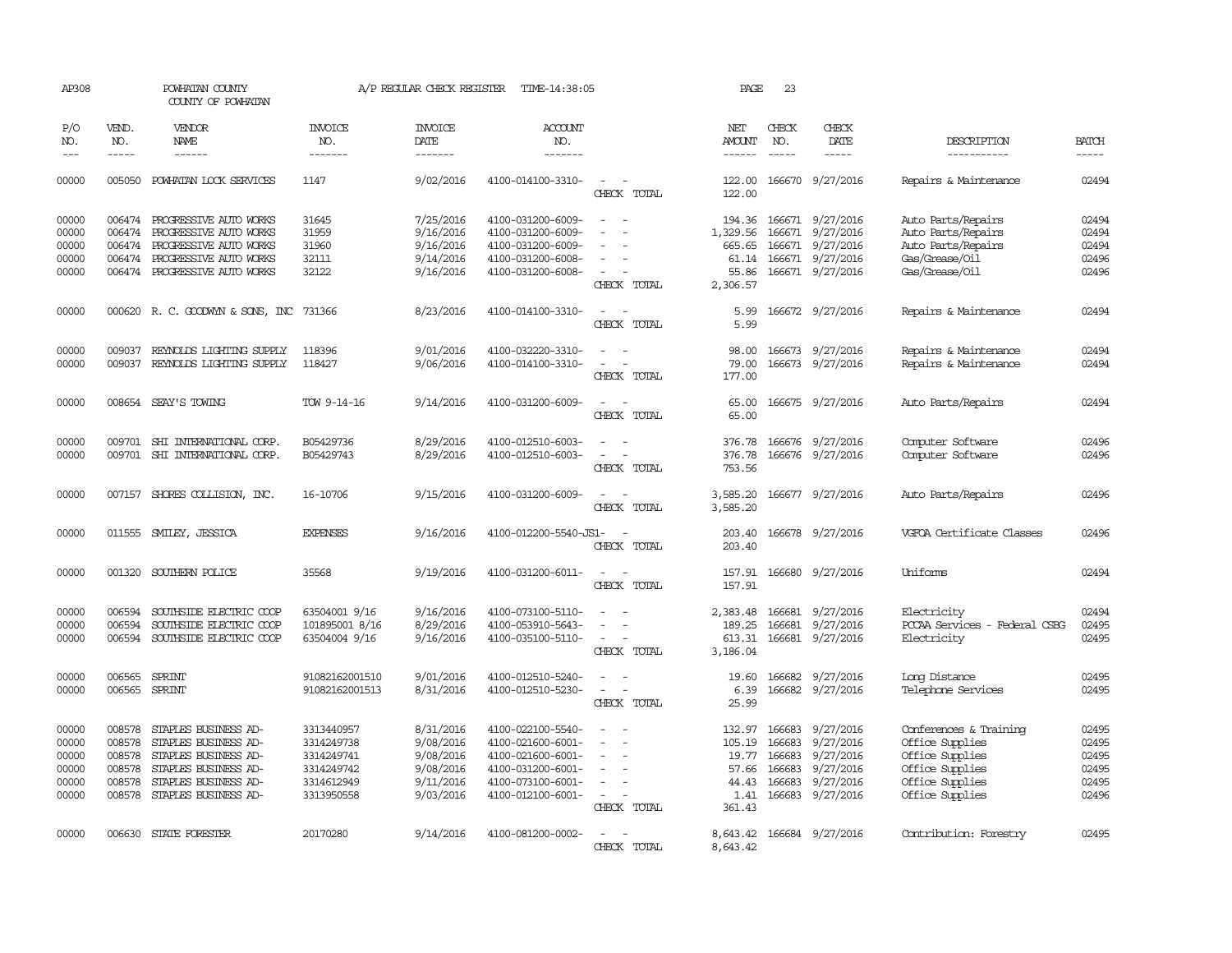| AP308                                              |                                                          | POWHATAN COUNTY<br>COUNTY OF POWHATAN                                                                                                               |                                                                                  | A/P REGULAR CHECK REGISTER                                                 | TIME-14:38:05                                                                                                              |                                                                                                                             | PAGE                                                          | 23                                                       |                                                                                           |                                                                                                                       |                                                    |
|----------------------------------------------------|----------------------------------------------------------|-----------------------------------------------------------------------------------------------------------------------------------------------------|----------------------------------------------------------------------------------|----------------------------------------------------------------------------|----------------------------------------------------------------------------------------------------------------------------|-----------------------------------------------------------------------------------------------------------------------------|---------------------------------------------------------------|----------------------------------------------------------|-------------------------------------------------------------------------------------------|-----------------------------------------------------------------------------------------------------------------------|----------------------------------------------------|
| P/O<br>NO.<br>$\frac{1}{2}$                        | VEND.<br>NO.<br>$- - - - -$                              | VENDOR<br>NAME<br>------                                                                                                                            | <b>INVOICE</b><br>NO.<br>-------                                                 | <b>INVOICE</b><br>DATE<br>-------                                          | <b>ACCOUNT</b><br>NO.<br>-------                                                                                           |                                                                                                                             | NET<br>AMOUNT<br>------                                       | CHECK<br>NO.<br>$- - - - -$                              | CHECK<br>DATE<br>-----                                                                    | DESCRIPTION<br>-----------                                                                                            | <b>BATCH</b><br>$- - - - -$                        |
| 00000                                              |                                                          | 005050 POWHATAN LOCK SERVICES                                                                                                                       | 1147                                                                             | 9/02/2016                                                                  | 4100-014100-3310-                                                                                                          | $\sim$<br>$\sim$<br>CHECK TOTAL                                                                                             | 122.00                                                        |                                                          | 122.00 166670 9/27/2016                                                                   | Repairs & Maintenance                                                                                                 | 02494                                              |
| 00000<br>00000<br>00000<br>00000<br>00000          | 006474<br>006474                                         | PROGRESSIVE AUIO WORKS<br>006474 PROGRESSIVE AUTO WORKS<br>PROGRESSIVE AUTO WORKS<br>006474 PROGRESSIVE AUTO WORKS<br>006474 PROGRESSIVE AUTO WORKS | 31645<br>31959<br>31960<br>32111<br>32122                                        | 7/25/2016<br>9/16/2016<br>9/16/2016<br>9/14/2016<br>9/16/2016              | 4100-031200-6009-<br>4100-031200-6009-<br>4100-031200-6009-<br>4100-031200-6008-<br>4100-031200-6008-                      | $\sim$<br>$\overline{\phantom{a}}$<br>CHECK TOTAL                                                                           | 194.36<br>1,329.56<br>665.65<br>61.14<br>55.86<br>2,306.57    | 166671                                                   | 9/27/2016<br>166671 9/27/2016<br>166671 9/27/2016<br>166671 9/27/2016<br>166671 9/27/2016 | Auto Parts/Repairs<br>Auto Parts/Repairs<br>Auto Parts/Repairs<br>Gas/Grease/Oil<br>Gas/Grease/Oil                    | 02494<br>02494<br>02494<br>02496<br>02496          |
| 00000                                              |                                                          | 000620 R. C. GOODWYN & SONS, INC 731366                                                                                                             |                                                                                  | 8/23/2016                                                                  | 4100-014100-3310-                                                                                                          | $\overline{\phantom{a}}$<br>$\sim$<br>CHECK TOTAL                                                                           | 5.99<br>5.99                                                  |                                                          | 166672 9/27/2016                                                                          | Repairs & Maintenance                                                                                                 | 02494                                              |
| 00000<br>00000                                     | 009037<br>009037                                         | REYNOLDS LIGHTING SUPPLY<br>REYNOLDS LIGHTING SUPPLY                                                                                                | 118396<br>118427                                                                 | 9/01/2016<br>9/06/2016                                                     | 4100-032220-3310-<br>4100-014100-3310-                                                                                     | $\overline{\phantom{a}}$<br>$\overline{\phantom{a}}$<br>CHECK TOTAL                                                         | 98.00<br>79.00<br>177.00                                      |                                                          | 166673 9/27/2016<br>166673 9/27/2016                                                      | Repairs & Maintenance<br>Repairs & Maintenance                                                                        | 02494<br>02494                                     |
| 00000                                              |                                                          | 008654 SEAY'S TOWING                                                                                                                                | TOW 9-14-16                                                                      | 9/14/2016                                                                  | 4100-031200-6009-                                                                                                          | CHECK TOTAL                                                                                                                 | 65.00<br>65.00                                                |                                                          | 166675 9/27/2016                                                                          | Auto Parts/Repairs                                                                                                    | 02494                                              |
| 00000<br>00000                                     | 009701                                                   | SHI INIERNATIONAL CORP.<br>009701 SHI INTERNATIONAL CORP.                                                                                           | B05429736<br>B05429743                                                           | 8/29/2016<br>8/29/2016                                                     | 4100-012510-6003-<br>4100-012510-6003-                                                                                     | CHECK TOTAL                                                                                                                 | 376.78<br>376.78<br>753.56                                    | 166676<br>166676                                         | 9/27/2016<br>9/27/2016                                                                    | Computer Software<br>Computer Software                                                                                | 02496<br>02496                                     |
| 00000                                              |                                                          | 007157 SHORES COLLISION, INC.                                                                                                                       | 16-10706                                                                         | 9/15/2016                                                                  | 4100-031200-6009-                                                                                                          | $\overline{a}$<br>$\overline{\phantom{a}}$<br>CHECK TOTAL                                                                   | 3,585.20<br>3,585.20                                          |                                                          | 166677 9/27/2016                                                                          | Auto Parts/Repairs                                                                                                    | 02496                                              |
| 00000                                              |                                                          | 011555 SMILEY, JESSICA                                                                                                                              | <b>EXPENSES</b>                                                                  | 9/16/2016                                                                  | 4100-012200-5540-JS1-                                                                                                      | $\overline{\phantom{a}}$<br>CHECK TOTAL                                                                                     | 203.40<br>203.40                                              |                                                          | 166678 9/27/2016                                                                          | VGFOA Certificate Classes                                                                                             | 02496                                              |
| 00000                                              |                                                          | 001320 SOUTHERN POLICE                                                                                                                              | 35568                                                                            | 9/19/2016                                                                  | 4100-031200-6011-                                                                                                          | $\overline{\phantom{a}}$<br>$\sim$<br>CHECK TOTAL                                                                           | 157.91<br>157.91                                              |                                                          | 166680 9/27/2016                                                                          | Uniforms                                                                                                              | 02494                                              |
| 00000<br>00000<br>00000                            | 006594<br>006594<br>006594                               | SOUTHSIDE ELECTRIC COOP<br>SOUTHSIDE ELECTRIC COOP<br>SOUTHSIDE ELECTRIC COOP                                                                       | 63504001 9/16<br>101895001 8/16<br>63504004 9/16                                 | 9/16/2016<br>8/29/2016<br>9/16/2016                                        | 4100-073100-5110-<br>4100-053910-5643-<br>4100-035100-5110-                                                                | $\overline{\phantom{a}}$<br>$\overline{\phantom{a}}$<br>$\overline{\phantom{a}}$<br>$\sim$<br>CHECK TOTAL                   | 2,383.48<br>189.25<br>613.31<br>3,186.04                      | 166681<br>166681                                         | 9/27/2016<br>9/27/2016<br>166681 9/27/2016                                                | Electricity<br>PCCAA Services - Federal CSBG<br>Electricity                                                           | 02494<br>02495<br>02495                            |
| 00000<br>00000                                     | 006565<br>006565                                         | SPRINT<br>SPRINT                                                                                                                                    | 91082162001510<br>91082162001513                                                 | 9/01/2016<br>8/31/2016                                                     | 4100-012510-5240-<br>4100-012510-5230-                                                                                     | $\sim$<br>$\overline{\phantom{a}}$<br>$\sim$<br>$\overline{\phantom{a}}$<br>CHECK TOTAL                                     | 19.60<br>6.39<br>25.99                                        | 166682                                                   | 9/27/2016<br>166682 9/27/2016                                                             | Long Distance<br>Telephone Services                                                                                   | 02495<br>02495                                     |
| 00000<br>00000<br>00000<br>00000<br>00000<br>00000 | 008578<br>008578<br>008578<br>008578<br>008578<br>008578 | STAPLES BUSINESS AD-<br>STAPLES BUSINESS AD-<br>STAPLES BUSINESS AD-<br>STAPLES BUSINESS AD-<br>STAPLES BUSINESS AD-<br>STAPLES BUSINESS AD-        | 3313440957<br>3314249738<br>3314249741<br>3314249742<br>3314612949<br>3313950558 | 8/31/2016<br>9/08/2016<br>9/08/2016<br>9/08/2016<br>9/11/2016<br>9/03/2016 | 4100-022100-5540-<br>4100-021600-6001-<br>4100-021600-6001-<br>4100-031200-6001-<br>4100-073100-6001-<br>4100-012100-6001- | $\overline{\phantom{a}}$<br>$\overline{\phantom{a}}$<br>$\overline{\phantom{a}}$<br>$\overline{\phantom{a}}$<br>CHECK TOTAL | 132.97<br>105.19<br>19.77<br>57.66<br>44.43<br>1.41<br>361.43 | 166683<br>166683<br>166683<br>166683<br>166683<br>166683 | 9/27/2016<br>9/27/2016<br>9/27/2016<br>9/27/2016<br>9/27/2016<br>9/27/2016                | Conferences & Training<br>Office Supplies<br>Office Supplies<br>Office Supplies<br>Office Supplies<br>Office Supplies | 02495<br>02495<br>02495<br>02495<br>02495<br>02496 |
| 00000                                              |                                                          | 006630 STATE FORESTER                                                                                                                               | 20170280                                                                         | 9/14/2016                                                                  | 4100-081200-0002-                                                                                                          | CHECK TOTAL                                                                                                                 | 8,643.42<br>8,643.42                                          |                                                          | 166684 9/27/2016                                                                          | Contribution: Forestry                                                                                                | 02495                                              |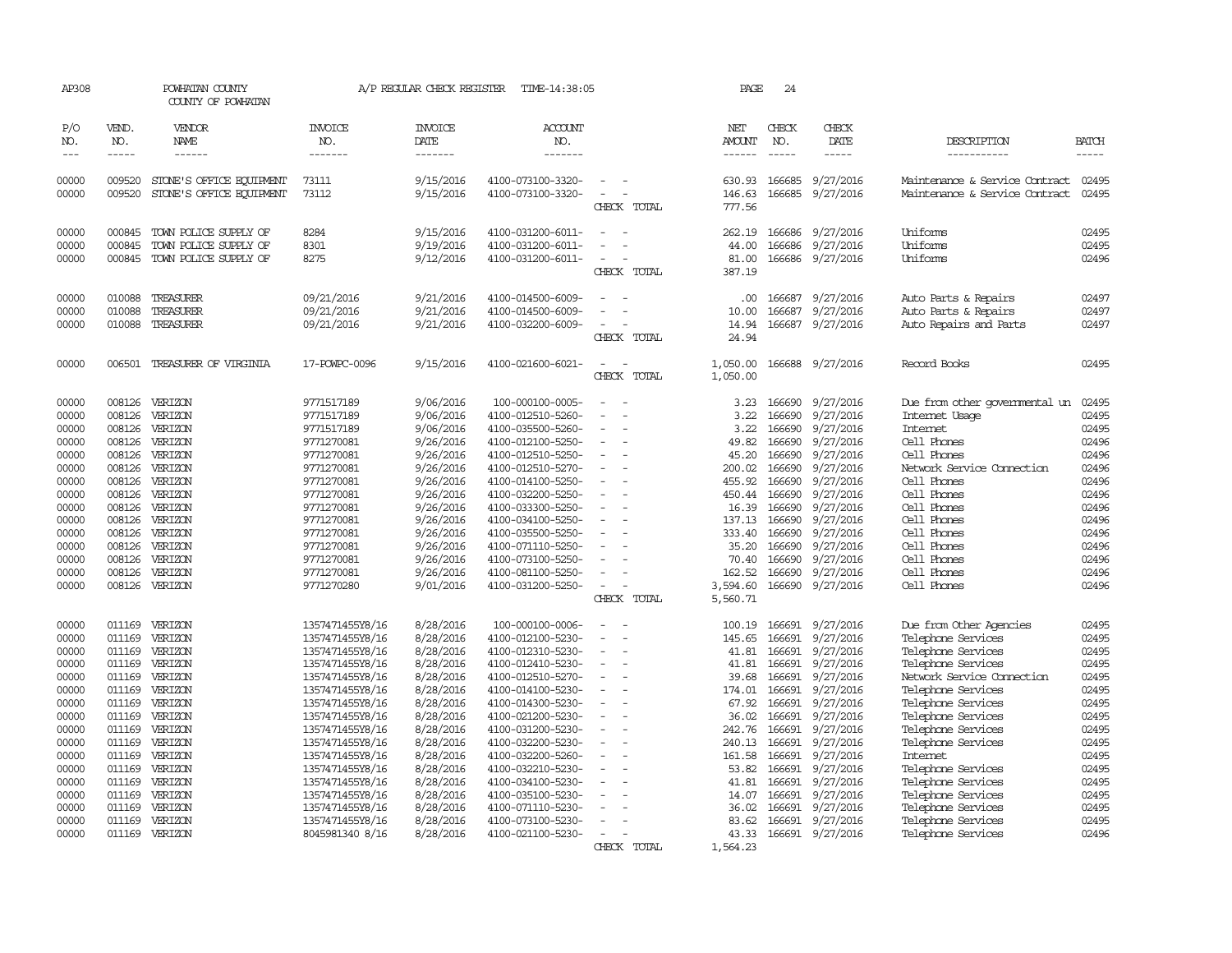| AP308                             |                  | POWHATAN COUNTY<br>COUNTY OF POWHATAN |                                    | A/P REGULAR CHECK REGISTER        | TIME-14:38:05                          |                | PAGE                    | 24                    |                        |                                          |                             |
|-----------------------------------|------------------|---------------------------------------|------------------------------------|-----------------------------------|----------------------------------------|----------------|-------------------------|-----------------------|------------------------|------------------------------------------|-----------------------------|
| P/O<br>NO.<br>$\qquad \qquad - -$ | VEND.<br>NO.     | VENDOR<br>NAME<br>------              | <b>INVOICE</b><br>NO.<br>-------   | <b>INVOICE</b><br>DATE<br>------- | <b>ACCOUNT</b><br>NO.<br>-------       |                | NET<br>AMOUNT<br>------ | CHECK<br>NO.<br>----- | CHECK<br>DATE<br>----- | DESCRIPTION<br>-----------               | <b>BATCH</b><br>$- - - - -$ |
|                                   |                  |                                       |                                    |                                   |                                        |                |                         |                       |                        |                                          |                             |
| 00000                             | 009520           | STONE'S OFFICE EQUIPMENT              | 73111                              | 9/15/2016                         | 4100-073100-3320-                      |                | 630.93                  | 166685                | 9/27/2016              | Maintenance & Service Contract           | 02495                       |
| 00000                             | 009520           | STONE'S OFFICE EQUIPMENT              | 73112                              | 9/15/2016                         | 4100-073100-3320-                      | CHECK TOTAL    | 146.63<br>777.56        | 166685                | 9/27/2016              | Maintenance & Service Contract           | 02495                       |
| 00000                             | 000845           | TOWN POLICE SUPPLY OF                 | 8284                               | 9/15/2016                         | 4100-031200-6011-                      |                | 262.19                  | 166686                | 9/27/2016              | Uniforms                                 | 02495                       |
| 00000                             | 000845           | TOWN POLICE SUPPLY OF                 | 8301                               | 9/19/2016                         | 4100-031200-6011-                      |                | 44.00                   | 166686                | 9/27/2016              | Uniforms                                 | 02495                       |
| 00000                             | 000845           | TOWN POLICE SUPPLY OF                 | 8275                               | 9/12/2016                         | 4100-031200-6011-                      |                | 81.00                   | 166686                | 9/27/2016              | Uniforms                                 | 02496                       |
|                                   |                  |                                       |                                    |                                   |                                        | CHECK TOTAL    | 387.19                  |                       |                        |                                          |                             |
| 00000                             | 010088           | TREASURER                             | 09/21/2016                         | 9/21/2016                         | 4100-014500-6009-                      |                | .00                     | 166687                | 9/27/2016              | Auto Parts & Repairs                     | 02497                       |
| 00000                             | 010088           | TREASURER                             | 09/21/2016                         | 9/21/2016                         | 4100-014500-6009-                      |                | 10.00                   | 166687                | 9/27/2016              | Auto Parts & Repairs                     | 02497                       |
| 00000                             | 010088           | TREASURER                             | 09/21/2016                         | 9/21/2016                         | 4100-032200-6009-                      | $\overline{a}$ | 14.94                   |                       | 166687 9/27/2016       | Auto Repairs and Parts                   | 02497                       |
|                                   |                  |                                       |                                    |                                   |                                        | CHECK TOTAL    | 24.94                   |                       |                        |                                          |                             |
| 00000                             |                  | 006501 TREASURER OF VIRGINIA          | 17-POWPC-0096                      | 9/15/2016                         | 4100-021600-6021-                      |                | 1,050.00                |                       | 166688 9/27/2016       | Record Books                             | 02495                       |
|                                   |                  |                                       |                                    |                                   |                                        | CHECK TOTAL    | 1,050.00                |                       |                        |                                          |                             |
| 00000                             | 008126           | VERIZON                               | 9771517189                         | 9/06/2016                         | 100-000100-0005-                       |                | 3.23                    | 166690                | 9/27/2016              | Due from other governmental un           | 02495                       |
| 00000                             | 008126           | VERIZON                               | 9771517189                         | 9/06/2016                         | 4100-012510-5260-                      |                | 3.22                    | 166690                | 9/27/2016              | Internet Usage                           | 02495                       |
| 00000                             | 008126           | VERIZON                               | 9771517189                         | 9/06/2016                         | 4100-035500-5260-                      |                | 3.22                    | 166690                | 9/27/2016              | Internet                                 | 02495                       |
| 00000                             | 008126           | VERIZON                               | 9771270081                         | 9/26/2016                         | 4100-012100-5250-                      |                | 49.82                   | 166690                | 9/27/2016              | Cell Phones                              | 02496                       |
| 00000                             | 008126           | VERIZON                               | 9771270081                         | 9/26/2016                         | 4100-012510-5250-                      |                | 45.20                   | 166690                | 9/27/2016              | Cell Phones                              | 02496                       |
| 00000                             | 008126           | VERIZON                               | 9771270081                         | 9/26/2016                         | 4100-012510-5270-                      | $\overline{a}$ | 200.02                  | 166690                | 9/27/2016              | Network Service Connection               | 02496                       |
| 00000                             | 008126           | VERIZON                               | 9771270081                         | 9/26/2016                         | 4100-014100-5250-                      |                | 455.92                  | 166690                | 9/27/2016              | Cell Phones                              | 02496                       |
| 00000<br>00000                    | 008126<br>008126 | VERIZON<br>VERIZON                    | 9771270081<br>9771270081           | 9/26/2016                         | 4100-032200-5250-                      |                | 450.44                  | 166690<br>166690      | 9/27/2016<br>9/27/2016 | Cell Phones<br>Cell Phones               | 02496<br>02496              |
| 00000                             | 008126           | VERIZON                               | 9771270081                         | 9/26/2016<br>9/26/2016            | 4100-033300-5250-<br>4100-034100-5250- |                | 16.39<br>137.13         | 166690                | 9/27/2016              | Cell Phones                              | 02496                       |
| 00000                             | 008126           | VERIZON                               | 9771270081                         | 9/26/2016                         | 4100-035500-5250-                      |                | 333.40                  | 166690                | 9/27/2016              | Cell Phones                              | 02496                       |
| 00000                             | 008126           | VERIZON                               | 9771270081                         | 9/26/2016                         | 4100-071110-5250-                      |                | 35.20                   | 166690                | 9/27/2016              | Cell Phones                              | 02496                       |
| 00000                             | 008126           | VERIZON                               | 9771270081                         | 9/26/2016                         | 4100-073100-5250-                      |                | 70.40                   | 166690                | 9/27/2016              | Cell Phones                              | 02496                       |
| 00000                             | 008126           | VERIZON                               | 9771270081                         | 9/26/2016                         | 4100-081100-5250-                      |                | 162.52                  | 166690                | 9/27/2016              | Cell Phones                              | 02496                       |
| 00000                             | 008126           | VERIZON                               | 9771270280                         | 9/01/2016                         | 4100-031200-5250-                      |                | 3,594.60                | 166690                | 9/27/2016              | Cell Phones                              | 02496                       |
|                                   |                  |                                       |                                    |                                   |                                        | CHECK TOTAL    | 5,560.71                |                       |                        |                                          |                             |
| 00000                             | 011169           | VERIZON                               | 1357471455Y8/16                    | 8/28/2016                         | 100-000100-0006-                       |                | 100.19                  | 166691                | 9/27/2016              | Due from Other Agencies                  | 02495                       |
| 00000                             | 011169           | VERIZON                               | 1357471455Y8/16                    | 8/28/2016                         | 4100-012100-5230-                      |                | 145.65                  | 166691                | 9/27/2016              | Telephone Services                       | 02495                       |
| 00000                             | 011169           | VERIZON                               | 1357471455Y8/16                    | 8/28/2016                         | 4100-012310-5230-                      |                | 41.81                   | 166691                | 9/27/2016              | Telephone Services                       | 02495                       |
| 00000                             | 011169           | VERIZON                               | 1357471455Y8/16                    | 8/28/2016                         | 4100-012410-5230-                      |                | 41.81                   | 166691                | 9/27/2016              | Telephone Services                       | 02495                       |
| 00000                             | 011169           | VERIZON                               | 1357471455Y8/16                    | 8/28/2016                         | 4100-012510-5270-                      |                | 39.68                   | 166691                | 9/27/2016              | Network Service Connection               | 02495                       |
| 00000                             | 011169           | VERIZON                               | 1357471455Y8/16                    | 8/28/2016                         | 4100-014100-5230-                      |                | 174.01                  | 166691                | 9/27/2016              | Telephone Services                       | 02495                       |
| 00000                             | 011169           | VERIZON                               | 1357471455Y8/16                    | 8/28/2016                         | 4100-014300-5230-                      |                | 67.92                   | 166691                | 9/27/2016              | Telephone Services                       | 02495                       |
| 00000                             | 011169<br>011169 | VERIZON<br>VERIZON                    | 1357471455Y8/16                    | 8/28/2016                         | 4100-021200-5230-<br>4100-031200-5230- |                | 36.02                   | 166691<br>166691      | 9/27/2016              | Telephone Services                       | 02495<br>02495              |
| 00000<br>00000                    | 011169           | VERIZON                               | 1357471455Y8/16<br>1357471455Y8/16 | 8/28/2016<br>8/28/2016            | 4100-032200-5230-                      |                | 242.76<br>240.13        | 166691                | 9/27/2016<br>9/27/2016 | Telephone Services<br>Telephone Services | 02495                       |
| 00000                             | 011169           | VERIZON                               | 1357471455Y8/16                    | 8/28/2016                         | 4100-032200-5260-                      |                | 161.58                  | 166691                | 9/27/2016              | Internet                                 | 02495                       |
| 00000                             | 011169           | VERIZON                               | 1357471455Y8/16                    | 8/28/2016                         | 4100-032210-5230-                      |                | 53.82                   | 166691                | 9/27/2016              | Telephone Services                       | 02495                       |
| 00000                             | 011169           | VERIZON                               | 1357471455Y8/16                    | 8/28/2016                         | 4100-034100-5230-                      |                | 41.81                   | 166691                | 9/27/2016              | Telephone Services                       | 02495                       |
| 00000                             | 011169           | VERIZON                               | 1357471455Y8/16                    | 8/28/2016                         | 4100-035100-5230-                      |                | 14.07                   | 166691                | 9/27/2016              | Telephone Services                       | 02495                       |
| 00000                             | 011169           | VERIZON                               | 1357471455Y8/16                    | 8/28/2016                         | 4100-071110-5230-                      |                | 36.02                   | 166691                | 9/27/2016              | Telephone Services                       | 02495                       |
| 00000                             | 011169           | VERIZON                               | 1357471455Y8/16                    | 8/28/2016                         | 4100-073100-5230-                      |                | 83.62                   | 166691                | 9/27/2016              | Telephone Services                       | 02495                       |
| 00000                             | 011169           | VERIZON                               | 8045981340 8/16                    | 8/28/2016                         | 4100-021100-5230-                      |                | 43.33                   |                       | 166691 9/27/2016       | Telephone Services                       | 02496                       |
|                                   |                  |                                       |                                    |                                   |                                        | CHECK TOTAL    | 1,564.23                |                       |                        |                                          |                             |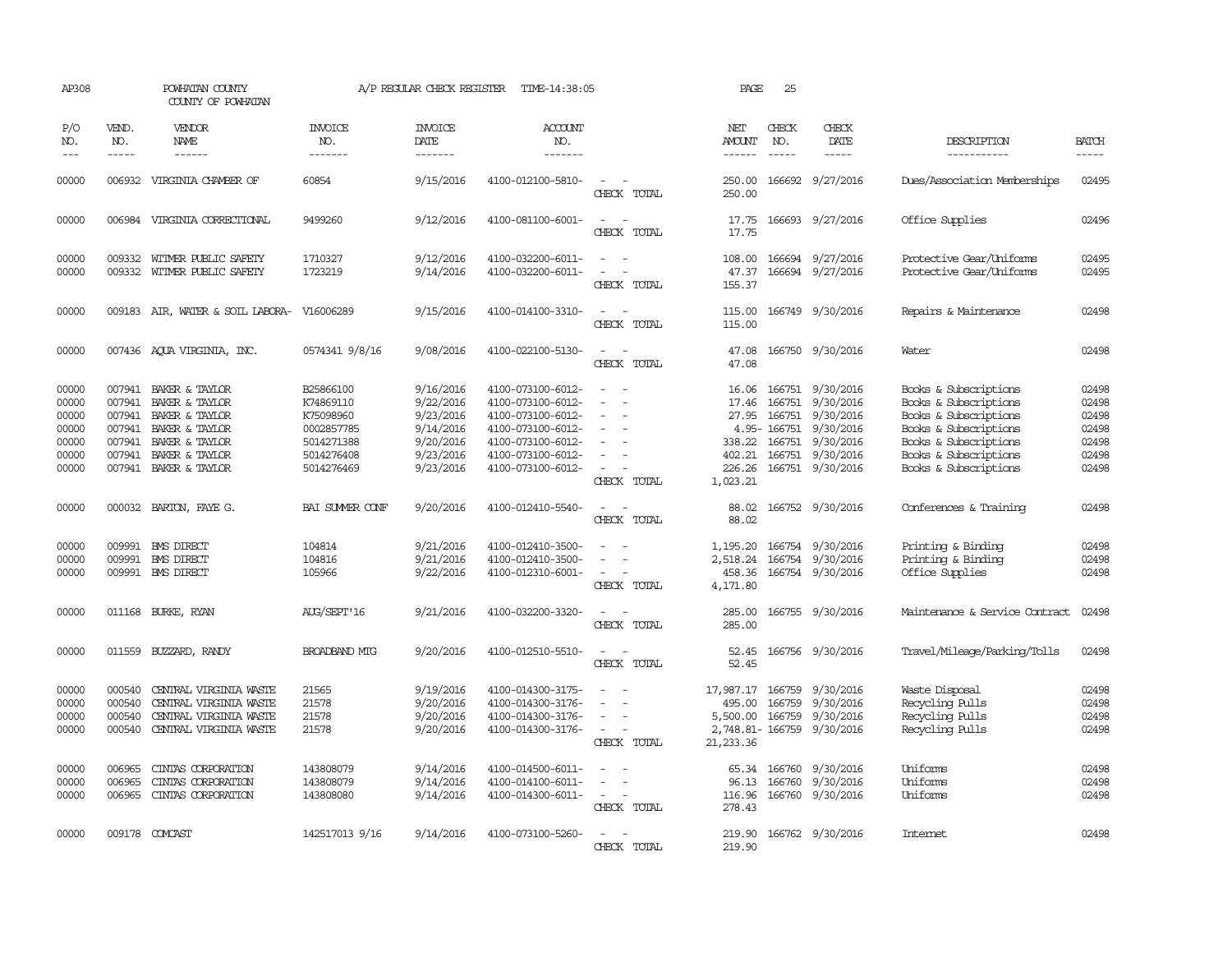| AP308                                                       |                            | POWHATAN COUNTY<br>COUNTY OF POWHATAN                                                                                                                                |                                                                                             | A/P REGULAR CHECK REGISTER                                                              | TIME-14:38:05                                                                                                                                   |                                                                                                                             | PAGE                                                 | 25                                                     |                                                                                                                            |                                                                                                                                                                             |                                                             |
|-------------------------------------------------------------|----------------------------|----------------------------------------------------------------------------------------------------------------------------------------------------------------------|---------------------------------------------------------------------------------------------|-----------------------------------------------------------------------------------------|-------------------------------------------------------------------------------------------------------------------------------------------------|-----------------------------------------------------------------------------------------------------------------------------|------------------------------------------------------|--------------------------------------------------------|----------------------------------------------------------------------------------------------------------------------------|-----------------------------------------------------------------------------------------------------------------------------------------------------------------------------|-------------------------------------------------------------|
| P/O<br>NO.<br>$---$                                         | VEND.<br>NO.               | VENDOR<br>NAME<br>$- - - - - -$                                                                                                                                      | <b>INVOICE</b><br>NO.<br>-------                                                            | <b>INVOICE</b><br>DATE<br>$- - - - - - -$                                               | <b>ACCOUNT</b><br>NO.<br>-------                                                                                                                |                                                                                                                             | NET<br>AMOUNT<br>------                              | CHECK<br>NO.<br>$\frac{1}{2}$                          | CHECK<br>DATE<br>$- - - - -$                                                                                               | DESCRIPTION<br>-----------                                                                                                                                                  | <b>BATCH</b><br>-----                                       |
| 00000                                                       |                            | 006932 VIRGINIA CHAMBER OF                                                                                                                                           | 60854                                                                                       | 9/15/2016                                                                               | 4100-012100-5810-                                                                                                                               | $\sim$ 100 $\mu$<br>CHECK TOTAL                                                                                             | 250.00                                               |                                                        | 250.00 166692 9/27/2016                                                                                                    | Dues/Association Memberships                                                                                                                                                | 02495                                                       |
| 00000                                                       |                            | 006984 VIRGINIA CORRECTIONAL                                                                                                                                         | 9499260                                                                                     | 9/12/2016                                                                               | 4100-081100-6001-                                                                                                                               | $\sim$<br>$\sim$<br>CHECK TOTAL                                                                                             | 17.75<br>17.75                                       |                                                        | 166693 9/27/2016                                                                                                           | Office Supplies                                                                                                                                                             | 02496                                                       |
| 00000<br>00000                                              | 009332<br>009332           | WITMER PUBLIC SAFETY<br>WITMER PUBLIC SAFETY                                                                                                                         | 1710327<br>1723219                                                                          | 9/12/2016<br>9/14/2016                                                                  | 4100-032200-6011-<br>4100-032200-6011-                                                                                                          | $\equiv$<br>CHECK TOTAL                                                                                                     | 108.00<br>47.37<br>155.37                            |                                                        | 166694 9/27/2016<br>166694 9/27/2016                                                                                       | Protective Gear/Uniforms<br>Protective Gear/Uniforms                                                                                                                        | 02495<br>02495                                              |
| 00000                                                       |                            | 009183 AIR, WATER & SOIL LABORA-                                                                                                                                     | V16006289                                                                                   | 9/15/2016                                                                               | 4100-014100-3310-                                                                                                                               | $\frac{1}{2} \left( \frac{1}{2} \right) \left( \frac{1}{2} \right) = \frac{1}{2} \left( \frac{1}{2} \right)$<br>CHECK TOTAL | 115.00<br>115.00                                     |                                                        | 166749 9/30/2016                                                                                                           | Repairs & Maintenance                                                                                                                                                       | 02498                                                       |
| 00000                                                       |                            | 007436 AQUA VIRGINIA, INC.                                                                                                                                           | 0574341 9/8/16                                                                              | 9/08/2016                                                                               | 4100-022100-5130-                                                                                                                               | $\sim$ 100 $\mu$<br>$\overline{\phantom{a}}$<br>CHECK TOTAL                                                                 | 47.08<br>47.08                                       |                                                        | 166750 9/30/2016                                                                                                           | Water                                                                                                                                                                       | 02498                                                       |
| 00000<br>00000<br>00000<br>00000<br>00000<br>00000<br>00000 | 007941                     | 007941 BAKER & TAYLOR<br>BAKER & TAYLOR<br>007941 BAKER & TAYLOR<br>007941 BAKER & TAYLOR<br>007941 BAKER & TAYLOR<br>007941 BAKER & TAYLOR<br>007941 BAKER & TAYLOR | B25866100<br>K74869110<br>K75098960<br>0002857785<br>5014271388<br>5014276408<br>5014276469 | 9/16/2016<br>9/22/2016<br>9/23/2016<br>9/14/2016<br>9/20/2016<br>9/23/2016<br>9/23/2016 | 4100-073100-6012-<br>4100-073100-6012-<br>4100-073100-6012-<br>4100-073100-6012-<br>4100-073100-6012-<br>4100-073100-6012-<br>4100-073100-6012- | $\equiv$<br>$\sim$<br>CHECK TOTAL                                                                                           | 16.06<br>17.46<br>1,023.21                           | 166751<br>27.95 166751<br>4.95-166751<br>338.22 166751 | 166751 9/30/2016<br>9/30/2016<br>9/30/2016<br>9/30/2016<br>9/30/2016<br>402.21 166751 9/30/2016<br>226.26 166751 9/30/2016 | Books & Subscriptions<br>Books & Subscriptions<br>Books & Subscriptions<br>Books & Subscriptions<br>Books & Subscriptions<br>Books & Subscriptions<br>Books & Subscriptions | 02498<br>02498<br>02498<br>02498<br>02498<br>02498<br>02498 |
| 00000                                                       |                            | 000032 BARTON, FAYE G.                                                                                                                                               | BAI SUMER CONF                                                                              | 9/20/2016                                                                               | 4100-012410-5540-                                                                                                                               | $\equiv$<br>CHECK TOTAL                                                                                                     | 88.02<br>88.02                                       |                                                        | 166752 9/30/2016                                                                                                           | Conferences & Training                                                                                                                                                      | 02498                                                       |
| 00000<br>00000<br>00000                                     | 009991                     | <b>EMS DIRECT</b><br>009991 BMS DIRECT<br>009991 BMS DIRECT                                                                                                          | 104814<br>104816<br>105966                                                                  | 9/21/2016<br>9/21/2016<br>9/22/2016                                                     | 4100-012410-3500-<br>4100-012410-3500-<br>4100-012310-6001-                                                                                     | $\overline{\phantom{a}}$<br>$\overline{\phantom{a}}$<br>CHECK TOTAL                                                         | 1,195.20<br>2,518.24<br>458.36<br>4,171.80           |                                                        | 166754 9/30/2016<br>166754 9/30/2016<br>166754 9/30/2016                                                                   | Printing & Binding<br>Printing & Binding<br>Office Supplies                                                                                                                 | 02498<br>02498<br>02498                                     |
| 00000                                                       |                            | 011168 BURKE, RYAN                                                                                                                                                   | AUG/SEPT'16                                                                                 | 9/21/2016                                                                               | 4100-032200-3320-                                                                                                                               | $\equiv$<br>CHECK TOTAL                                                                                                     | 285.00                                               |                                                        | 285.00 166755 9/30/2016                                                                                                    | Maintenance & Service Contract                                                                                                                                              | 02498                                                       |
| 00000                                                       |                            | 011559 BUZZARD, RANDY                                                                                                                                                | BROADBAND MTG                                                                               | 9/20/2016                                                                               | 4100-012510-5510-                                                                                                                               | $\overline{\phantom{a}}$<br>CHECK TOTAL                                                                                     | 52.45<br>52.45                                       |                                                        | 166756 9/30/2016                                                                                                           | Travel/Mileage/Parking/Tolls                                                                                                                                                | 02498                                                       |
| 00000<br>00000<br>00000<br>00000                            | 000540<br>000540<br>000540 | CENTRAL VIRGINIA WASTE<br>CENTRAL VIRGINIA WASTE<br>CENTRAL VIRGINIA WASTE<br>000540 CENTRAL VIRGINIA WASTE                                                          | 21565<br>21578<br>21578<br>21578                                                            | 9/19/2016<br>9/20/2016<br>9/20/2016<br>9/20/2016                                        | 4100-014300-3175-<br>4100-014300-3176-<br>4100-014300-3176-<br>4100-014300-3176-                                                                | $\equiv$<br>$\overline{\phantom{a}}$<br>$\sim$ $ \sim$<br>CHECK TOTAL                                                       | 17,987.17 166759<br>495.00<br>5,500.00<br>21, 233.36 | 166759<br>166759                                       | 9/30/2016<br>9/30/2016<br>9/30/2016<br>2,748.81-166759 9/30/2016                                                           | Waste Disposal<br>Recycling Pulls<br>Recycling Pulls<br>Recycling Pulls                                                                                                     | 02498<br>02498<br>02498<br>02498                            |
| 00000<br>00000<br>00000                                     | 006965<br>006965<br>006965 | CINIAS CORPORATION<br>CINTAS CORPORATION<br>CINTAS CORPORATION                                                                                                       | 143808079<br>143808079<br>143808080                                                         | 9/14/2016<br>9/14/2016<br>9/14/2016                                                     | 4100-014500-6011-<br>4100-014100-6011-<br>4100-014300-6011-                                                                                     | $\overline{\phantom{a}}$<br>$\overline{\phantom{a}}$<br>$\overline{\phantom{a}}$<br>CHECK TOTAL                             | 65.34<br>116.96<br>278.43                            | 166760<br>96.13 166760                                 | 9/30/2016<br>9/30/2016<br>166760 9/30/2016                                                                                 | Uniforms<br>Uniforms<br>Uniforms                                                                                                                                            | 02498<br>02498<br>02498                                     |
| 00000                                                       |                            | 009178 COMCAST                                                                                                                                                       | 142517013 9/16                                                                              | 9/14/2016                                                                               | 4100-073100-5260-                                                                                                                               | CHECK TOTAL                                                                                                                 | 219.90<br>219.90                                     |                                                        | 166762 9/30/2016                                                                                                           | Internet.                                                                                                                                                                   | 02498                                                       |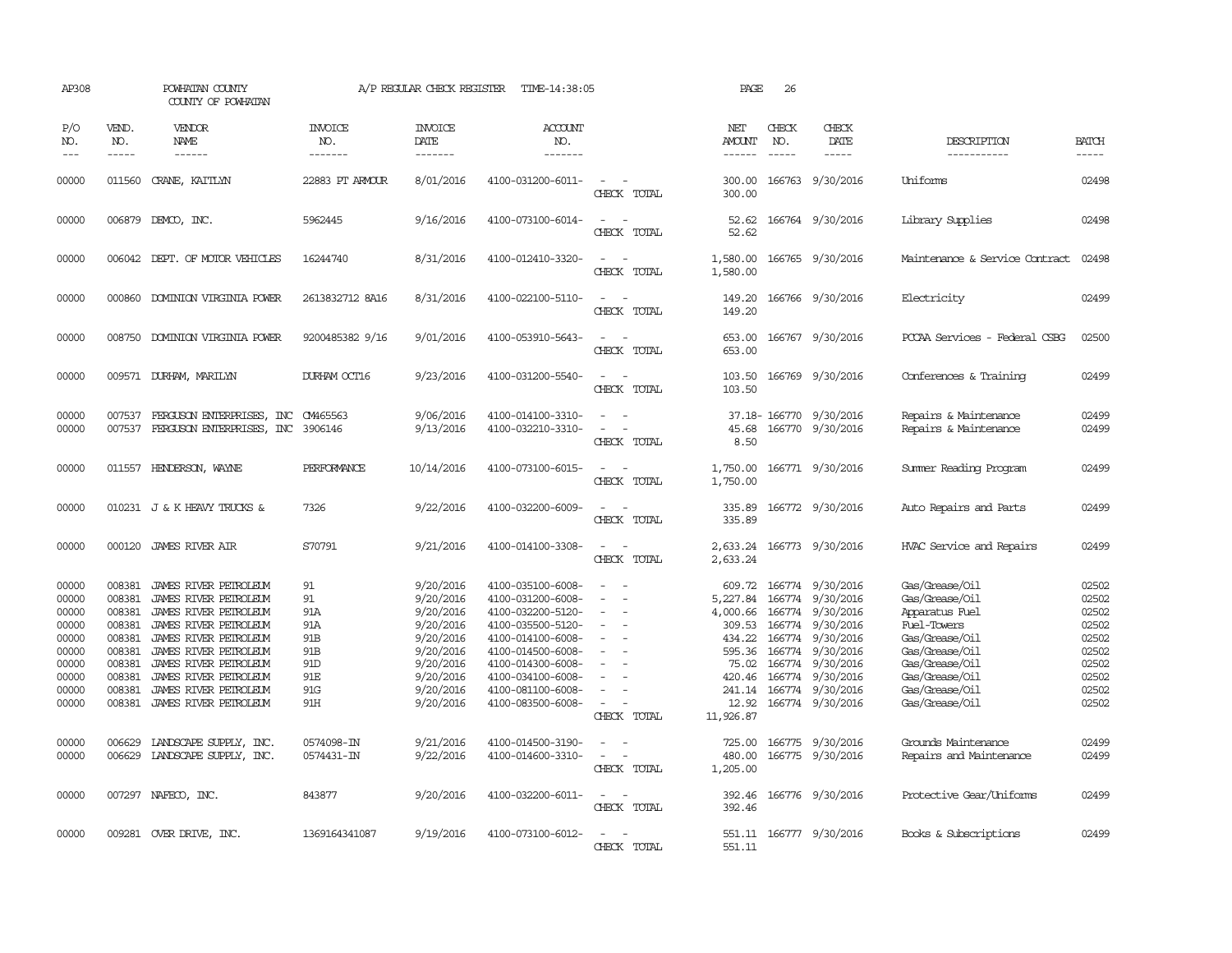| AP308                                                                                  |                                                                                        | POWHATAN COUNTY<br>COUNTY OF POWHATAN                                                                                                                                                                                                                         |                                                                                                      | A/P REGULAR CHECK REGISTER                                                                                                     | TIME-14:38:05                                                                                                                                                                                                  |                                                                                   | PAGE                                                                             | 26                                             |                                                                                                                                                                                         |                                                                                                                                                                                                             |                                                                                                 |
|----------------------------------------------------------------------------------------|----------------------------------------------------------------------------------------|---------------------------------------------------------------------------------------------------------------------------------------------------------------------------------------------------------------------------------------------------------------|------------------------------------------------------------------------------------------------------|--------------------------------------------------------------------------------------------------------------------------------|----------------------------------------------------------------------------------------------------------------------------------------------------------------------------------------------------------------|-----------------------------------------------------------------------------------|----------------------------------------------------------------------------------|------------------------------------------------|-----------------------------------------------------------------------------------------------------------------------------------------------------------------------------------------|-------------------------------------------------------------------------------------------------------------------------------------------------------------------------------------------------------------|-------------------------------------------------------------------------------------------------|
| P/O<br>NO.<br>$ -$                                                                     | VEND.<br>NO.<br>$- - - - -$                                                            | <b>VENDOR</b><br>NAME<br>$- - - - - -$                                                                                                                                                                                                                        | <b>INVOICE</b><br>NO.<br>-------                                                                     | <b>INVOICE</b><br>DATE<br>-------                                                                                              | <b>ACCOUNT</b><br>NO.<br>-------                                                                                                                                                                               |                                                                                   | NET<br><b>AMOUNT</b><br>$- - - - - -$                                            | CHECK<br>NO.<br>$\frac{1}{2}$                  | CHECK<br>DATE<br>$- - - - -$                                                                                                                                                            | DESCRIPTION<br>-----------                                                                                                                                                                                  | <b>BATCH</b><br>$- - - - -$                                                                     |
| 00000                                                                                  |                                                                                        | 011560 CRANE, KAITLYN                                                                                                                                                                                                                                         | 22883 PT ARMOUR                                                                                      | 8/01/2016                                                                                                                      | 4100-031200-6011-                                                                                                                                                                                              | $\sim$ $-$<br>CHECK TOTAL                                                         | 300.00                                                                           |                                                | 300.00 166763 9/30/2016                                                                                                                                                                 | Uniforms                                                                                                                                                                                                    | 02498                                                                                           |
| 00000                                                                                  |                                                                                        | 006879 DEMCO, INC.                                                                                                                                                                                                                                            | 5962445                                                                                              | 9/16/2016                                                                                                                      | 4100-073100-6014-                                                                                                                                                                                              | $\equiv$<br>$\overline{\phantom{a}}$<br>CHECK TOTAL                               | 52.62<br>52.62                                                                   |                                                | 166764 9/30/2016                                                                                                                                                                        | Library Supplies                                                                                                                                                                                            | 02498                                                                                           |
| 00000                                                                                  |                                                                                        | 006042 DEPT. OF MOTOR VEHICLES                                                                                                                                                                                                                                | 16244740                                                                                             | 8/31/2016                                                                                                                      | 4100-012410-3320-                                                                                                                                                                                              | $\equiv$<br>$\sim$<br>CHECK TOTAL                                                 | 1,580.00<br>1,580.00                                                             |                                                | 166765 9/30/2016                                                                                                                                                                        | Maintenance & Service Contract                                                                                                                                                                              | 02498                                                                                           |
| 00000                                                                                  |                                                                                        | 000860 DOMINION VIRGINIA POWER                                                                                                                                                                                                                                | 2613832712 8A16                                                                                      | 8/31/2016                                                                                                                      | 4100-022100-5110-                                                                                                                                                                                              | $\sim$<br>CHECK TOTAL                                                             | 149.20<br>149.20                                                                 |                                                | 166766 9/30/2016                                                                                                                                                                        | Electricity                                                                                                                                                                                                 | 02499                                                                                           |
| 00000                                                                                  | 008750                                                                                 | DOMINION VIRGINIA POWER                                                                                                                                                                                                                                       | 9200485382 9/16                                                                                      | 9/01/2016                                                                                                                      | 4100-053910-5643-                                                                                                                                                                                              | $\equiv$<br>$\overline{\phantom{a}}$<br>CHECK TOTAL                               | 653.00<br>653.00                                                                 |                                                | 166767 9/30/2016                                                                                                                                                                        | PCCAA Services - Federal CSBG                                                                                                                                                                               | 02500                                                                                           |
| 00000                                                                                  |                                                                                        | 009571 DURHAM, MARILYN                                                                                                                                                                                                                                        | DURHAM OCT16                                                                                         | 9/23/2016                                                                                                                      | 4100-031200-5540-                                                                                                                                                                                              | $\sim$<br>CHECK TOTAL                                                             | 103.50<br>103.50                                                                 |                                                | 166769 9/30/2016                                                                                                                                                                        | Conferences & Training                                                                                                                                                                                      | 02499                                                                                           |
| 00000<br>00000                                                                         | 007537<br>007537                                                                       | FERGUSON ENTERPRISES, INC<br>FERGUSON ENTERPRISES, INC                                                                                                                                                                                                        | CM465563<br>3906146                                                                                  | 9/06/2016<br>9/13/2016                                                                                                         | 4100-014100-3310-<br>4100-032210-3310-                                                                                                                                                                         | $\equiv$<br>CHECK TOTAL                                                           | 45.68<br>8.50                                                                    |                                                | 37.18-166770 9/30/2016<br>166770 9/30/2016                                                                                                                                              | Repairs & Maintenance<br>Repairs & Maintenance                                                                                                                                                              | 02499<br>02499                                                                                  |
| 00000                                                                                  |                                                                                        | 011557 HENDERSON, WAYNE                                                                                                                                                                                                                                       | PERFORMANCE                                                                                          | 10/14/2016                                                                                                                     | 4100-073100-6015-                                                                                                                                                                                              | $\overline{\phantom{a}}$<br>CHECK TOTAL                                           | 1,750.00<br>1,750.00                                                             |                                                | 166771 9/30/2016                                                                                                                                                                        | Summer Reading Program                                                                                                                                                                                      | 02499                                                                                           |
| 00000                                                                                  |                                                                                        | 010231 J & K HEAVY TRUCKS &                                                                                                                                                                                                                                   | 7326                                                                                                 | 9/22/2016                                                                                                                      | 4100-032200-6009-                                                                                                                                                                                              | $\equiv$<br>CHECK TOTAL                                                           | 335.89<br>335.89                                                                 |                                                | 166772 9/30/2016                                                                                                                                                                        | Auto Repairs and Parts                                                                                                                                                                                      | 02499                                                                                           |
| 00000                                                                                  |                                                                                        | 000120 JAMES RIVER AIR                                                                                                                                                                                                                                        | S70791                                                                                               | 9/21/2016                                                                                                                      | 4100-014100-3308-                                                                                                                                                                                              | $\overline{\phantom{a}}$<br>$\sim$<br>CHECK TOTAL                                 | 2,633.24                                                                         |                                                | 2,633.24 166773 9/30/2016                                                                                                                                                               | HVAC Service and Repairs                                                                                                                                                                                    | 02499                                                                                           |
| 00000<br>00000<br>00000<br>00000<br>00000<br>00000<br>00000<br>00000<br>00000<br>00000 | 008381<br>008381<br>008381<br>008381<br>008381<br>008381<br>008381<br>008381<br>008381 | JAMES RIVER PETROLEUM<br>JAMES RIVER PETROLEUM<br>JAMES RIVER PETROLEUM<br>JAMES RIVER PETROLEUM<br>JAMES RIVER PETROLEUM<br>JAMES RIVER PETROLEUM<br>JAMES RIVER PETROLEUM<br>JAMES RIVER PETROLEUM<br>JAMES RIVER PETROLEUM<br>008381 JAMES RIVER PETROLEUM | 91<br>91<br>91A<br>91A<br>91 <sub>B</sub><br>91 <sub>B</sub><br>91 <sub>D</sub><br>91E<br>91G<br>91H | 9/20/2016<br>9/20/2016<br>9/20/2016<br>9/20/2016<br>9/20/2016<br>9/20/2016<br>9/20/2016<br>9/20/2016<br>9/20/2016<br>9/20/2016 | 4100-035100-6008-<br>4100-031200-6008-<br>4100-032200-5120-<br>4100-035500-5120-<br>4100-014100-6008-<br>4100-014500-6008-<br>4100-014300-6008-<br>4100-034100-6008-<br>4100-081100-6008-<br>4100-083500-6008- | $\equiv$<br>$\equiv$<br>$\equiv$<br>$\equiv$<br>$\sim$<br>CHECK TOTAL<br>$\equiv$ | 609.72<br>5,227.84<br>309.53<br>434.22<br>595.36<br>75.02<br>420.46<br>11,926.87 | 166774<br>166774<br>166774<br>166774<br>166774 | 166774 9/30/2016<br>9/30/2016<br>4,000.66 166774 9/30/2016<br>9/30/2016<br>9/30/2016<br>9/30/2016<br>166774 9/30/2016<br>9/30/2016<br>241.14 166774 9/30/2016<br>12.92 166774 9/30/2016 | Gas/Grease/Oil<br>Gas/Grease/Oil<br>Apparatus Fuel<br><b>Fuel-Towers</b><br>Gas/Grease/Oil<br>Gas/Grease/Oil<br>Gas/Grease/Oil<br>Gas/Grease/Oil<br>Gas/Grease/Oil<br>Gas/Grease/Oil<br>Grounds Maintenance | 02502<br>02502<br>02502<br>02502<br>02502<br>02502<br>02502<br>02502<br>02502<br>02502<br>02499 |
| 00000<br>00000                                                                         | 006629                                                                                 | LANDSCAPE SUPPLY, INC.<br>006629 LANDSCAPE SUPPLY, INC.                                                                                                                                                                                                       | 0574098-IN<br>0574431-IN                                                                             | 9/21/2016<br>9/22/2016                                                                                                         | 4100-014500-3190-<br>4100-014600-3310-                                                                                                                                                                         | $\sim$<br>CHECK TOTAL                                                             | 725.00<br>480.00<br>1,205.00                                                     |                                                | 166775 9/30/2016<br>166775 9/30/2016                                                                                                                                                    | Repairs and Maintenance                                                                                                                                                                                     | 02499                                                                                           |
| 00000                                                                                  |                                                                                        | 007297 NAFECO, INC.                                                                                                                                                                                                                                           | 843877                                                                                               | 9/20/2016                                                                                                                      | 4100-032200-6011-                                                                                                                                                                                              | $\overline{\phantom{a}}$<br>$\overline{\phantom{a}}$<br>CHECK TOTAL               | 392.46<br>392.46                                                                 |                                                | 166776 9/30/2016                                                                                                                                                                        | Protective Gear/Uniforms                                                                                                                                                                                    | 02499                                                                                           |
| 00000                                                                                  |                                                                                        | 009281 OVER DRIVE, INC.                                                                                                                                                                                                                                       | 1369164341087                                                                                        | 9/19/2016                                                                                                                      | 4100-073100-6012-                                                                                                                                                                                              | $\equiv$<br>CHECK TOTAL                                                           | 551.11                                                                           |                                                | 551.11 166777 9/30/2016                                                                                                                                                                 | Books & Subscriptions                                                                                                                                                                                       | 02499                                                                                           |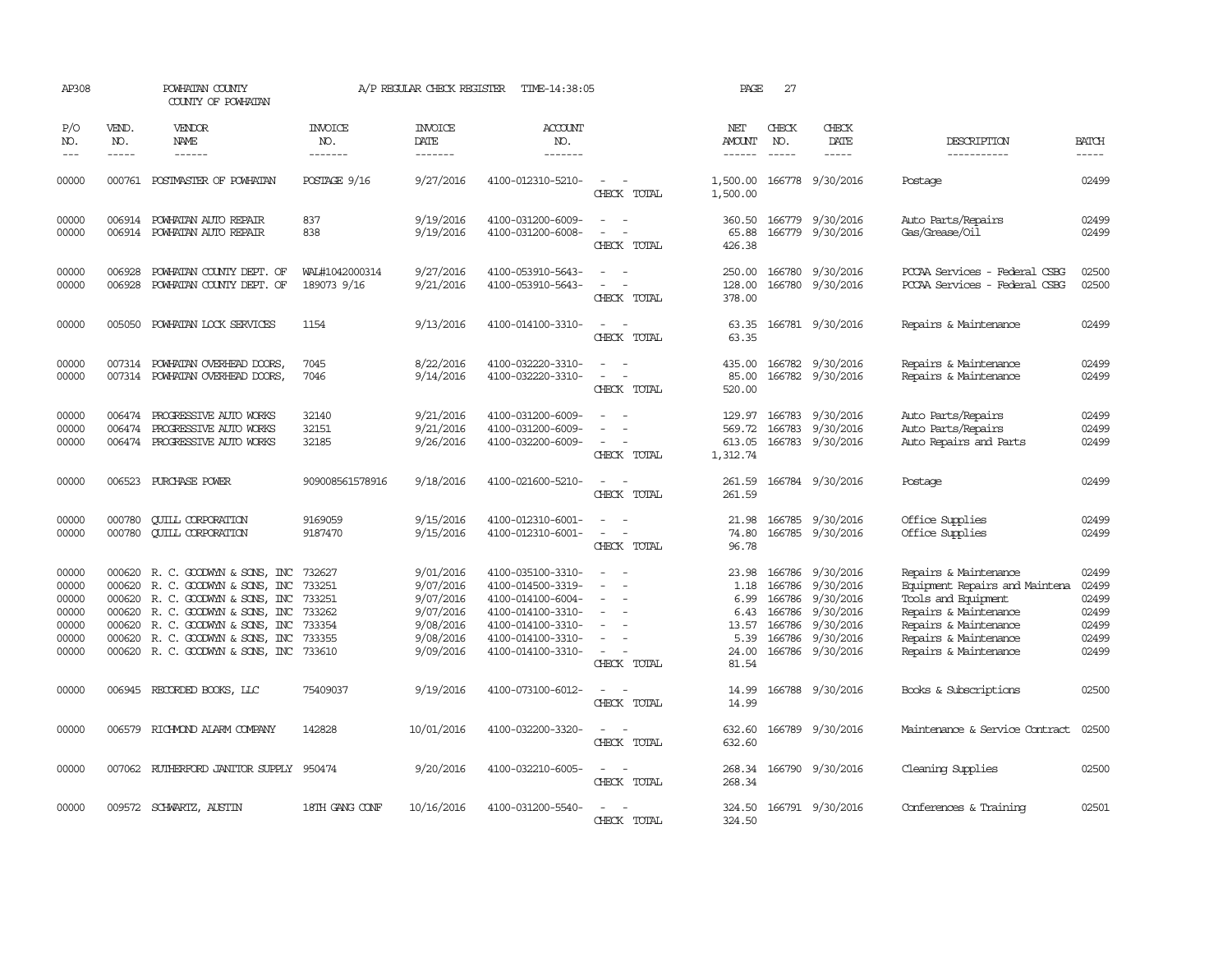| AP308                                                                                                                                                                                                                                                                                                                                                                                                      |                                      | POWHATAN COUNTY<br>COUNTY OF POWHATAN                                                                                                                                                                                        |                                                                    | A/P REGULAR CHECK REGISTER                                                              | TIME-14:38:05                                                                                                                                   |                                                                     | PAGE                                                             | 27                                                                 |                                                                                         |                                                                                                                                                                                    |                                                             |
|------------------------------------------------------------------------------------------------------------------------------------------------------------------------------------------------------------------------------------------------------------------------------------------------------------------------------------------------------------------------------------------------------------|--------------------------------------|------------------------------------------------------------------------------------------------------------------------------------------------------------------------------------------------------------------------------|--------------------------------------------------------------------|-----------------------------------------------------------------------------------------|-------------------------------------------------------------------------------------------------------------------------------------------------|---------------------------------------------------------------------|------------------------------------------------------------------|--------------------------------------------------------------------|-----------------------------------------------------------------------------------------|------------------------------------------------------------------------------------------------------------------------------------------------------------------------------------|-------------------------------------------------------------|
| P/O<br>NO.<br>$\frac{1}{2} \frac{1}{2} \frac{1}{2} \frac{1}{2} \frac{1}{2} \frac{1}{2} \frac{1}{2} \frac{1}{2} \frac{1}{2} \frac{1}{2} \frac{1}{2} \frac{1}{2} \frac{1}{2} \frac{1}{2} \frac{1}{2} \frac{1}{2} \frac{1}{2} \frac{1}{2} \frac{1}{2} \frac{1}{2} \frac{1}{2} \frac{1}{2} \frac{1}{2} \frac{1}{2} \frac{1}{2} \frac{1}{2} \frac{1}{2} \frac{1}{2} \frac{1}{2} \frac{1}{2} \frac{1}{2} \frac{$ | VEND.<br>NO.<br>$- - - - -$          | VENDOR<br>NAME<br>------                                                                                                                                                                                                     | <b>INVOICE</b><br>NO.<br>-------                                   | <b>INVOICE</b><br>DATE<br>-------                                                       | <b>ACCOUNT</b><br>NO.<br>-------                                                                                                                |                                                                     | NET<br><b>AMOUNT</b><br>$- - - - - -$                            | CHECK<br>NO.<br>$\frac{1}{2}$                                      | CHECK<br>DATE<br>-----                                                                  | DESCRIPTION<br>-----------                                                                                                                                                         | <b>BATCH</b><br>-----                                       |
| 00000                                                                                                                                                                                                                                                                                                                                                                                                      |                                      | 000761 POSTMASTER OF POWHATAN                                                                                                                                                                                                | POSTAGE 9/16                                                       | 9/27/2016                                                                               | 4100-012310-5210-                                                                                                                               | CHECK TOTAL                                                         | 1,500.00<br>1,500.00                                             |                                                                    | 166778 9/30/2016                                                                        | Postage                                                                                                                                                                            | 02499                                                       |
| 00000<br>00000                                                                                                                                                                                                                                                                                                                                                                                             |                                      | 006914 POWHATAN AUTO REPAIR<br>006914 POWHATAN AUTO REPAIR                                                                                                                                                                   | 837<br>838                                                         | 9/19/2016<br>9/19/2016                                                                  | 4100-031200-6009-<br>4100-031200-6008-                                                                                                          | $\sim$<br>$\sim$<br>$\overline{\phantom{a}}$<br>CHECK TOTAL         | 360.50<br>65.88<br>426.38                                        |                                                                    | 166779 9/30/2016<br>166779 9/30/2016                                                    | Auto Parts/Repairs<br>Gas/Grease/Oil                                                                                                                                               | 02499<br>02499                                              |
| 00000<br>00000                                                                                                                                                                                                                                                                                                                                                                                             | 006928<br>006928                     | POWHATAN COUNTY DEPT. OF<br>POWHATAN COUNTY DEPT. OF                                                                                                                                                                         | WAL#1042000314<br>189073 9/16                                      | 9/27/2016<br>9/21/2016                                                                  | 4100-053910-5643-<br>4100-053910-5643-                                                                                                          | CHECK TOTAL                                                         | 250.00<br>128.00<br>378.00                                       |                                                                    | 166780 9/30/2016<br>166780 9/30/2016                                                    | PCCAA Services - Federal CSBG<br>PCCAA Services - Federal CSBG                                                                                                                     | 02500<br>02500                                              |
| 00000                                                                                                                                                                                                                                                                                                                                                                                                      | 005050                               | POWHATAN LOCK SERVICES                                                                                                                                                                                                       | 1154                                                               | 9/13/2016                                                                               | 4100-014100-3310-                                                                                                                               | $\sim$ $\sim$<br>CHECK TOTAL                                        | 63.35<br>63.35                                                   |                                                                    | 166781 9/30/2016                                                                        | Repairs & Maintenance                                                                                                                                                              | 02499                                                       |
| 00000<br>00000                                                                                                                                                                                                                                                                                                                                                                                             | 007314                               | POWHATAN OVERHEAD DOORS,<br>007314 POWHATAN OVERHEAD DOORS,                                                                                                                                                                  | 7045<br>7046                                                       | 8/22/2016<br>9/14/2016                                                                  | 4100-032220-3310-<br>4100-032220-3310-                                                                                                          | $\overline{\phantom{a}}$<br>$\sim$<br>$\sim$<br>CHECK TOTAL         | 435.00<br>85.00<br>520.00                                        |                                                                    | 166782 9/30/2016<br>166782 9/30/2016                                                    | Repairs & Maintenance<br>Repairs & Maintenance                                                                                                                                     | 02499<br>02499                                              |
| 00000<br>00000<br>00000                                                                                                                                                                                                                                                                                                                                                                                    | 006474<br>006474                     | PROGRESSIVE AUIO WORKS<br>PROGRESSIVE AUTO WORKS<br>006474 PROGRESSIVE AUTO WORKS                                                                                                                                            | 32140<br>32151<br>32185                                            | 9/21/2016<br>9/21/2016<br>9/26/2016                                                     | 4100-031200-6009-<br>4100-031200-6009-<br>4100-032200-6009-                                                                                     | CHECK TOTAL                                                         | 129.97<br>569.72<br>613.05<br>1,312.74                           | 166783                                                             | 166783 9/30/2016<br>9/30/2016<br>166783 9/30/2016                                       | Auto Parts/Repairs<br>Auto Parts/Repairs<br>Auto Repairs and Parts                                                                                                                 | 02499<br>02499<br>02499                                     |
| 00000                                                                                                                                                                                                                                                                                                                                                                                                      | 006523                               | PURCHASE POWER                                                                                                                                                                                                               | 909008561578916                                                    | 9/18/2016                                                                               | 4100-021600-5210-                                                                                                                               | CHECK TOTAL                                                         | 261.59<br>261.59                                                 |                                                                    | 166784 9/30/2016                                                                        | Postage                                                                                                                                                                            | 02499                                                       |
| 00000<br>00000                                                                                                                                                                                                                                                                                                                                                                                             | 000780<br>000780                     | <b>CUILL CORPORATION</b><br><b>CUILL CORPORATION</b>                                                                                                                                                                         | 9169059<br>9187470                                                 | 9/15/2016<br>9/15/2016                                                                  | 4100-012310-6001-<br>4100-012310-6001-                                                                                                          | CHECK TOTAL                                                         | 21.98<br>74.80<br>96.78                                          | 166785                                                             | 9/30/2016<br>166785 9/30/2016                                                           | Office Supplies<br>Office Supplies                                                                                                                                                 | 02499<br>02499                                              |
| 00000<br>00000<br>00000<br>00000<br>00000<br>00000<br>00000                                                                                                                                                                                                                                                                                                                                                | 000620<br>000620<br>000620<br>000620 | 000620 R. C. GOODWYN & SONS, INC<br>R. C. GOODWIN & SONS, INC<br>R. C. GOODWYN & SONS, INC<br>000620 R. C. GOODWYN & SONS, INC<br>R. C. GOODWYN & SONS, INC<br>R. C. GOODWYN & SONS, INC<br>000620 R. C. GOODWYN & SONS, INC | 732627<br>733251<br>733251<br>733262<br>733354<br>733355<br>733610 | 9/01/2016<br>9/07/2016<br>9/07/2016<br>9/07/2016<br>9/08/2016<br>9/08/2016<br>9/09/2016 | 4100-035100-3310-<br>4100-014500-3319-<br>4100-014100-6004-<br>4100-014100-3310-<br>4100-014100-3310-<br>4100-014100-3310-<br>4100-014100-3310- | $\overline{\phantom{a}}$<br>CHECK TOTAL                             | 23.98<br>1.18<br>6.99<br>6.43<br>13.57<br>5.39<br>24.00<br>81.54 | 166786<br>166786<br>166786<br>166786<br>166786<br>166786<br>166786 | 9/30/2016<br>9/30/2016<br>9/30/2016<br>9/30/2016<br>9/30/2016<br>9/30/2016<br>9/30/2016 | Repairs & Maintenance<br>Equipment Repairs and Maintena<br>Tools and Equipment<br>Repairs & Maintenance<br>Repairs & Maintenance<br>Repairs & Maintenance<br>Repairs & Maintenance | 02499<br>02499<br>02499<br>02499<br>02499<br>02499<br>02499 |
| 00000                                                                                                                                                                                                                                                                                                                                                                                                      |                                      | 006945 RECORDED BOOKS, LLC                                                                                                                                                                                                   | 75409037                                                           | 9/19/2016                                                                               | 4100-073100-6012-                                                                                                                               | $\overline{\phantom{a}}$<br>$\overline{\phantom{a}}$<br>CHECK TOTAL | 14.99<br>14.99                                                   |                                                                    | 166788 9/30/2016                                                                        | Books & Subscriptions                                                                                                                                                              | 02500                                                       |
| 00000                                                                                                                                                                                                                                                                                                                                                                                                      |                                      | 006579 RICHMOND ALARM COMPANY                                                                                                                                                                                                | 142828                                                             | 10/01/2016                                                                              | 4100-032200-3320-                                                                                                                               | $\overline{a}$<br>. —<br>CHECK TOTAL                                | 632.60<br>632.60                                                 |                                                                    | 166789 9/30/2016                                                                        | Maintenance & Service Contract                                                                                                                                                     | 02500                                                       |
| 00000                                                                                                                                                                                                                                                                                                                                                                                                      |                                      | 007062 RUIHERFORD JANITOR SUPPLY 950474                                                                                                                                                                                      |                                                                    | 9/20/2016                                                                               | 4100-032210-6005-                                                                                                                               | $\sim$<br>CHECK TOTAL                                               | 268.34<br>268.34                                                 |                                                                    | 166790 9/30/2016                                                                        | Cleaning Supplies                                                                                                                                                                  | 02500                                                       |
| 00000                                                                                                                                                                                                                                                                                                                                                                                                      |                                      | 009572 SCHWARTZ, AUSTIN                                                                                                                                                                                                      | 18TH GANG CONF                                                     | 10/16/2016                                                                              | 4100-031200-5540-                                                                                                                               | $\overline{\phantom{a}}$<br>. —<br>CHECK TOTAL                      | 324.50<br>324.50                                                 |                                                                    | 166791 9/30/2016                                                                        | Conferences & Training                                                                                                                                                             | 02501                                                       |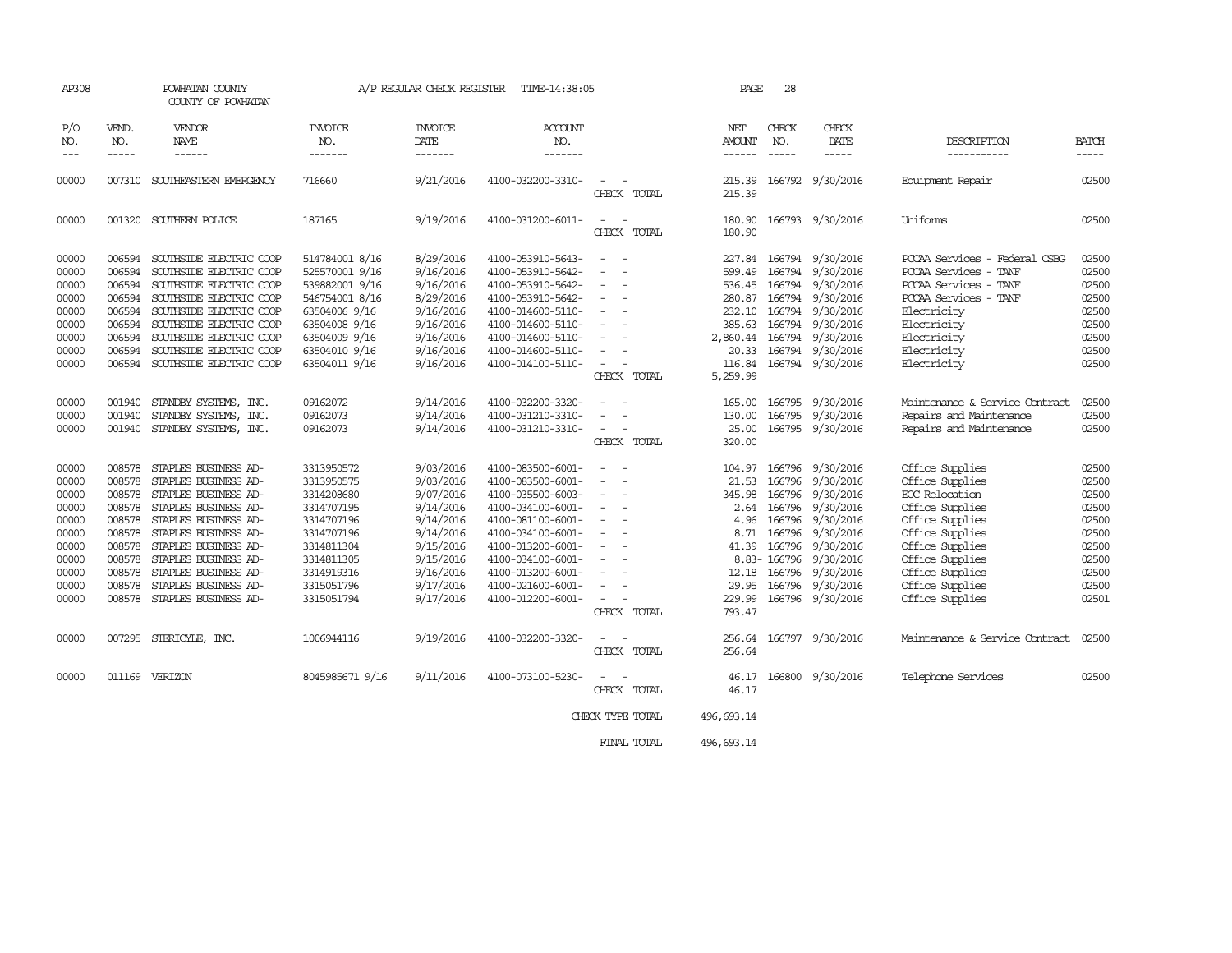| AP308                                                                                           |                                                                                                            | POWHATAN COUNTY<br>COUNTY OF POWHATAN                                                                                                                                                                                                                                |                                                                                                                                                           | A/P REGULAR CHECK REGISTER                                                                                                                  | TIME-14:38:05                                                                                                                                                                                                                       |                                                                                                                                                                                                                           | PAGE                                                                                             | 28               |                                                                                                                                                                                                                        |                                                                                                                                                                                                              |                                                                                                 |
|-------------------------------------------------------------------------------------------------|------------------------------------------------------------------------------------------------------------|----------------------------------------------------------------------------------------------------------------------------------------------------------------------------------------------------------------------------------------------------------------------|-----------------------------------------------------------------------------------------------------------------------------------------------------------|---------------------------------------------------------------------------------------------------------------------------------------------|-------------------------------------------------------------------------------------------------------------------------------------------------------------------------------------------------------------------------------------|---------------------------------------------------------------------------------------------------------------------------------------------------------------------------------------------------------------------------|--------------------------------------------------------------------------------------------------|------------------|------------------------------------------------------------------------------------------------------------------------------------------------------------------------------------------------------------------------|--------------------------------------------------------------------------------------------------------------------------------------------------------------------------------------------------------------|-------------------------------------------------------------------------------------------------|
| P/O<br>NO.                                                                                      | VEND.<br>NO.                                                                                               | VENDOR<br>NAME                                                                                                                                                                                                                                                       | <b>INVOICE</b><br>NO.                                                                                                                                     | <b>INVOICE</b><br>DATE                                                                                                                      | <b>ACCOUNT</b><br>NO.                                                                                                                                                                                                               |                                                                                                                                                                                                                           | NET<br>AMOUNT                                                                                    | CHECK<br>NO.     | CHECK<br>DATE                                                                                                                                                                                                          | DESCRIPTION                                                                                                                                                                                                  | BATCH                                                                                           |
| $\frac{1}{2}$                                                                                   | $- - - - -$                                                                                                | ------                                                                                                                                                                                                                                                               | -------                                                                                                                                                   | -------                                                                                                                                     | -------                                                                                                                                                                                                                             |                                                                                                                                                                                                                           | ------                                                                                           | $\frac{1}{2}$    | -----                                                                                                                                                                                                                  | -----------                                                                                                                                                                                                  | $- - - - -$                                                                                     |
| 00000                                                                                           | 007310                                                                                                     | SOUTHEASTERN EMERGENCY                                                                                                                                                                                                                                               | 716660                                                                                                                                                    | 9/21/2016                                                                                                                                   | 4100-032200-3310-                                                                                                                                                                                                                   | $\overline{\phantom{a}}$<br>CHECK TOTAL                                                                                                                                                                                   | 215.39<br>215.39                                                                                 |                  | 166792 9/30/2016                                                                                                                                                                                                       | Equipment Repair                                                                                                                                                                                             | 02500                                                                                           |
| 00000                                                                                           |                                                                                                            | 001320 SOUTHERN POLICE                                                                                                                                                                                                                                               | 187165                                                                                                                                                    | 9/19/2016                                                                                                                                   | 4100-031200-6011-                                                                                                                                                                                                                   | CHECK TOTAL                                                                                                                                                                                                               | 180.90<br>180.90                                                                                 |                  | 166793 9/30/2016                                                                                                                                                                                                       | Uniforms                                                                                                                                                                                                     | 02500                                                                                           |
| 00000<br>00000<br>00000<br>00000<br>00000<br>00000<br>00000<br>00000<br>00000                   | 006594<br>006594<br>006594<br>006594<br>006594<br>006594<br>006594<br>006594                               | SOUTHSIDE ELECTRIC COOP<br>SOUTHSIDE ELECTRIC COOP<br>SOUTHSIDE ELECTRIC COOP<br>SOUTHSIDE ELECTRIC COOP<br>SOUTHSIDE ELECTRIC COOP<br>SOUTHSIDE ELECTRIC COOP<br>SOUTHSIDE ELECTRIC COOP<br>SOUTHSIDE ELECTRIC COOP<br>006594 SOUTHSIDE ELECTRIC COOP               | 514784001 8/16<br>525570001 9/16<br>539882001 9/16<br>546754001 8/16<br>63504006 9/16<br>63504008 9/16<br>63504009 9/16<br>63504010 9/16<br>63504011 9/16 | 8/29/2016<br>9/16/2016<br>9/16/2016<br>8/29/2016<br>9/16/2016<br>9/16/2016<br>9/16/2016<br>9/16/2016<br>9/16/2016                           | 4100-053910-5643-<br>4100-053910-5642-<br>4100-053910-5642-<br>4100-053910-5642-<br>4100-014600-5110-<br>4100-014600-5110-<br>4100-014600-5110-<br>4100-014600-5110-<br>4100-014100-5110-                                           | $\overline{\phantom{a}}$<br>$\sim$<br>$\overline{\phantom{a}}$<br>$\overline{\phantom{a}}$<br>$\overline{\phantom{a}}$<br>$\sim$<br>CHECK TOTAL                                                                           | 599.49<br>280.87<br>385.63<br>2,860.44<br>20.33<br>116.84<br>5,259.99                            | 166794<br>166794 | 227.84 166794 9/30/2016<br>9/30/2016<br>536.45 166794 9/30/2016<br>166794 9/30/2016<br>232.10 166794 9/30/2016<br>9/30/2016<br>166794 9/30/2016<br>166794 9/30/2016<br>166794 9/30/2016                                | PCCAA Services - Federal CSBG<br>PCCAA Services<br>- TANF<br>PCCAA Services - TANF<br>PCCAA Services - TANF<br>Electricity<br>Electricity<br>Electricity<br>Electricity<br>Electricity                       | 02500<br>02500<br>02500<br>02500<br>02500<br>02500<br>02500<br>02500<br>02500                   |
| 00000<br>00000<br>00000                                                                         | 001940<br>001940                                                                                           | STANDBY SYSTEMS, INC.<br>STANDBY SYSTEMS, INC.<br>001940 STANDBY SYSTEMS, INC.                                                                                                                                                                                       | 09162072<br>09162073<br>09162073                                                                                                                          | 9/14/2016<br>9/14/2016<br>9/14/2016                                                                                                         | 4100-032200-3320-<br>4100-031210-3310-<br>4100-031210-3310-                                                                                                                                                                         | $\overline{\phantom{a}}$<br>CHECK TOTAL                                                                                                                                                                                   | 165.00<br>130.00<br>25.00<br>320.00                                                              |                  | 166795 9/30/2016<br>166795 9/30/2016<br>166795 9/30/2016                                                                                                                                                               | Maintenance & Service Contract<br>Repairs and Maintenance<br>Repairs and Maintenance                                                                                                                         | 02500<br>02500<br>02500                                                                         |
| 00000<br>00000<br>00000<br>00000<br>00000<br>00000<br>00000<br>00000<br>00000<br>00000<br>00000 | 008578<br>008578<br>008578<br>008578<br>008578<br>008578<br>008578<br>008578<br>008578<br>008578<br>008578 | STAPLES BUSINESS AD-<br>STAPLES BUSINESS AD-<br>STAPLES BUSINESS AD-<br>STAPLES BUSINESS AD-<br>STAPLES BUSINESS AD-<br>STAPLES BUSINESS AD-<br>STAPLES BUSINESS AD-<br>STAPLES BUSINESS AD-<br>STAPLES BUSINESS AD-<br>STAPLES BUSINESS AD-<br>STAPLES BUSINESS AD- | 3313950572<br>3313950575<br>3314208680<br>3314707195<br>3314707196<br>3314707196<br>3314811304<br>3314811305<br>3314919316<br>3315051796<br>3315051794    | 9/03/2016<br>9/03/2016<br>9/07/2016<br>9/14/2016<br>9/14/2016<br>9/14/2016<br>9/15/2016<br>9/15/2016<br>9/16/2016<br>9/17/2016<br>9/17/2016 | 4100-083500-6001-<br>4100-083500-6001-<br>4100-035500-6003-<br>4100-034100-6001-<br>4100-081100-6001-<br>4100-034100-6001-<br>4100-013200-6001-<br>4100-034100-6001-<br>4100-013200-6001-<br>4100-021600-6001-<br>4100-012200-6001- | $\overline{\phantom{a}}$<br>$\overline{a}$<br>$\overline{\phantom{a}}$<br>$\overline{\phantom{a}}$<br>$\overline{\phantom{a}}$<br>$\overline{\phantom{a}}$<br>$\sim$<br>$\sim$<br>$\overline{\phantom{a}}$<br>CHECK TOTAL | 104.97<br>21.53<br>345.98<br>2.64<br>4.96<br>8.71<br>41.39<br>12.18<br>29.95<br>229.99<br>793.47 | 166796           | 166796 9/30/2016<br>166796 9/30/2016<br>9/30/2016<br>166796 9/30/2016<br>166796 9/30/2016<br>166796 9/30/2016<br>166796 9/30/2016<br>8.83-166796 9/30/2016<br>166796 9/30/2016<br>166796 9/30/2016<br>166796 9/30/2016 | Office Supplies<br>Office Supplies<br>EOC Relocation<br>Office Supplies<br>Office Supplies<br>Office Supplies<br>Office Supplies<br>Office Supplies<br>Office Supplies<br>Office Supplies<br>Office Supplies | 02500<br>02500<br>02500<br>02500<br>02500<br>02500<br>02500<br>02500<br>02500<br>02500<br>02501 |
| 00000                                                                                           |                                                                                                            | 007295 STERICYLE, INC.                                                                                                                                                                                                                                               | 1006944116                                                                                                                                                | 9/19/2016                                                                                                                                   | 4100-032200-3320-                                                                                                                                                                                                                   | CHECK TOTAL                                                                                                                                                                                                               | 256.64                                                                                           |                  | 256.64 166797 9/30/2016                                                                                                                                                                                                | Maintenance & Service Contract                                                                                                                                                                               | 02500                                                                                           |
| 00000                                                                                           |                                                                                                            | 011169 VERIZON                                                                                                                                                                                                                                                       | 8045985671 9/16                                                                                                                                           | 9/11/2016                                                                                                                                   | 4100-073100-5230-                                                                                                                                                                                                                   | CHECK TOTAL                                                                                                                                                                                                               | 46.17                                                                                            |                  | 46.17 166800 9/30/2016                                                                                                                                                                                                 | Telephone Services                                                                                                                                                                                           | 02500                                                                                           |
|                                                                                                 |                                                                                                            |                                                                                                                                                                                                                                                                      |                                                                                                                                                           |                                                                                                                                             |                                                                                                                                                                                                                                     | CHECK TYPE TOTAL                                                                                                                                                                                                          | 496,693.14                                                                                       |                  |                                                                                                                                                                                                                        |                                                                                                                                                                                                              |                                                                                                 |
|                                                                                                 |                                                                                                            |                                                                                                                                                                                                                                                                      |                                                                                                                                                           |                                                                                                                                             |                                                                                                                                                                                                                                     | FINAL TOTAL                                                                                                                                                                                                               | 496, 693.14                                                                                      |                  |                                                                                                                                                                                                                        |                                                                                                                                                                                                              |                                                                                                 |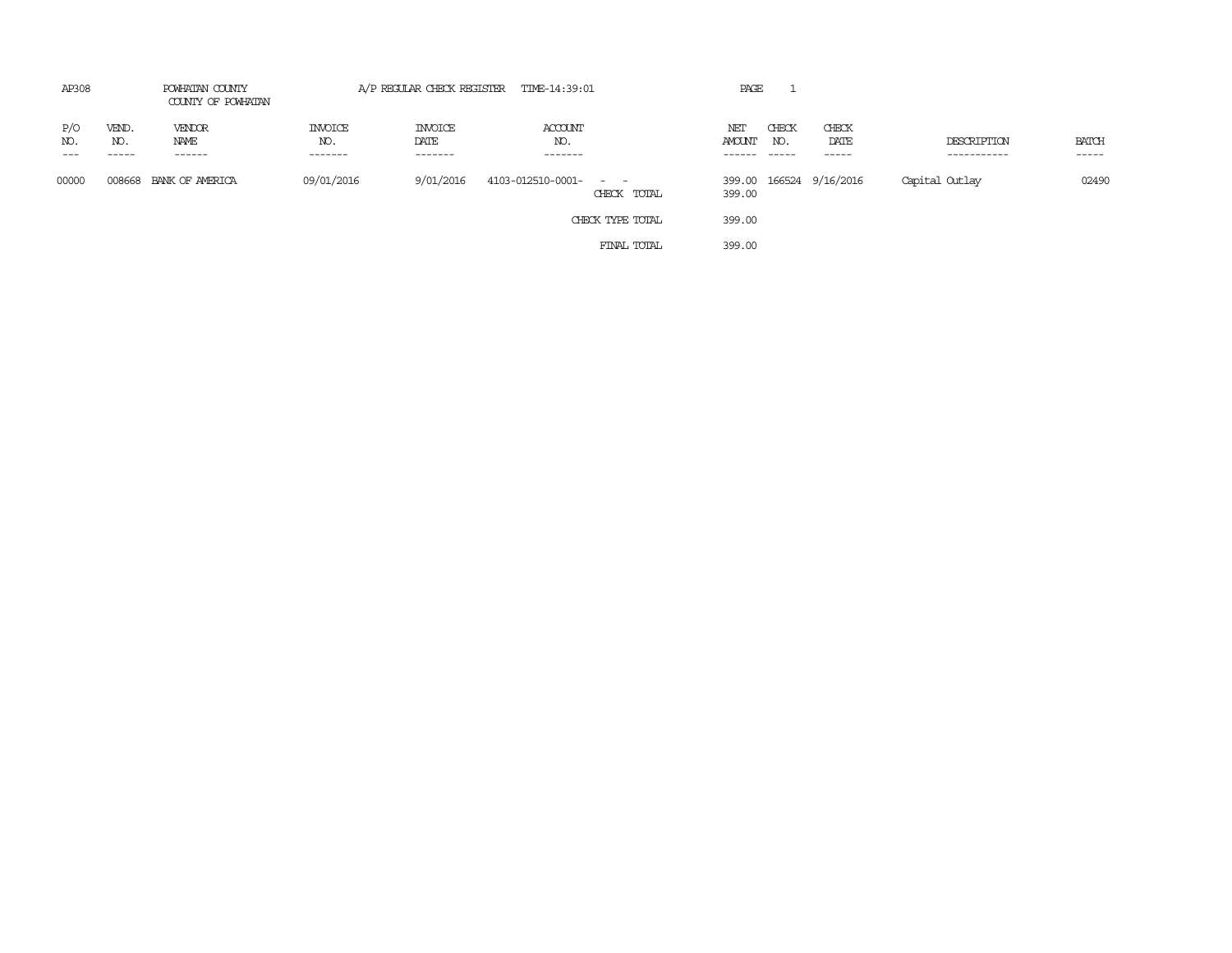| AP308      | POWHATAN COUNTY<br>COUNTY OF POWHATAN |                          | A/P REGULAR CHECK REGISTER TIME-14:39:01 |                                   |                                      | PAGE          |                       |                         |                            |                       |
|------------|---------------------------------------|--------------------------|------------------------------------------|-----------------------------------|--------------------------------------|---------------|-----------------------|-------------------------|----------------------------|-----------------------|
| P/O<br>NO. | VEND.<br>NO.<br>-----                 | VENDOR<br>NAME<br>------ | <b>INVOICE</b><br>NO.<br>-------         | <b>INVOICE</b><br>DATE<br>------- | ACCOUNT<br>NO.<br>-------            | NET<br>AMOUNT | CHECK<br>NO.<br>----- | CHECK<br>DATE<br>-----  | DESCRIPTION<br>----------- | <b>BATCH</b><br>----- |
| 00000      |                                       | 008668 BANK OF AMERICA   | 09/01/2016                               | 9/01/2016                         | 4103-012510-0001- - -<br>CHECK TOTAL | 399.00        |                       | 399.00 166524 9/16/2016 | Capital Outlay             | 02490                 |
|            |                                       |                          |                                          |                                   | CHECK TYPE TOTAL                     | 399.00        |                       |                         |                            |                       |
|            |                                       |                          |                                          |                                   | FINAL TOTAL                          | 399.00        |                       |                         |                            |                       |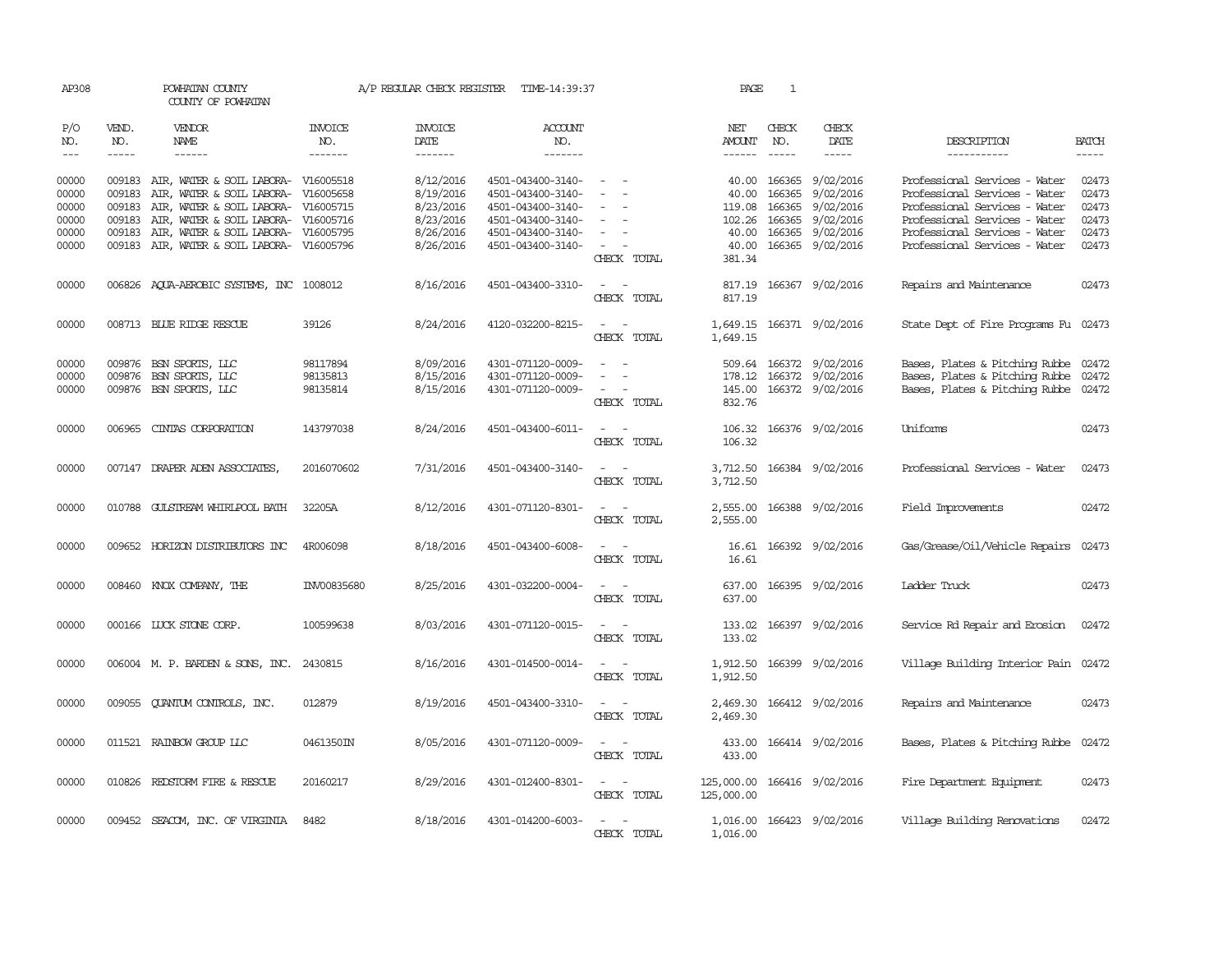| AP308          |               | POWHATAN COUNTY<br>COUNTY OF POWHATAN                                                    |                       | A/P REGULAR CHECK REGISTER | TIME-14:39:37                          |                                                            | PAGE                                      | 1                      |                           |                                                                |                                                                                                                                                                                                                                                                                                                                                                                                                                                         |
|----------------|---------------|------------------------------------------------------------------------------------------|-----------------------|----------------------------|----------------------------------------|------------------------------------------------------------|-------------------------------------------|------------------------|---------------------------|----------------------------------------------------------------|---------------------------------------------------------------------------------------------------------------------------------------------------------------------------------------------------------------------------------------------------------------------------------------------------------------------------------------------------------------------------------------------------------------------------------------------------------|
| P/O<br>NO.     | VEND.<br>NO.  | <b>VENDOR</b><br>NAME                                                                    | <b>INVOICE</b><br>NO. | <b>INVOICE</b><br>DATE     | <b>ACCOUNT</b><br>NO.                  |                                                            | NET<br><b>AMOUNT</b>                      | CHECK<br>NO.           | CHECK<br>DATE             | DESCRIPTION                                                    | <b>BATCH</b>                                                                                                                                                                                                                                                                                                                                                                                                                                            |
| $\frac{1}{2}$  | $\frac{1}{2}$ |                                                                                          | -------               | --------                   | -------                                |                                                            | $- - - - - -$                             |                        |                           | -----------                                                    | $\begin{tabular}{ccccc} \multicolumn{2}{c }{\multicolumn{2}{c }{\multicolumn{2}{c }{\multicolumn{2}{c}}{\hspace{-2.2cm}}}} \multicolumn{2}{c }{\multicolumn{2}{c }{\hspace{-2.2cm}}\hline} \multicolumn{2}{c }{\hspace{-2.2cm}}\hline \multicolumn{2}{c }{\hspace{-2.2cm}}\hline \multicolumn{2}{c }{\hspace{-2.2cm}}\hline \multicolumn{2}{c }{\hspace{-2.2cm}}\hline \multicolumn{2}{c }{\hspace{-2.2cm}}\hline \multicolumn{2}{c }{\hspace{-2.2cm}}$ |
| 00000<br>00000 |               | 009183 AIR, WATER & SOIL LABORA- V16005518<br>009183 AIR, WATER & SOIL LABORA- V16005658 |                       | 8/12/2016<br>8/19/2016     | 4501-043400-3140-<br>4501-043400-3140- |                                                            | 40.00                                     | 40.00 166365<br>166365 | 9/02/2016<br>9/02/2016    | Professional Services - Water<br>Professional Services - Water | 02473<br>02473                                                                                                                                                                                                                                                                                                                                                                                                                                          |
| 00000          | 009183        | AIR, WATER & SOIL LABORA- V16005715                                                      |                       | 8/23/2016                  | 4501-043400-3140-                      | $\sim$                                                     | 119.08                                    | 166365                 | 9/02/2016                 | Professional Services - Water                                  | 02473                                                                                                                                                                                                                                                                                                                                                                                                                                                   |
| 00000          | 009183        | AIR, WATER & SOIL LABORA- V16005716                                                      |                       | 8/23/2016                  | 4501-043400-3140-                      | $\sim$<br>$\overline{\phantom{a}}$                         | 102.26                                    | 166365                 | 9/02/2016                 | Professional Services - Water                                  | 02473                                                                                                                                                                                                                                                                                                                                                                                                                                                   |
| 00000          |               | 009183 AIR, WATER & SOIL LABORA- V16005795                                               |                       | 8/26/2016                  | 4501-043400-3140-                      | $\sim$                                                     | 40.00                                     | 166365                 | 9/02/2016                 | Professional Services - Water                                  | 02473                                                                                                                                                                                                                                                                                                                                                                                                                                                   |
| 00000          |               | 009183 AIR, WATER & SOIL LABORA- V16005796                                               |                       | 8/26/2016                  | 4501-043400-3140-                      | $\sim$ $ -$<br>CHECK TOTAL                                 | 40.00<br>381.34                           |                        | 166365 9/02/2016          | Professional Services - Water                                  | 02473                                                                                                                                                                                                                                                                                                                                                                                                                                                   |
| 00000          |               | 006826 AQUA-AEROBIC SYSTEMS, INC 1008012                                                 |                       | 8/16/2016                  | 4501-043400-3310-                      | $\sim$ $-$<br>$\sim$<br>CHECK TOTAL                        | 817.19                                    |                        | 817.19 166367 9/02/2016   | Repairs and Maintenance                                        | 02473                                                                                                                                                                                                                                                                                                                                                                                                                                                   |
| 00000          |               | 008713 BLUE RIDGE RESCUE                                                                 | 39126                 | 8/24/2016                  | 4120-032200-8215-                      | $\sim$<br>$\sim$<br>CHECK TOTAL                            | 1,649.15                                  |                        | 1,649.15 166371 9/02/2016 | State Dept of Fire Programs Fu 02473                           |                                                                                                                                                                                                                                                                                                                                                                                                                                                         |
| 00000          |               | 009876 BSN SPORTS, LLC                                                                   | 98117894              | 8/09/2016                  | 4301-071120-0009-                      | $\sim$<br>$\sim$                                           |                                           |                        | 509.64 166372 9/02/2016   | Bases, Plates & Pitching Rubbe 02472                           |                                                                                                                                                                                                                                                                                                                                                                                                                                                         |
| 00000          |               | 009876 BSN SPORTS, LLC                                                                   | 98135813              | 8/15/2016                  | 4301-071120-0009-                      | $\sim$                                                     |                                           |                        | 178.12 166372 9/02/2016   | Bases, Plates & Pitching Rubbe 02472                           |                                                                                                                                                                                                                                                                                                                                                                                                                                                         |
| 00000          |               | 009876 BSN SPORTS, LLC                                                                   | 98135814              | 8/15/2016                  | 4301-071120-0009-                      | $\sim$ 100 $\sim$                                          |                                           |                        | 145.00 166372 9/02/2016   | Bases, Plates & Pitching Rubbe 02472                           |                                                                                                                                                                                                                                                                                                                                                                                                                                                         |
|                |               |                                                                                          |                       |                            |                                        | CHECK TOTAL                                                | 832.76                                    |                        |                           |                                                                |                                                                                                                                                                                                                                                                                                                                                                                                                                                         |
| 00000          | 006965        | CINIAS CORPORATION                                                                       | 143797038             | 8/24/2016                  | 4501-043400-6011-                      | $\sim$ $ -$                                                |                                           |                        | 106.32 166376 9/02/2016   | Uniforms                                                       | 02473                                                                                                                                                                                                                                                                                                                                                                                                                                                   |
|                |               |                                                                                          |                       |                            |                                        | CHECK TOTAL                                                | 106.32                                    |                        |                           |                                                                |                                                                                                                                                                                                                                                                                                                                                                                                                                                         |
| 00000          |               | 007147 DRAPER ADEN ASSOCIATES,                                                           | 2016070602            | 7/31/2016                  | 4501-043400-3140-                      | $\sim$ $\sim$<br>CHECK TOTAL                               | 3,712.50                                  |                        | 3,712.50 166384 9/02/2016 | Professional Services - Water                                  | 02473                                                                                                                                                                                                                                                                                                                                                                                                                                                   |
| 00000          | 010788        | GULSTREAM WHIRLPOOL BATH                                                                 | 32205A                | 8/12/2016                  | 4301-071120-8301-                      | CHECK TOTAL                                                | 2,555.00                                  |                        | 2,555.00 166388 9/02/2016 | Field Improvements                                             | 02472                                                                                                                                                                                                                                                                                                                                                                                                                                                   |
| 00000          |               | 009652 HORIZON DISTRIBUTORS INC                                                          | 4R006098              | 8/18/2016                  | 4501-043400-6008-                      | $\equiv$<br>CHECK TOTAL                                    | 16.61<br>16.61                            |                        | 166392 9/02/2016          | Gas/Grease/Oil/Vehicle Repairs                                 | 02473                                                                                                                                                                                                                                                                                                                                                                                                                                                   |
| 00000          |               | 008460 KNOX COMPANY, THE                                                                 | INV00835680           | 8/25/2016                  | 4301-032200-0004-                      | $\sim$<br>$\sim$<br>CHECK TOTAL                            | 637.00                                    |                        | 637.00 166395 9/02/2016   | Ladder Truck                                                   | 02473                                                                                                                                                                                                                                                                                                                                                                                                                                                   |
| 00000          |               | 000166 LUCK STONE CORP.                                                                  | 100599638             | 8/03/2016                  | 4301-071120-0015-                      | $\sim$<br>CHECK TOTAL                                      | 133.02                                    |                        | 133.02 166397 9/02/2016   | Service Rd Repair and Erosion                                  | 02472                                                                                                                                                                                                                                                                                                                                                                                                                                                   |
| 00000          |               | 006004 M. P. BARDEN & SONS, INC. 2430815                                                 |                       | 8/16/2016                  | 4301-014500-0014-                      | $\sim$ $ -$<br>CHECK TOTAL                                 | 1,912.50                                  |                        | 1,912.50 166399 9/02/2016 | Village Building Interior Pain 02472                           |                                                                                                                                                                                                                                                                                                                                                                                                                                                         |
| 00000          |               | 009055 QUANTUM CONTROLS, INC.                                                            | 012879                | 8/19/2016                  | 4501-043400-3310-                      | $\omega_{\rm{max}}$ and $\omega_{\rm{max}}$<br>CHECK TOTAL | 2,469.30                                  |                        | 2,469.30 166412 9/02/2016 | Repairs and Maintenance                                        | 02473                                                                                                                                                                                                                                                                                                                                                                                                                                                   |
| 00000          |               | 011521 RAINBOW GROUP LLC                                                                 | 0461350IN             | 8/05/2016                  | 4301-071120-0009-                      | $\sim$ $  -$<br>CHECK TOTAL                                | 433.00                                    |                        | 433.00 166414 9/02/2016   | Bases, Plates & Pitching Rubbe                                 | 02472                                                                                                                                                                                                                                                                                                                                                                                                                                                   |
| 00000          |               | 010826 REDSTORM FIRE & RESCUE                                                            | 20160217              | 8/29/2016                  | 4301-012400-8301-                      | $\sim$ $ -$<br>CHECK TOTAL                                 | 125,000.00 166416 9/02/2016<br>125,000.00 |                        |                           | Fire Department Equipment                                      | 02473                                                                                                                                                                                                                                                                                                                                                                                                                                                   |
| 00000          |               | 009452 SEACOM, INC. OF VIRGINIA                                                          | 8482                  | 8/18/2016                  | 4301-014200-6003-                      | $\sim$ $ -$<br>CHECK TOTAL                                 | 1,016.00                                  |                        | 1,016.00 166423 9/02/2016 | Village Building Renovations                                   | 02472                                                                                                                                                                                                                                                                                                                                                                                                                                                   |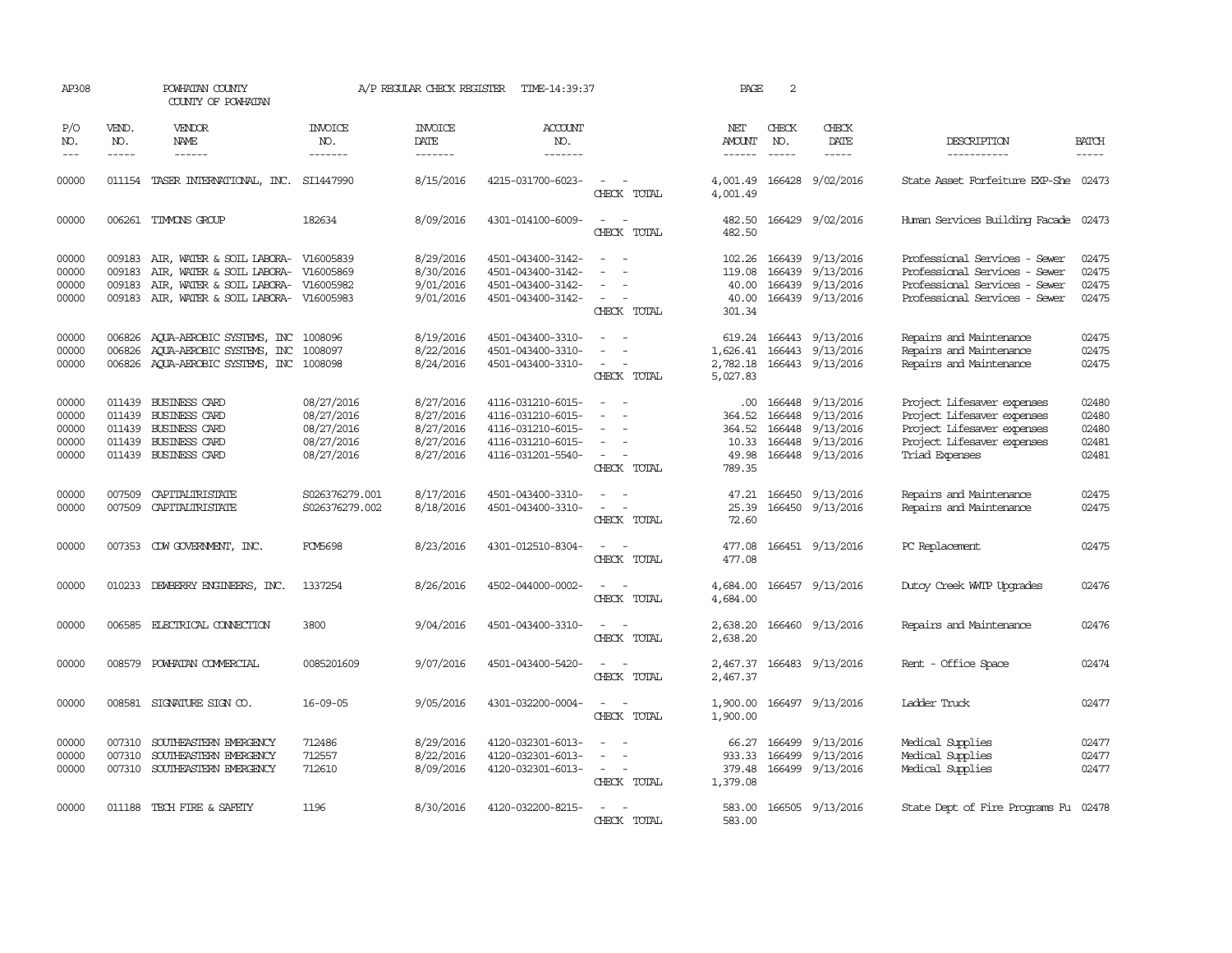| AP308                                     |                                      | POWHATAN COUNTY<br>COUNTY OF POWHATAN                                                                                                                    |                                                                    | A/P REGULAR CHECK REGISTER                                    | TIME-14:39:37                                                                                         |                                                                                                                                                      | PAGE                                                        | 2                             |                                                                                                  |                                                                                                                                        |                                           |
|-------------------------------------------|--------------------------------------|----------------------------------------------------------------------------------------------------------------------------------------------------------|--------------------------------------------------------------------|---------------------------------------------------------------|-------------------------------------------------------------------------------------------------------|------------------------------------------------------------------------------------------------------------------------------------------------------|-------------------------------------------------------------|-------------------------------|--------------------------------------------------------------------------------------------------|----------------------------------------------------------------------------------------------------------------------------------------|-------------------------------------------|
| P/O<br>NO.<br>$---$                       | VEND.<br>NO.<br>$\frac{1}{2}$        | <b>VENDOR</b><br>NAME<br>$- - - - - -$                                                                                                                   | <b>INVOICE</b><br>NO.<br>-------                                   | <b>INVOICE</b><br>DATE<br>-------                             | ACCOUNT<br>NO.<br>-------                                                                             |                                                                                                                                                      | NET<br>AMOUNT                                               | CHECK<br>NO.<br>$\frac{1}{2}$ | CHECK<br>DATE<br>$\frac{1}{2}$                                                                   | DESCRIPTION<br>-----------                                                                                                             | <b>BATCH</b><br>-----                     |
| 00000                                     |                                      | 011154 TASER INTERNATIONAL, INC. SI1447990                                                                                                               |                                                                    | 8/15/2016                                                     | 4215-031700-6023-                                                                                     | CHECK TOTAL                                                                                                                                          | 4,001.49<br>4,001.49                                        |                               | 166428 9/02/2016                                                                                 | State Asset Forfeiture EXP-She 02473                                                                                                   |                                           |
| 00000                                     |                                      | 006261 TIMMONS GROUP                                                                                                                                     | 182634                                                             | 8/09/2016                                                     | 4301-014100-6009-                                                                                     | CHECK TOTAL                                                                                                                                          | 482.50<br>482.50                                            |                               | 166429 9/02/2016                                                                                 | Human Services Building Facade 02473                                                                                                   |                                           |
| 00000<br>00000<br>00000<br>00000          | 009183<br>009183<br>009183<br>009183 | AIR, WATER & SOIL LABORA- V16005839<br>AIR, WATER & SOIL LABORA- V16005869<br>AIR, WATER & SOIL LABORA- V16005982<br>AIR, WATER & SOIL LABORA- V16005983 |                                                                    | 8/29/2016<br>8/30/2016<br>9/01/2016<br>9/01/2016              | 4501-043400-3142-<br>4501-043400-3142-<br>4501-043400-3142-<br>4501-043400-3142-                      | $\equiv$<br>$\overline{\phantom{a}}$<br>CHECK TOTAL                                                                                                  | 102.26<br>119.08<br>40.00<br>40.00<br>301.34                |                               | 166439 9/13/2016<br>166439 9/13/2016<br>166439 9/13/2016<br>166439 9/13/2016                     | Professional Services - Sewer<br>Professional Services - Sewer<br>Professional Services - Sewer<br>Professional Services - Sewer       | 02475<br>02475<br>02475<br>02475          |
| 00000<br>00000<br>00000                   | 006826                               | 006826 AQUA-AEROBIC SYSTEMS, INC<br>AOUA-AEROBIC SYSTEMS, INC<br>006826 AOUA-AEROBIC SYSTEMS, INC 1008098                                                | 1008096<br>1008097                                                 | 8/19/2016<br>8/22/2016<br>8/24/2016                           | 4501-043400-3310-<br>4501-043400-3310-<br>4501-043400-3310-                                           | $\overline{\phantom{a}}$<br>CHECK TOTAL                                                                                                              | 1,626.41<br>5,027.83                                        |                               | 619.24 166443 9/13/2016<br>166443 9/13/2016<br>2,782.18 166443 9/13/2016                         | Repairs and Maintenance<br>Repairs and Maintenance<br>Repairs and Maintenance                                                          | 02475<br>02475<br>02475                   |
| 00000<br>00000<br>00000<br>00000<br>00000 | 011439                               | <b>BUSINESS CARD</b><br>011439 BUSINESS CARD<br>011439 BUSINESS CARD<br>011439 BUSINESS CARD<br>011439 BUSINESS CARD                                     | 08/27/2016<br>08/27/2016<br>08/27/2016<br>08/27/2016<br>08/27/2016 | 8/27/2016<br>8/27/2016<br>8/27/2016<br>8/27/2016<br>8/27/2016 | 4116-031210-6015-<br>4116-031210-6015-<br>4116-031210-6015-<br>4116-031210-6015-<br>4116-031201-5540- | $\overline{\phantom{a}}$<br>$\equiv$<br>$\equiv$<br>$\overline{\phantom{a}}$<br>CHECK TOTAL                                                          | $.00 \cdot$<br>364.52<br>364.52<br>10.33<br>49.98<br>789.35 |                               | 166448 9/13/2016<br>166448 9/13/2016<br>166448 9/13/2016<br>166448 9/13/2016<br>166448 9/13/2016 | Project Lifesaver expenses<br>Project Lifesaver expenses<br>Project Lifesaver expenses<br>Project Lifesaver expenses<br>Triad Expenses | 02480<br>02480<br>02480<br>02481<br>02481 |
| 00000<br>00000                            | 007509<br>007509                     | CAPITALIRISTATE<br>CAPITALIRISTATE                                                                                                                       | S026376279.001<br>S026376279.002                                   | 8/17/2016<br>8/18/2016                                        | 4501-043400-3310-<br>4501-043400-3310-                                                                | $\frac{1}{2} \left( \frac{1}{2} \right) \left( \frac{1}{2} \right) \left( \frac{1}{2} \right) \left( \frac{1}{2} \right)$<br>$\equiv$<br>CHECK TOTAL | 25.39<br>72.60                                              |                               | 47.21 166450 9/13/2016<br>166450 9/13/2016                                                       | Repairs and Maintenance<br>Repairs and Maintenance                                                                                     | 02475<br>02475                            |
| 00000                                     |                                      | 007353 CDW GOVERNMENT, INC.                                                                                                                              | <b>FCM5698</b>                                                     | 8/23/2016                                                     | 4301-012510-8304-                                                                                     | $\overline{\phantom{a}}$<br>$\sim$<br>CHECK TOTAL                                                                                                    | 477.08<br>477.08                                            |                               | 166451 9/13/2016                                                                                 | PC Replacement                                                                                                                         | 02475                                     |
| 00000                                     |                                      | 010233 DEWBERRY ENGINEERS, INC.                                                                                                                          | 1337254                                                            | 8/26/2016                                                     | 4502-044000-0002-                                                                                     | $\overline{\phantom{a}}$<br>CHECK TOTAL                                                                                                              | 4,684.00<br>4,684.00                                        |                               | 166457 9/13/2016                                                                                 | Dutoy Creek WITP Upgrades                                                                                                              | 02476                                     |
| 00000                                     |                                      | 006585 ELECTRICAL CONNECTION                                                                                                                             | 3800                                                               | 9/04/2016                                                     | 4501-043400-3310-                                                                                     | $\sim$<br>CHECK TOTAL                                                                                                                                | 2,638.20<br>2,638.20                                        |                               | 166460 9/13/2016                                                                                 | Repairs and Maintenance                                                                                                                | 02476                                     |
| 00000                                     | 008579                               | POWHATAN COMMERCIAL                                                                                                                                      | 0085201609                                                         | 9/07/2016                                                     | 4501-043400-5420-                                                                                     | CHECK TOTAL                                                                                                                                          | 2,467.37<br>2,467.37                                        |                               | 166483 9/13/2016                                                                                 | Rent - Office Space                                                                                                                    | 02474                                     |
| 00000                                     |                                      | 008581 SIGNATURE SIGN CO.                                                                                                                                | $16 - 09 - 05$                                                     | 9/05/2016                                                     | 4301-032200-0004-                                                                                     | $\overline{\phantom{a}}$<br>CHECK TOTAL                                                                                                              | 1,900.00<br>1,900.00                                        |                               | 166497 9/13/2016                                                                                 | Ladder Truck                                                                                                                           | 02477                                     |
| 00000<br>00000<br>00000                   | 007310<br>007310                     | SOUTHEASTERN EMERGENCY<br>SOUTHEASTERN EMERGENCY<br>007310 SOUTHEASTERN EMERGENCY                                                                        | 712486<br>712557<br>712610                                         | 8/29/2016<br>8/22/2016<br>8/09/2016                           | 4120-032301-6013-<br>4120-032301-6013-<br>4120-032301-6013-                                           | $\equiv$<br>$\sim$ $ \sim$<br>CHECK TOTAL                                                                                                            | 66.27<br>933.33<br>379.48<br>1,379.08                       | 166499<br>166499              | 9/13/2016<br>9/13/2016<br>166499 9/13/2016                                                       | Medical Supplies<br>Medical Supplies<br>Medical Supplies                                                                               | 02477<br>02477<br>02477                   |
| 00000                                     |                                      | 011188 TECH FIRE & SAFETY                                                                                                                                | 1196                                                               | 8/30/2016                                                     | 4120-032200-8215-                                                                                     | CHECK TOTAL                                                                                                                                          | 583.00<br>583.00                                            |                               | 166505 9/13/2016                                                                                 | State Dept of Fire Programs Fu 02478                                                                                                   |                                           |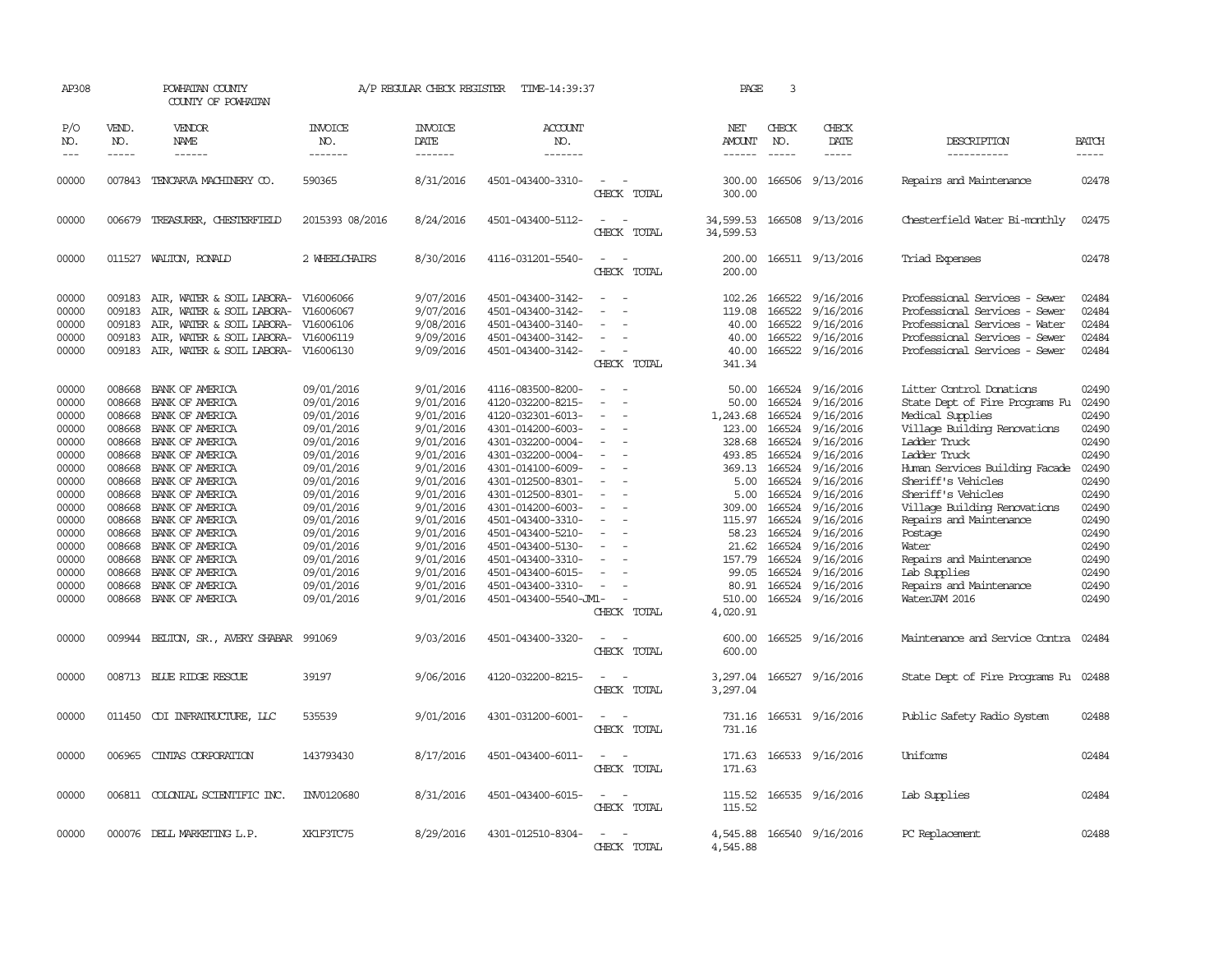| AP308               |                             | POWHATAN COUNTY<br>COUNTY OF POWHATAN   |                                  | A/P REGULAR CHECK REGISTER        | TIME-14:39:37             |                                                   | PAGE                           | 3            |                              |                                      |                       |
|---------------------|-----------------------------|-----------------------------------------|----------------------------------|-----------------------------------|---------------------------|---------------------------------------------------|--------------------------------|--------------|------------------------------|--------------------------------------|-----------------------|
| P/O<br>NO.<br>$---$ | VEND.<br>NO.<br>$- - - - -$ | VENDOR<br>NAME<br>------                | <b>INVOICE</b><br>NO.<br>------- | <b>INVOICE</b><br>DATE<br>------- | ACCOUNT<br>NO.<br>------- |                                                   | NET<br>AMOUNT<br>$- - - - - -$ | CHECK<br>NO. | CHECK<br>DATE<br>$- - - - -$ | DESCRIPTION<br>-----------           | <b>BATCH</b><br>----- |
|                     |                             |                                         |                                  |                                   |                           |                                                   |                                |              |                              |                                      |                       |
| 00000               |                             | 007843 TENCARVA MACHINERY CO.           | 590365                           | 8/31/2016                         | 4501-043400-3310-         | $\sim$<br>CHECK TOTAL                             | 300.00                         |              | 300.00 166506 9/13/2016      | Repairs and Maintenance              | 02478                 |
| 00000               |                             | 006679 TREASURER, CHESTERFIELD          | 2015393 08/2016                  | 8/24/2016                         | 4501-043400-5112-         | $\sim$ $\sim$<br>$\sim$<br>CHECK TOTAL            | 34,599.53<br>34,599.53         |              | 166508 9/13/2016             | Chesterfield Water Bi-monthly        | 02475                 |
| 00000               |                             | 011527 WALTON, RONALD                   | 2 WHEELCHAIRS                    | 8/30/2016                         | 4116-031201-5540-         | $\sim$<br>$\sim$<br>CHECK TOTAL                   | 200.00<br>200.00               |              | 166511 9/13/2016             | Triad Expenses                       | 02478                 |
| 00000               | 009183                      | AIR, WATER & SOIL LABORA-               | V16006066                        | 9/07/2016                         | 4501-043400-3142-         | $\equiv$                                          | 102.26                         | 166522       | 9/16/2016                    | Professional Services - Sewer        | 02484                 |
| 00000               | 009183                      | AIR, WATER & SOIL LABORA-               | V16006067                        | 9/07/2016                         | 4501-043400-3142-         |                                                   | 119.08                         | 166522       | 9/16/2016                    | Professional Services - Sewer        | 02484                 |
| 00000               | 009183                      | AIR, WATER & SOIL LABORA-               | V16006106                        | 9/08/2016                         | 4501-043400-3140-         |                                                   | 40.00                          | 166522       | 9/16/2016                    | Professional Services - Water        | 02484                 |
| 00000               | 009183                      | AIR, WATER & SOIL LABORA-               | V16006119                        | 9/09/2016                         | 4501-043400-3142-         | $\equiv$                                          | 40.00                          |              | 166522 9/16/2016             | Professional Services - Sewer        | 02484                 |
| 00000               | 009183                      | AIR, WATER & SOIL LABORA-               | V16006130                        | 9/09/2016                         | 4501-043400-3142-         | $\sim$                                            | 40.00                          | 166522       | 9/16/2016                    | Professional Services - Sewer        | 02484                 |
|                     |                             |                                         |                                  |                                   |                           | CHECK TOTAL                                       | 341.34                         |              |                              |                                      |                       |
| 00000               |                             | 008668 BANK OF AMERICA                  | 09/01/2016                       | 9/01/2016                         | 4116-083500-8200-         | $\sim$                                            |                                |              | 50.00 166524 9/16/2016       | Litter Control Donations             | 02490                 |
| 00000               | 008668                      | BANK OF AMERICA                         | 09/01/2016                       | 9/01/2016                         | 4120-032200-8215-         | $\sim$                                            | 50.00                          | 166524       | 9/16/2016                    | State Dept of Fire Programs Fu       | 02490                 |
| 00000               | 008668                      | BANK OF AMERICA                         | 09/01/2016                       | 9/01/2016                         | 4120-032301-6013-         | $\sim$                                            | 1,243.68                       | 166524       | 9/16/2016                    | Medical Supplies                     | 02490                 |
| 00000               | 008668                      | BANK OF AMERICA                         | 09/01/2016                       | 9/01/2016                         | 4301-014200-6003-         | $\overline{\phantom{a}}$                          | 123.00                         | 166524       | 9/16/2016                    | Village Building Renovations         | 02490                 |
| 00000               | 008668                      | BANK OF AMERICA                         | 09/01/2016                       | 9/01/2016                         | 4301-032200-0004-         | $\overline{\phantom{a}}$                          | 328.68                         |              | 166524 9/16/2016             | Ladder Truck                         | 02490                 |
| 00000               | 008668                      | BANK OF AMERICA                         | 09/01/2016                       | 9/01/2016                         | 4301-032200-0004-         |                                                   | 493.85                         | 166524       | 9/16/2016                    | Ladder Truck                         | 02490                 |
| 00000               | 008668                      | BANK OF AMERICA                         | 09/01/2016                       | 9/01/2016                         | 4301-014100-6009-         |                                                   | 369.13                         |              | 166524 9/16/2016             | Human Services Building Facade       | 02490                 |
| 00000               | 008668                      | BANK OF AMERICA                         | 09/01/2016                       | 9/01/2016                         | 4301-012500-8301-         | $\overline{\phantom{a}}$                          | 5.00                           | 166524       | 9/16/2016                    | Sheriff's Vehicles                   | 02490                 |
| 00000               |                             | 008668 BANK OF AMERICA                  | 09/01/2016                       | 9/01/2016                         | 4301-012500-8301-         | $\equiv$                                          | 5.00                           |              | 166524 9/16/2016             | Sheriff's Vehicles                   | 02490                 |
| 00000               | 008668                      | BANK OF AMERICA                         | 09/01/2016                       | 9/01/2016                         | 4301-014200-6003-         |                                                   | 309.00                         | 166524       | 9/16/2016                    | Village Building Renovations         | 02490                 |
| 00000               | 008668                      | BANK OF AMERICA                         | 09/01/2016                       | 9/01/2016                         | 4501-043400-3310-         | $\equiv$                                          | 115.97                         |              | 166524 9/16/2016             | Repairs and Maintenance              | 02490                 |
| 00000               |                             | 008668 BANK OF AMERICA                  | 09/01/2016                       | 9/01/2016                         | 4501-043400-5210-         | $\equiv$                                          | 58.23                          | 166524       | 9/16/2016                    | Postage                              | 02490                 |
| 00000               |                             | 008668 BANK OF AMERICA                  | 09/01/2016                       | 9/01/2016                         | 4501-043400-5130-         |                                                   | 21.62                          |              | 166524 9/16/2016             | Water                                | 02490                 |
| 00000               |                             | 008668 BANK OF AMERICA                  | 09/01/2016                       | 9/01/2016                         | 4501-043400-3310-         |                                                   | 157.79                         | 166524       | 9/16/2016                    | Repairs and Maintenance              | 02490                 |
| 00000               | 008668                      | BANK OF AMERICA                         | 09/01/2016                       | 9/01/2016                         | 4501-043400-6015-         |                                                   | 99.05                          |              | 166524 9/16/2016             | Lab Supplies                         | 02490                 |
| 00000               |                             | 008668 BANK OF AMERICA                  | 09/01/2016                       | 9/01/2016                         | 4501-043400-3310-         | $\overline{\phantom{a}}$                          | 80.91                          |              | 166524 9/16/2016             | Repairs and Maintenance              | 02490                 |
| 00000               |                             | 008668 BANK OF AMERICA                  | 09/01/2016                       | 9/01/2016                         | 4501-043400-5540-JM1-     | CHECK TOTAL                                       | 510.00<br>4,020.91             |              | 166524 9/16/2016             | WaterJAM 2016                        | 02490                 |
| 00000               |                             | 009944 BELTON, SR., AVERY SHABAR 991069 |                                  | 9/03/2016                         | 4501-043400-3320-         | $\sim$<br>CHECK TOTAL                             | 600.00<br>600.00               |              | 166525 9/16/2016             | Maintenance and Service Contra       | 02484                 |
| 00000               |                             | 008713 BLUE RIDGE RESCUE                | 39197                            | 9/06/2016                         | 4120-032200-8215-         | $\sim$<br>$\overline{\phantom{a}}$<br>CHECK TOTAL | 3,297.04<br>3,297.04           |              | 166527 9/16/2016             | State Dept of Fire Programs Fu 02488 |                       |
| 00000               |                             | 011450 CDI INFRAIRUCTURE, LLC           | 535539                           | 9/01/2016                         | 4301-031200-6001-         | $\sim$<br>CHECK TOTAL                             | 731.16<br>731.16               |              | 166531 9/16/2016             | Public Safety Radio System           | 02488                 |
| 00000               |                             | 006965 CINIAS CORPORATION               | 143793430                        | 8/17/2016                         | 4501-043400-6011-         | $\sim$<br>CHECK TOTAL                             | 171.63<br>171.63               |              | 166533 9/16/2016             | Uniforms                             | 02484                 |
| 00000               |                             | 006811 COLONIAL SCIENTIFIC INC.         | INV0120680                       | 8/31/2016                         | 4501-043400-6015-         | $\sim$<br>CHECK TOTAL                             | 115.52<br>115.52               |              | 166535 9/16/2016             | Lab Supplies                         | 02484                 |
| 00000               |                             | 000076 DELL MARKETING L.P.              | XK1F3TC75                        | 8/29/2016                         | 4301-012510-8304-         | CHECK TOTAL                                       | 4,545.88<br>4,545.88           |              | 166540 9/16/2016             | PC Replacement                       | 02488                 |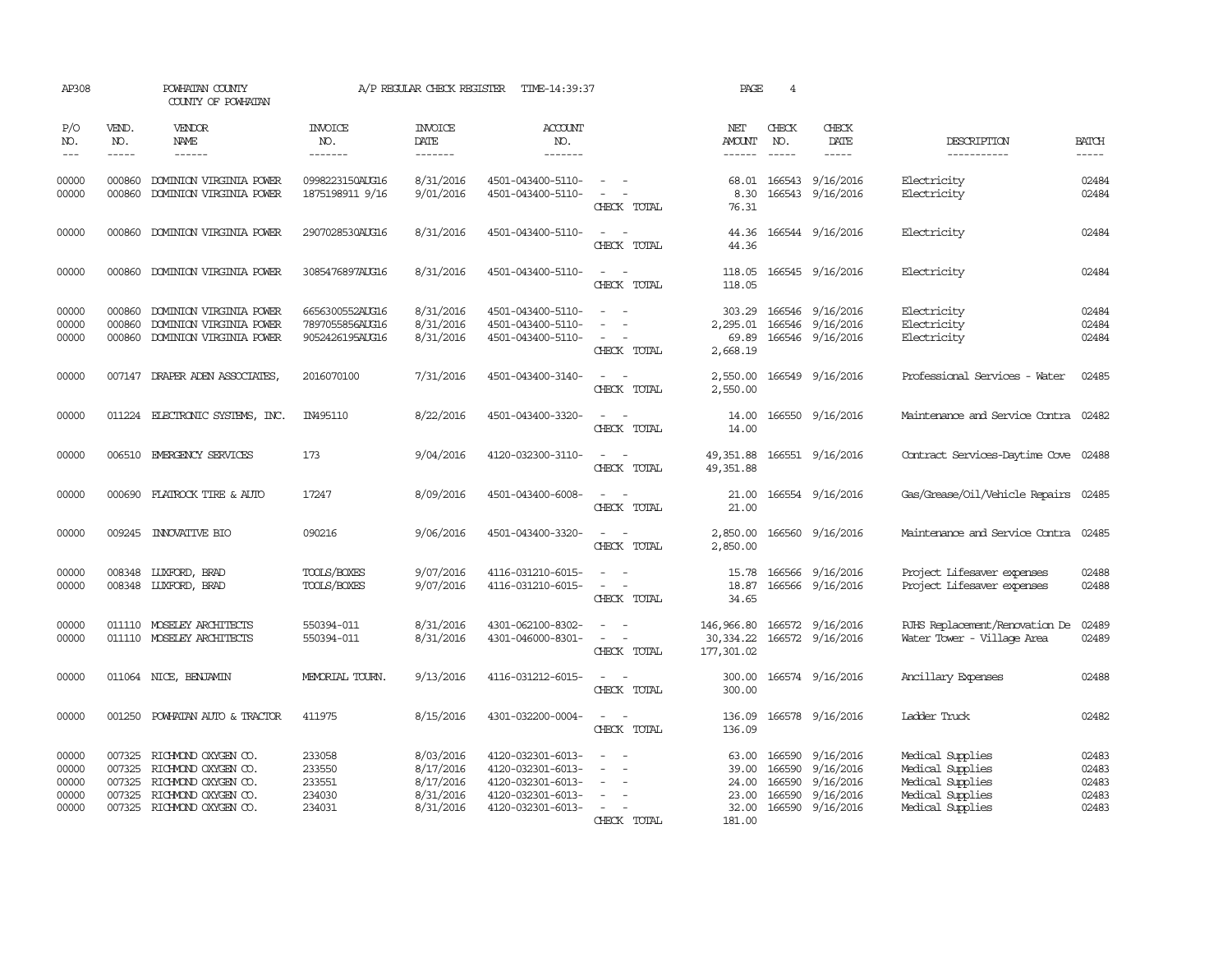| AP308                                     |                                         | POWHATAN COUNTY<br>COUNTY OF POWHATAN                                                                                  |                                                       | A/P REGULAR CHECK REGISTER                                    | TIME-14:39:37                                                                                         |                                                               | PAGE                                                | 4                                    |                                                                      |                                                                                                  |                                           |
|-------------------------------------------|-----------------------------------------|------------------------------------------------------------------------------------------------------------------------|-------------------------------------------------------|---------------------------------------------------------------|-------------------------------------------------------------------------------------------------------|---------------------------------------------------------------|-----------------------------------------------------|--------------------------------------|----------------------------------------------------------------------|--------------------------------------------------------------------------------------------------|-------------------------------------------|
| P/O<br>NO.<br>$\frac{1}{2}$               | VEND.<br>NO.<br>$\qquad \qquad - - - -$ | VENDOR<br><b>NAME</b><br>------                                                                                        | <b>INVOICE</b><br>NO.<br>-------                      | <b>INVOICE</b><br>DATE<br>-------                             | <b>ACCOUNT</b><br>NO.<br>-------                                                                      |                                                               | NET<br>AMOUNT<br>------                             | CHECK<br>NO.<br>$\frac{1}{2}$        | CHECK<br>DATE<br>-----                                               | DESCRIPTION<br>-----------                                                                       | <b>BATCH</b>                              |
| 00000<br>00000                            | 000860<br>000860                        | DOMINION VIRGINIA POWER<br>DOMINION VIRGINIA POWER                                                                     | 0998223150AUG16<br>1875198911 9/16                    | 8/31/2016<br>9/01/2016                                        | 4501-043400-5110-<br>4501-043400-5110-                                                                | CHECK TOTAL                                                   | 68.01<br>8.30<br>76.31                              |                                      | 166543 9/16/2016<br>166543 9/16/2016                                 | Electricity<br>Electricity                                                                       | 02484<br>02484                            |
| 00000                                     | 000860                                  | DOMINION VIRGINIA POWER                                                                                                | 2907028530AUG16                                       | 8/31/2016                                                     | 4501-043400-5110-                                                                                     | $\sim$ $\sim$<br>CHECK TOTAL                                  | 44.36<br>44.36                                      |                                      | 166544 9/16/2016                                                     | Electricity                                                                                      | 02484                                     |
| 00000                                     | 000860                                  | DOMINION VIRGINIA POWER                                                                                                | 3085476897AUG16                                       | 8/31/2016                                                     | 4501-043400-5110-                                                                                     | $\sim$ $\sim$<br>CHECK TOTAL                                  | 118.05<br>118.05                                    |                                      | 166545 9/16/2016                                                     | Electricity                                                                                      | 02484                                     |
| 00000<br>00000<br>00000                   | 000860<br>000860<br>000860              | DOMINION VIRGINIA POWER<br>DOMINION VIRGINIA POWER<br>DOMINION VIRGINIA POWER                                          | 6656300552AUG16<br>7897055856AUG16<br>9052426195AUG16 | 8/31/2016<br>8/31/2016<br>8/31/2016                           | 4501-043400-5110-<br>4501-043400-5110-<br>4501-043400-5110-                                           | CHECK TOTAL                                                   | 303.29<br>2,295.01<br>69.89<br>2,668.19             |                                      | 166546 9/16/2016<br>166546 9/16/2016<br>166546 9/16/2016             | Electricity<br>Electricity<br>Electricity                                                        | 02484<br>02484<br>02484                   |
| 00000                                     |                                         | 007147 DRAPER ADEN ASSOCIATES,                                                                                         | 2016070100                                            | 7/31/2016                                                     | 4501-043400-3140-                                                                                     | $\sim$<br>CHECK TOTAL                                         | 2,550.00<br>2,550.00                                |                                      | 166549 9/16/2016                                                     | Professional Services - Water                                                                    | 02485                                     |
| 00000                                     |                                         | 011224 ELECTRONIC SYSTEMS, INC.                                                                                        | IN495110                                              | 8/22/2016                                                     | 4501-043400-3320-                                                                                     | $\sim$<br>CHECK TOTAL                                         | 14.00<br>14.00                                      |                                      | 166550 9/16/2016                                                     | Maintenance and Service Contra 02482                                                             |                                           |
| 00000                                     |                                         | 006510 EMERGENCY SERVICES                                                                                              | 173                                                   | 9/04/2016                                                     | 4120-032300-3110-                                                                                     | $\sim$<br>$\overline{\phantom{a}}$<br>CHECK TOTAL             | 49,351.88<br>49, 351.88                             |                                      | 166551 9/16/2016                                                     | Contract Services-Daytime Cove 02488                                                             |                                           |
| 00000                                     |                                         | 000690 FLATROCK TIRE & AUTO                                                                                            | 17247                                                 | 8/09/2016                                                     | 4501-043400-6008-                                                                                     | CHECK TOTAL                                                   | 21.00<br>21.00                                      |                                      | 166554 9/16/2016                                                     | Gas/Grease/Oil/Vehicle Repairs 02485                                                             |                                           |
| 00000                                     |                                         | 009245 INNOVATIVE BIO                                                                                                  | 090216                                                | 9/06/2016                                                     | 4501-043400-3320-                                                                                     | CHECK TOTAL                                                   | 2,850.00<br>2,850.00                                |                                      | 166560 9/16/2016                                                     | Maintenance and Service Contra                                                                   | 02485                                     |
| 00000<br>00000                            |                                         | 008348 LUXFORD, BRAD<br>008348 LUXFORD, BRAD                                                                           | TOOLS/BOXES<br>TOOLS/BOXES                            | 9/07/2016<br>9/07/2016                                        | 4116-031210-6015-<br>4116-031210-6015-                                                                | $\equiv$<br>$\sim$<br>$\overline{\phantom{a}}$<br>CHECK TOTAL | 15.78<br>18.87<br>34.65                             |                                      | 166566 9/16/2016<br>166566 9/16/2016                                 | Project Lifesaver expenses<br>Project Lifesaver expenses                                         | 02488<br>02488                            |
| 00000<br>00000                            |                                         | 011110 MOSELEY ARCHITECTS<br>011110 MOSELEY ARCHITECTS                                                                 | 550394-011<br>550394-011                              | 8/31/2016<br>8/31/2016                                        | 4301-062100-8302-<br>4301-046000-8301-                                                                | CHECK TOTAL                                                   | 146,966.80<br>30, 334.22<br>177,301.02              |                                      | 166572 9/16/2016<br>166572 9/16/2016                                 | RJHS Replacement/Renovation De<br>Water Tower - Village Area                                     | 02489<br>02489                            |
| 00000                                     | 011064                                  | NICE, BENJAMIN                                                                                                         | MEMORIAL TOURN.                                       | 9/13/2016                                                     | 4116-031212-6015-                                                                                     | CHECK TOTAL                                                   | 300.00<br>300.00                                    |                                      | 166574 9/16/2016                                                     | Ancillary Expenses                                                                               | 02488                                     |
| 00000                                     | 001250                                  | POWHATAN AUTO & TRACTOR                                                                                                | 411975                                                | 8/15/2016                                                     | 4301-032200-0004-                                                                                     | CHECK TOTAL                                                   | 136.09<br>136.09                                    |                                      | 166578 9/16/2016                                                     | Ladder Truck                                                                                     | 02482                                     |
| 00000<br>00000<br>00000<br>00000<br>00000 | 007325<br>007325<br>007325<br>007325    | RICHMOND OXYGEN CO.<br>RICHMOND OXYGEN CO.<br>RICHMOND OXYGEN CO.<br>RICHMOND OXYGEN CO.<br>007325 RICHMOND OXYGEN CO. | 233058<br>233550<br>233551<br>234030<br>234031        | 8/03/2016<br>8/17/2016<br>8/17/2016<br>8/31/2016<br>8/31/2016 | 4120-032301-6013-<br>4120-032301-6013-<br>4120-032301-6013-<br>4120-032301-6013-<br>4120-032301-6013- | $\overline{\phantom{a}}$<br>CHECK TOTAL                       | 63.00<br>39.00<br>24.00<br>23.00<br>32.00<br>181.00 | 166590<br>166590<br>166590<br>166590 | 9/16/2016<br>9/16/2016<br>9/16/2016<br>9/16/2016<br>166590 9/16/2016 | Medical Supplies<br>Medical Supplies<br>Medical Supplies<br>Medical Supplies<br>Medical Supplies | 02483<br>02483<br>02483<br>02483<br>02483 |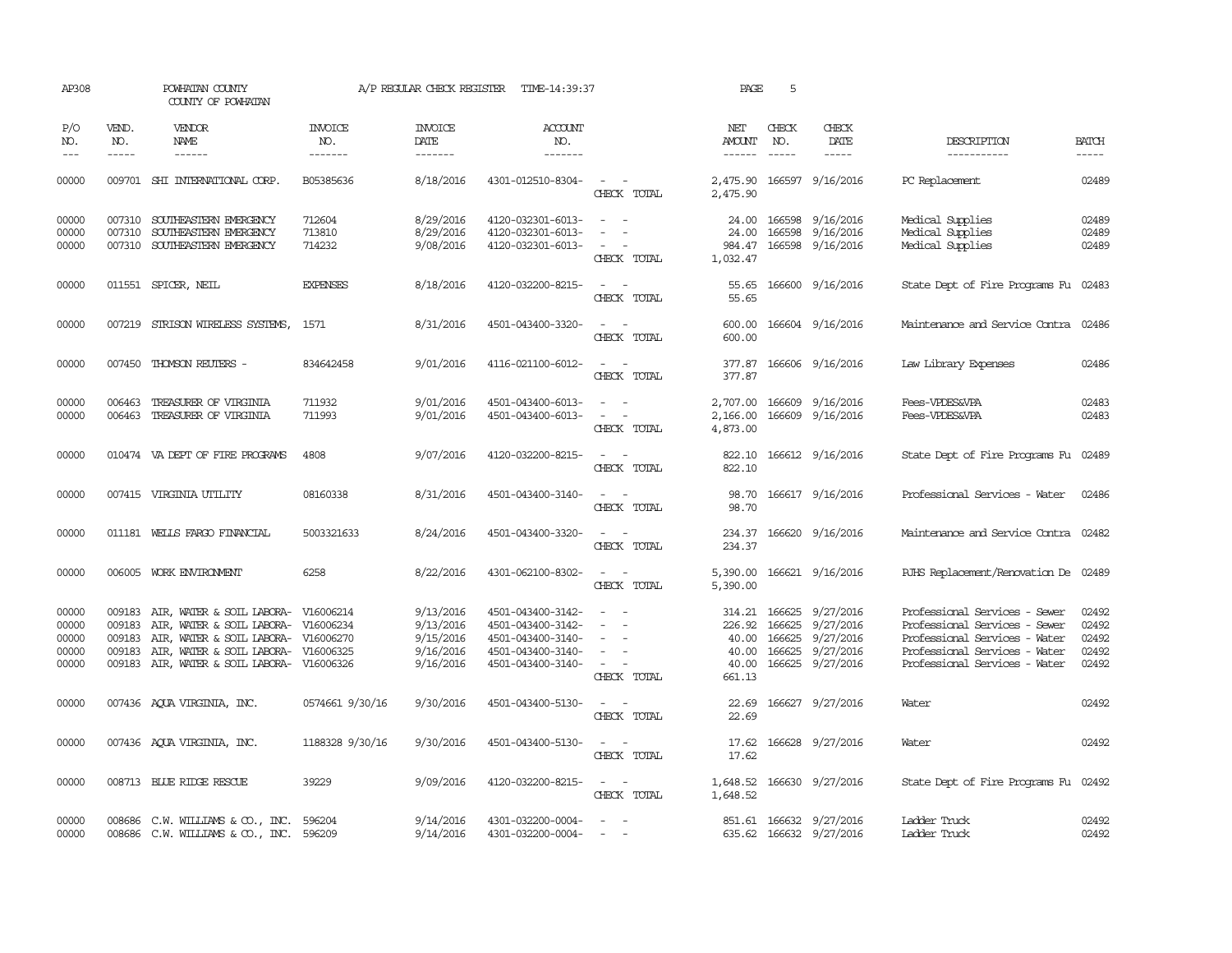| AP308                                     |                                      | POWHATAN COUNTY<br>COUNTY OF POWHATAN                                                                                                                                                                  |                            | A/P REGULAR CHECK REGISTER                                    | TIME-14:39:37                                                                                         |                                                                                 | PAGE                              | 5                                                  |                                                                      |                                                                                                                                                                   |                                           |
|-------------------------------------------|--------------------------------------|--------------------------------------------------------------------------------------------------------------------------------------------------------------------------------------------------------|----------------------------|---------------------------------------------------------------|-------------------------------------------------------------------------------------------------------|---------------------------------------------------------------------------------|-----------------------------------|----------------------------------------------------|----------------------------------------------------------------------|-------------------------------------------------------------------------------------------------------------------------------------------------------------------|-------------------------------------------|
| P/O<br>NO.                                | VEND.<br>NO.                         | <b>VENDOR</b><br>NAME                                                                                                                                                                                  | <b>INVOICE</b><br>NO.      | <b>INVOICE</b><br>DATE                                        | ACCOUNT<br>NO.                                                                                        |                                                                                 | NET<br>AMOUNT                     | CHECK<br>NO.                                       | CHECK<br>DATE                                                        | DESCRIPTION                                                                                                                                                       | <b>BATCH</b>                              |
| $\frac{1}{2}$                             | $- - - - -$                          | ------                                                                                                                                                                                                 | -------                    | -------                                                       | -------                                                                                               |                                                                                 |                                   | $\frac{1}{2}$                                      | -----                                                                | -----------                                                                                                                                                       |                                           |
| 00000                                     |                                      | 009701 SHI INTERNATIONAL CORP.                                                                                                                                                                         | B05385636                  | 8/18/2016                                                     | 4301-012510-8304-                                                                                     | $\sim$ $ \sim$<br>CHECK TOTAL                                                   | 2,475.90                          |                                                    | 2,475.90 166597 9/16/2016                                            | PC Replacement                                                                                                                                                    | 02489                                     |
| 00000<br>00000<br>00000                   | 007310                               | 007310 SOUTHEASTERN EMERGENCY<br>SOUTHEASTERN EMERGENCY<br>007310 SOUTHEASTERN EMERGENCY                                                                                                               | 712604<br>713810<br>714232 | 8/29/2016<br>8/29/2016<br>9/08/2016                           | 4120-032301-6013-<br>4120-032301-6013-<br>4120-032301-6013-                                           | $\sim$<br>$\sim$ $-$<br>$\sim$<br>$\overline{\phantom{a}}$<br>$ -$              | 24.00<br>984.47                   | 166598                                             | 24.00 166598 9/16/2016<br>9/16/2016<br>166598 9/16/2016              | Medical Supplies<br>Medical Supplies<br>Medical Supplies                                                                                                          | 02489<br>02489<br>02489                   |
|                                           |                                      |                                                                                                                                                                                                        |                            |                                                               |                                                                                                       | CHECK TOTAL                                                                     | 1,032.47                          |                                                    |                                                                      |                                                                                                                                                                   |                                           |
| 00000                                     |                                      | 011551 SPICER, NEIL                                                                                                                                                                                    | <b>EXPENSES</b>            | 8/18/2016                                                     | 4120-032200-8215-                                                                                     | CHECK TOTAL                                                                     | 55.65                             |                                                    | 55.65 166600 9/16/2016                                               | State Dept of Fire Programs Fu 02483                                                                                                                              |                                           |
| 00000                                     |                                      | 007219 STRISON WIRELESS SYSTEMS,                                                                                                                                                                       | 1571                       | 8/31/2016                                                     | 4501-043400-3320-                                                                                     | $\sim$<br>CHECK TOTAL                                                           | 600.00<br>600.00                  |                                                    | 166604 9/16/2016                                                     | Maintenance and Service Contra 02486                                                                                                                              |                                           |
| 00000                                     |                                      | 007450 THOMSON REUTERS -                                                                                                                                                                               | 834642458                  | 9/01/2016                                                     | 4116-021100-6012-                                                                                     | $\overline{\phantom{a}}$<br>$\sim$<br>CHECK TOTAL                               | 377.87<br>377.87                  |                                                    | 166606 9/16/2016                                                     | Law Library Expenses                                                                                                                                              | 02486                                     |
| 00000<br>00000                            | 006463                               | 006463 TREASURER OF VIRGINIA<br>TREASURER OF VIRGINIA                                                                                                                                                  | 711932<br>711993           | 9/01/2016<br>9/01/2016                                        | 4501-043400-6013-<br>4501-043400-6013-                                                                | $\sim$ 100 $\sim$<br>$\sim$<br>CHECK TOTAL                                      | 2,166.00<br>4,873.00              |                                                    | 2,707.00 166609 9/16/2016<br>166609 9/16/2016                        | Fees-VPDES&VPA<br>Fees-VPDES&VPA                                                                                                                                  | 02483<br>02483                            |
| 00000                                     |                                      | 010474 VA DEPT OF FIRE PROGRAMS                                                                                                                                                                        | 4808                       | 9/07/2016                                                     | 4120-032200-8215-                                                                                     | $\sim$ $\sim$<br>CHECK TOTAL                                                    | 822.10<br>822.10                  |                                                    | 166612 9/16/2016                                                     | State Dept of Fire Programs Fu 02489                                                                                                                              |                                           |
| 00000                                     |                                      | 007415 VIRGINIA UTILITY                                                                                                                                                                                | 08160338                   | 8/31/2016                                                     | 4501-043400-3140-                                                                                     | $\sim$ $ \sim$<br>CHECK TOTAL                                                   | 98.70<br>98.70                    |                                                    | 166617 9/16/2016                                                     | Professional Services - Water                                                                                                                                     | 02486                                     |
| 00000                                     |                                      | 011181 WELLS FARGO FINANCIAL                                                                                                                                                                           | 5003321633                 | 8/24/2016                                                     | 4501-043400-3320-                                                                                     | $\sim$ $ \sim$<br>CHECK TOTAL                                                   | 234.37                            |                                                    | 234.37 166620 9/16/2016                                              | Maintenance and Service Contra 02482                                                                                                                              |                                           |
| 00000                                     |                                      | 006005 WORK ENVIRONMENT                                                                                                                                                                                | 6258                       | 8/22/2016                                                     | 4301-062100-8302-                                                                                     | $\sim$ $ -$<br>CHECK TOTAL                                                      | 5,390.00                          |                                                    | 5,390.00 166621 9/16/2016                                            | RJHS Replacement/Renovation De 02489                                                                                                                              |                                           |
| 00000<br>00000<br>00000<br>00000<br>00000 | 009183<br>009183<br>009183<br>009183 | AIR, WATER & SOIL LABORA- V16006214<br>AIR, WATER & SOIL LABORA- V16006234<br>AIR, WATER & SOIL LABORA- V16006270<br>AIR, WATER & SOIL LABORA- V16006325<br>009183 AIR, WATER & SOIL LABORA- V16006326 |                            | 9/13/2016<br>9/13/2016<br>9/15/2016<br>9/16/2016<br>9/16/2016 | 4501-043400-3142-<br>4501-043400-3142-<br>4501-043400-3140-<br>4501-043400-3140-<br>4501-043400-3140- | $\sim$<br>$\sim$<br>$\sim$<br>$\overline{\phantom{a}}$<br>$\sim$<br>CHECK TOTAL | 40.00<br>40.00<br>40.00<br>661.13 | 314.21 166625<br>226.92 166625<br>166625<br>166625 | 9/27/2016<br>9/27/2016<br>9/27/2016<br>9/27/2016<br>166625 9/27/2016 | Professional Services - Sewer<br>Professional Services - Sewer<br>Professional Services - Water<br>Professional Services - Water<br>Professional Services - Water | 02492<br>02492<br>02492<br>02492<br>02492 |
| 00000                                     |                                      | 007436 AQUA VIRGINIA, INC.                                                                                                                                                                             | 0574661 9/30/16            | 9/30/2016                                                     | 4501-043400-5130-                                                                                     | $\sim$ 100 $\sim$<br>CHECK TOTAL                                                | 22.69<br>22.69                    |                                                    | 166627 9/27/2016                                                     | Water                                                                                                                                                             | 02492                                     |
| 00000                                     |                                      | 007436 AQUA VIRGINIA, INC.                                                                                                                                                                             | 1188328 9/30/16            | 9/30/2016                                                     | 4501-043400-5130-                                                                                     | $\omega_{\rm{max}}$ and $\omega_{\rm{max}}$<br>CHECK TOTAL                      | 17.62<br>17.62                    |                                                    | 166628 9/27/2016                                                     | Water                                                                                                                                                             | 02492                                     |
| 00000                                     |                                      | 008713 BLUE RIDGE RESCUE                                                                                                                                                                               | 39229                      | 9/09/2016                                                     | 4120-032200-8215-                                                                                     | $\sim$ $ \sim$<br>CHECK TOTAL                                                   | 1,648.52                          |                                                    | 1,648.52 166630 9/27/2016                                            | State Dept of Fire Programs Fu 02492                                                                                                                              |                                           |
| 00000<br>00000                            |                                      | 008686 C.W. WILLIAMS & CO., INC. 596204<br>008686 C.W. WILLIAMS & CO., INC. 596209                                                                                                                     |                            | 9/14/2016<br>9/14/2016                                        | 4301-032200-0004-<br>4301-032200-0004-                                                                | $\overline{\phantom{a}}$                                                        |                                   |                                                    | 851.61 166632 9/27/2016<br>635.62 166632 9/27/2016                   | Ladder Truck<br>Ladder Truck                                                                                                                                      | 02492<br>02492                            |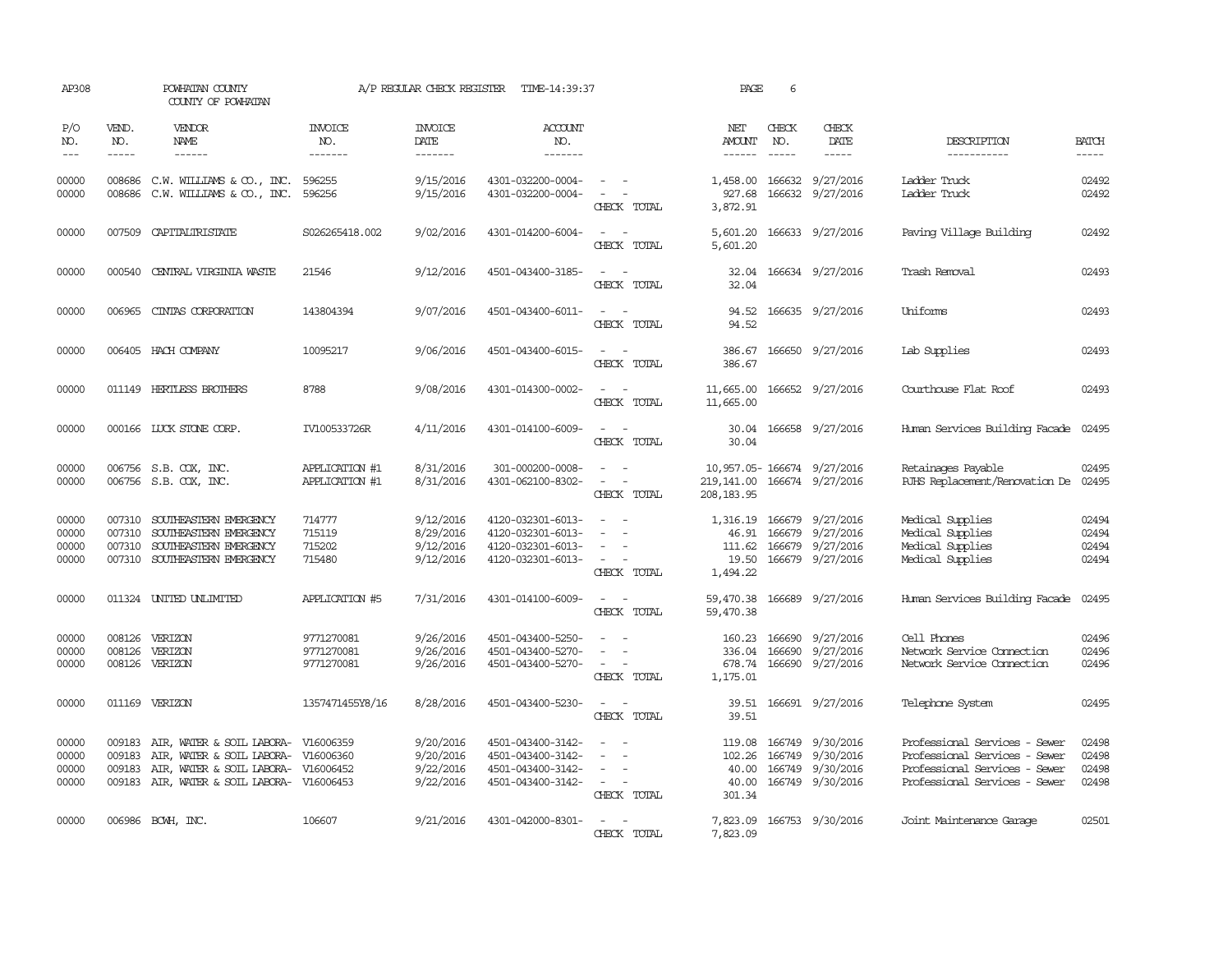| AP308                            |                               | POWHATAN COUNTY<br>COUNTY OF POWHATAN                                                                                                                           |                                        | A/P REGULAR CHECK REGISTER                       | TIME-14:39:37                                                                    |                                                                                                                                                                   | PAGE                                                                      | 6                     |                                                                                              |                                                                                                                                  |                                  |
|----------------------------------|-------------------------------|-----------------------------------------------------------------------------------------------------------------------------------------------------------------|----------------------------------------|--------------------------------------------------|----------------------------------------------------------------------------------|-------------------------------------------------------------------------------------------------------------------------------------------------------------------|---------------------------------------------------------------------------|-----------------------|----------------------------------------------------------------------------------------------|----------------------------------------------------------------------------------------------------------------------------------|----------------------------------|
| P/O<br>NO.<br>$---$              | VEND.<br>NO.<br>$\frac{1}{2}$ | VENDOR<br>NAME<br>$- - - - - -$                                                                                                                                 | <b>INVOICE</b><br>NO.<br>--------      | <b>INVOICE</b><br>DATE<br>--------               | <b>ACCOUNT</b><br>NO.<br>$- - - - - - -$                                         |                                                                                                                                                                   | NET<br>AMOUNT<br>-------                                                  | CHECK<br>NO.<br>$---$ | CHECK<br>DATE<br>$- - - - -$                                                                 | DESCRIPTION<br>-----------                                                                                                       | <b>BATCH</b><br>-----            |
| 00000<br>00000                   |                               | 008686 C.W. WILLIAMS & CO., INC.<br>008686 C.W. WILLIAMS & CO., INC.                                                                                            | 596255<br>596256                       | 9/15/2016<br>9/15/2016                           | 4301-032200-0004-<br>4301-032200-0004-                                           | $\sim$ $ -$<br>$\sim$ $ -$<br>CHECK TOTAL                                                                                                                         | 927.68<br>3,872.91                                                        |                       | 1,458.00 166632 9/27/2016<br>166632 9/27/2016                                                | Ladder Truck<br>Ladder Truck                                                                                                     | 02492<br>02492                   |
| 00000                            |                               | 007509 CAPITALIRISTATE                                                                                                                                          | S026265418.002                         | 9/02/2016                                        | 4301-014200-6004-                                                                | $\sim$ $ \sim$<br>CHECK TOTAL                                                                                                                                     | 5,601.20<br>5,601.20                                                      |                       | 166633 9/27/2016                                                                             | Paving Village Building                                                                                                          | 02492                            |
| 00000                            | 000540                        | CENTRAL VIRGINIA WASTE                                                                                                                                          | 21546                                  | 9/12/2016                                        | 4501-043400-3185-                                                                | $\omega_{\rm{max}}$ and $\omega_{\rm{max}}$<br>CHECK TOTAL                                                                                                        | 32.04<br>32.04                                                            |                       | 166634 9/27/2016                                                                             | Trash Removal                                                                                                                    | 02493                            |
| 00000                            |                               | 006965 CINIAS CORPORATION                                                                                                                                       | 143804394                              | 9/07/2016                                        | 4501-043400-6011-                                                                | CHECK TOTAL                                                                                                                                                       | 94.52                                                                     |                       | 94.52 166635 9/27/2016                                                                       | Uniforms                                                                                                                         | 02493                            |
| 00000                            |                               | 006405 HACH COMPANY                                                                                                                                             | 10095217                               | 9/06/2016                                        | 4501-043400-6015-                                                                | $\sim$ 100 $\sim$<br>CHECK TOTAL                                                                                                                                  | 386.67                                                                    |                       | 386.67 166650 9/27/2016                                                                      | Lab Supplies                                                                                                                     | 02493                            |
| 00000                            |                               | 011149 HERTLESS BROTHERS                                                                                                                                        | 8788                                   | 9/08/2016                                        | 4301-014300-0002-                                                                | $\omega_{\rm{max}}$ and $\omega_{\rm{max}}$<br>CHECK TOTAL                                                                                                        | 11,665.00                                                                 |                       | 11,665.00 166652 9/27/2016                                                                   | Courthouse Flat Roof                                                                                                             | 02493                            |
| 00000                            |                               | 000166 LUCK STONE CORP.                                                                                                                                         | IV100533726R                           | 4/11/2016                                        | 4301-014100-6009-                                                                | CHECK TOTAL                                                                                                                                                       | 30.04                                                                     |                       | 30.04 166658 9/27/2016                                                                       | Human Services Building Facade 02495                                                                                             |                                  |
| 00000<br>00000                   |                               | 006756 S.B. COX, INC.<br>006756 S.B. COX, INC.                                                                                                                  | APPLICATION #1<br>APPLICATION #1       | 8/31/2016<br>8/31/2016                           | 301-000200-0008-<br>4301-062100-8302-                                            | $\overline{\phantom{a}}$<br>$\sim$<br>$\frac{1}{2} \left( \frac{1}{2} \right) \left( \frac{1}{2} \right) = \frac{1}{2} \left( \frac{1}{2} \right)$<br>CHECK TOTAL | 10,957.05-166674 9/27/2016<br>219, 141.00 166674 9/27/2016<br>208, 183.95 |                       |                                                                                              | Retainages Payable<br>RJHS Replacement/Renovation De 02495                                                                       | 02495                            |
| 00000<br>00000<br>00000<br>00000 | 007310<br>007310              | SOUTHEASTERN EMERGENCY<br>SOUTHEASTERN EMERGENCY<br>007310 SOUTHEASTERN EMERGENCY<br>007310 SOUTHEASTERN EMERGENCY                                              | 714777<br>715119<br>715202<br>715480   | 9/12/2016<br>8/29/2016<br>9/12/2016<br>9/12/2016 | 4120-032301-6013-<br>4120-032301-6013-<br>4120-032301-6013-<br>4120-032301-6013- | $\sim$<br>$\sim$ 10 $\pm$<br>$\sim$ $ \sim$<br>$\sim$ $ \sim$ $-$<br>CHECK TOTAL                                                                                  | 46.91<br>19.50<br>1,494.22                                                |                       | 1,316.19 166679 9/27/2016<br>166679 9/27/2016<br>111.62 166679 9/27/2016<br>166679 9/27/2016 | Medical Supplies<br>Medical Supplies<br>Medical Supplies<br>Medical Supplies                                                     | 02494<br>02494<br>02494<br>02494 |
| 00000                            |                               | 011324 UNITED UNLIMITED                                                                                                                                         | APPLICATION #5                         | 7/31/2016                                        | 4301-014100-6009-                                                                | $\sim$ $\sim$<br>CHECK TOTAL                                                                                                                                      | 59,470.38<br>59,470.38                                                    |                       | 166689 9/27/2016                                                                             | Human Services Building Facade                                                                                                   | 02495                            |
| 00000<br>00000<br>00000          |                               | 008126 VERIZON<br>008126 VERIZON<br>008126 VERIZON                                                                                                              | 9771270081<br>9771270081<br>9771270081 | 9/26/2016<br>9/26/2016<br>9/26/2016              | 4501-043400-5250-<br>4501-043400-5270-<br>4501-043400-5270-                      | $\frac{1}{2} \left( \frac{1}{2} \right) \left( \frac{1}{2} \right) = \frac{1}{2} \left( \frac{1}{2} \right)$<br>$\sim$ $-$<br>$\sim$ $ \sim$<br>CHECK TOTAL       | 160.23 166690<br>336.04 166690<br>1,175.01                                |                       | 9/27/2016<br>9/27/2016<br>678.74 166690 9/27/2016                                            | Cell Phones<br>Network Service Connection<br>Network Service Connection                                                          | 02496<br>02496<br>02496          |
| 00000                            |                               | 011169 VERIZON                                                                                                                                                  | 1357471455Y8/16                        | 8/28/2016                                        | 4501-043400-5230-                                                                | $\sim$ $\sim$<br>CHECK TOTAL                                                                                                                                      | 39.51                                                                     |                       | 39.51 166691 9/27/2016                                                                       | Telephone System                                                                                                                 | 02495                            |
| 00000<br>00000<br>00000<br>00000 | 009183<br>009183<br>009183    | AIR, WATER & SOIL LABORA- V16006359<br>AIR, WATER & SOIL LABORA- V16006360<br>AIR, WATER & SOIL LABORA- V16006452<br>009183 AIR, WATER & SOIL LABORA- V16006453 |                                        | 9/20/2016<br>9/20/2016<br>9/22/2016<br>9/22/2016 | 4501-043400-3142-<br>4501-043400-3142-<br>4501-043400-3142-<br>4501-043400-3142- | $\sim$<br>$\sim$<br>$\sim$<br>CHECK TOTAL                                                                                                                         | 119.08<br>40.00<br>40.00<br>301.34                                        | 166749                | 9/30/2016<br>102.26 166749 9/30/2016<br>166749 9/30/2016<br>166749 9/30/2016                 | Professional Services - Sewer<br>Professional Services - Sewer<br>Professional Services - Sewer<br>Professional Services - Sewer | 02498<br>02498<br>02498<br>02498 |
| 00000                            |                               | 006986 BCWH, INC.                                                                                                                                               | 106607                                 | 9/21/2016                                        | 4301-042000-8301-                                                                | $\sim$ $ \sim$<br>CHECK TOTAL                                                                                                                                     | 7,823.09                                                                  |                       | 7,823.09 166753 9/30/2016                                                                    | Joint Maintenance Garage                                                                                                         | 02501                            |